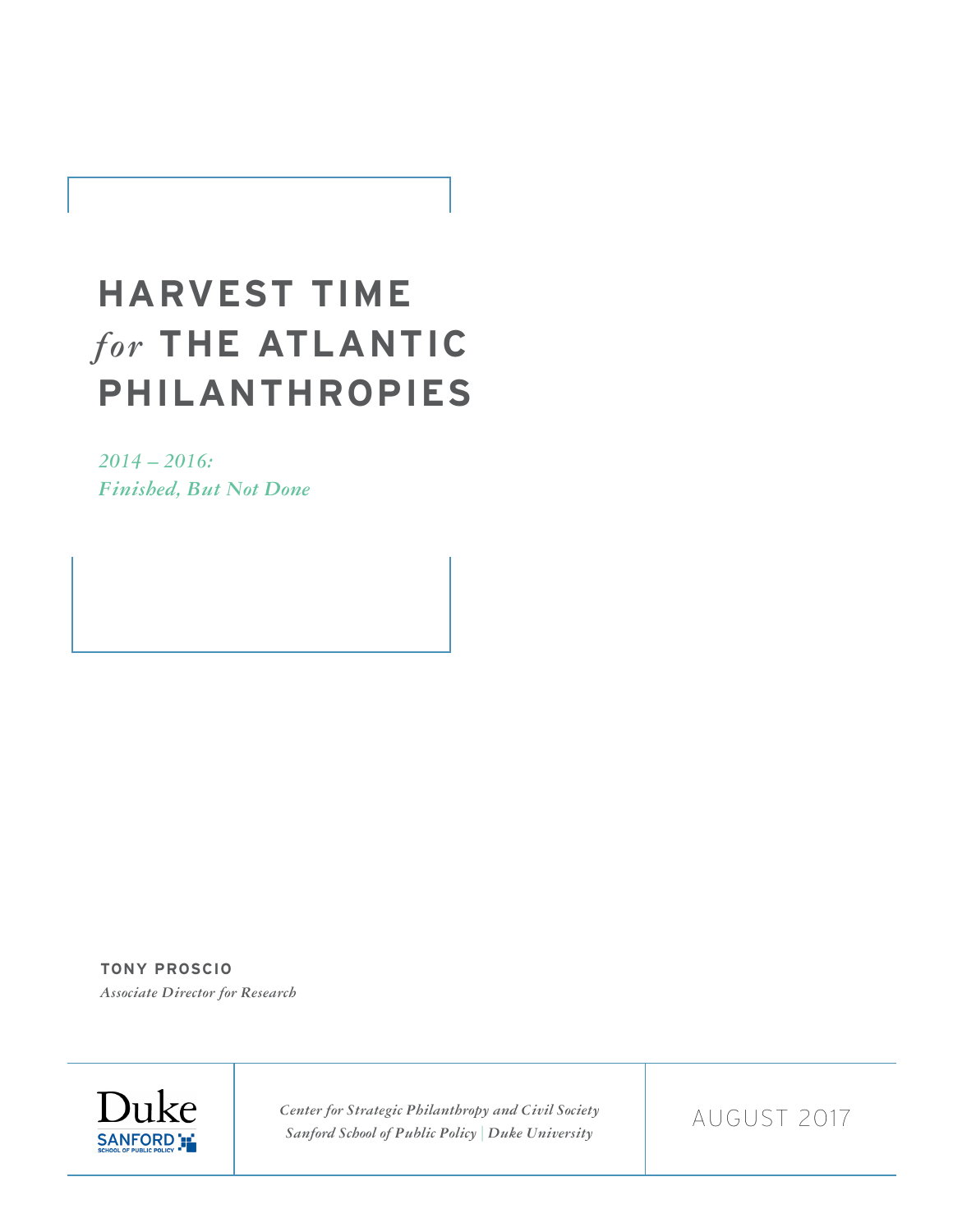# **HARVEST TIME**  *for* **THE ATLANTIC PHILANTHROPIES**

*2014 – 2016: Finished, But Not Done*

**TONY PROSCIO** *Associate Director for Research* 



*Center for Strategic Philanthropy and Civil Society Sanford School of Public Policy | Duke University*

AUGUST 2017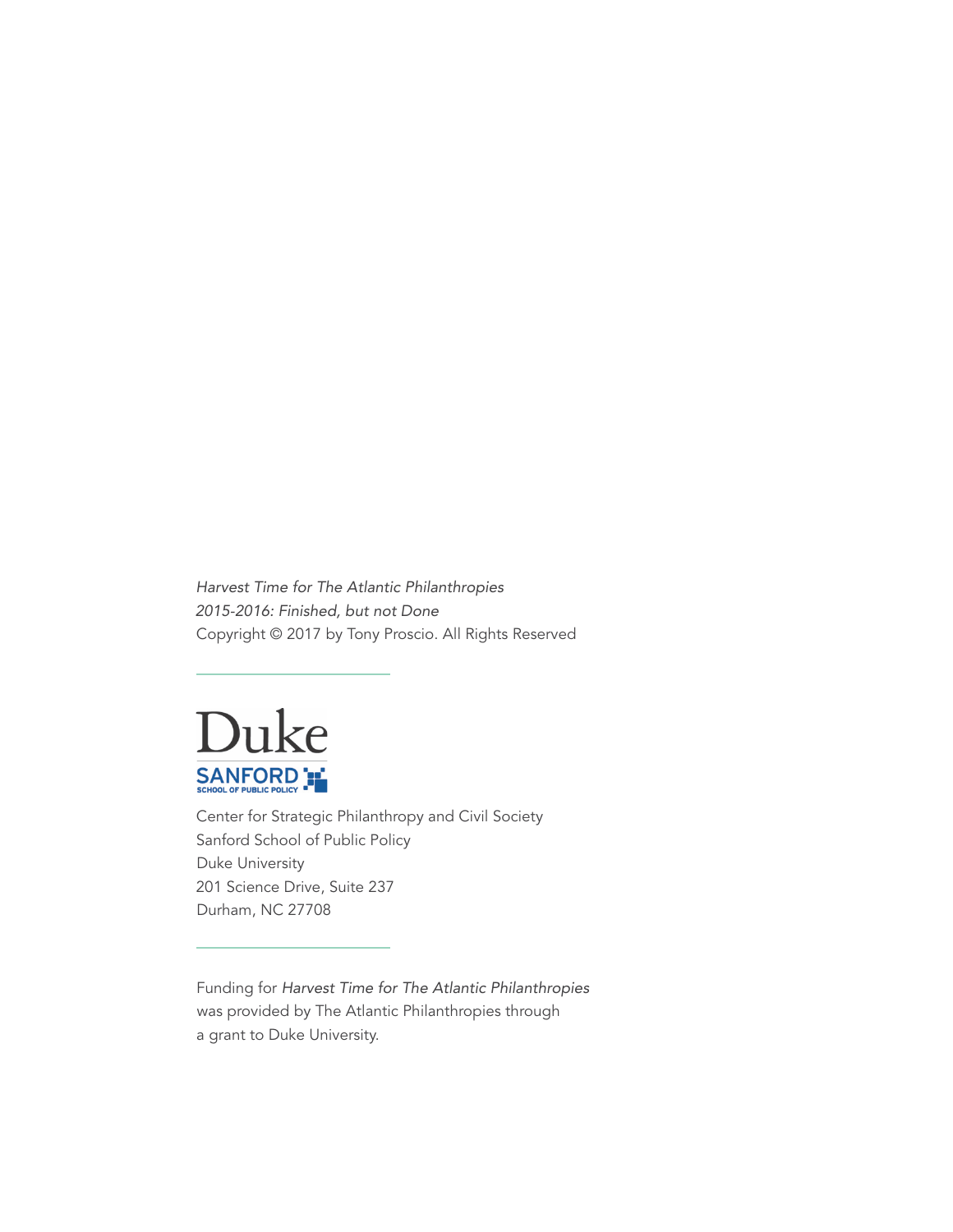Harvest Time for The Atlantic Philanthropies 2015-2016: Finished, but not Done Copyright © 2017 by Tony Proscio. All Rights Reserved



Center for Strategic Philanthropy and Civil Society Sanford School of Public Policy Duke University 201 Science Drive, Suite 237 Durham, NC 27708

Funding for Harvest Time for The Atlantic Philanthropies was provided by The Atlantic Philanthropies through a grant to Duke University.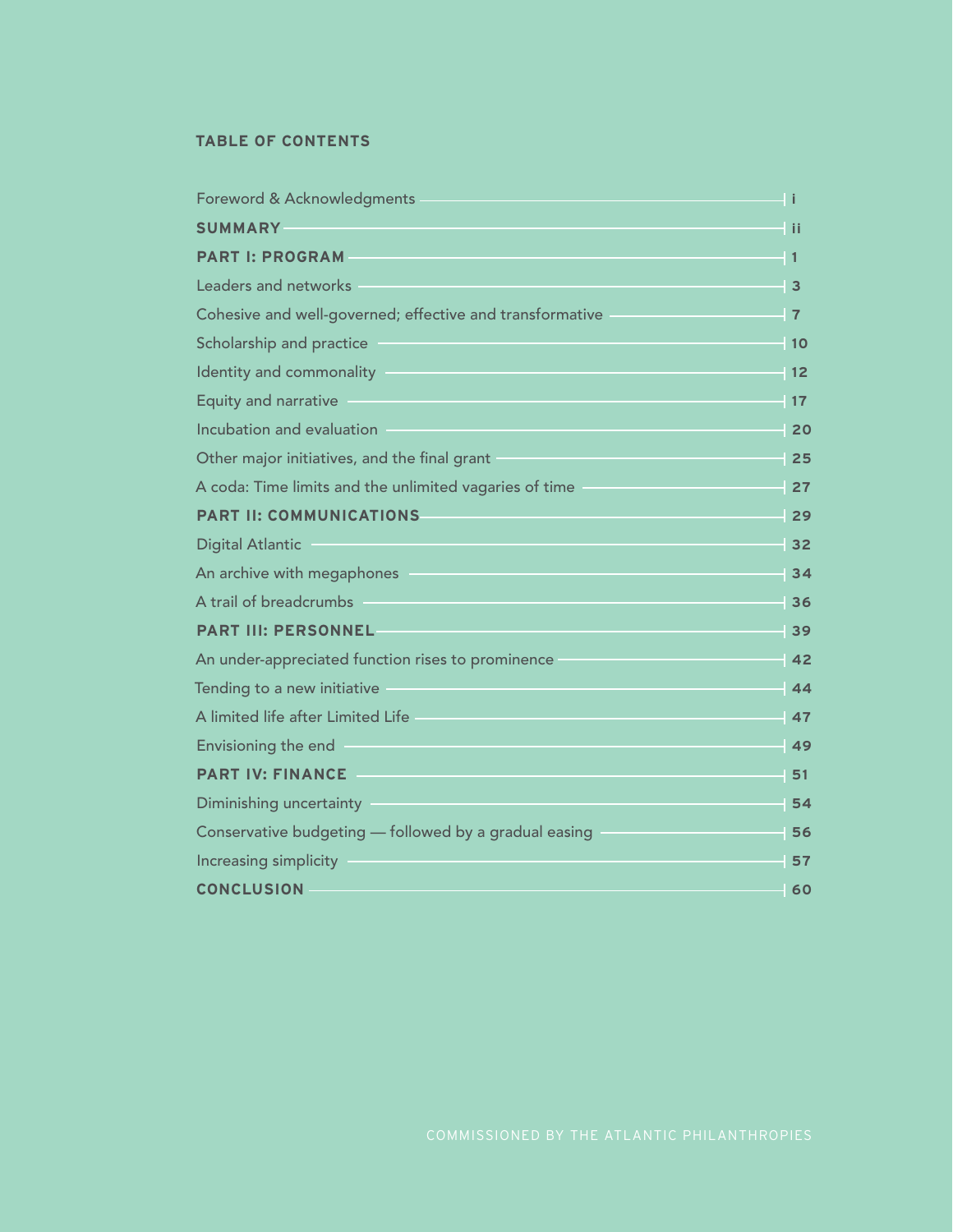#### **TABLE OF CONTENTS**

| Foreword & Acknowledgments                               | -l i                       |
|----------------------------------------------------------|----------------------------|
| <b>SUMMARY</b>                                           | 4 ii                       |
| <b>PART I: PROGRAM</b>                                   | - 1                        |
| <b>Leaders and networks</b>                              | $\overline{\phantom{0}}$ 3 |
| Cohesive and well-governed; effective and transformative | $\blacksquare$ 7           |
| Scholarship and practice                                 | $\parallel$ 10             |
| Identity and commonality                                 | - 12                       |
| <b>Equity and narrative</b>                              | $-17$                      |
| Incubation and evaluation                                | $-20$                      |
| Other major initiatives, and the final grant             | $-25$                      |
| A coda: Time limits and the unlimited vagaries of time   | $-27$                      |
| <b>PART II: COMMUNICATIONS</b>                           | $-29$                      |
| <b>Digital Atlantic</b>                                  | $-32$                      |
| An archive with megaphones                               | 34                         |
| A trail of breadcrumbs                                   | 36                         |
| <b>PART III: PERSONNEL</b>                               | 39                         |
| An under-appreciated function rises to prominence        | 42                         |
| Tending to a new initiative                              | 44                         |
| A limited life after Limited Life                        | 47                         |
| Envisioning the end                                      | 49                         |
| <b>PART IV: FINANCE</b>                                  | 51                         |
| Diminishing uncertainty                                  | 54                         |
| Conservative budgeting - followed by a gradual easing    | 56                         |
| Increasing simplicity                                    | 57                         |
| <b>CONCLUSION</b>                                        | 60                         |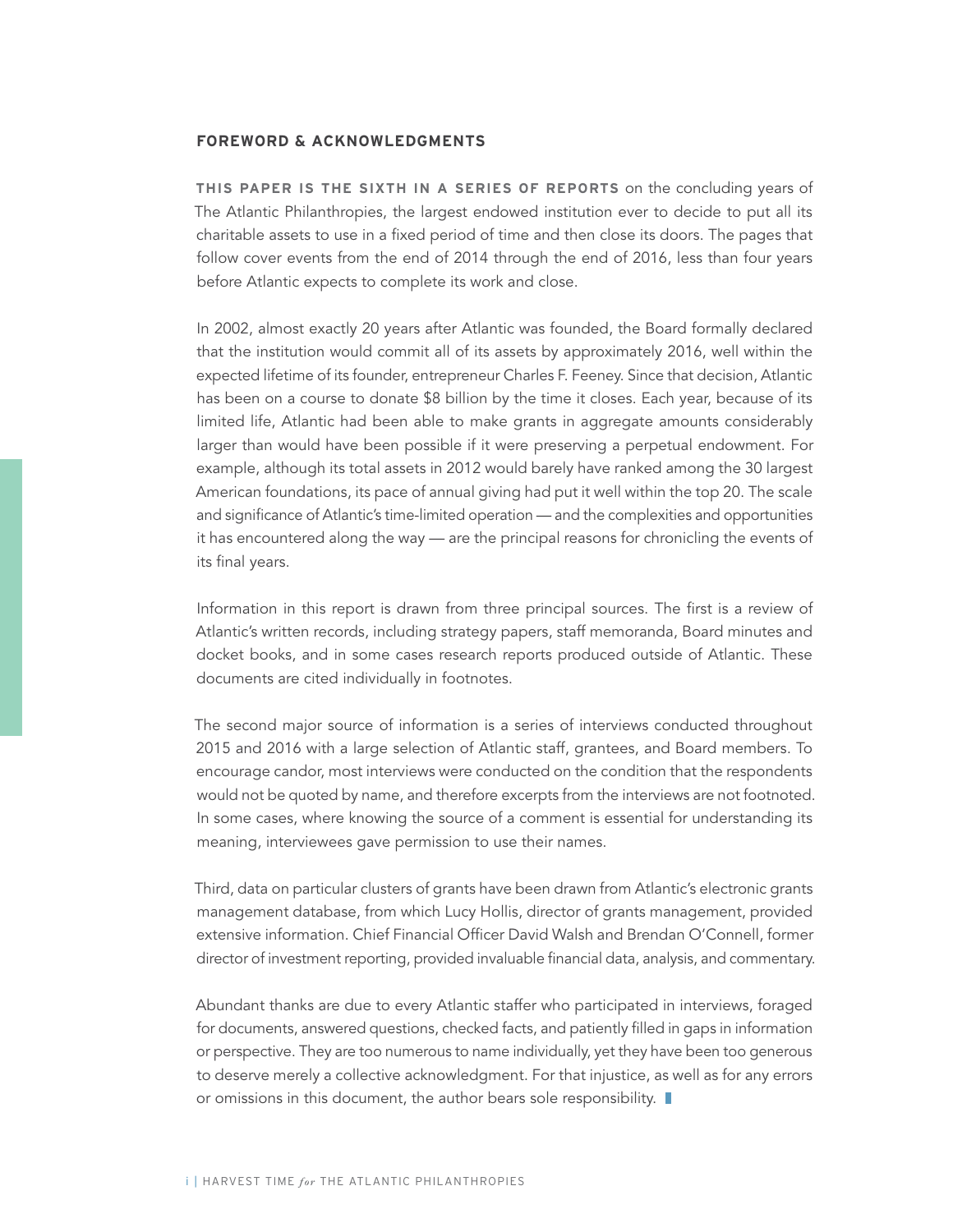#### **FOREWORD & ACKNOWLEDGMENTS**

**THIS PAPER IS THE SIXTH IN A SERIES OF REPORTS** on the concluding years of The Atlantic Philanthropies, the largest endowed institution ever to decide to put all its charitable assets to use in a fixed period of time and then close its doors. The pages that follow cover events from the end of 2014 through the end of 2016, less than four years before Atlantic expects to complete its work and close.

In 2002, almost exactly 20 years after Atlantic was founded, the Board formally declared that the institution would commit all of its assets by approximately 2016, well within the expected lifetime of its founder, entrepreneur Charles F. Feeney. Since that decision, Atlantic has been on a course to donate \$8 billion by the time it closes. Each year, because of its limited life, Atlantic had been able to make grants in aggregate amounts considerably larger than would have been possible if it were preserving a perpetual endowment. For example, although its total assets in 2012 would barely have ranked among the 30 largest American foundations, its pace of annual giving had put it well within the top 20. The scale and significance of Atlantic's time-limited operation — and the complexities and opportunities it has encountered along the way — are the principal reasons for chronicling the events of its final years.

Information in this report is drawn from three principal sources. The first is a review of Atlantic's written records, including strategy papers, staff memoranda, Board minutes and docket books, and in some cases research reports produced outside of Atlantic. These documents are cited individually in footnotes.

The second major source of information is a series of interviews conducted throughout 2015 and 2016 with a large selection of Atlantic staff, grantees, and Board members. To encourage candor, most interviews were conducted on the condition that the respondents would not be quoted by name, and therefore excerpts from the interviews are not footnoted. In some cases, where knowing the source of a comment is essential for understanding its meaning, interviewees gave permission to use their names.

Third, data on particular clusters of grants have been drawn from Atlantic's electronic grants management database, from which Lucy Hollis, director of grants management, provided extensive information. Chief Financial Officer David Walsh and Brendan O'Connell, former director of investment reporting, provided invaluable financial data, analysis, and commentary.

Abundant thanks are due to every Atlantic staffer who participated in interviews, foraged for documents, answered questions, checked facts, and patiently filled in gaps in information or perspective. They are too numerous to name individually, yet they have been too generous to deserve merely a collective acknowledgment. For that injustice, as well as for any errors or omissions in this document, the author bears sole responsibility.  $\blacksquare$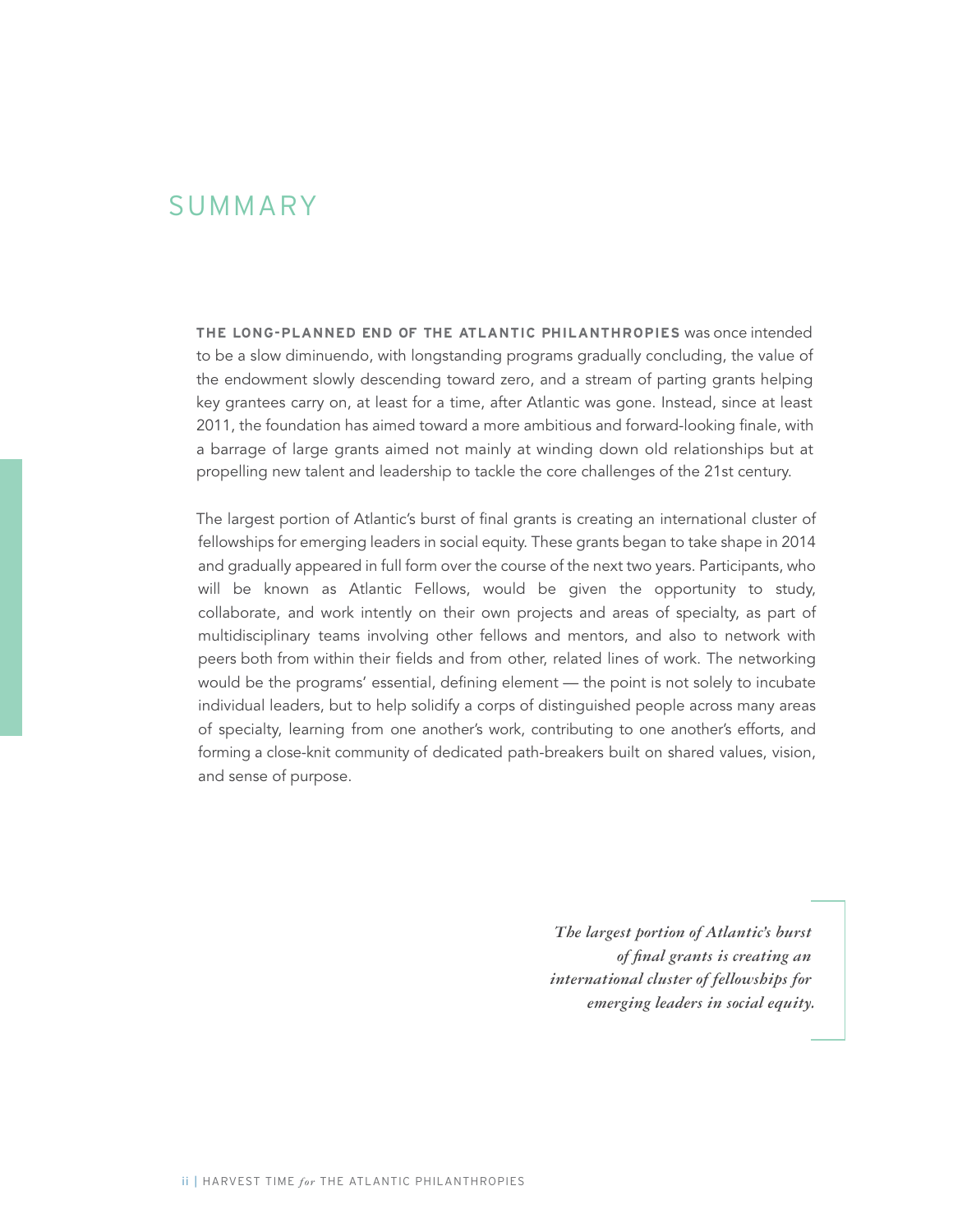### SUMMARY

**THE LONG-PLANNED END OF THE ATLANTIC PHILANTHROPIES** was once intended to be a slow diminuendo, with longstanding programs gradually concluding, the value of the endowment slowly descending toward zero, and a stream of parting grants helping key grantees carry on, at least for a time, after Atlantic was gone. Instead, since at least 2011, the foundation has aimed toward a more ambitious and forward-looking finale, with a barrage of large grants aimed not mainly at winding down old relationships but at propelling new talent and leadership to tackle the core challenges of the 21st century.

The largest portion of Atlantic's burst of final grants is creating an international cluster of fellowships for emerging leaders in social equity. These grants began to take shape in 2014 and gradually appeared in full form over the course of the next two years. Participants, who will be known as Atlantic Fellows, would be given the opportunity to study, collaborate, and work intently on their own projects and areas of specialty, as part of multidisciplinary teams involving other fellows and mentors, and also to network with peers both from within their fields and from other, related lines of work. The networking would be the programs' essential, defining element — the point is not solely to incubate individual leaders, but to help solidify a corps of distinguished people across many areas of specialty, learning from one another's work, contributing to one another's efforts, and forming a close-knit community of dedicated path-breakers built on shared values, vision, and sense of purpose.

> *The largest portion of Atlantic's burst of final grants is creating an international cluster of fellowships for emerging leaders in social equity.*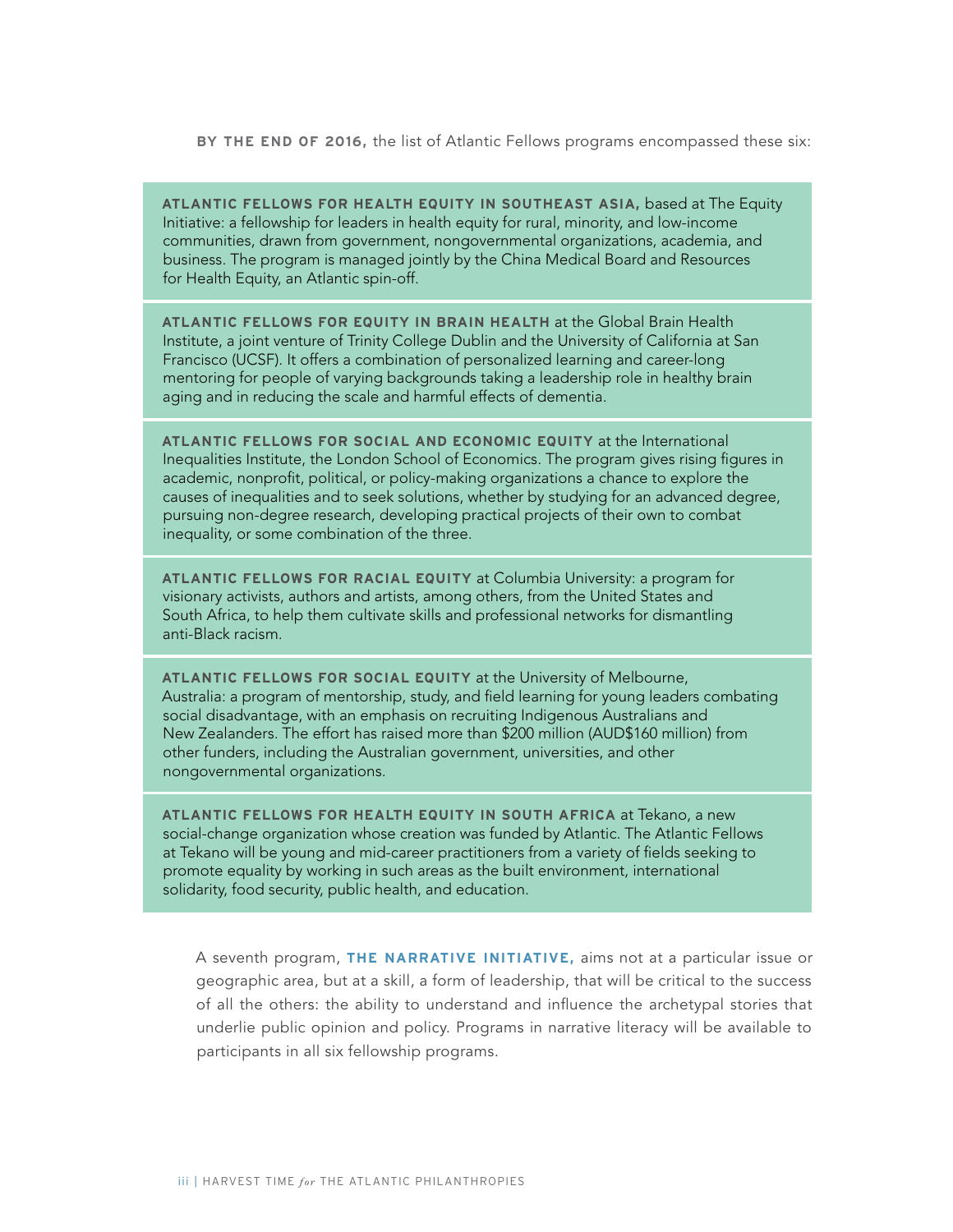#### **BY THE END OF 2016,** the list of Atlantic Fellows programs encompassed these six:

**ATLANTIC FELLOWS FOR HEALTH EQUITY IN SOUTHEAST ASIA,** based at The Equity Initiative: a fellowship for leaders in health equity for rural, minority, and low-income communities, drawn from government, nongovernmental organizations, academia, and business. The program is managed jointly by the China Medical Board and Resources for Health Equity, an Atlantic spin-off.

**ATLANTIC FELLOWS FOR EQUITY IN BRAIN HEALTH** at the Global Brain Health Institute, a joint venture of Trinity College Dublin and the University of California at San Francisco (UCSF). It offers a combination of personalized learning and career-long mentoring for people of varying backgrounds taking a leadership role in healthy brain aging and in reducing the scale and harmful effects of dementia.

**ATLANTIC FELLOWS FOR SOCIAL AND ECONOMIC EQUITY** at the International Inequalities Institute, the London School of Economics. The program gives rising figures in academic, nonprofit, political, or policy-making organizations a chance to explore the causes of inequalities and to seek solutions, whether by studying for an advanced degree, pursuing non-degree research, developing practical projects of their own to combat inequality, or some combination of the three.

**ATLANTIC FELLOWS FOR RACIAL EQUITY** at Columbia University: a program for visionary activists, authors and artists, among others, from the United States and South Africa, to help them cultivate skills and professional networks for dismantling anti-Black racism.

**ATLANTIC FELLOWS FOR SOCIAL EQUITY** at the University of Melbourne, Australia: a program of mentorship, study, and field learning for young leaders combating social disadvantage, with an emphasis on recruiting Indigenous Australians and New Zealanders. The effort has raised more than \$200 million (AUD\$160 million) from other funders, including the Australian government, universities, and other nongovernmental organizations.

**ATLANTIC FELLOWS FOR HEALTH EQUITY IN SOUTH AFRICA** at Tekano, a new social-change organization whose creation was funded by Atlantic. The Atlantic Fellows at Tekano will be young and mid-career practitioners from a variety of fields seeking to promote equality by working in such areas as the built environment, international solidarity, food security, public health, and education.

A seventh program, **THE NARRATIVE INITIATIVE,** aims not at a particular issue or geographic area, but at a skill, a form of leadership, that will be critical to the success of all the others: the ability to understand and influence the archetypal stories that underlie public opinion and policy. Programs in narrative literacy will be available to participants in all six fellowship programs.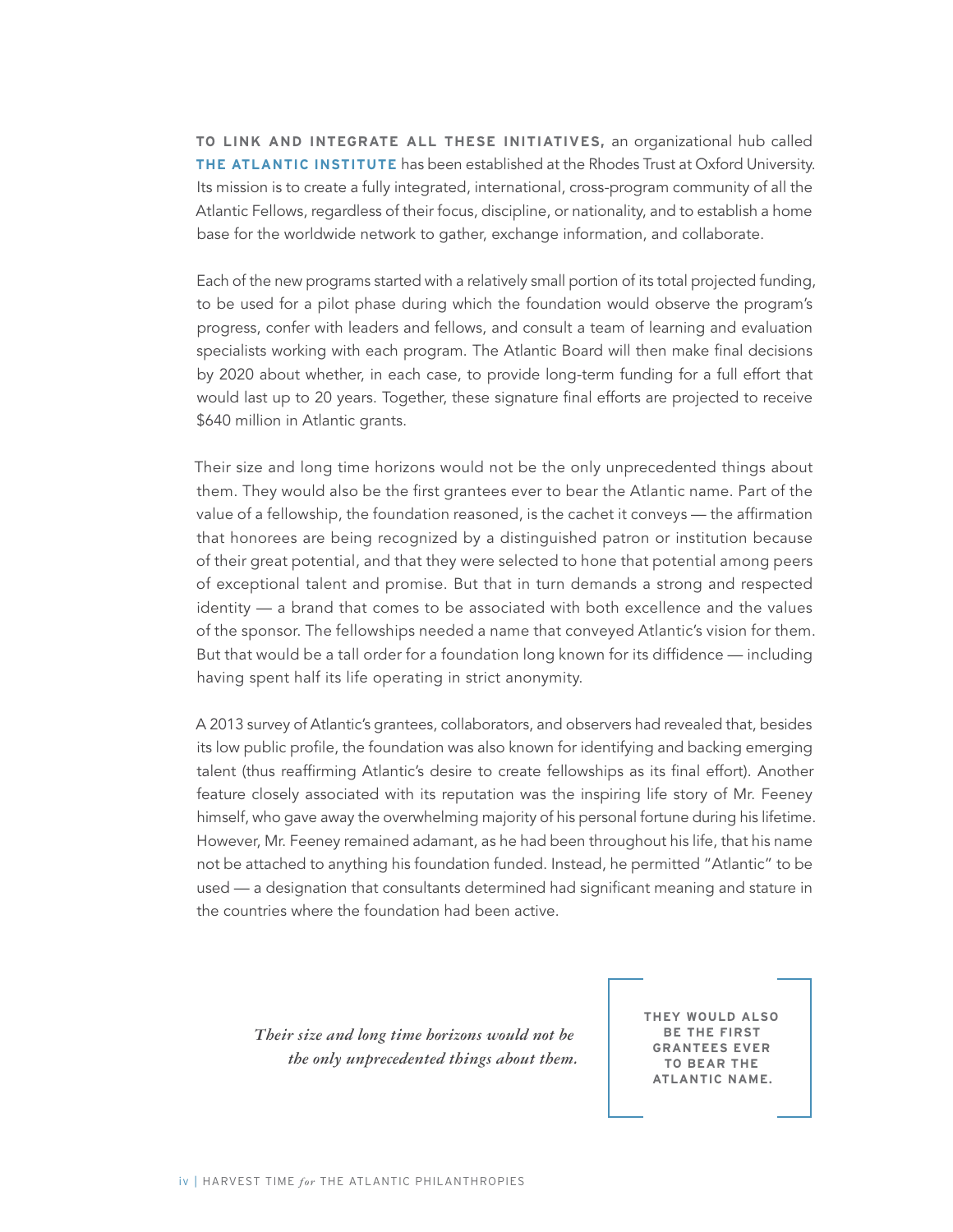**TO LINK AND INTEGRATE ALL THESE INITIATIVES,** an organizational hub called **THE ATLANTIC INSTITUTE** has been established at the Rhodes Trust at Oxford University. Its mission is to create a fully integrated, international, cross-program community of all the Atlantic Fellows, regardless of their focus, discipline, or nationality, and to establish a home base for the worldwide network to gather, exchange information, and collaborate.

Each of the new programs started with a relatively small portion of its total projected funding, to be used for a pilot phase during which the foundation would observe the program's progress, confer with leaders and fellows, and consult a team of learning and evaluation specialists working with each program. The Atlantic Board will then make final decisions by 2020 about whether, in each case, to provide long-term funding for a full effort that would last up to 20 years. Together, these signature final efforts are projected to receive \$640 million in Atlantic grants.

Their size and long time horizons would not be the only unprecedented things about them. They would also be the first grantees ever to bear the Atlantic name. Part of the value of a fellowship, the foundation reasoned, is the cachet it conveys — the affirmation that honorees are being recognized by a distinguished patron or institution because of their great potential, and that they were selected to hone that potential among peers of exceptional talent and promise. But that in turn demands a strong and respected identity — a brand that comes to be associated with both excellence and the values of the sponsor. The fellowships needed a name that conveyed Atlantic's vision for them. But that would be a tall order for a foundation long known for its diffidence — including having spent half its life operating in strict anonymity.

A 2013 survey of Atlantic's grantees, collaborators, and observers had revealed that, besides its low public profile, the foundation was also known for identifying and backing emerging talent (thus reaffirming Atlantic's desire to create fellowships as its final effort). Another feature closely associated with its reputation was the inspiring life story of Mr. Feeney himself, who gave away the overwhelming majority of his personal fortune during his lifetime. However, Mr. Feeney remained adamant, as he had been throughout his life, that his name not be attached to anything his foundation funded. Instead, he permitted "Atlantic" to be used — a designation that consultants determined had significant meaning and stature in the countries where the foundation had been active.

*Their size and long time horizons would not be the only unprecedented things about them.* **THEY WOULD ALSO BE THE FIRST GRANTEES EVER TO BEAR THE ATLANTIC NAME.**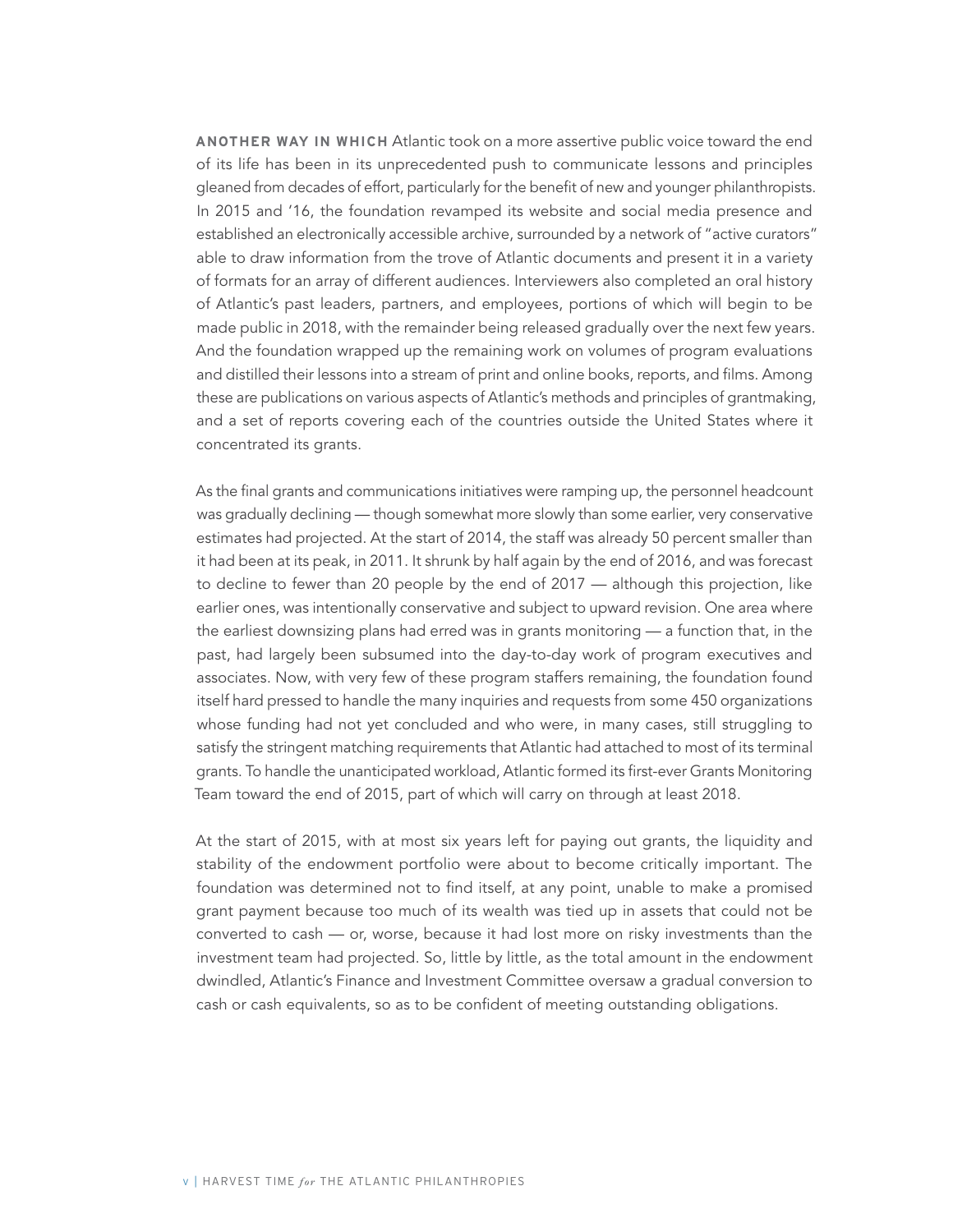**ANOTHER WAY IN WHICH** Atlantic took on a more assertive public voice toward the end of its life has been in its unprecedented push to communicate lessons and principles gleaned from decades of effort, particularly for the benefit of new and younger philanthropists. In 2015 and '16, the foundation revamped its website and social media presence and established an electronically accessible archive, surrounded by a network of "active curators" able to draw information from the trove of Atlantic documents and present it in a variety of formats for an array of different audiences. Interviewers also completed an oral history of Atlantic's past leaders, partners, and employees, portions of which will begin to be made public in 2018, with the remainder being released gradually over the next few years. And the foundation wrapped up the remaining work on volumes of program evaluations and distilled their lessons into a stream of print and online books, reports, and films. Among these are publications on various aspects of Atlantic's methods and principles of grantmaking, and a set of reports covering each of the countries outside the United States where it concentrated its grants.

As the final grants and communications initiatives were ramping up, the personnel headcount was gradually declining — though somewhat more slowly than some earlier, very conservative estimates had projected. At the start of 2014, the staff was already 50 percent smaller than it had been at its peak, in 2011. It shrunk by half again by the end of 2016, and was forecast to decline to fewer than 20 people by the end of 2017 — although this projection, like earlier ones, was intentionally conservative and subject to upward revision. One area where the earliest downsizing plans had erred was in grants monitoring — a function that, in the past, had largely been subsumed into the day-to-day work of program executives and associates. Now, with very few of these program staffers remaining, the foundation found itself hard pressed to handle the many inquiries and requests from some 450 organizations whose funding had not yet concluded and who were, in many cases, still struggling to satisfy the stringent matching requirements that Atlantic had attached to most of its terminal grants. To handle the unanticipated workload, Atlantic formed its first-ever Grants Monitoring Team toward the end of 2015, part of which will carry on through at least 2018.

At the start of 2015, with at most six years left for paying out grants, the liquidity and stability of the endowment portfolio were about to become critically important. The foundation was determined not to find itself, at any point, unable to make a promised grant payment because too much of its wealth was tied up in assets that could not be converted to cash — or, worse, because it had lost more on risky investments than the investment team had projected. So, little by little, as the total amount in the endowment dwindled, Atlantic's Finance and Investment Committee oversaw a gradual conversion to cash or cash equivalents, so as to be confident of meeting outstanding obligations.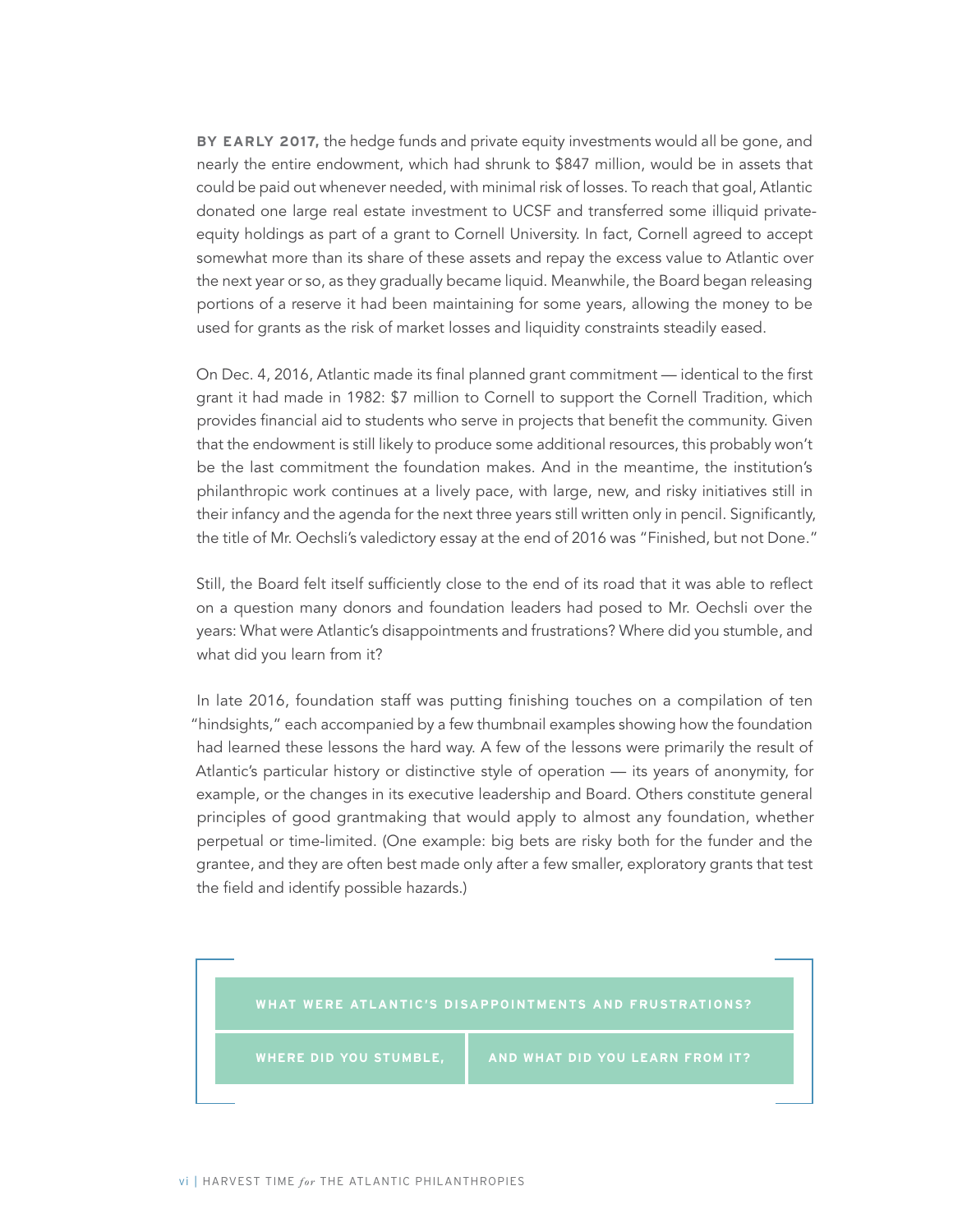**BY EARLY 2017,** the hedge funds and private equity investments would all be gone, and nearly the entire endowment, which had shrunk to \$847 million, would be in assets that could be paid out whenever needed, with minimal risk of losses. To reach that goal, Atlantic donated one large real estate investment to UCSF and transferred some illiquid privateequity holdings as part of a grant to Cornell University. In fact, Cornell agreed to accept somewhat more than its share of these assets and repay the excess value to Atlantic over the next year or so, as they gradually became liquid. Meanwhile, the Board began releasing portions of a reserve it had been maintaining for some years, allowing the money to be used for grants as the risk of market losses and liquidity constraints steadily eased.

On Dec. 4, 2016, Atlantic made its final planned grant commitment — identical to the first grant it had made in 1982: \$7 million to Cornell to support the Cornell Tradition, which provides financial aid to students who serve in projects that benefit the community. Given that the endowment is still likely to produce some additional resources, this probably won't be the last commitment the foundation makes. And in the meantime, the institution's philanthropic work continues at a lively pace, with large, new, and risky initiatives still in their infancy and the agenda for the next three years still written only in pencil. Significantly, the title of Mr. Oechsli's valedictory essay at the end of 2016 was "Finished, but not Done."

Still, the Board felt itself sufficiently close to the end of its road that it was able to reflect on a question many donors and foundation leaders had posed to Mr. Oechsli over the years: What were Atlantic's disappointments and frustrations? Where did you stumble, and what did you learn from it?

In late 2016, foundation staff was putting finishing touches on a compilation of ten "hindsights," each accompanied by a few thumbnail examples showing how the foundation had learned these lessons the hard way. A few of the lessons were primarily the result of Atlantic's particular history or distinctive style of operation — its years of anonymity, for example, or the changes in its executive leadership and Board. Others constitute general principles of good grantmaking that would apply to almost any foundation, whether perpetual or time-limited. (One example: big bets are risky both for the funder and the grantee, and they are often best made only after a few smaller, exploratory grants that test the field and identify possible hazards.)

#### **WHAT WERE ATLANTIC'S DISAPPOINTMENTS AND FRUSTRATIONS?**

WHERE DID YOU STUMBLE, **AND WHAT DID YOU LEARN FROM IT?**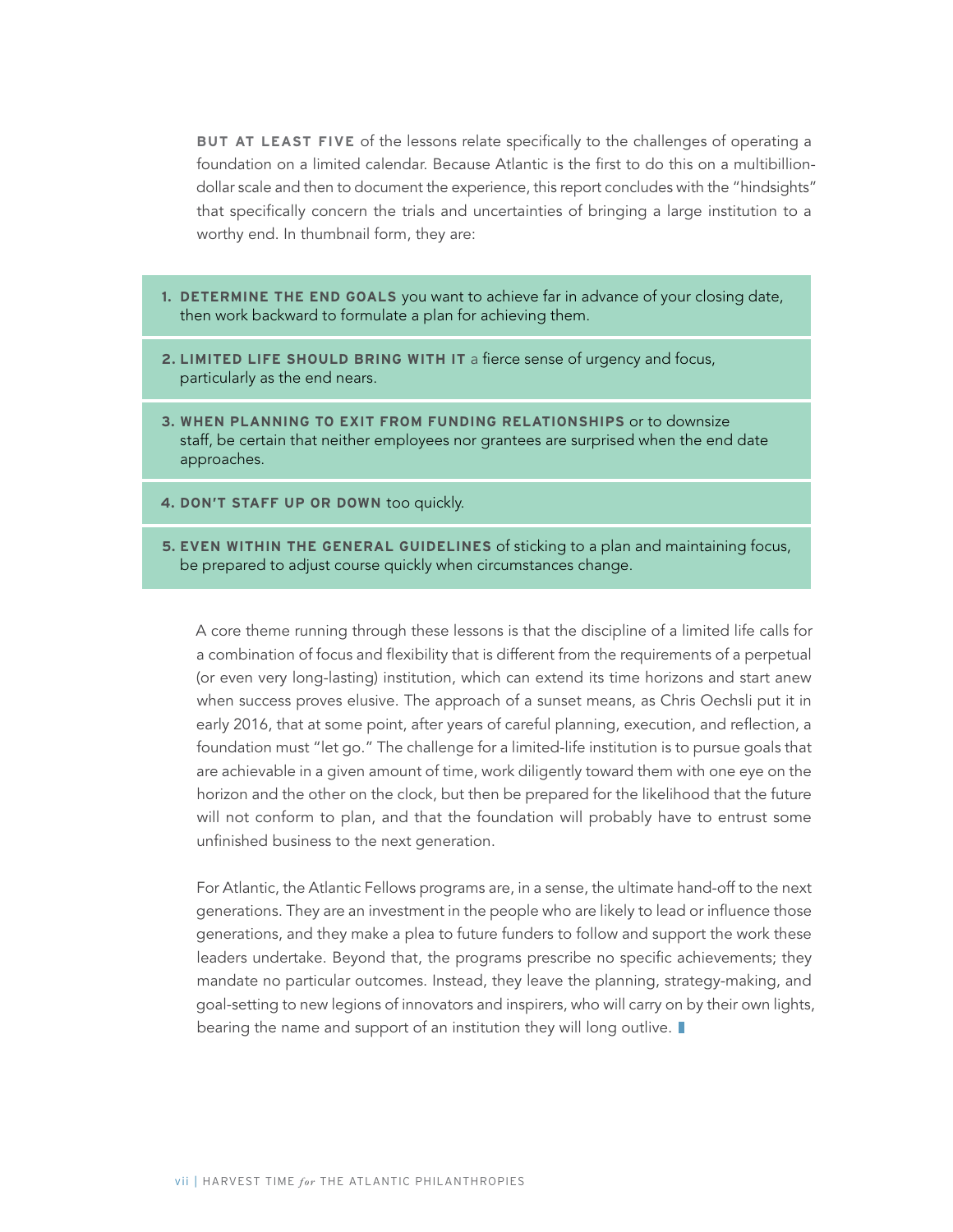**BUT AT LEAST FIVE** of the lessons relate specifically to the challenges of operating a foundation on a limited calendar. Because Atlantic is the first to do this on a multibilliondollar scale and then to document the experience, this report concludes with the "hindsights" that specifically concern the trials and uncertainties of bringing a large institution to a worthy end. In thumbnail form, they are:

- **1. DETERMINE THE END GOALS** you want to achieve far in advance of your closing date, then work backward to formulate a plan for achieving them.
- **2. LIMITED LIFE SHOULD BRING WITH IT** a fierce sense of urgency and focus, particularly as the end nears.
- **3. WHEN PLANNING TO EXIT FROM FUNDING RELATIONSHIPS** or to downsize staff, be certain that neither employees nor grantees are surprised when the end date approaches.
- **4. DON'T STAFF UP OR DOWN** too quickly.
- **5. EVEN WITHIN THE GENERAL GUIDELINES** of sticking to a plan and maintaining focus, be prepared to adjust course quickly when circumstances change.

A core theme running through these lessons is that the discipline of a limited life calls for a combination of focus and flexibility that is different from the requirements of a perpetual (or even very long-lasting) institution, which can extend its time horizons and start anew when success proves elusive. The approach of a sunset means, as Chris Oechsli put it in early 2016, that at some point, after years of careful planning, execution, and reflection, a foundation must "let go." The challenge for a limited-life institution is to pursue goals that are achievable in a given amount of time, work diligently toward them with one eye on the horizon and the other on the clock, but then be prepared for the likelihood that the future will not conform to plan, and that the foundation will probably have to entrust some unfinished business to the next generation.

For Atlantic, the Atlantic Fellows programs are, in a sense, the ultimate hand-off to the next generations. They are an investment in the people who are likely to lead or influence those generations, and they make a plea to future funders to follow and support the work these leaders undertake. Beyond that, the programs prescribe no specific achievements; they mandate no particular outcomes. Instead, they leave the planning, strategy-making, and goal-setting to new legions of innovators and inspirers, who will carry on by their own lights, bearing the name and support of an institution they will long outlive.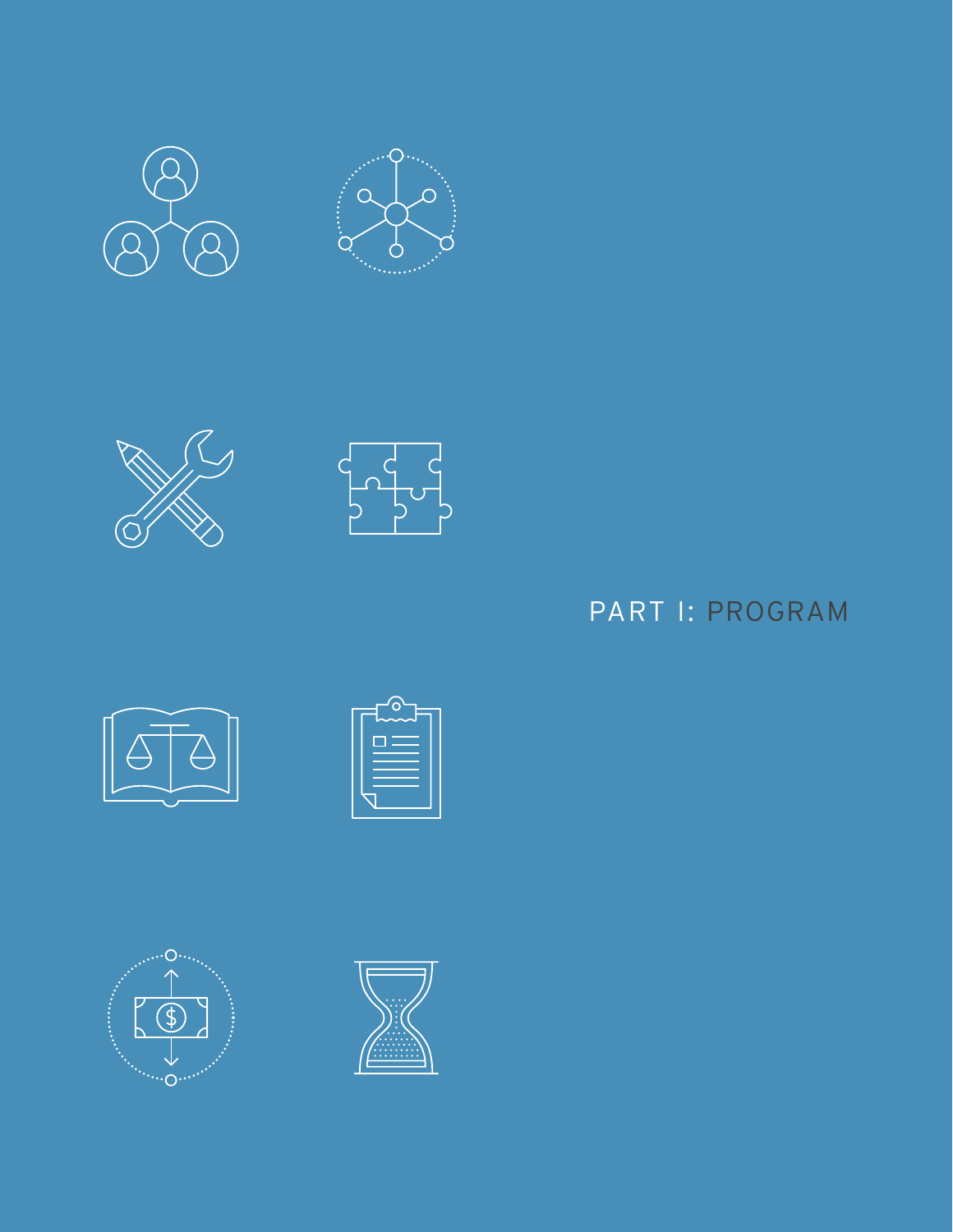















## PART I: PROGRAM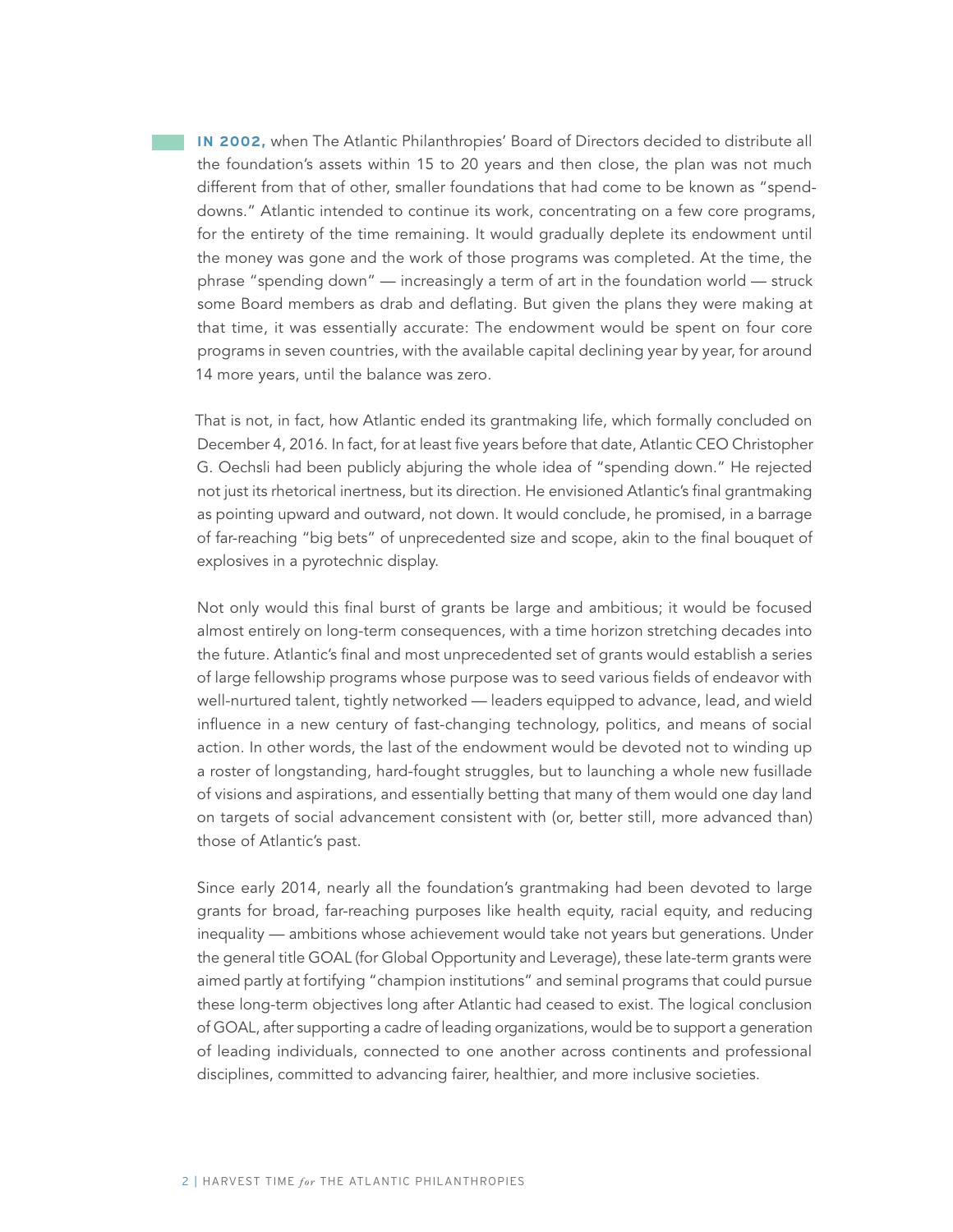**IN 2002,** when The Atlantic Philanthropies' Board of Directors decided to distribute all the foundation's assets within 15 to 20 years and then close, the plan was not much different from that of other, smaller foundations that had come to be known as "spenddowns." Atlantic intended to continue its work, concentrating on a few core programs, for the entirety of the time remaining. It would gradually deplete its endowment until the money was gone and the work of those programs was completed. At the time, the phrase "spending down" — increasingly a term of art in the foundation world — struck some Board members as drab and deflating. But given the plans they were making at that time, it was essentially accurate: The endowment would be spent on four core programs in seven countries, with the available capital declining year by year, for around 14 more years, until the balance was zero.

That is not, in fact, how Atlantic ended its grantmaking life, which formally concluded on December 4, 2016. In fact, for at least five years before that date, Atlantic CEO Christopher G. Oechsli had been publicly abjuring the whole idea of "spending down." He rejected not just its rhetorical inertness, but its direction. He envisioned Atlantic's final grantmaking as pointing upward and outward, not down. It would conclude, he promised, in a barrage of far-reaching "big bets" of unprecedented size and scope, akin to the final bouquet of explosives in a pyrotechnic display.

Not only would this final burst of grants be large and ambitious; it would be focused almost entirely on long-term consequences, with a time horizon stretching decades into the future. Atlantic's final and most unprecedented set of grants would establish a series of large fellowship programs whose purpose was to seed various fields of endeavor with well-nurtured talent, tightly networked — leaders equipped to advance, lead, and wield influence in a new century of fast-changing technology, politics, and means of social action. In other words, the last of the endowment would be devoted not to winding up a roster of longstanding, hard-fought struggles, but to launching a whole new fusillade of visions and aspirations, and essentially betting that many of them would one day land on targets of social advancement consistent with (or, better still, more advanced than) those of Atlantic's past.

Since early 2014, nearly all the foundation's grantmaking had been devoted to large grants for broad, far-reaching purposes like health equity, racial equity, and reducing inequality — ambitions whose achievement would take not years but generations. Under the general title GOAL (for Global Opportunity and Leverage), these late-term grants were aimed partly at fortifying "champion institutions" and seminal programs that could pursue these long-term objectives long after Atlantic had ceased to exist. The logical conclusion of GOAL, after supporting a cadre of leading organizations, would be to support a generation of leading individuals, connected to one another across continents and professional disciplines, committed to advancing fairer, healthier, and more inclusive societies.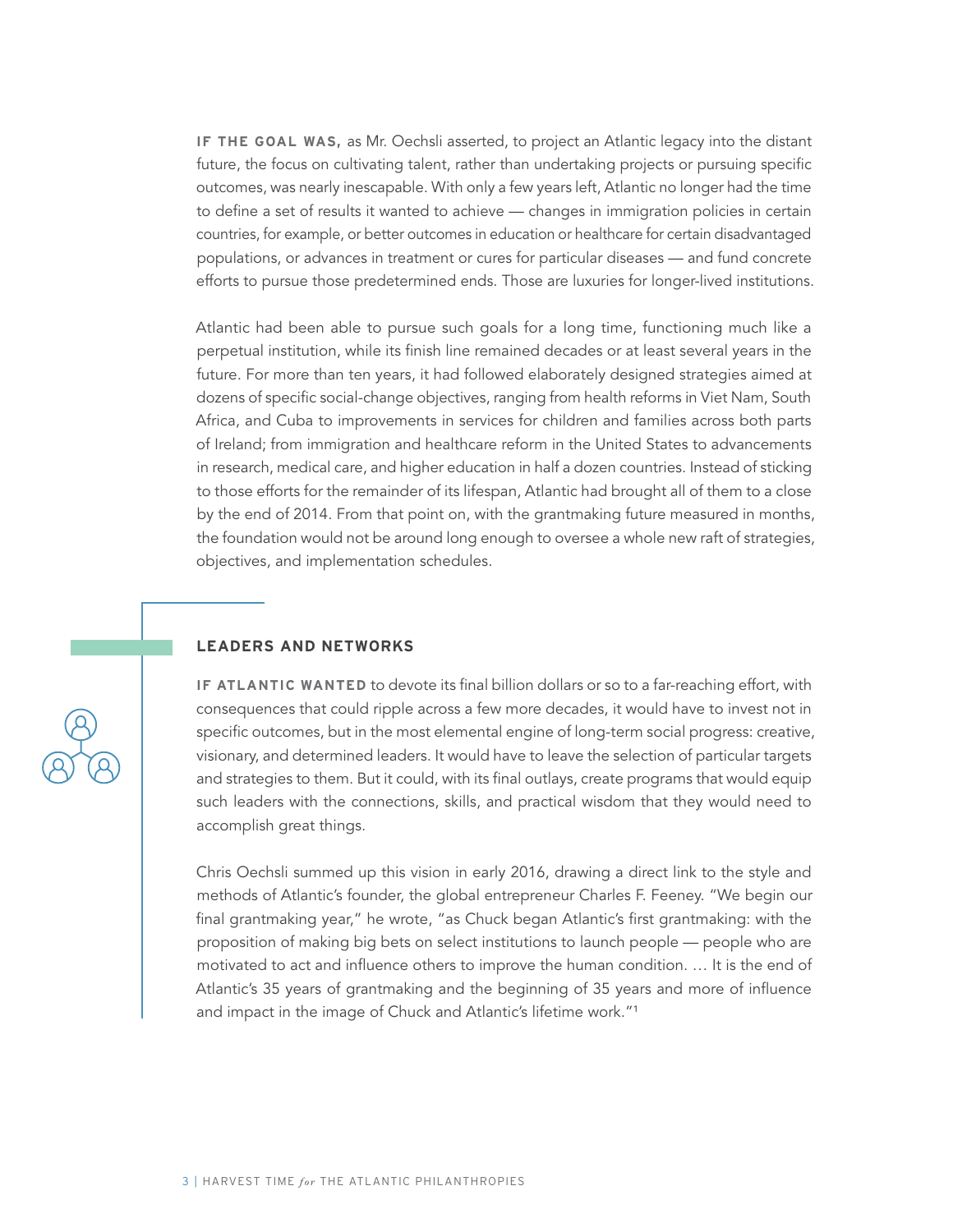**IF THE GOAL WAS,** as Mr. Oechsli asserted, to project an Atlantic legacy into the distant future, the focus on cultivating talent, rather than undertaking projects or pursuing specific outcomes, was nearly inescapable. With only a few years left, Atlantic no longer had the time to define a set of results it wanted to achieve — changes in immigration policies in certain countries, for example, or better outcomes in education or healthcare for certain disadvantaged populations, or advances in treatment or cures for particular diseases — and fund concrete efforts to pursue those predetermined ends. Those are luxuries for longer-lived institutions.

Atlantic had been able to pursue such goals for a long time, functioning much like a perpetual institution, while its finish line remained decades or at least several years in the future. For more than ten years, it had followed elaborately designed strategies aimed at dozens of specific social-change objectives, ranging from health reforms in Viet Nam, South Africa, and Cuba to improvements in services for children and families across both parts of Ireland; from immigration and healthcare reform in the United States to advancements in research, medical care, and higher education in half a dozen countries. Instead of sticking to those efforts for the remainder of its lifespan, Atlantic had brought all of them to a close by the end of 2014. From that point on, with the grantmaking future measured in months, the foundation would not be around long enough to oversee a whole new raft of strategies, objectives, and implementation schedules.

#### **LEADERS AND NETWORKS**

**IF ATLANTIC WANTED** to devote its final billion dollars or so to a far-reaching effort, with consequences that could ripple across a few more decades, it would have to invest not in specific outcomes, but in the most elemental engine of long-term social progress: creative, visionary, and determined leaders. It would have to leave the selection of particular targets and strategies to them. But it could, with its final outlays, create programs that would equip such leaders with the connections, skills, and practical wisdom that they would need to accomplish great things.

Chris Oechsli summed up this vision in early 2016, drawing a direct link to the style and methods of Atlantic's founder, the global entrepreneur Charles F. Feeney. "We begin our final grantmaking year," he wrote, "as Chuck began Atlantic's first grantmaking: with the proposition of making big bets on select institutions to launch people — people who are motivated to act and influence others to improve the human condition. … It is the end of Atlantic's 35 years of grantmaking and the beginning of 35 years and more of influence and impact in the image of Chuck and Atlantic's lifetime work."1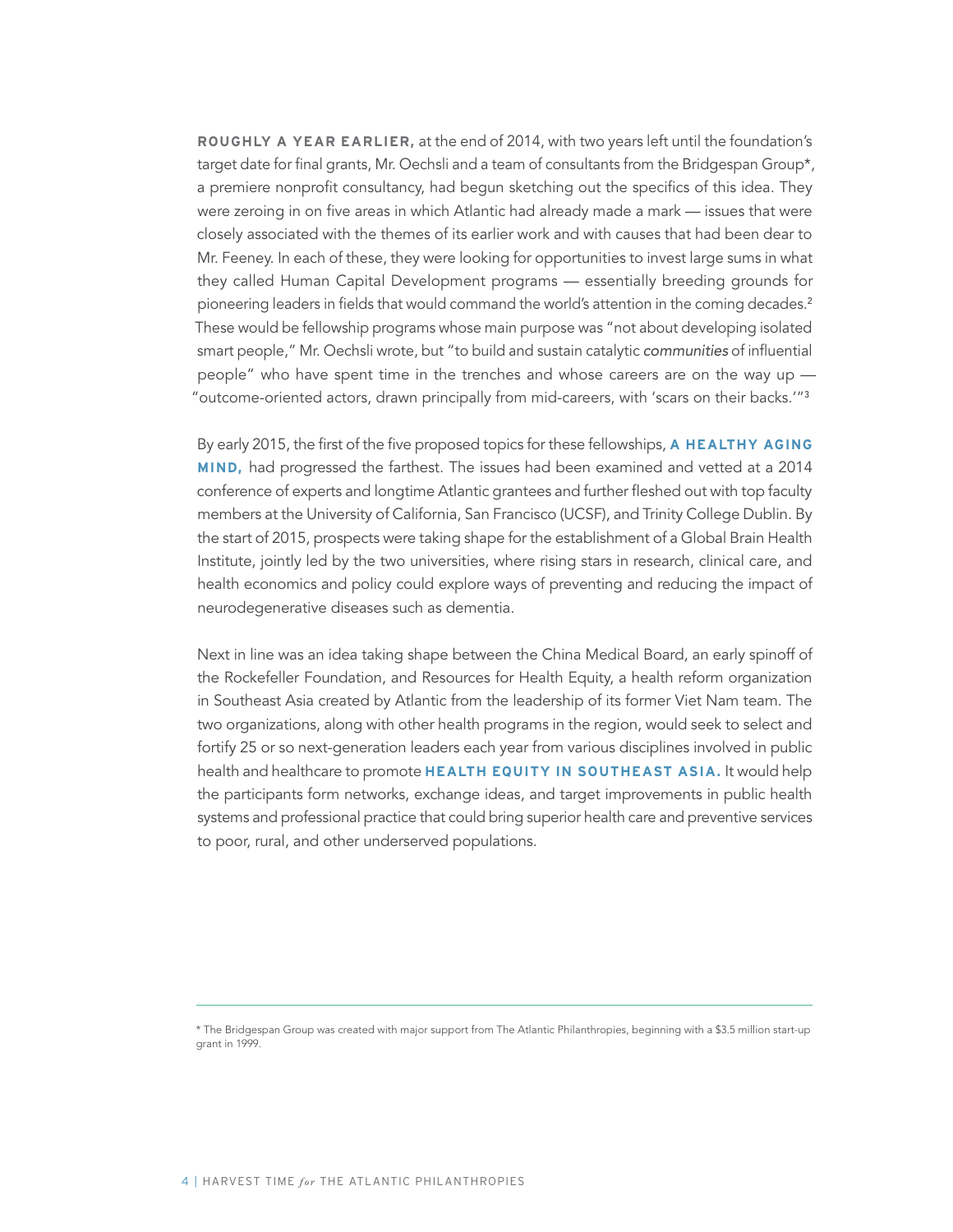**ROUGHLY A YEAR EARLIER,** at the end of 2014, with two years left until the foundation's target date for final grants, Mr. Oechsli and a team of consultants from the Bridgespan Group\*, a premiere nonprofit consultancy, had begun sketching out the specifics of this idea. They were zeroing in on five areas in which Atlantic had already made a mark — issues that were closely associated with the themes of its earlier work and with causes that had been dear to Mr. Feeney. In each of these, they were looking for opportunities to invest large sums in what they called Human Capital Development programs — essentially breeding grounds for pioneering leaders in fields that would command the world's attention in the coming decades.<sup>2</sup> These would be fellowship programs whose main purpose was "not about developing isolated smart people," Mr. Oechsli wrote, but "to build and sustain catalytic communities of influential people" who have spent time in the trenches and whose careers are on the way up — "outcome-oriented actors, drawn principally from mid-careers, with 'scars on their backs.'"<sup>3</sup>

By early 2015, the first of the five proposed topics for these fellowships, **A HEALTHY AGING MIND,** had progressed the farthest. The issues had been examined and vetted at a 2014 conference of experts and longtime Atlantic grantees and further fleshed out with top faculty members at the University of California, San Francisco (UCSF), and Trinity College Dublin. By the start of 2015, prospects were taking shape for the establishment of a Global Brain Health Institute, jointly led by the two universities, where rising stars in research, clinical care, and health economics and policy could explore ways of preventing and reducing the impact of neurodegenerative diseases such as dementia.

Next in line was an idea taking shape between the China Medical Board, an early spinoff of the Rockefeller Foundation, and Resources for Health Equity, a health reform organization in Southeast Asia created by Atlantic from the leadership of its former Viet Nam team. The two organizations, along with other health programs in the region, would seek to select and fortify 25 or so next-generation leaders each year from various disciplines involved in public health and healthcare to promote **HEALTH EQUITY IN SOUTHEAST ASIA.** It would help the participants form networks, exchange ideas, and target improvements in public health systems and professional practice that could bring superior health care and preventive services to poor, rural, and other underserved populations.

<sup>\*</sup> The Bridgespan Group was created with major support from The Atlantic Philanthropies, beginning with a \$3.5 million start-up grant in 1999.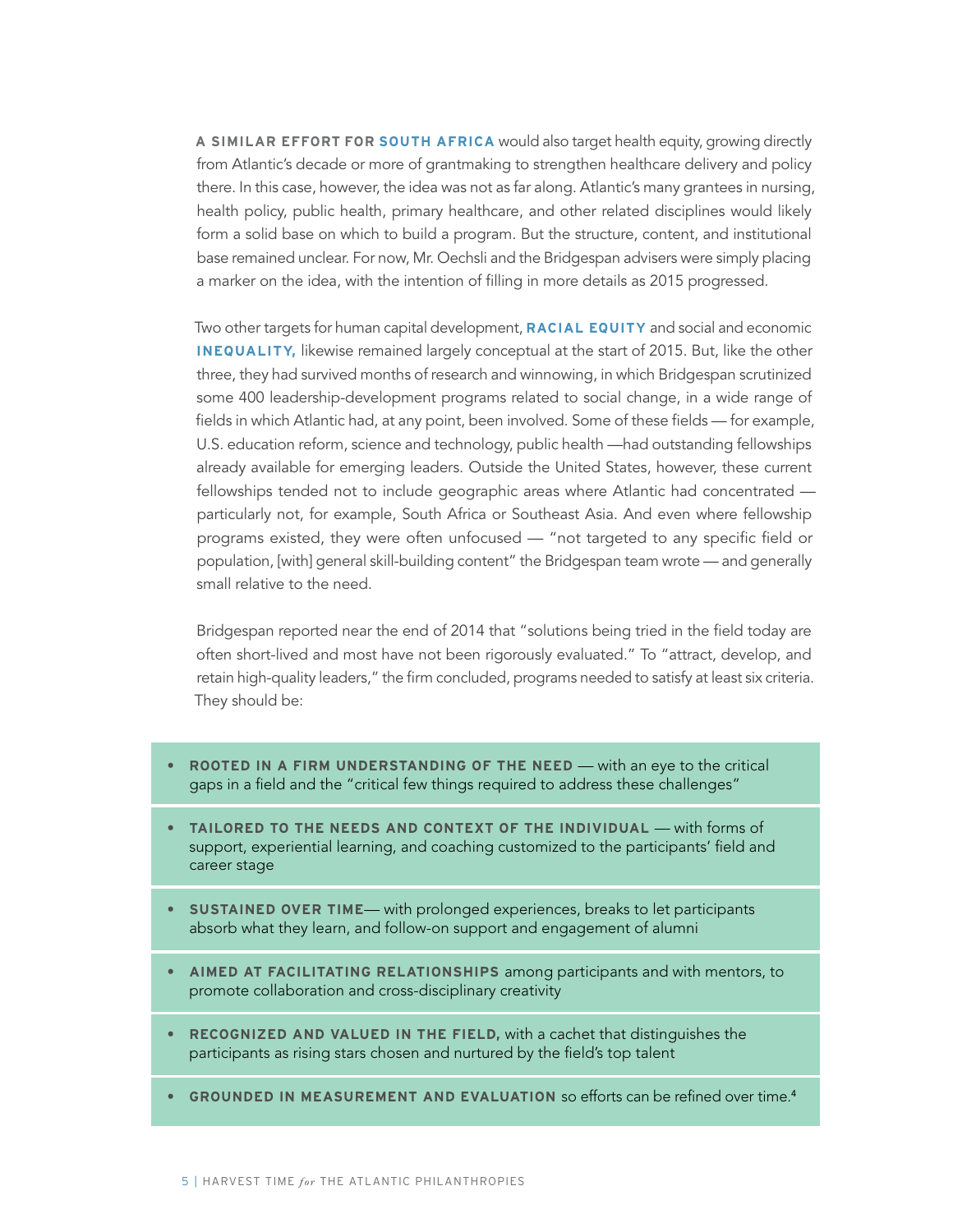**A SIMILAR EFFORT FOR SOUTH AFRICA** would also target health equity, growing directly from Atlantic's decade or more of grantmaking to strengthen healthcare delivery and policy there. In this case, however, the idea was not as far along. Atlantic's many grantees in nursing, health policy, public health, primary healthcare, and other related disciplines would likely form a solid base on which to build a program. But the structure, content, and institutional base remained unclear. For now, Mr. Oechsli and the Bridgespan advisers were simply placing a marker on the idea, with the intention of filling in more details as 2015 progressed.

Two other targets for human capital development, **RACIAL EQUITY** and social and economic **INEQUALITY,** likewise remained largely conceptual at the start of 2015. But, like the other three, they had survived months of research and winnowing, in which Bridgespan scrutinized some 400 leadership-development programs related to social change, in a wide range of fields in which Atlantic had, at any point, been involved. Some of these fields — for example, U.S. education reform, science and technology, public health —had outstanding fellowships already available for emerging leaders. Outside the United States, however, these current fellowships tended not to include geographic areas where Atlantic had concentrated particularly not, for example, South Africa or Southeast Asia. And even where fellowship programs existed, they were often unfocused — "not targeted to any specific field or population, [with] general skill-building content" the Bridgespan team wrote — and generally small relative to the need.

Bridgespan reported near the end of 2014 that "solutions being tried in the field today are often short-lived and most have not been rigorously evaluated." To "attract, develop, and retain high-quality leaders," the firm concluded, programs needed to satisfy at least six criteria. They should be:

- **• ROOTED IN A FIRM UNDERSTANDING OF THE NEED** with an eye to the critical gaps in a field and the "critical few things required to address these challenges"
- **• TAILORED TO THE NEEDS AND CONTEXT OF THE INDIVIDUAL** with forms of support, experiential learning, and coaching customized to the participants' field and career stage
- **• SUSTAINED OVER TIME** with prolonged experiences, breaks to let participants absorb what they learn, and follow-on support and engagement of alumni
- **• AIMED AT FACILITATING RELATIONSHIPS** among participants and with mentors, to promote collaboration and cross-disciplinary creativity
- **• RECOGNIZED AND VALUED IN THE FIELD,** with a cachet that distinguishes the participants as rising stars chosen and nurtured by the field's top talent
- **• GROUNDED IN MEASUREMENT AND EVALUATION** so efforts can be refined over time.<sup>4</sup>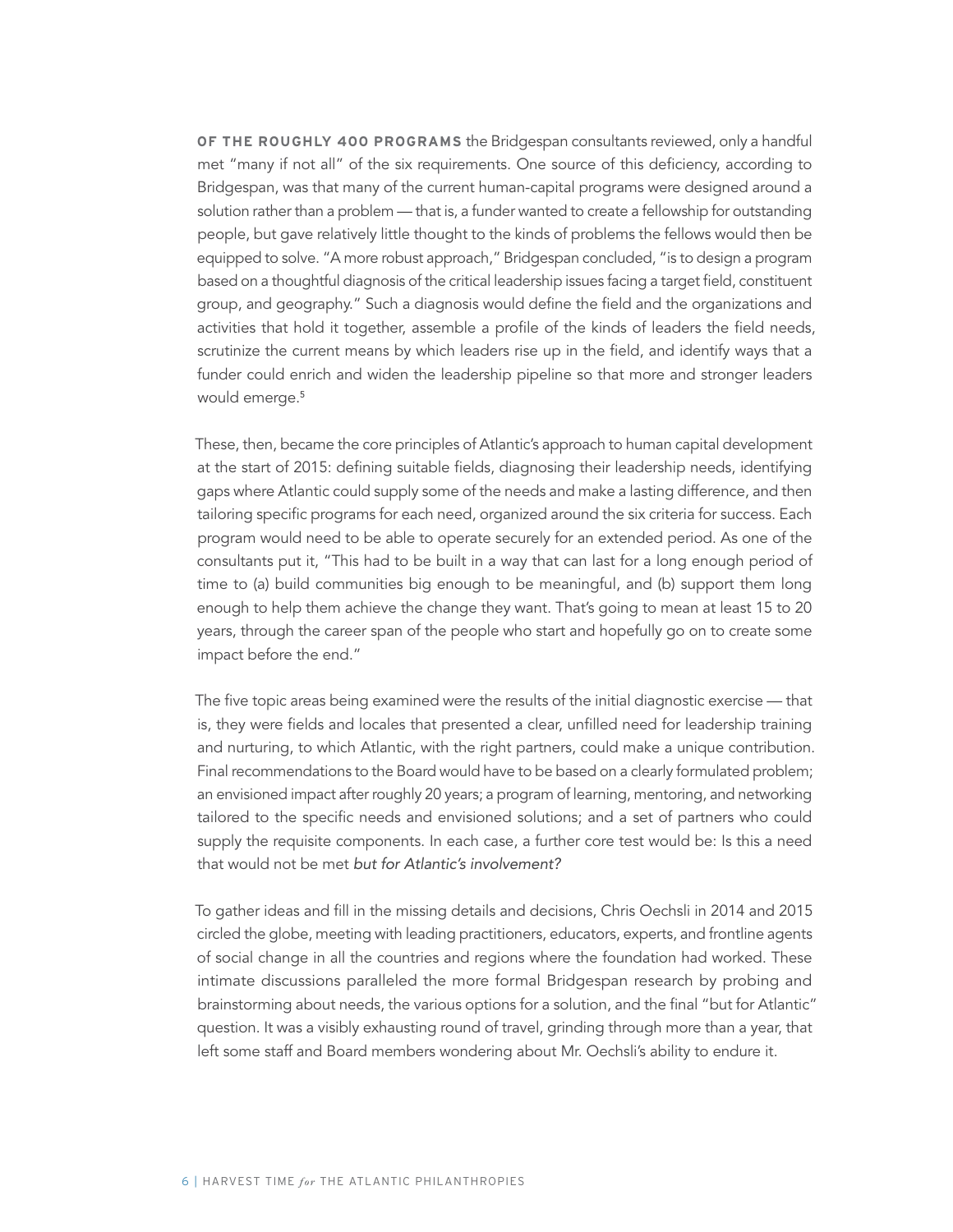**OF THE ROUGHLY 400 PROGRAMS** the Bridgespan consultants reviewed, only a handful met "many if not all" of the six requirements. One source of this deficiency, according to Bridgespan, was that many of the current human-capital programs were designed around a solution rather than a problem — that is, a funder wanted to create a fellowship for outstanding people, but gave relatively little thought to the kinds of problems the fellows would then be equipped to solve. "A more robust approach," Bridgespan concluded, "is to design a program based on a thoughtful diagnosis of the critical leadership issues facing a target field, constituent group, and geography." Such a diagnosis would define the field and the organizations and activities that hold it together, assemble a profile of the kinds of leaders the field needs, scrutinize the current means by which leaders rise up in the field, and identify ways that a funder could enrich and widen the leadership pipeline so that more and stronger leaders would emerge.<sup>5</sup>

These, then, became the core principles of Atlantic's approach to human capital development at the start of 2015: defining suitable fields, diagnosing their leadership needs, identifying gaps where Atlantic could supply some of the needs and make a lasting difference, and then tailoring specific programs for each need, organized around the six criteria for success. Each program would need to be able to operate securely for an extended period. As one of the consultants put it, "This had to be built in a way that can last for a long enough period of time to (a) build communities big enough to be meaningful, and (b) support them long enough to help them achieve the change they want. That's going to mean at least 15 to 20 years, through the career span of the people who start and hopefully go on to create some impact before the end."

The five topic areas being examined were the results of the initial diagnostic exercise — that is, they were fields and locales that presented a clear, unfilled need for leadership training and nurturing, to which Atlantic, with the right partners, could make a unique contribution. Final recommendations to the Board would have to be based on a clearly formulated problem; an envisioned impact after roughly 20 years; a program of learning, mentoring, and networking tailored to the specific needs and envisioned solutions; and a set of partners who could supply the requisite components. In each case, a further core test would be: Is this a need that would not be met but for Atlantic's involvement?

To gather ideas and fill in the missing details and decisions, Chris Oechsli in 2014 and 2015 circled the globe, meeting with leading practitioners, educators, experts, and frontline agents of social change in all the countries and regions where the foundation had worked. These intimate discussions paralleled the more formal Bridgespan research by probing and brainstorming about needs, the various options for a solution, and the final "but for Atlantic" question. It was a visibly exhausting round of travel, grinding through more than a year, that left some staff and Board members wondering about Mr. Oechsli's ability to endure it.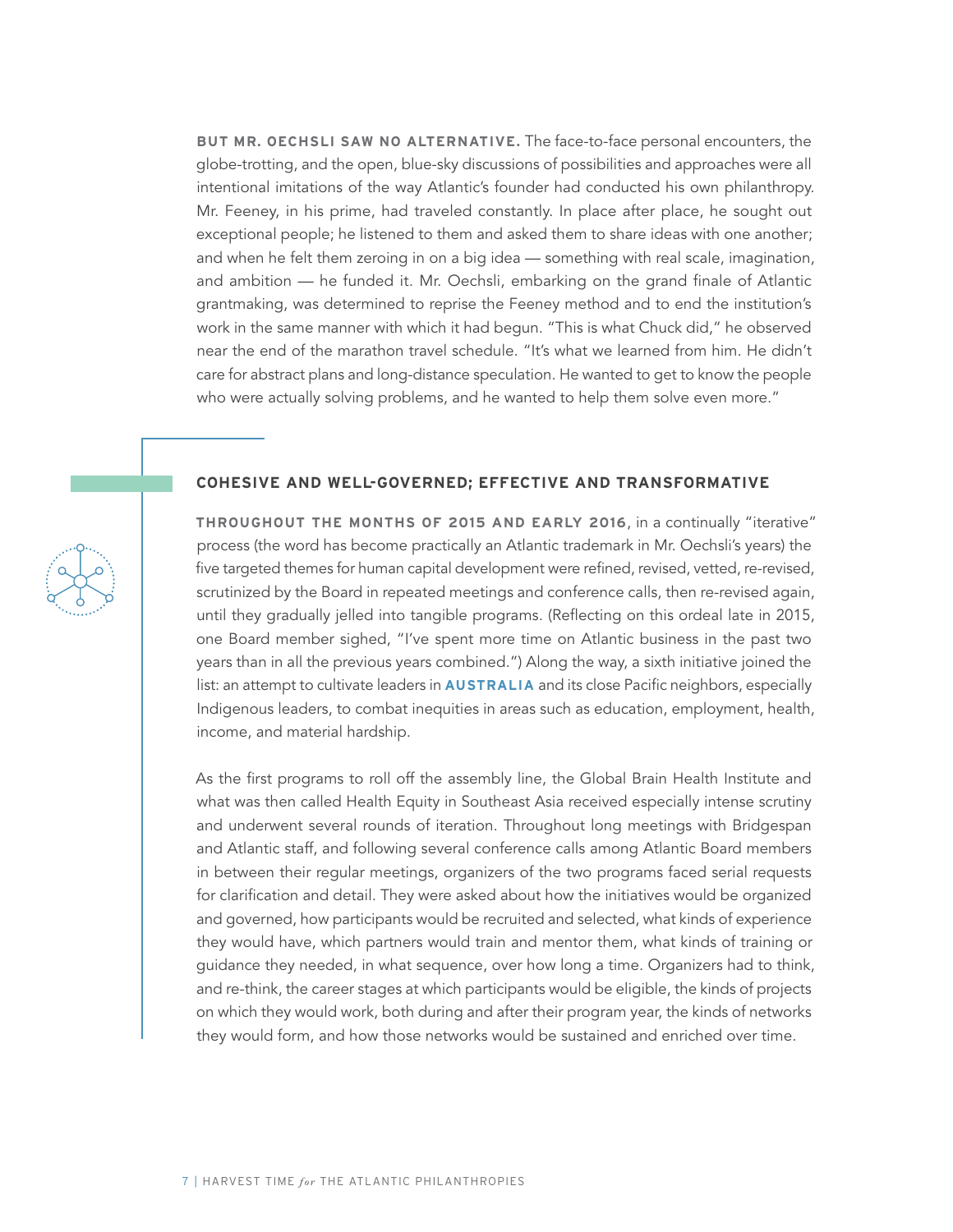**BUT MR. OECHSLI SAW NO ALTERNATIVE.** The face-to-face personal encounters, the globe-trotting, and the open, blue-sky discussions of possibilities and approaches were all intentional imitations of the way Atlantic's founder had conducted his own philanthropy. Mr. Feeney, in his prime, had traveled constantly. In place after place, he sought out exceptional people; he listened to them and asked them to share ideas with one another; and when he felt them zeroing in on a big idea — something with real scale, imagination, and ambition — he funded it. Mr. Oechsli, embarking on the grand finale of Atlantic grantmaking, was determined to reprise the Feeney method and to end the institution's work in the same manner with which it had begun. "This is what Chuck did," he observed near the end of the marathon travel schedule. "It's what we learned from him. He didn't care for abstract plans and long-distance speculation. He wanted to get to know the people who were actually solving problems, and he wanted to help them solve even more."

#### **COHESIVE AND WELL-GOVERNED; EFFECTIVE AND TRANSFORMATIVE**

**THROUGHOUT THE MONTHS OF 2015 AND EARLY 2016**, in a continually "iterative" process (the word has become practically an Atlantic trademark in Mr. Oechsli's years) the five targeted themes for human capital development were refined, revised, vetted, re-revised, scrutinized by the Board in repeated meetings and conference calls, then re-revised again, until they gradually jelled into tangible programs. (Reflecting on this ordeal late in 2015, one Board member sighed, "I've spent more time on Atlantic business in the past two years than in all the previous years combined.") Along the way, a sixth initiative joined the list: an attempt to cultivate leaders in **AUSTRALIA** and its close Pacific neighbors, especially Indigenous leaders, to combat inequities in areas such as education, employment, health, income, and material hardship.

As the first programs to roll off the assembly line, the Global Brain Health Institute and what was then called Health Equity in Southeast Asia received especially intense scrutiny and underwent several rounds of iteration. Throughout long meetings with Bridgespan and Atlantic staff, and following several conference calls among Atlantic Board members in between their regular meetings, organizers of the two programs faced serial requests for clarification and detail. They were asked about how the initiatives would be organized and governed, how participants would be recruited and selected, what kinds of experience they would have, which partners would train and mentor them, what kinds of training or guidance they needed, in what sequence, over how long a time. Organizers had to think, and re-think, the career stages at which participants would be eligible, the kinds of projects on which they would work, both during and after their program year, the kinds of networks they would form, and how those networks would be sustained and enriched over time.

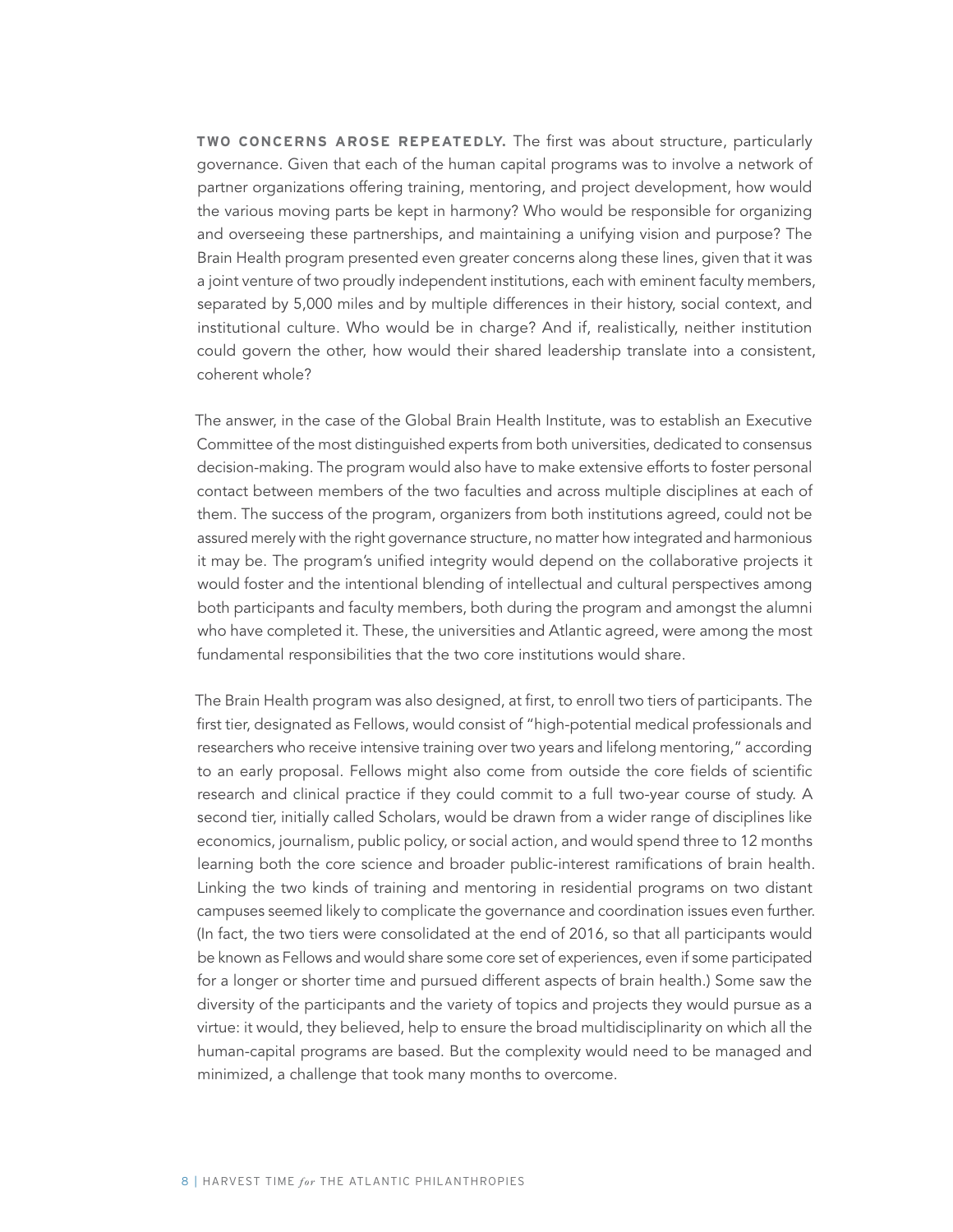**TWO CONCERNS AROSE REPEATEDLY.** The first was about structure, particularly governance. Given that each of the human capital programs was to involve a network of partner organizations offering training, mentoring, and project development, how would the various moving parts be kept in harmony? Who would be responsible for organizing and overseeing these partnerships, and maintaining a unifying vision and purpose? The Brain Health program presented even greater concerns along these lines, given that it was a joint venture of two proudly independent institutions, each with eminent faculty members, separated by 5,000 miles and by multiple differences in their history, social context, and institutional culture. Who would be in charge? And if, realistically, neither institution could govern the other, how would their shared leadership translate into a consistent, coherent whole?

The answer, in the case of the Global Brain Health Institute, was to establish an Executive Committee of the most distinguished experts from both universities, dedicated to consensus decision-making. The program would also have to make extensive efforts to foster personal contact between members of the two faculties and across multiple disciplines at each of them. The success of the program, organizers from both institutions agreed, could not be assured merely with the right governance structure, no matter how integrated and harmonious it may be. The program's unified integrity would depend on the collaborative projects it would foster and the intentional blending of intellectual and cultural perspectives among both participants and faculty members, both during the program and amongst the alumni who have completed it. These, the universities and Atlantic agreed, were among the most fundamental responsibilities that the two core institutions would share.

The Brain Health program was also designed, at first, to enroll two tiers of participants. The first tier, designated as Fellows, would consist of "high-potential medical professionals and researchers who receive intensive training over two years and lifelong mentoring," according to an early proposal. Fellows might also come from outside the core fields of scientific research and clinical practice if they could commit to a full two-year course of study. A second tier, initially called Scholars, would be drawn from a wider range of disciplines like economics, journalism, public policy, or social action, and would spend three to 12 months learning both the core science and broader public-interest ramifications of brain health. Linking the two kinds of training and mentoring in residential programs on two distant campuses seemed likely to complicate the governance and coordination issues even further. (In fact, the two tiers were consolidated at the end of 2016, so that all participants would be known as Fellows and would share some core set of experiences, even if some participated for a longer or shorter time and pursued different aspects of brain health.) Some saw the diversity of the participants and the variety of topics and projects they would pursue as a virtue: it would, they believed, help to ensure the broad multidisciplinarity on which all the human-capital programs are based. But the complexity would need to be managed and minimized, a challenge that took many months to overcome.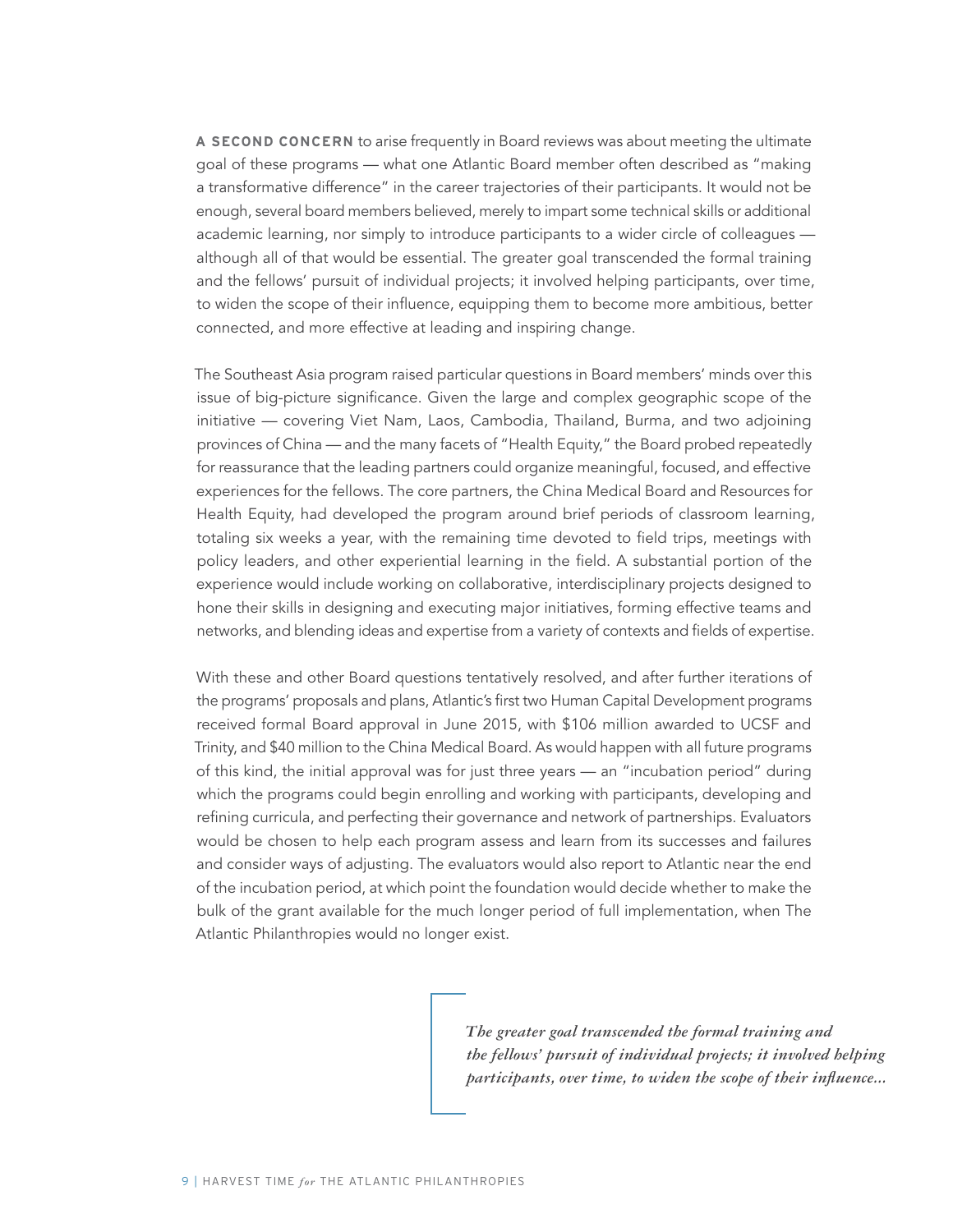**A SECOND CONCERN** to arise frequently in Board reviews was about meeting the ultimate goal of these programs — what one Atlantic Board member often described as "making a transformative difference" in the career trajectories of their participants. It would not be enough, several board members believed, merely to impart some technical skills or additional academic learning, nor simply to introduce participants to a wider circle of colleagues although all of that would be essential. The greater goal transcended the formal training and the fellows' pursuit of individual projects; it involved helping participants, over time, to widen the scope of their influence, equipping them to become more ambitious, better connected, and more effective at leading and inspiring change.

The Southeast Asia program raised particular questions in Board members' minds over this issue of big-picture significance. Given the large and complex geographic scope of the initiative — covering Viet Nam, Laos, Cambodia, Thailand, Burma, and two adjoining provinces of China — and the many facets of "Health Equity," the Board probed repeatedly for reassurance that the leading partners could organize meaningful, focused, and effective experiences for the fellows. The core partners, the China Medical Board and Resources for Health Equity, had developed the program around brief periods of classroom learning, totaling six weeks a year, with the remaining time devoted to field trips, meetings with policy leaders, and other experiential learning in the field. A substantial portion of the experience would include working on collaborative, interdisciplinary projects designed to hone their skills in designing and executing major initiatives, forming effective teams and networks, and blending ideas and expertise from a variety of contexts and fields of expertise.

With these and other Board questions tentatively resolved, and after further iterations of the programs' proposals and plans, Atlantic's first two Human Capital Development programs received formal Board approval in June 2015, with \$106 million awarded to UCSF and Trinity, and \$40 million to the China Medical Board. As would happen with all future programs of this kind, the initial approval was for just three years — an "incubation period" during which the programs could begin enrolling and working with participants, developing and refining curricula, and perfecting their governance and network of partnerships. Evaluators would be chosen to help each program assess and learn from its successes and failures and consider ways of adjusting. The evaluators would also report to Atlantic near the end of the incubation period, at which point the foundation would decide whether to make the bulk of the grant available for the much longer period of full implementation, when The Atlantic Philanthropies would no longer exist.

> *The greater goal transcended the formal training and the fellows' pursuit of individual projects; it involved helping participants, over time, to widen the scope of their influence...*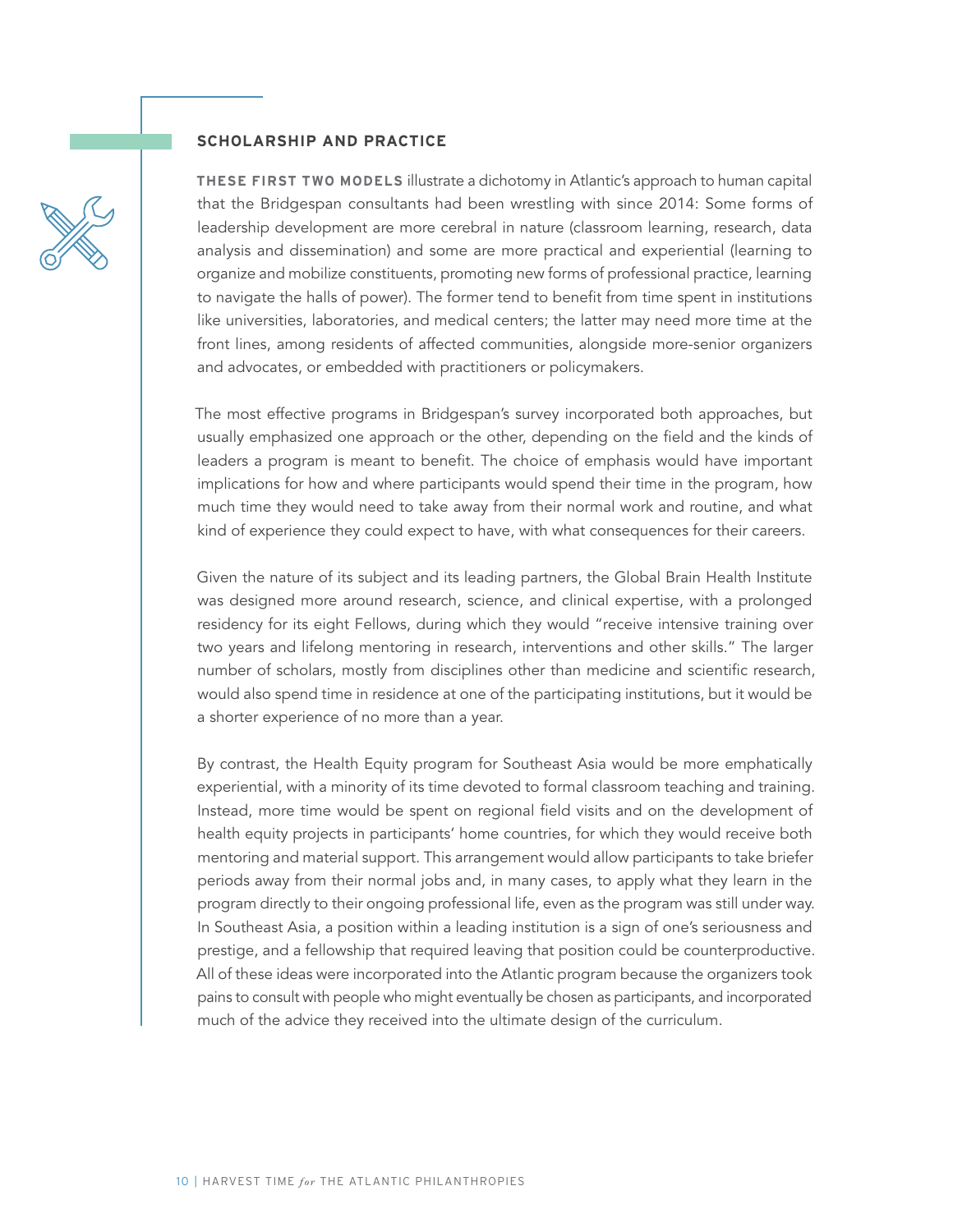#### **SCHOLARSHIP AND PRACTICE**

**THESE FIRST TWO MODELS** illustrate a dichotomy in Atlantic's approach to human capital that the Bridgespan consultants had been wrestling with since 2014: Some forms of leadership development are more cerebral in nature (classroom learning, research, data analysis and dissemination) and some are more practical and experiential (learning to organize and mobilize constituents, promoting new forms of professional practice, learning to navigate the halls of power). The former tend to benefit from time spent in institutions like universities, laboratories, and medical centers; the latter may need more time at the front lines, among residents of affected communities, alongside more-senior organizers and advocates, or embedded with practitioners or policymakers.

The most effective programs in Bridgespan's survey incorporated both approaches, but usually emphasized one approach or the other, depending on the field and the kinds of leaders a program is meant to benefit. The choice of emphasis would have important implications for how and where participants would spend their time in the program, how much time they would need to take away from their normal work and routine, and what kind of experience they could expect to have, with what consequences for their careers.

Given the nature of its subject and its leading partners, the Global Brain Health Institute was designed more around research, science, and clinical expertise, with a prolonged residency for its eight Fellows, during which they would "receive intensive training over two years and lifelong mentoring in research, interventions and other skills." The larger number of scholars, mostly from disciplines other than medicine and scientific research, would also spend time in residence at one of the participating institutions, but it would be a shorter experience of no more than a year.

By contrast, the Health Equity program for Southeast Asia would be more emphatically experiential, with a minority of its time devoted to formal classroom teaching and training. Instead, more time would be spent on regional field visits and on the development of health equity projects in participants' home countries, for which they would receive both mentoring and material support. This arrangement would allow participants to take briefer periods away from their normal jobs and, in many cases, to apply what they learn in the program directly to their ongoing professional life, even as the program was still under way. In Southeast Asia, a position within a leading institution is a sign of one's seriousness and prestige, and a fellowship that required leaving that position could be counterproductive. All of these ideas were incorporated into the Atlantic program because the organizers took pains to consult with people who might eventually be chosen as participants, and incorporated much of the advice they received into the ultimate design of the curriculum.

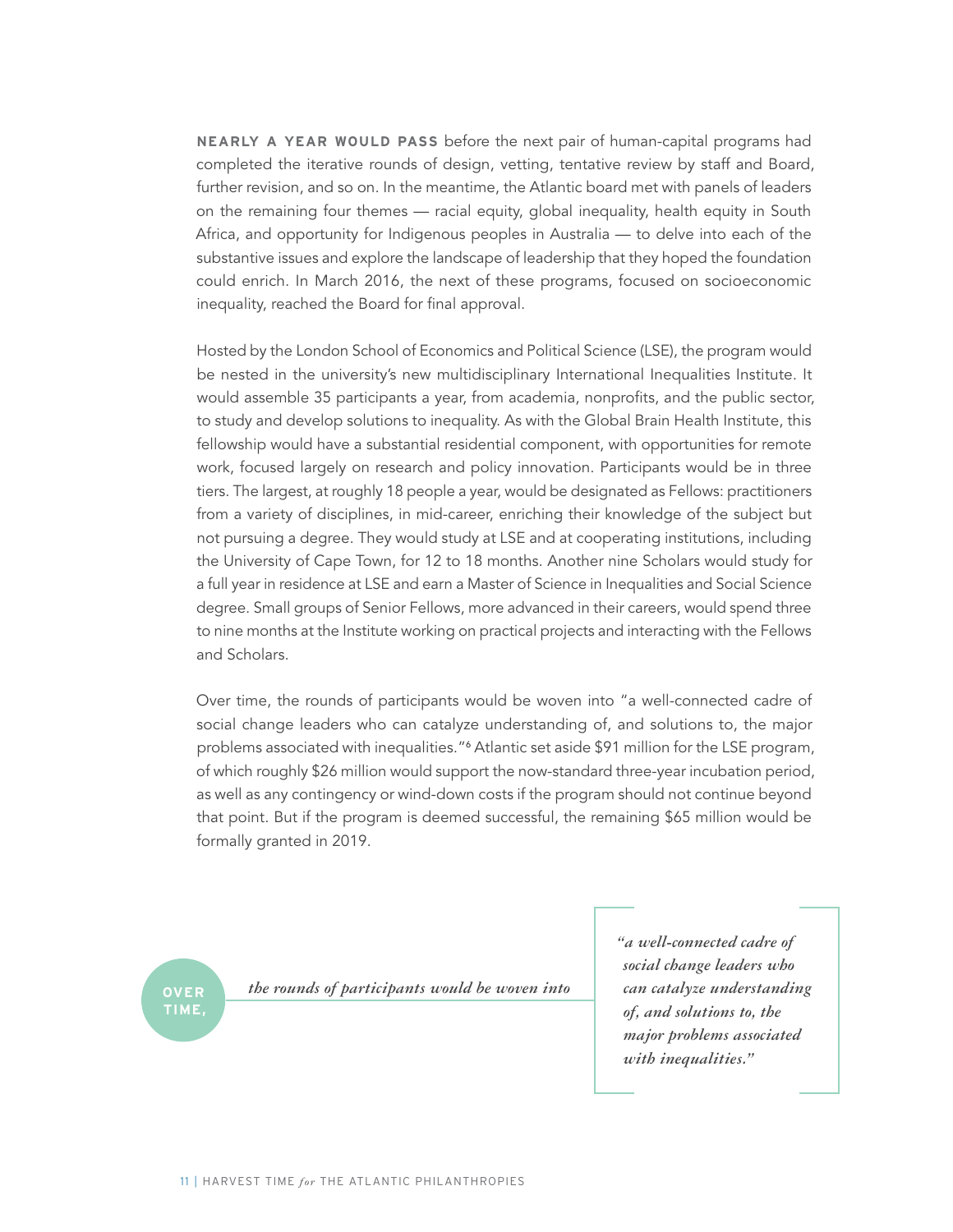**NEARLY A YEAR WOULD PASS** before the next pair of human-capital programs had completed the iterative rounds of design, vetting, tentative review by staff and Board, further revision, and so on. In the meantime, the Atlantic board met with panels of leaders on the remaining four themes — racial equity, global inequality, health equity in South Africa, and opportunity for Indigenous peoples in Australia — to delve into each of the substantive issues and explore the landscape of leadership that they hoped the foundation could enrich. In March 2016, the next of these programs, focused on socioeconomic inequality, reached the Board for final approval.

Hosted by the London School of Economics and Political Science (LSE), the program would be nested in the university's new multidisciplinary International Inequalities Institute. It would assemble 35 participants a year, from academia, nonprofits, and the public sector, to study and develop solutions to inequality. As with the Global Brain Health Institute, this fellowship would have a substantial residential component, with opportunities for remote work, focused largely on research and policy innovation. Participants would be in three tiers. The largest, at roughly 18 people a year, would be designated as Fellows: practitioners from a variety of disciplines, in mid-career, enriching their knowledge of the subject but not pursuing a degree. They would study at LSE and at cooperating institutions, including the University of Cape Town, for 12 to 18 months. Another nine Scholars would study for a full year in residence at LSE and earn a Master of Science in Inequalities and Social Science degree. Small groups of Senior Fellows, more advanced in their careers, would spend three to nine months at the Institute working on practical projects and interacting with the Fellows and Scholars.

Over time, the rounds of participants would be woven into "a well-connected cadre of social change leaders who can catalyze understanding of, and solutions to, the major problems associated with inequalities."<sup>6</sup> Atlantic set aside \$91 million for the LSE program, of which roughly \$26 million would support the now-standard three-year incubation period, as well as any contingency or wind-down costs if the program should not continue beyond that point. But if the program is deemed successful, the remaining \$65 million would be formally granted in 2019.

**TIME,**

**OVER** *the rounds of participants would be woven into*

*"a well-connected cadre of social change leaders who can catalyze understanding of, and solutions to, the major problems associated with inequalities."*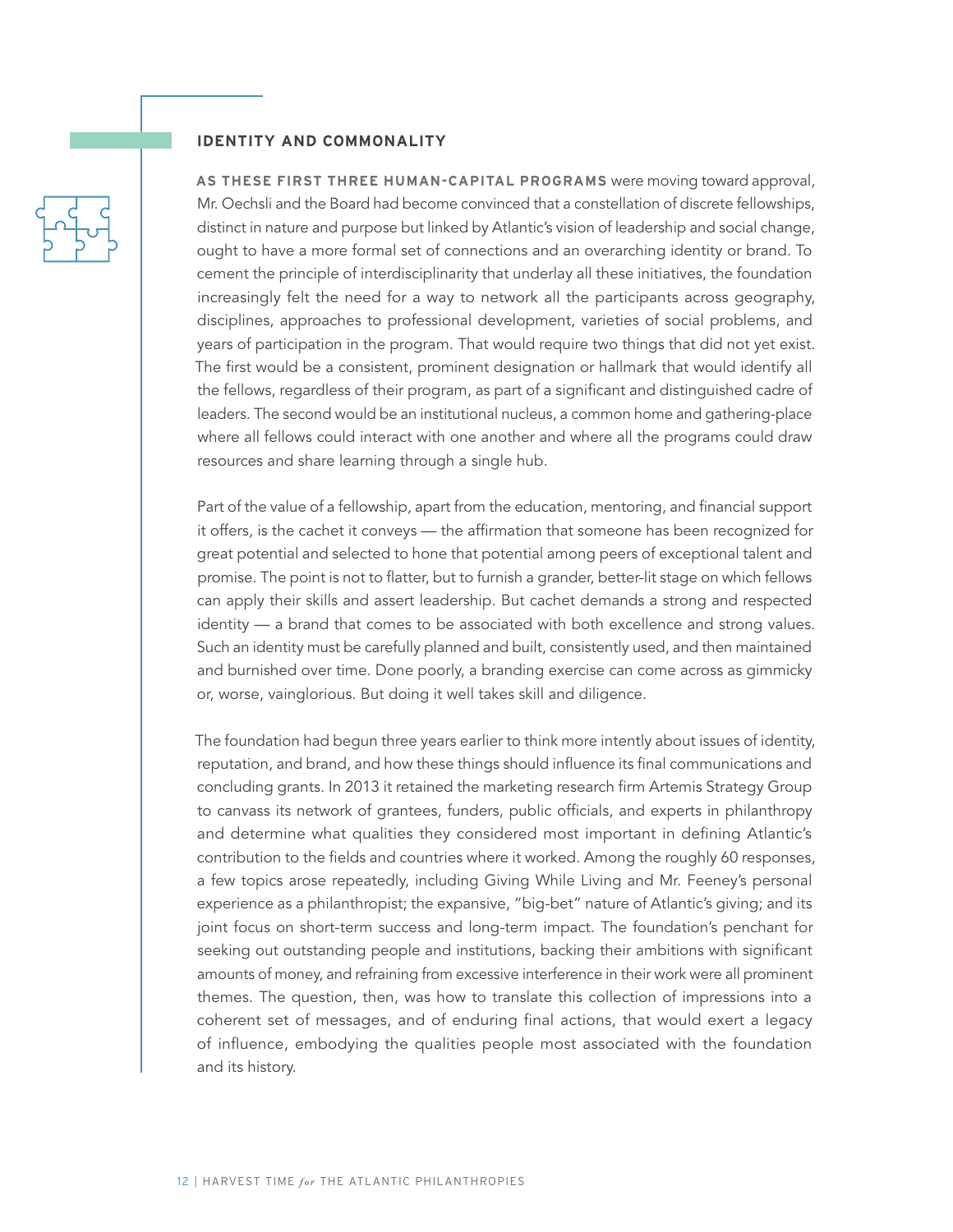#### **IDENTITY AND COMMONALITY**

**AS THESE FIRST THREE HUMAN-CAPITAL PROGRAMS** were moving toward approval, Mr. Oechsli and the Board had become convinced that a constellation of discrete fellowships, distinct in nature and purpose but linked by Atlantic's vision of leadership and social change, ought to have a more formal set of connections and an overarching identity or brand. To cement the principle of interdisciplinarity that underlay all these initiatives, the foundation increasingly felt the need for a way to network all the participants across geography, disciplines, approaches to professional development, varieties of social problems, and years of participation in the program. That would require two things that did not yet exist. The first would be a consistent, prominent designation or hallmark that would identify all the fellows, regardless of their program, as part of a significant and distinguished cadre of leaders. The second would be an institutional nucleus, a common home and gathering-place where all fellows could interact with one another and where all the programs could draw resources and share learning through a single hub.

Part of the value of a fellowship, apart from the education, mentoring, and financial support it offers, is the cachet it conveys — the affirmation that someone has been recognized for great potential and selected to hone that potential among peers of exceptional talent and promise. The point is not to flatter, but to furnish a grander, better-lit stage on which fellows can apply their skills and assert leadership. But cachet demands a strong and respected identity — a brand that comes to be associated with both excellence and strong values. Such an identity must be carefully planned and built, consistently used, and then maintained and burnished over time. Done poorly, a branding exercise can come across as gimmicky or, worse, vainglorious. But doing it well takes skill and diligence.

The foundation had begun three years earlier to think more intently about issues of identity, reputation, and brand, and how these things should influence its final communications and concluding grants. In 2013 it retained the marketing research firm Artemis Strategy Group to canvass its network of grantees, funders, public officials, and experts in philanthropy and determine what qualities they considered most important in defining Atlantic's contribution to the fields and countries where it worked. Among the roughly 60 responses, a few topics arose repeatedly, including Giving While Living and Mr. Feeney's personal experience as a philanthropist; the expansive, "big-bet" nature of Atlantic's giving; and its joint focus on short-term success and long-term impact. The foundation's penchant for seeking out outstanding people and institutions, backing their ambitions with significant amounts of money, and refraining from excessive interference in their work were all prominent themes. The question, then, was how to translate this collection of impressions into a coherent set of messages, and of enduring final actions, that would exert a legacy of influence, embodying the qualities people most associated with the foundation and its history.

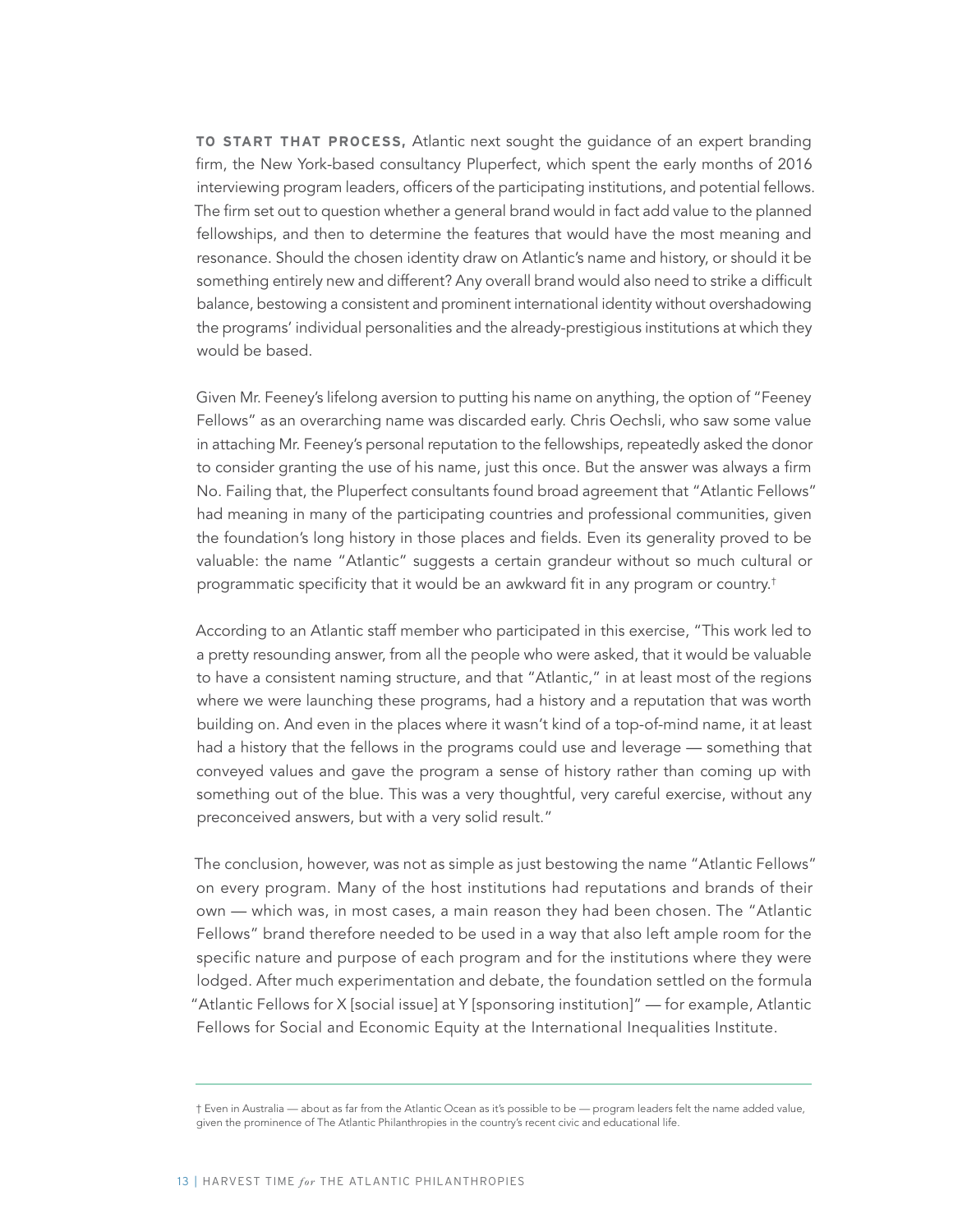**TO START THAT PROCESS,** Atlantic next sought the guidance of an expert branding firm, the New York-based consultancy Pluperfect, which spent the early months of 2016 interviewing program leaders, officers of the participating institutions, and potential fellows. The firm set out to question whether a general brand would in fact add value to the planned fellowships, and then to determine the features that would have the most meaning and resonance. Should the chosen identity draw on Atlantic's name and history, or should it be something entirely new and different? Any overall brand would also need to strike a difficult balance, bestowing a consistent and prominent international identity without overshadowing the programs' individual personalities and the already-prestigious institutions at which they would be based.

Given Mr. Feeney's lifelong aversion to putting his name on anything, the option of "Feeney Fellows" as an overarching name was discarded early. Chris Oechsli, who saw some value in attaching Mr. Feeney's personal reputation to the fellowships, repeatedly asked the donor to consider granting the use of his name, just this once. But the answer was always a firm No. Failing that, the Pluperfect consultants found broad agreement that "Atlantic Fellows" had meaning in many of the participating countries and professional communities, given the foundation's long history in those places and fields. Even its generality proved to be valuable: the name "Atlantic" suggests a certain grandeur without so much cultural or programmatic specificity that it would be an awkward fit in any program or country.†

According to an Atlantic staff member who participated in this exercise, "This work led to a pretty resounding answer, from all the people who were asked, that it would be valuable to have a consistent naming structure, and that "Atlantic," in at least most of the regions where we were launching these programs, had a history and a reputation that was worth building on. And even in the places where it wasn't kind of a top-of-mind name, it at least had a history that the fellows in the programs could use and leverage — something that conveyed values and gave the program a sense of history rather than coming up with something out of the blue. This was a very thoughtful, very careful exercise, without any preconceived answers, but with a very solid result."

The conclusion, however, was not as simple as just bestowing the name "Atlantic Fellows" on every program. Many of the host institutions had reputations and brands of their own — which was, in most cases, a main reason they had been chosen. The "Atlantic Fellows" brand therefore needed to be used in a way that also left ample room for the specific nature and purpose of each program and for the institutions where they were lodged. After much experimentation and debate, the foundation settled on the formula "Atlantic Fellows for X [social issue] at Y [sponsoring institution]" — for example, Atlantic Fellows for Social and Economic Equity at the International Inequalities Institute.

<sup>†</sup> Even in Australia — about as far from the Atlantic Ocean as it's possible to be — program leaders felt the name added value, given the prominence of The Atlantic Philanthropies in the country's recent civic and educational life.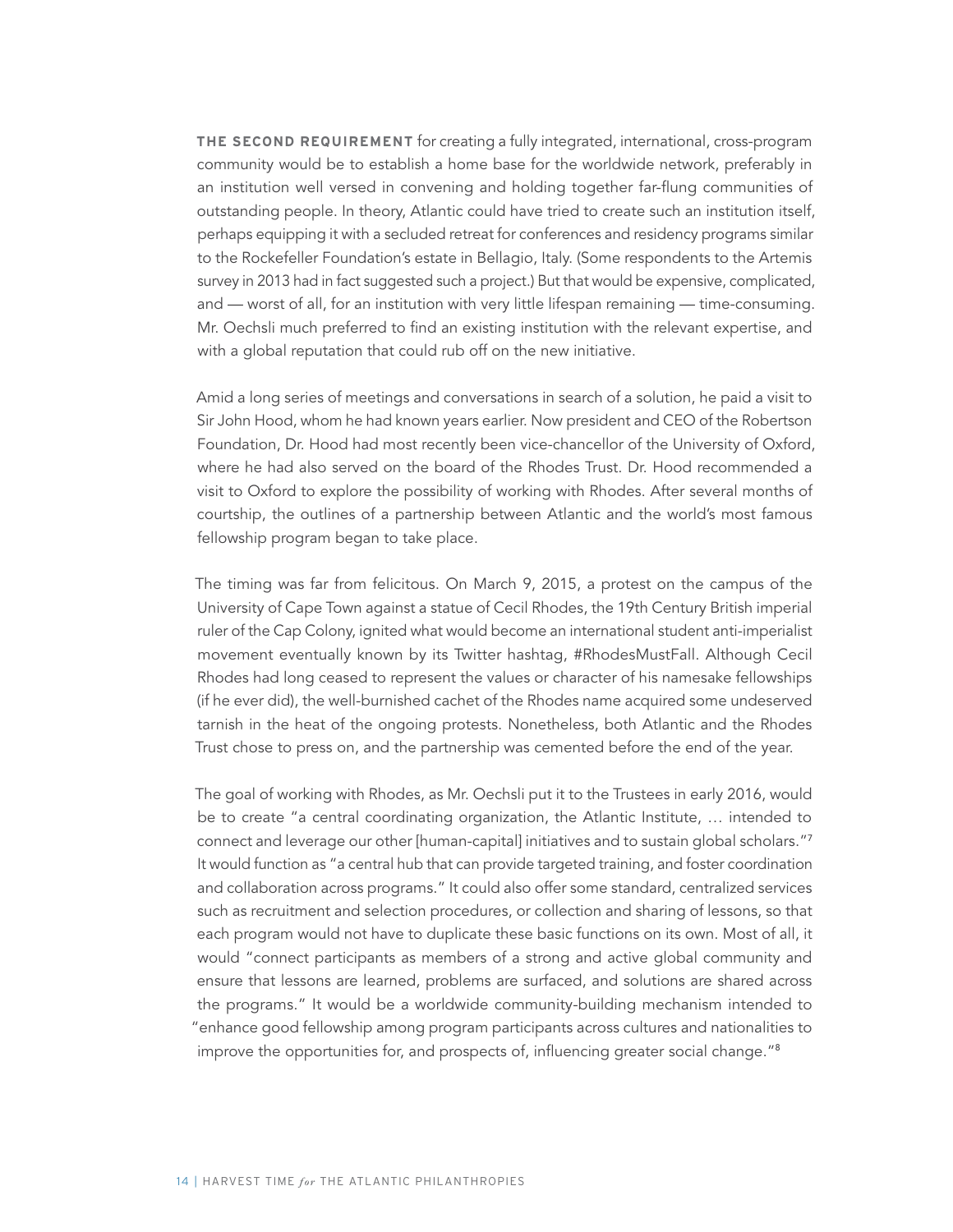**THE SECOND REQUIREMENT** for creating a fully integrated, international, cross-program community would be to establish a home base for the worldwide network, preferably in an institution well versed in convening and holding together far-flung communities of outstanding people. In theory, Atlantic could have tried to create such an institution itself, perhaps equipping it with a secluded retreat for conferences and residency programs similar to the Rockefeller Foundation's estate in Bellagio, Italy. (Some respondents to the Artemis survey in 2013 had in fact suggested such a project.) But that would be expensive, complicated, and — worst of all, for an institution with very little lifespan remaining — time-consuming. Mr. Oechsli much preferred to find an existing institution with the relevant expertise, and with a global reputation that could rub off on the new initiative.

Amid a long series of meetings and conversations in search of a solution, he paid a visit to Sir John Hood, whom he had known years earlier. Now president and CEO of the Robertson Foundation, Dr. Hood had most recently been vice-chancellor of the University of Oxford, where he had also served on the board of the Rhodes Trust. Dr. Hood recommended a visit to Oxford to explore the possibility of working with Rhodes. After several months of courtship, the outlines of a partnership between Atlantic and the world's most famous fellowship program began to take place.

The timing was far from felicitous. On March 9, 2015, a protest on the campus of the University of Cape Town against a statue of Cecil Rhodes, the 19th Century British imperial ruler of the Cap Colony, ignited what would become an international student anti-imperialist movement eventually known by its Twitter hashtag, #RhodesMustFall. Although Cecil Rhodes had long ceased to represent the values or character of his namesake fellowships (if he ever did), the well-burnished cachet of the Rhodes name acquired some undeserved tarnish in the heat of the ongoing protests. Nonetheless, both Atlantic and the Rhodes Trust chose to press on, and the partnership was cemented before the end of the year.

The goal of working with Rhodes, as Mr. Oechsli put it to the Trustees in early 2016, would be to create "a central coordinating organization, the Atlantic Institute, … intended to connect and leverage our other [human-capital] initiatives and to sustain global scholars."<sup>7</sup> It would function as "a central hub that can provide targeted training, and foster coordination and collaboration across programs." It could also offer some standard, centralized services such as recruitment and selection procedures, or collection and sharing of lessons, so that each program would not have to duplicate these basic functions on its own. Most of all, it would "connect participants as members of a strong and active global community and ensure that lessons are learned, problems are surfaced, and solutions are shared across the programs." It would be a worldwide community-building mechanism intended to "enhance good fellowship among program participants across cultures and nationalities to improve the opportunities for, and prospects of, influencing greater social change."8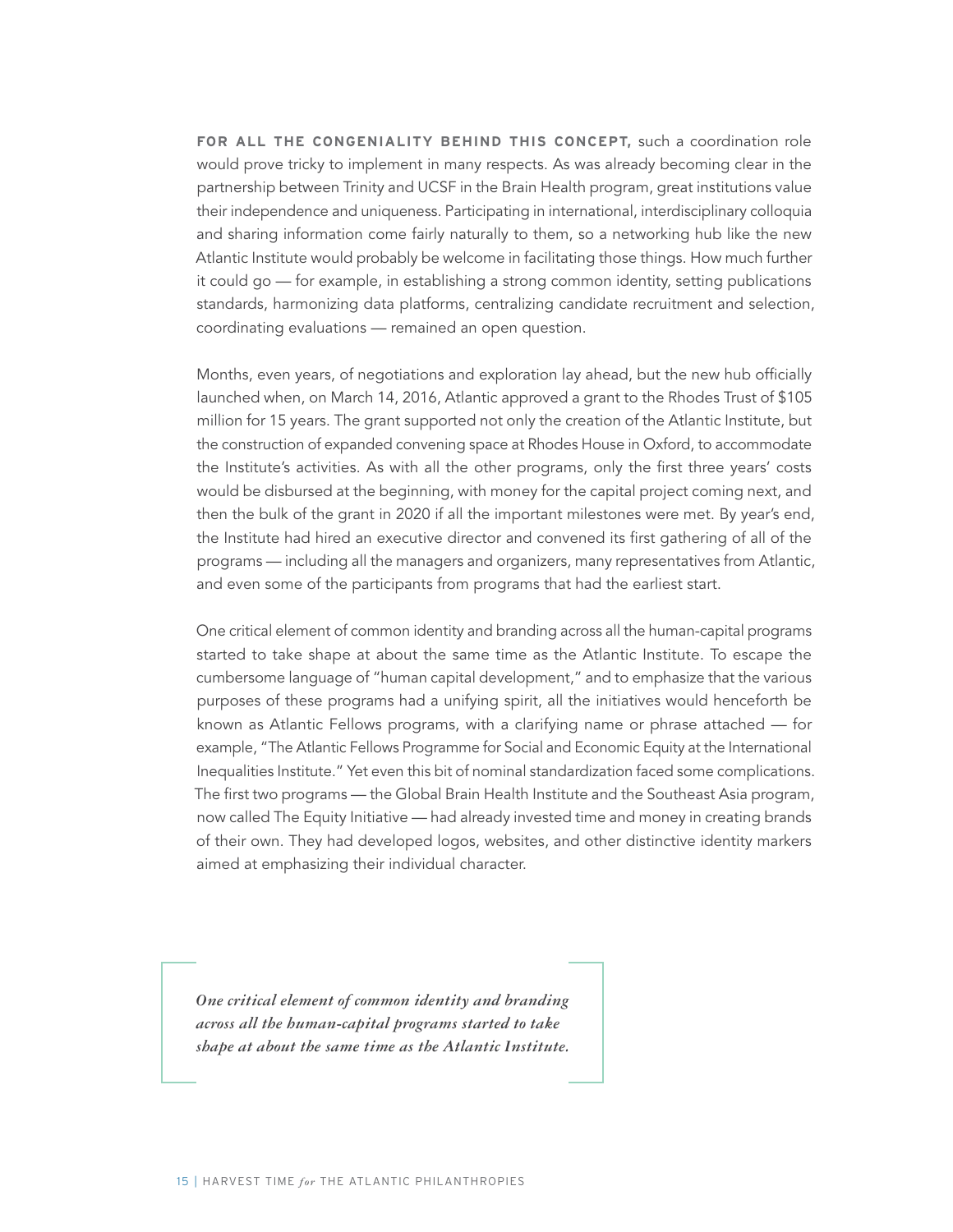**FOR ALL THE CONGENIALITY BEHIND THIS CONCEPT,** such a coordination role would prove tricky to implement in many respects. As was already becoming clear in the partnership between Trinity and UCSF in the Brain Health program, great institutions value their independence and uniqueness. Participating in international, interdisciplinary colloquia and sharing information come fairly naturally to them, so a networking hub like the new Atlantic Institute would probably be welcome in facilitating those things. How much further it could go — for example, in establishing a strong common identity, setting publications standards, harmonizing data platforms, centralizing candidate recruitment and selection, coordinating evaluations — remained an open question.

Months, even years, of negotiations and exploration lay ahead, but the new hub officially launched when, on March 14, 2016, Atlantic approved a grant to the Rhodes Trust of \$105 million for 15 years. The grant supported not only the creation of the Atlantic Institute, but the construction of expanded convening space at Rhodes House in Oxford, to accommodate the Institute's activities. As with all the other programs, only the first three years' costs would be disbursed at the beginning, with money for the capital project coming next, and then the bulk of the grant in 2020 if all the important milestones were met. By year's end, the Institute had hired an executive director and convened its first gathering of all of the programs — including all the managers and organizers, many representatives from Atlantic, and even some of the participants from programs that had the earliest start.

One critical element of common identity and branding across all the human-capital programs started to take shape at about the same time as the Atlantic Institute. To escape the cumbersome language of "human capital development," and to emphasize that the various purposes of these programs had a unifying spirit, all the initiatives would henceforth be known as Atlantic Fellows programs, with a clarifying name or phrase attached — for example, "The Atlantic Fellows Programme for Social and Economic Equity at the International Inequalities Institute." Yet even this bit of nominal standardization faced some complications. The first two programs — the Global Brain Health Institute and the Southeast Asia program, now called The Equity Initiative — had already invested time and money in creating brands of their own. They had developed logos, websites, and other distinctive identity markers aimed at emphasizing their individual character.

*One critical element of common identity and branding across all the human-capital programs started to take shape at about the same time as the Atlantic Institute.*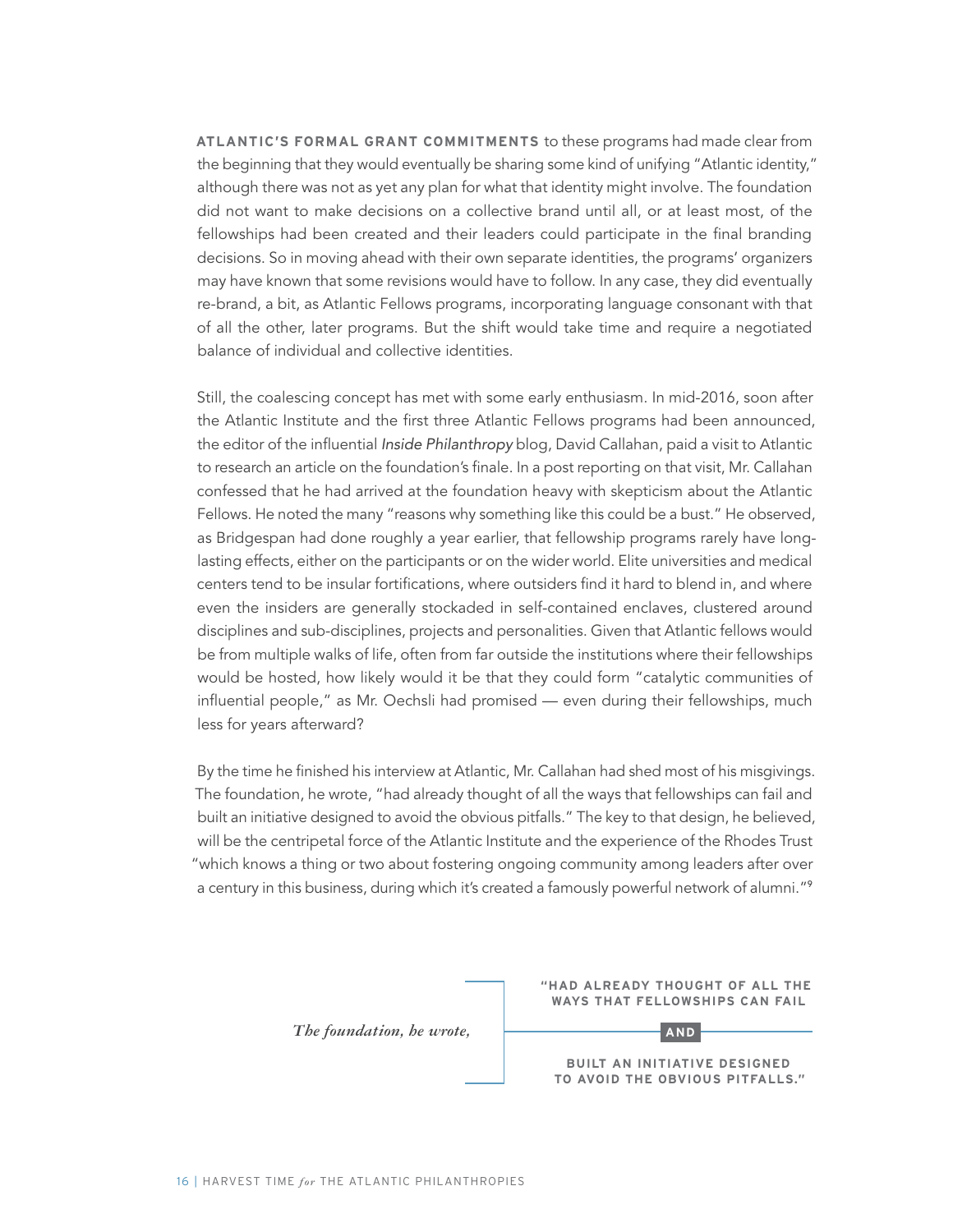**ATLANTIC'S FORMAL GRANT COMMITMENTS** to these programs had made clear from the beginning that they would eventually be sharing some kind of unifying "Atlantic identity," although there was not as yet any plan for what that identity might involve. The foundation did not want to make decisions on a collective brand until all, or at least most, of the fellowships had been created and their leaders could participate in the final branding decisions. So in moving ahead with their own separate identities, the programs' organizers may have known that some revisions would have to follow. In any case, they did eventually re-brand, a bit, as Atlantic Fellows programs, incorporating language consonant with that of all the other, later programs. But the shift would take time and require a negotiated balance of individual and collective identities.

Still, the coalescing concept has met with some early enthusiasm. In mid-2016, soon after the Atlantic Institute and the first three Atlantic Fellows programs had been announced, the editor of the influential Inside Philanthropy blog, David Callahan, paid a visit to Atlantic to research an article on the foundation's finale. In a post reporting on that visit, Mr. Callahan confessed that he had arrived at the foundation heavy with skepticism about the Atlantic Fellows. He noted the many "reasons why something like this could be a bust." He observed, as Bridgespan had done roughly a year earlier, that fellowship programs rarely have longlasting effects, either on the participants or on the wider world. Elite universities and medical centers tend to be insular fortifications, where outsiders find it hard to blend in, and where even the insiders are generally stockaded in self-contained enclaves, clustered around disciplines and sub-disciplines, projects and personalities. Given that Atlantic fellows would be from multiple walks of life, often from far outside the institutions where their fellowships would be hosted, how likely would it be that they could form "catalytic communities of influential people," as Mr. Oechsli had promised — even during their fellowships, much less for years afterward?

By the time he finished his interview at Atlantic, Mr. Callahan had shed most of his misgivings. The foundation, he wrote, "had already thought of all the ways that fellowships can fail and built an initiative designed to avoid the obvious pitfalls." The key to that design, he believed, will be the centripetal force of the Atlantic Institute and the experience of the Rhodes Trust "which knows a thing or two about fostering ongoing community among leaders after over a century in this business, during which it's created a famously powerful network of alumni."<sup>9</sup>

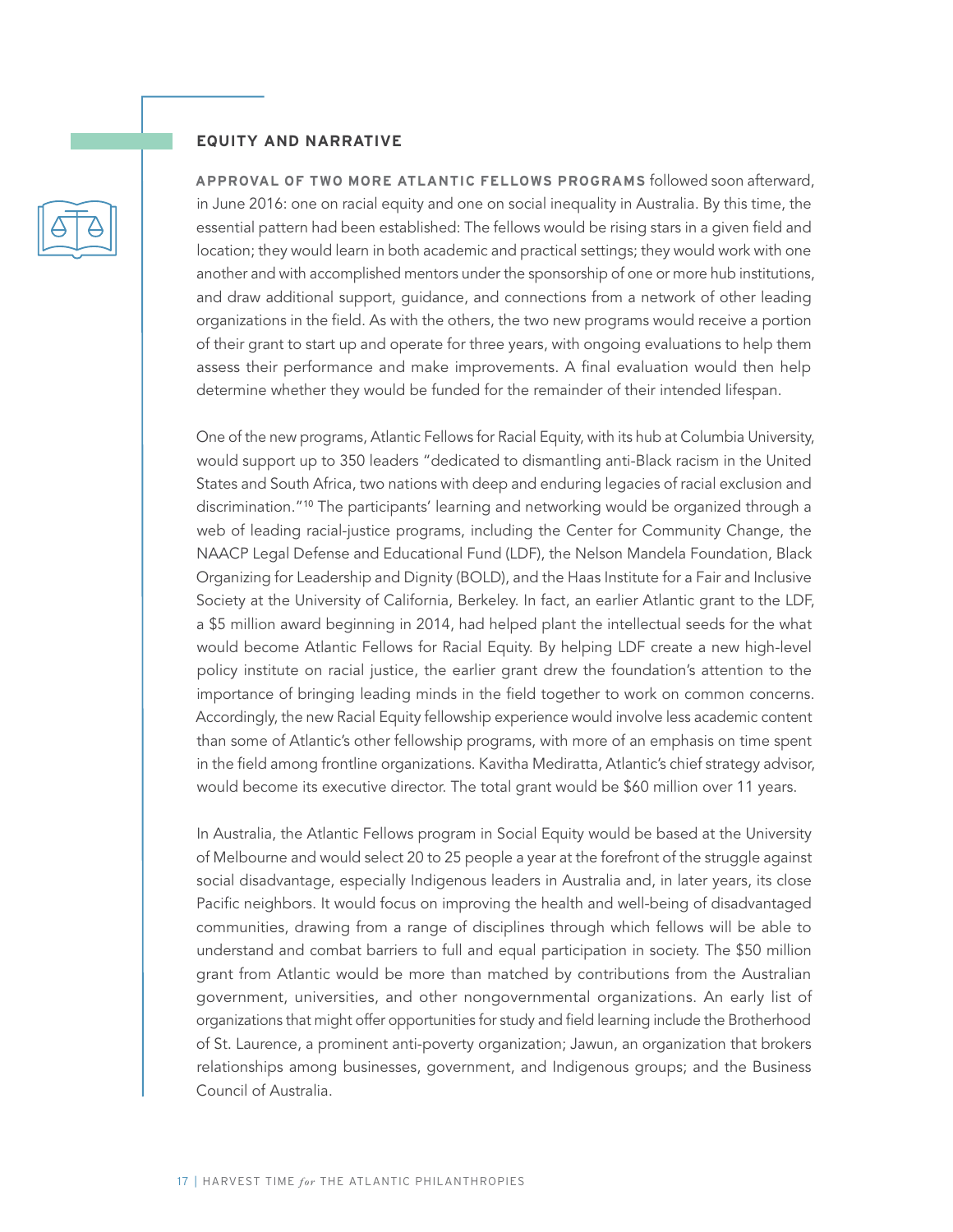#### **EQUITY AND NARRATIVE**

**APPROVAL OF TWO MORE ATLANTIC FELLOWS PROGRAMS** followed soon afterward, in June 2016: one on racial equity and one on social inequality in Australia. By this time, the essential pattern had been established: The fellows would be rising stars in a given field and location; they would learn in both academic and practical settings; they would work with one another and with accomplished mentors under the sponsorship of one or more hub institutions, and draw additional support, guidance, and connections from a network of other leading organizations in the field. As with the others, the two new programs would receive a portion of their grant to start up and operate for three years, with ongoing evaluations to help them assess their performance and make improvements. A final evaluation would then help determine whether they would be funded for the remainder of their intended lifespan.

One of the new programs, Atlantic Fellows for Racial Equity, with its hub at Columbia University, would support up to 350 leaders "dedicated to dismantling anti-Black racism in the United States and South Africa, two nations with deep and enduring legacies of racial exclusion and discrimination."<sup>10</sup> The participants' learning and networking would be organized through a web of leading racial-justice programs, including the Center for Community Change, the NAACP Legal Defense and Educational Fund (LDF), the Nelson Mandela Foundation, Black Organizing for Leadership and Dignity (BOLD), and the Haas Institute for a Fair and Inclusive Society at the University of California, Berkeley. In fact, an earlier Atlantic grant to the LDF, a \$5 million award beginning in 2014, had helped plant the intellectual seeds for the what would become Atlantic Fellows for Racial Equity. By helping LDF create a new high-level policy institute on racial justice, the earlier grant drew the foundation's attention to the importance of bringing leading minds in the field together to work on common concerns. Accordingly, the new Racial Equity fellowship experience would involve less academic content than some of Atlantic's other fellowship programs, with more of an emphasis on time spent in the field among frontline organizations. Kavitha Mediratta, Atlantic's chief strategy advisor, would become its executive director. The total grant would be \$60 million over 11 years.

In Australia, the Atlantic Fellows program in Social Equity would be based at the University of Melbourne and would select 20 to 25 people a year at the forefront of the struggle against social disadvantage, especially Indigenous leaders in Australia and, in later years, its close Pacific neighbors. It would focus on improving the health and well-being of disadvantaged communities, drawing from a range of disciplines through which fellows will be able to understand and combat barriers to full and equal participation in society. The \$50 million grant from Atlantic would be more than matched by contributions from the Australian government, universities, and other nongovernmental organizations. An early list of organizations that might offer opportunities for study and field learning include the Brotherhood of St. Laurence, a prominent anti-poverty organization; Jawun, an organization that brokers relationships among businesses, government, and Indigenous groups; and the Business Council of Australia.

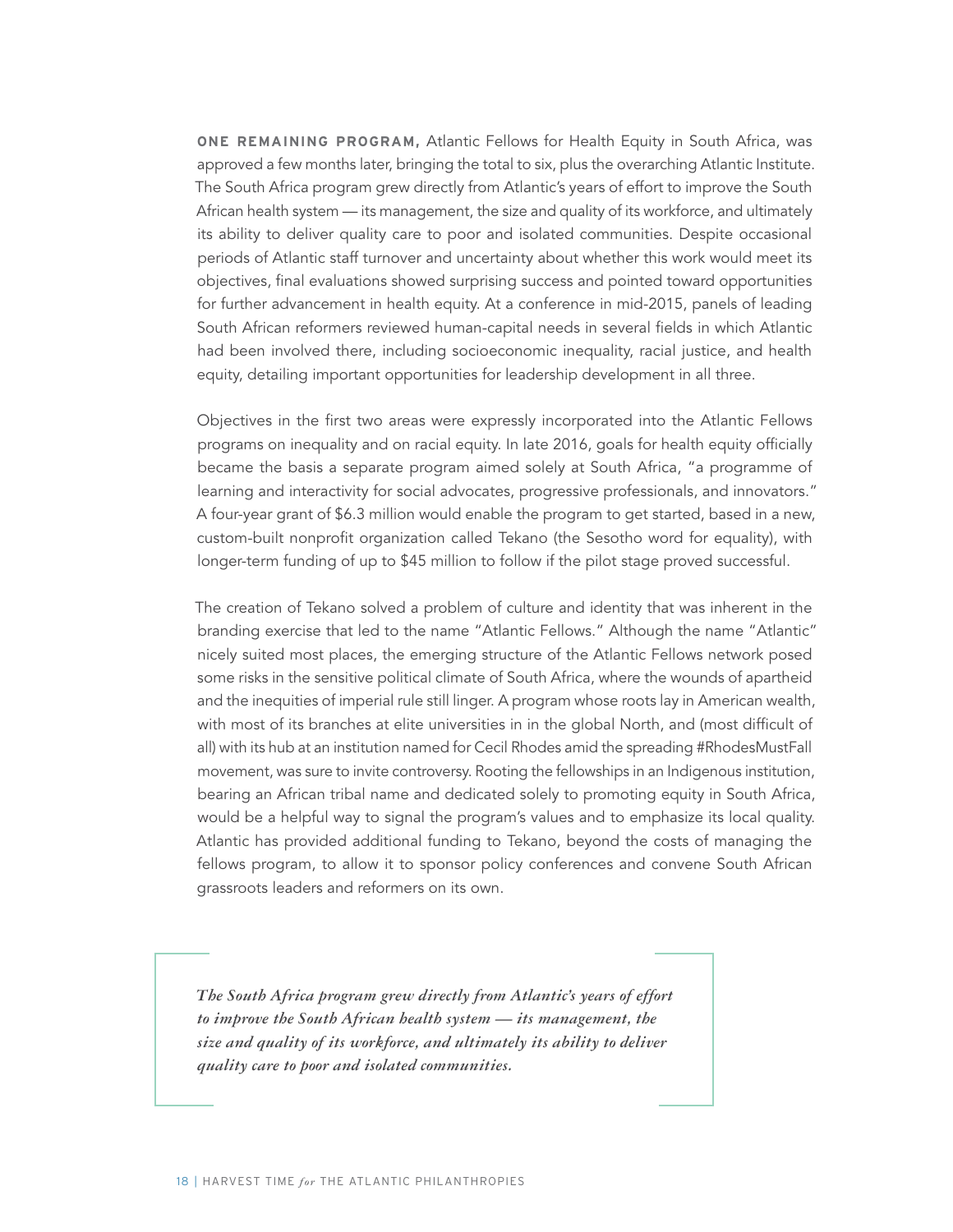**ONE REMAINING PROGRAM,** Atlantic Fellows for Health Equity in South Africa, was approved a few months later, bringing the total to six, plus the overarching Atlantic Institute. The South Africa program grew directly from Atlantic's years of effort to improve the South African health system — its management, the size and quality of its workforce, and ultimately its ability to deliver quality care to poor and isolated communities. Despite occasional periods of Atlantic staff turnover and uncertainty about whether this work would meet its objectives, final evaluations showed surprising success and pointed toward opportunities for further advancement in health equity. At a conference in mid-2015, panels of leading South African reformers reviewed human-capital needs in several fields in which Atlantic had been involved there, including socioeconomic inequality, racial justice, and health equity, detailing important opportunities for leadership development in all three.

Objectives in the first two areas were expressly incorporated into the Atlantic Fellows programs on inequality and on racial equity. In late 2016, goals for health equity officially became the basis a separate program aimed solely at South Africa, "a programme of learning and interactivity for social advocates, progressive professionals, and innovators." A four-year grant of \$6.3 million would enable the program to get started, based in a new, custom-built nonprofit organization called Tekano (the Sesotho word for equality), with longer-term funding of up to \$45 million to follow if the pilot stage proved successful.

The creation of Tekano solved a problem of culture and identity that was inherent in the branding exercise that led to the name "Atlantic Fellows." Although the name "Atlantic" nicely suited most places, the emerging structure of the Atlantic Fellows network posed some risks in the sensitive political climate of South Africa, where the wounds of apartheid and the inequities of imperial rule still linger. A program whose roots lay in American wealth, with most of its branches at elite universities in in the global North, and (most difficult of all) with its hub at an institution named for Cecil Rhodes amid the spreading #RhodesMustFall movement, was sure to invite controversy. Rooting the fellowships in an Indigenous institution, bearing an African tribal name and dedicated solely to promoting equity in South Africa, would be a helpful way to signal the program's values and to emphasize its local quality. Atlantic has provided additional funding to Tekano, beyond the costs of managing the fellows program, to allow it to sponsor policy conferences and convene South African grassroots leaders and reformers on its own.

*The South Africa program grew directly from Atlantic's years of effort to improve the South African health system — its management, the size and quality of its workforce, and ultimately its ability to deliver quality care to poor and isolated communities.*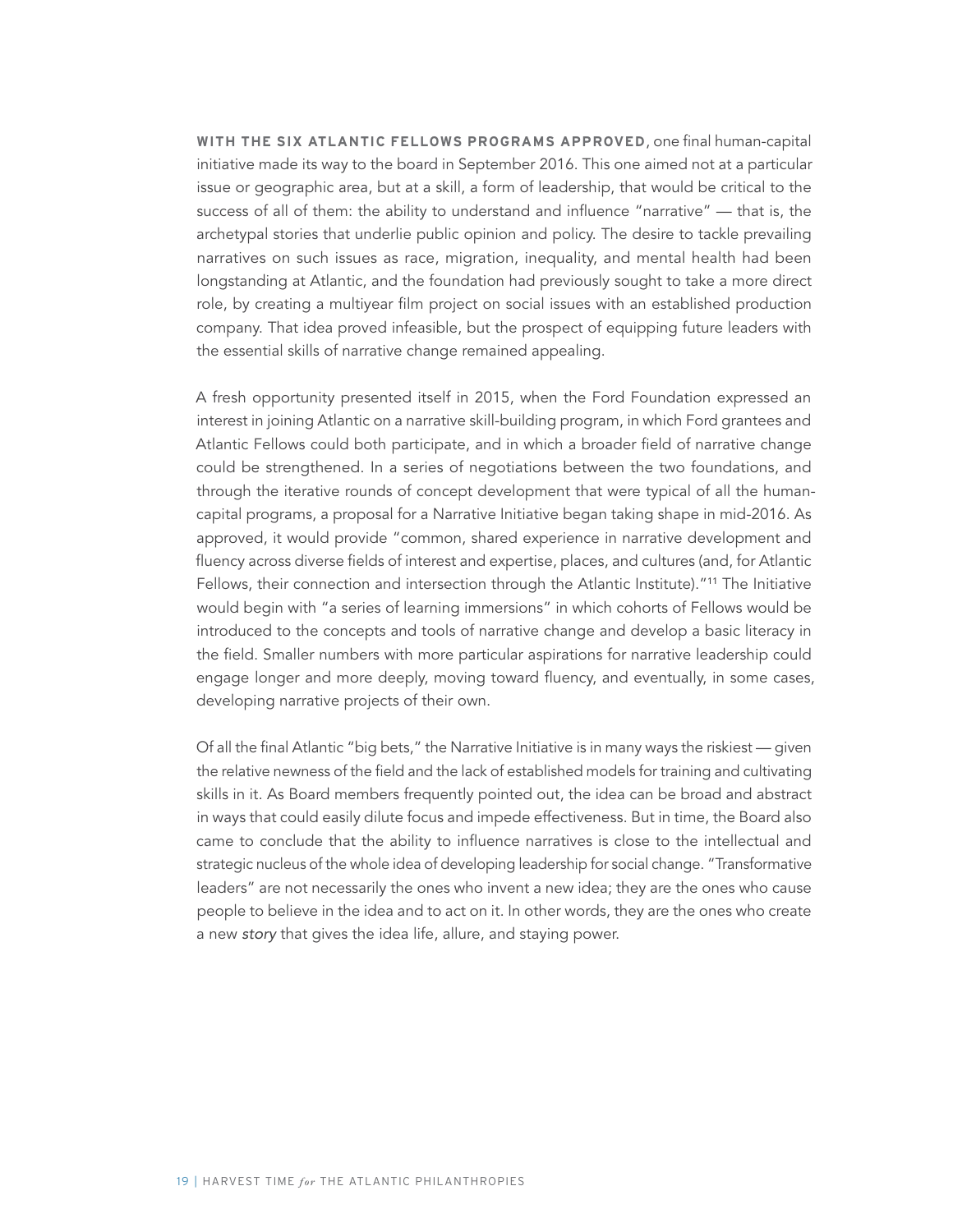**WITH THE SIX ATLANTIC FELLOWS PROGRAMS APPROVED**, one final human-capital initiative made its way to the board in September 2016. This one aimed not at a particular issue or geographic area, but at a skill, a form of leadership, that would be critical to the success of all of them: the ability to understand and influence "narrative" — that is, the archetypal stories that underlie public opinion and policy. The desire to tackle prevailing narratives on such issues as race, migration, inequality, and mental health had been longstanding at Atlantic, and the foundation had previously sought to take a more direct role, by creating a multiyear film project on social issues with an established production company. That idea proved infeasible, but the prospect of equipping future leaders with the essential skills of narrative change remained appealing.

A fresh opportunity presented itself in 2015, when the Ford Foundation expressed an interest in joining Atlantic on a narrative skill-building program, in which Ford grantees and Atlantic Fellows could both participate, and in which a broader field of narrative change could be strengthened. In a series of negotiations between the two foundations, and through the iterative rounds of concept development that were typical of all the humancapital programs, a proposal for a Narrative Initiative began taking shape in mid-2016. As approved, it would provide "common, shared experience in narrative development and fluency across diverse fields of interest and expertise, places, and cultures (and, for Atlantic Fellows, their connection and intersection through the Atlantic Institute)."<sup>11</sup> The Initiative would begin with "a series of learning immersions" in which cohorts of Fellows would be introduced to the concepts and tools of narrative change and develop a basic literacy in the field. Smaller numbers with more particular aspirations for narrative leadership could engage longer and more deeply, moving toward fluency, and eventually, in some cases, developing narrative projects of their own.

Of all the final Atlantic "big bets," the Narrative Initiative is in many ways the riskiest — given the relative newness of the field and the lack of established models for training and cultivating skills in it. As Board members frequently pointed out, the idea can be broad and abstract in ways that could easily dilute focus and impede effectiveness. But in time, the Board also came to conclude that the ability to influence narratives is close to the intellectual and strategic nucleus of the whole idea of developing leadership for social change. "Transformative leaders" are not necessarily the ones who invent a new idea; they are the ones who cause people to believe in the idea and to act on it. In other words, they are the ones who create a new story that gives the idea life, allure, and staying power.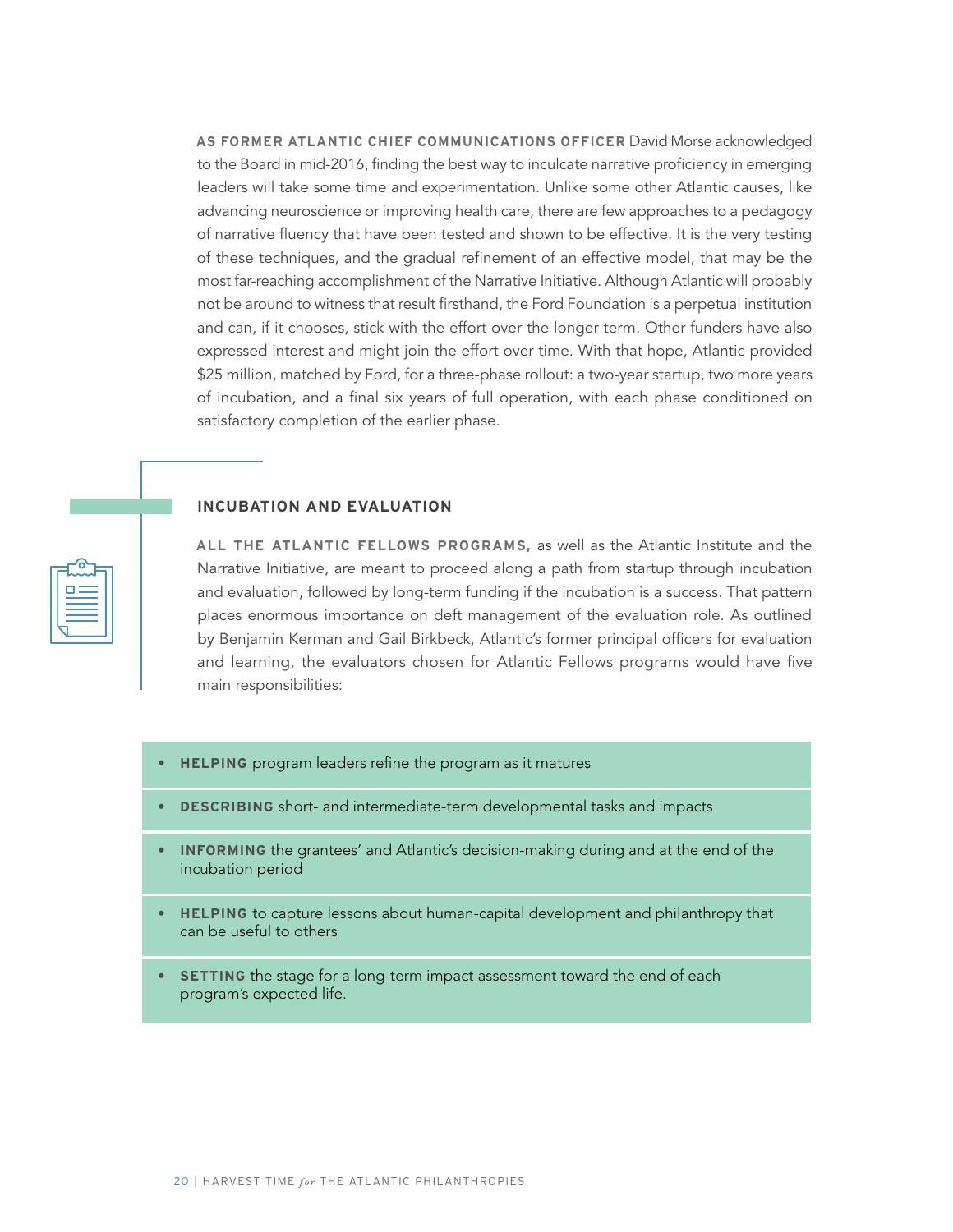**AS FORMER ATLANTIC CHIEF COMMUNICATIONS OFFICER** David Morse acknowledged to the Board in mid-2016, finding the best way to inculcate narrative proficiency in emerging leaders will take some time and experimentation. Unlike some other Atlantic causes, like advancing neuroscience or improving health care, there are few approaches to a pedagogy of narrative fluency that have been tested and shown to be effective. It is the very testing of these techniques, and the gradual refinement of an effective model, that may be the most far-reaching accomplishment of the Narrative Initiative. Although Atlantic will probably not be around to witness that result firsthand, the Ford Foundation is a perpetual institution and can, if it chooses, stick with the effort over the longer term. Other funders have also expressed interest and might join the effort over time. With that hope, Atlantic provided \$25 million, matched by Ford, for a three-phase rollout: a two-year startup, two more years of incubation, and a final six years of full operation, with each phase conditioned on satisfactory completion of the earlier phase.

#### **INCUBATION AND EVALUATION**

**ALL THE ATLANTIC FELLOWS PROGRAMS,** as well as the Atlantic Institute and the Narrative Initiative, are meant to proceed along a path from startup through incubation and evaluation, followed by long-term funding if the incubation is a success. That pattern places enormous importance on deft management of the evaluation role. As outlined by Benjamin Kerman and Gail Birkbeck, Atlantic's former principal officers for evaluation and learning, the evaluators chosen for Atlantic Fellows programs would have five main responsibilities:

- **• HELPING** program leaders refine the program as it matures
- **• DESCRIBING** short- and intermediate-term developmental tasks and impacts
- **• INFORMING** the grantees' and Atlantic's decision-making during and at the end of the incubation period
- **• HELPING** to capture lessons about human-capital development and philanthropy that can be useful to others
- **• SETTING** the stage for a long-term impact assessment toward the end of each program's expected life.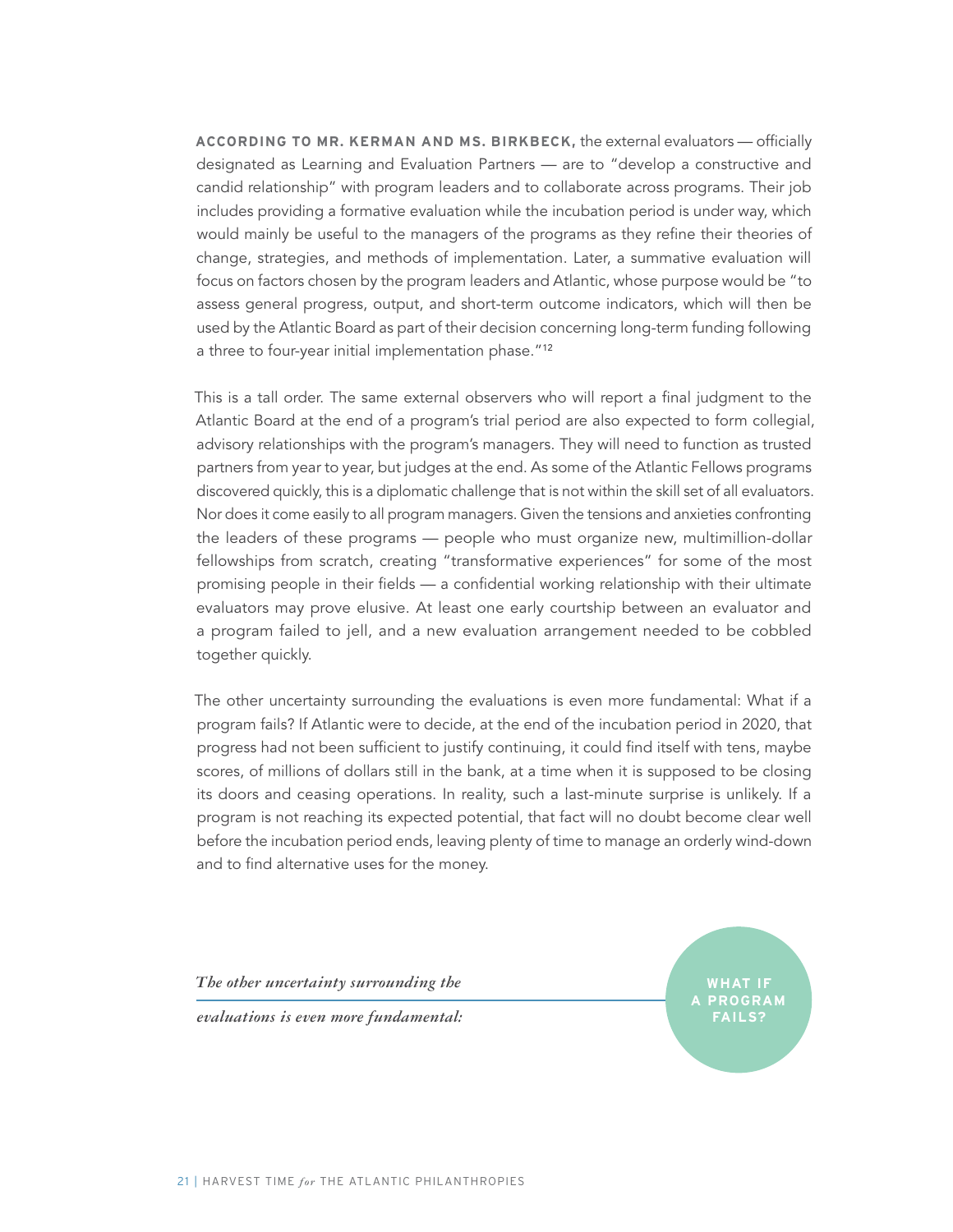**ACCORDING TO MR. KERMAN AND MS. BIRKBECK,** the external evaluators — officially designated as Learning and Evaluation Partners — are to "develop a constructive and candid relationship" with program leaders and to collaborate across programs. Their job includes providing a formative evaluation while the incubation period is under way, which would mainly be useful to the managers of the programs as they refine their theories of change, strategies, and methods of implementation. Later, a summative evaluation will focus on factors chosen by the program leaders and Atlantic, whose purpose would be "to assess general progress, output, and short-term outcome indicators, which will then be used by the Atlantic Board as part of their decision concerning long-term funding following a three to four-year initial implementation phase."<sup>12</sup>

This is a tall order. The same external observers who will report a final judgment to the Atlantic Board at the end of a program's trial period are also expected to form collegial, advisory relationships with the program's managers. They will need to function as trusted partners from year to year, but judges at the end. As some of the Atlantic Fellows programs discovered quickly, this is a diplomatic challenge that is not within the skill set of all evaluators. Nor does it come easily to all program managers. Given the tensions and anxieties confronting the leaders of these programs — people who must organize new, multimillion-dollar fellowships from scratch, creating "transformative experiences" for some of the most promising people in their fields — a confidential working relationship with their ultimate evaluators may prove elusive. At least one early courtship between an evaluator and a program failed to jell, and a new evaluation arrangement needed to be cobbled together quickly.

The other uncertainty surrounding the evaluations is even more fundamental: What if a program fails? If Atlantic were to decide, at the end of the incubation period in 2020, that progress had not been sufficient to justify continuing, it could find itself with tens, maybe scores, of millions of dollars still in the bank, at a time when it is supposed to be closing its doors and ceasing operations. In reality, such a last-minute surprise is unlikely. If a program is not reaching its expected potential, that fact will no doubt become clear well before the incubation period ends, leaving plenty of time to manage an orderly wind-down and to find alternative uses for the money.

*The other uncertainty surrounding the* 

*evaluations is even more fundamental:* 

**WHAT IF A PROGRAM FAILS?**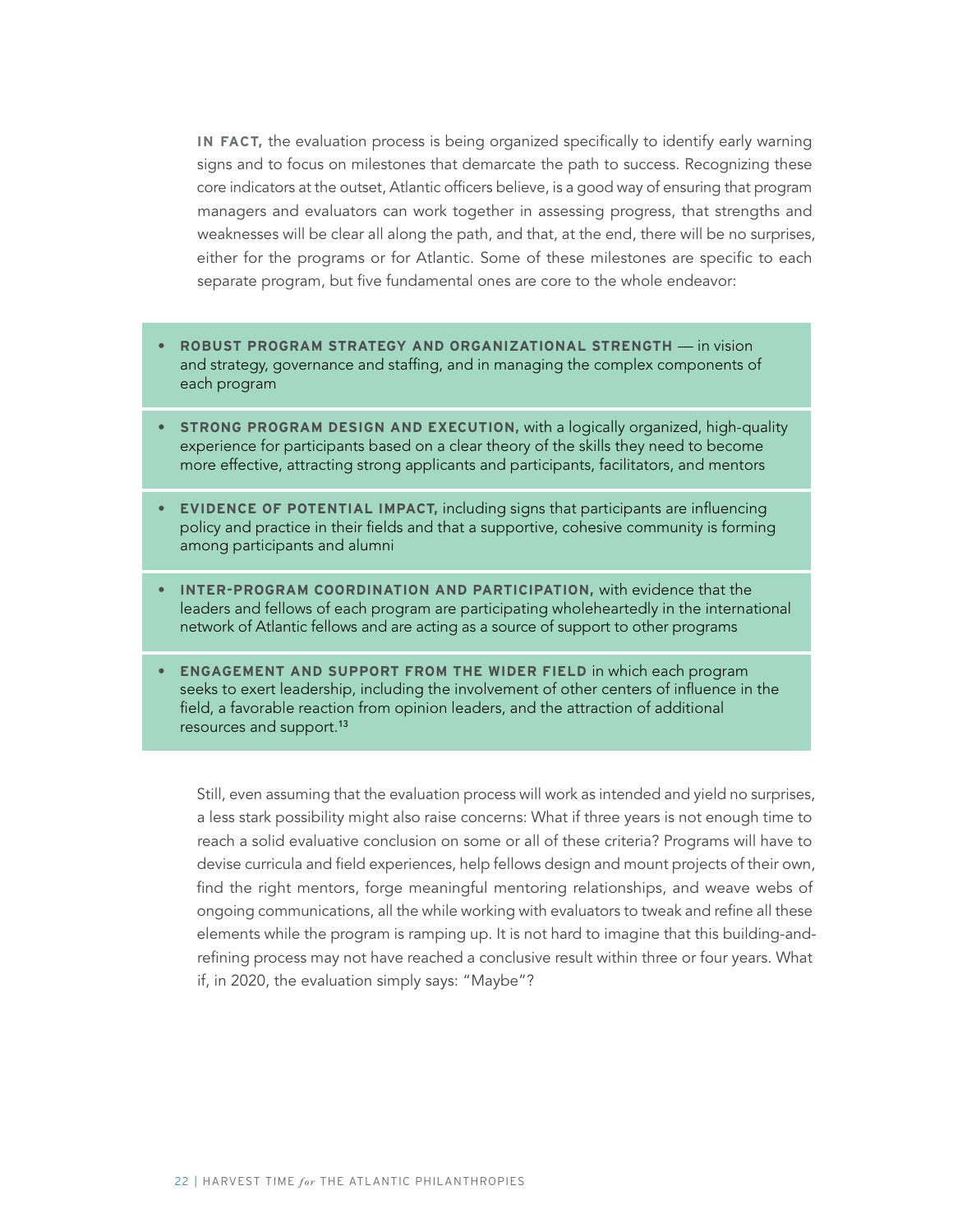**IN FACT,** the evaluation process is being organized specifically to identify early warning signs and to focus on milestones that demarcate the path to success. Recognizing these core indicators at the outset, Atlantic officers believe, is a good way of ensuring that program managers and evaluators can work together in assessing progress, that strengths and weaknesses will be clear all along the path, and that, at the end, there will be no surprises, either for the programs or for Atlantic. Some of these milestones are specific to each separate program, but five fundamental ones are core to the whole endeavor:

- **• ROBUST PROGRAM STRATEGY AND ORGANIZATIONAL STRENGTH** in vision and strategy, governance and staffing, and in managing the complex components of each program
- **• STRONG PROGRAM DESIGN AND EXECUTION,** with a logically organized, high-quality experience for participants based on a clear theory of the skills they need to become more effective, attracting strong applicants and participants, facilitators, and mentors
- **• EVIDENCE OF POTENTIAL IMPACT,** including signs that participants are influencing policy and practice in their fields and that a supportive, cohesive community is forming among participants and alumni
- **• INTER-PROGRAM COORDINATION AND PARTICIPATION,** with evidence that the leaders and fellows of each program are participating wholeheartedly in the international network of Atlantic fellows and are acting as a source of support to other programs
- **• ENGAGEMENT AND SUPPORT FROM THE WIDER FIELD** in which each program seeks to exert leadership, including the involvement of other centers of influence in the field, a favorable reaction from opinion leaders, and the attraction of additional resources and support.13

Still, even assuming that the evaluation process will work as intended and yield no surprises, a less stark possibility might also raise concerns: What if three years is not enough time to reach a solid evaluative conclusion on some or all of these criteria? Programs will have to devise curricula and field experiences, help fellows design and mount projects of their own, find the right mentors, forge meaningful mentoring relationships, and weave webs of ongoing communications, all the while working with evaluators to tweak and refine all these elements while the program is ramping up. It is not hard to imagine that this building-andrefining process may not have reached a conclusive result within three or four years. What if, in 2020, the evaluation simply says: "Maybe"?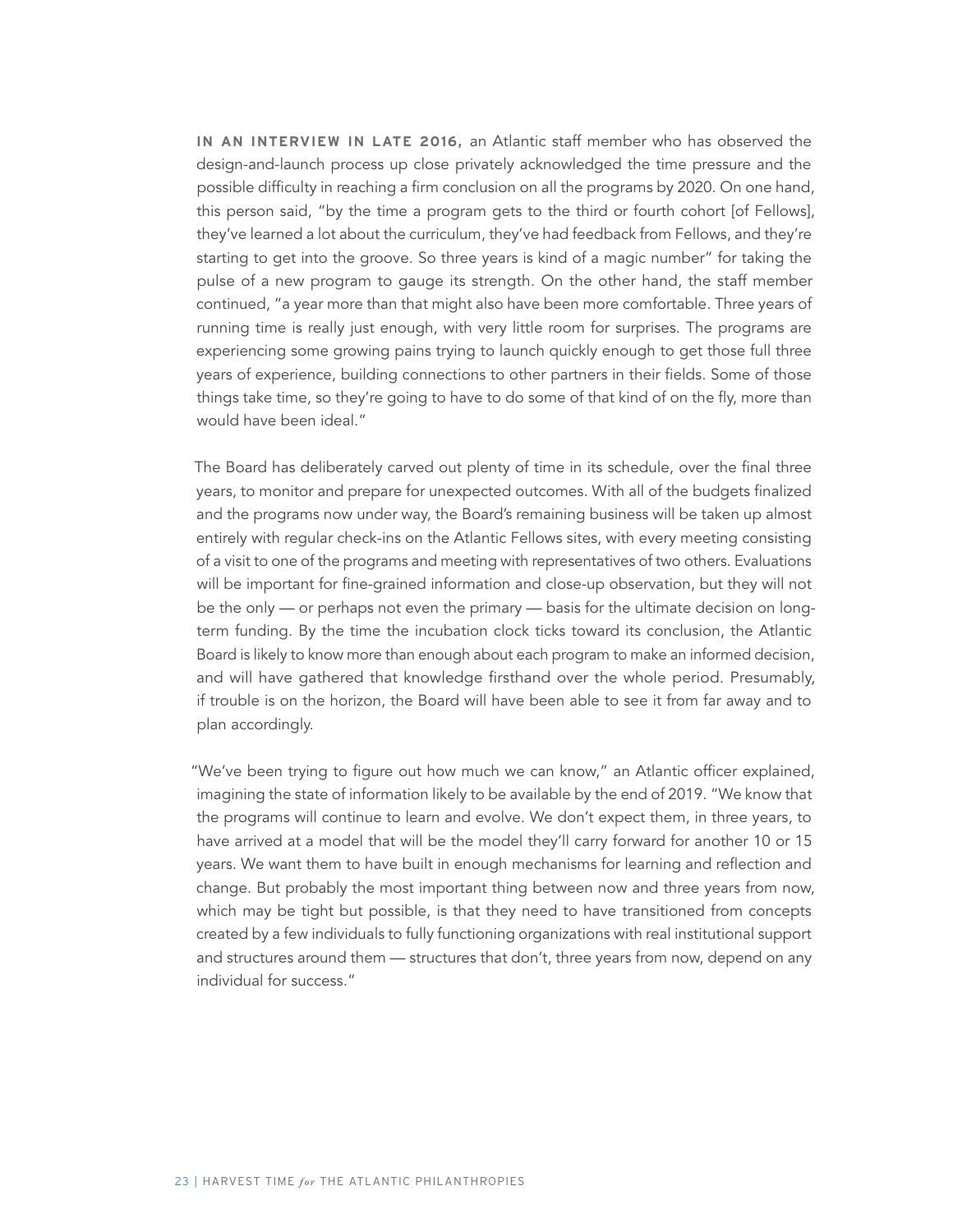**IN AN INTERVIEW IN LATE 2016,** an Atlantic staff member who has observed the design-and-launch process up close privately acknowledged the time pressure and the possible difficulty in reaching a firm conclusion on all the programs by 2020. On one hand, this person said, "by the time a program gets to the third or fourth cohort [of Fellows], they've learned a lot about the curriculum, they've had feedback from Fellows, and they're starting to get into the groove. So three years is kind of a magic number" for taking the pulse of a new program to gauge its strength. On the other hand, the staff member continued, "a year more than that might also have been more comfortable. Three years of running time is really just enough, with very little room for surprises. The programs are experiencing some growing pains trying to launch quickly enough to get those full three years of experience, building connections to other partners in their fields. Some of those things take time, so they're going to have to do some of that kind of on the fly, more than would have been ideal."

The Board has deliberately carved out plenty of time in its schedule, over the final three years, to monitor and prepare for unexpected outcomes. With all of the budgets finalized and the programs now under way, the Board's remaining business will be taken up almost entirely with regular check-ins on the Atlantic Fellows sites, with every meeting consisting of a visit to one of the programs and meeting with representatives of two others. Evaluations will be important for fine-grained information and close-up observation, but they will not be the only — or perhaps not even the primary — basis for the ultimate decision on longterm funding. By the time the incubation clock ticks toward its conclusion, the Atlantic Board is likely to know more than enough about each program to make an informed decision, and will have gathered that knowledge firsthand over the whole period. Presumably, if trouble is on the horizon, the Board will have been able to see it from far away and to plan accordingly.

"We've been trying to figure out how much we can know," an Atlantic officer explained, imagining the state of information likely to be available by the end of 2019. "We know that the programs will continue to learn and evolve. We don't expect them, in three years, to have arrived at a model that will be the model they'll carry forward for another 10 or 15 years. We want them to have built in enough mechanisms for learning and reflection and change. But probably the most important thing between now and three years from now, which may be tight but possible, is that they need to have transitioned from concepts created by a few individuals to fully functioning organizations with real institutional support and structures around them — structures that don't, three years from now, depend on any individual for success."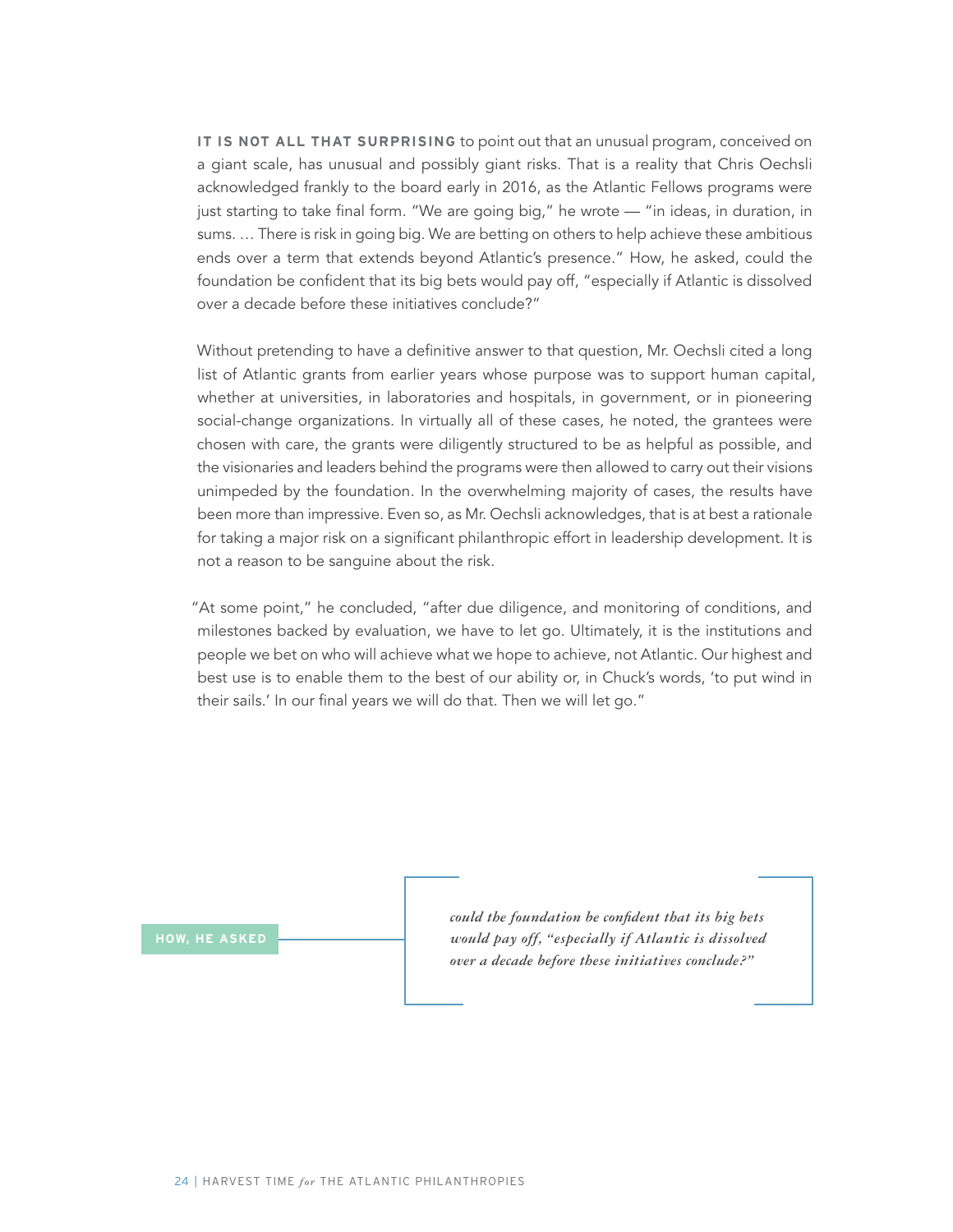**IT IS NOT ALL THAT SURPRISING** to point out that an unusual program, conceived on a giant scale, has unusual and possibly giant risks. That is a reality that Chris Oechsli acknowledged frankly to the board early in 2016, as the Atlantic Fellows programs were just starting to take final form. "We are going big," he wrote — "in ideas, in duration, in sums. … There is risk in going big. We are betting on others to help achieve these ambitious ends over a term that extends beyond Atlantic's presence." How, he asked, could the foundation be confident that its big bets would pay off, "especially if Atlantic is dissolved over a decade before these initiatives conclude?"

Without pretending to have a definitive answer to that question, Mr. Oechsli cited a long list of Atlantic grants from earlier years whose purpose was to support human capital, whether at universities, in laboratories and hospitals, in government, or in pioneering social-change organizations. In virtually all of these cases, he noted, the grantees were chosen with care, the grants were diligently structured to be as helpful as possible, and the visionaries and leaders behind the programs were then allowed to carry out their visions unimpeded by the foundation. In the overwhelming majority of cases, the results have been more than impressive. Even so, as Mr. Oechsli acknowledges, that is at best a rationale for taking a major risk on a significant philanthropic effort in leadership development. It is not a reason to be sanguine about the risk.

"At some point," he concluded, "after due diligence, and monitoring of conditions, and milestones backed by evaluation, we have to let go. Ultimately, it is the institutions and people we bet on who will achieve what we hope to achieve, not Atlantic. Our highest and best use is to enable them to the best of our ability or, in Chuck's words, 'to put wind in their sails.' In our final years we will do that. Then we will let go."

**HOW, HE ASKED**

*could the foundation be confident that its big bets would pay off, "especially if Atlantic is dissolved over a decade before these initiatives conclude?"*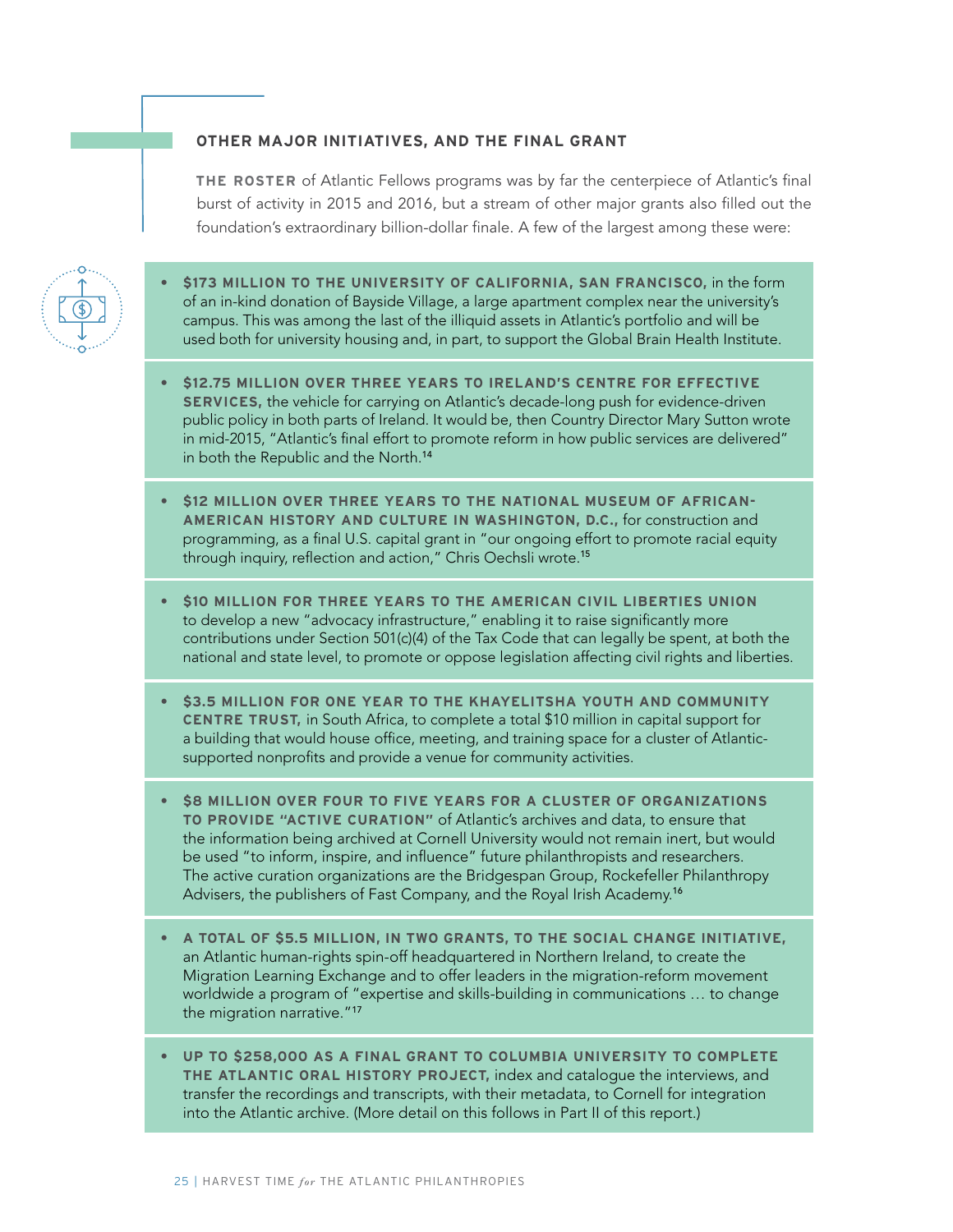#### **OTHER MAJOR INITIATIVES, AND THE FINAL GRANT**

**THE ROSTER** of Atlantic Fellows programs was by far the centerpiece of Atlantic's final burst of activity in 2015 and 2016, but a stream of other major grants also filled out the foundation's extraordinary billion-dollar finale. A few of the largest among these were:



- **• \$173 MILLION TO THE UNIVERSITY OF CALIFORNIA, SAN FRANCISCO,** in the form of an in-kind donation of Bayside Village, a large apartment complex near the university's campus. This was among the last of the illiquid assets in Atlantic's portfolio and will be used both for university housing and, in part, to support the Global Brain Health Institute.
- **• \$12.75 MILLION OVER THREE YEARS TO IRELAND'S CENTRE FOR EFFECTIVE SERVICES,** the vehicle for carrying on Atlantic's decade-long push for evidence-driven public policy in both parts of Ireland. It would be, then Country Director Mary Sutton wrote in mid-2015, "Atlantic's final effort to promote reform in how public services are delivered" in both the Republic and the North.<sup>14</sup>
- **• \$12 MILLION OVER THREE YEARS TO THE NATIONAL MUSEUM OF AFRICAN-AMERICAN HISTORY AND CULTURE IN WASHINGTON, D.C.,** for construction and programming, as a final U.S. capital grant in "our ongoing effort to promote racial equity through inquiry, reflection and action," Chris Oechsli wrote.<sup>15</sup>
- **• \$10 MILLION FOR THREE YEARS TO THE AMERICAN CIVIL LIBERTIES UNION** to develop a new "advocacy infrastructure," enabling it to raise significantly more contributions under Section 501(c)(4) of the Tax Code that can legally be spent, at both the national and state level, to promote or oppose legislation affecting civil rights and liberties.
- **• \$3.5 MILLION FOR ONE YEAR TO THE KHAYELITSHA YOUTH AND COMMUNITY CENTRE TRUST,** in South Africa, to complete a total \$10 million in capital support for a building that would house office, meeting, and training space for a cluster of Atlanticsupported nonprofits and provide a venue for community activities.
- **• \$8 MILLION OVER FOUR TO FIVE YEARS FOR A CLUSTER OF ORGANIZATIONS TO PROVIDE "ACTIVE CURATION"** of Atlantic's archives and data, to ensure that the information being archived at Cornell University would not remain inert, but would be used "to inform, inspire, and influence" future philanthropists and researchers. The active curation organizations are the Bridgespan Group, Rockefeller Philanthropy Advisers, the publishers of Fast Company, and the Royal Irish Academy.<sup>16</sup>
- **• A TOTAL OF \$5.5 MILLION, IN TWO GRANTS, TO THE SOCIAL CHANGE INITIATIVE,**  an Atlantic human-rights spin-off headquartered in Northern Ireland, to create the Migration Learning Exchange and to offer leaders in the migration-reform movement worldwide a program of "expertise and skills-building in communications … to change the migration narrative."<sup>17</sup>
- **• UP TO \$258,000 AS A FINAL GRANT TO COLUMBIA UNIVERSITY TO COMPLETE THE ATLANTIC ORAL HISTORY PROJECT,** index and catalogue the interviews, and transfer the recordings and transcripts, with their metadata, to Cornell for integration into the Atlantic archive. (More detail on this follows in Part II of this report.)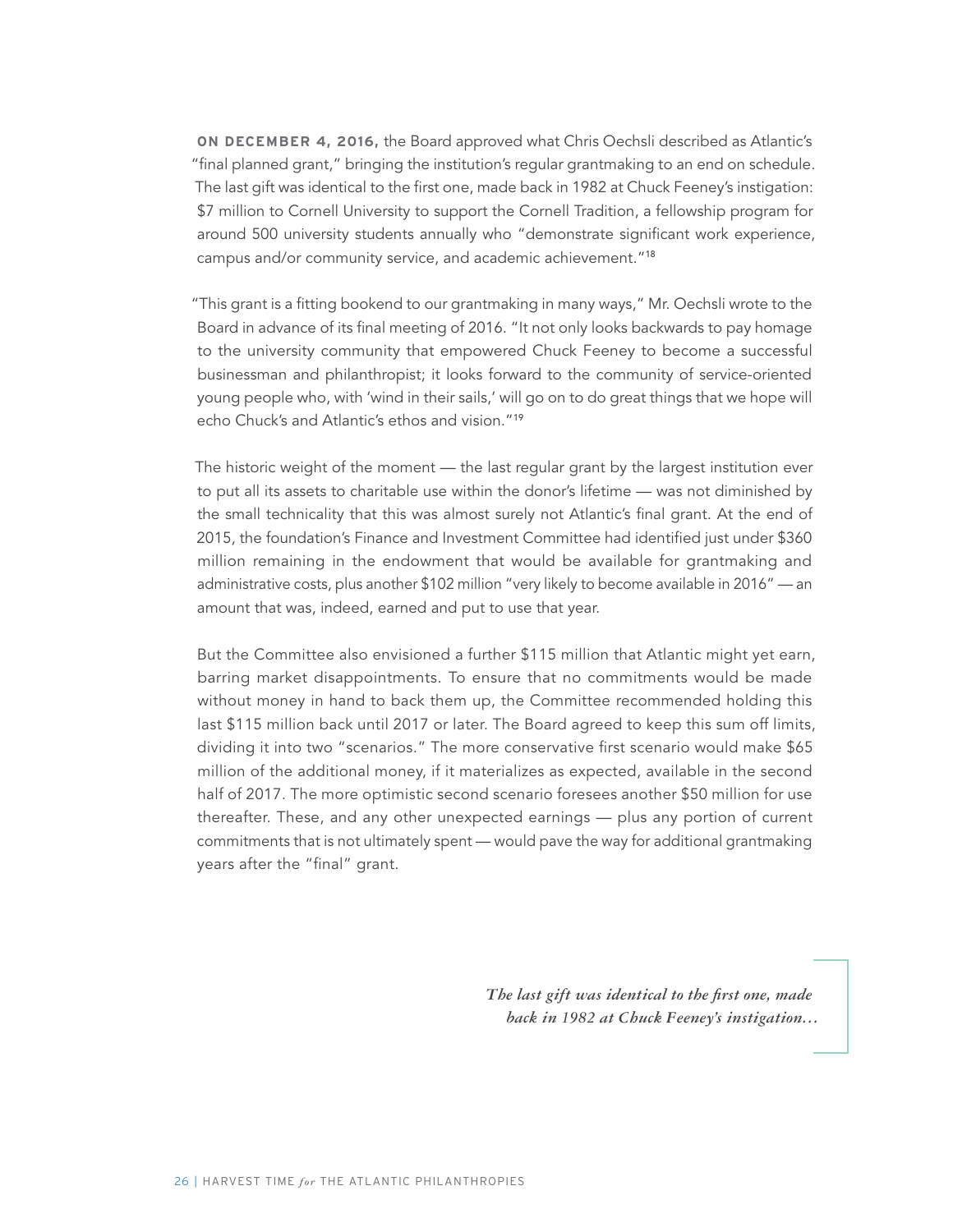**ON DECEMBER 4, 2016,** the Board approved what Chris Oechsli described as Atlantic's "final planned grant," bringing the institution's regular grantmaking to an end on schedule. The last gift was identical to the first one, made back in 1982 at Chuck Feeney's instigation: \$7 million to Cornell University to support the Cornell Tradition, a fellowship program for around 500 university students annually who "demonstrate significant work experience, campus and/or community service, and academic achievement."<sup>18</sup>

"This grant is a fitting bookend to our grantmaking in many ways," Mr. Oechsli wrote to the Board in advance of its final meeting of 2016. "It not only looks backwards to pay homage to the university community that empowered Chuck Feeney to become a successful businessman and philanthropist; it looks forward to the community of service-oriented young people who, with 'wind in their sails,' will go on to do great things that we hope will echo Chuck's and Atlantic's ethos and vision."<sup>19</sup>

The historic weight of the moment — the last regular grant by the largest institution ever to put all its assets to charitable use within the donor's lifetime — was not diminished by the small technicality that this was almost surely not Atlantic's final grant. At the end of 2015, the foundation's Finance and Investment Committee had identified just under \$360 million remaining in the endowment that would be available for grantmaking and administrative costs, plus another \$102 million "very likely to become available in 2016" — an amount that was, indeed, earned and put to use that year.

But the Committee also envisioned a further \$115 million that Atlantic might yet earn, barring market disappointments. To ensure that no commitments would be made without money in hand to back them up, the Committee recommended holding this last \$115 million back until 2017 or later. The Board agreed to keep this sum off limits, dividing it into two "scenarios." The more conservative first scenario would make \$65 million of the additional money, if it materializes as expected, available in the second half of 2017. The more optimistic second scenario foresees another \$50 million for use thereafter. These, and any other unexpected earnings — plus any portion of current commitments that is not ultimately spent — would pave the way for additional grantmaking years after the "final" grant.

> *The last gift was identical to the first one, made back in 1982 at Chuck Feeney's instigation…*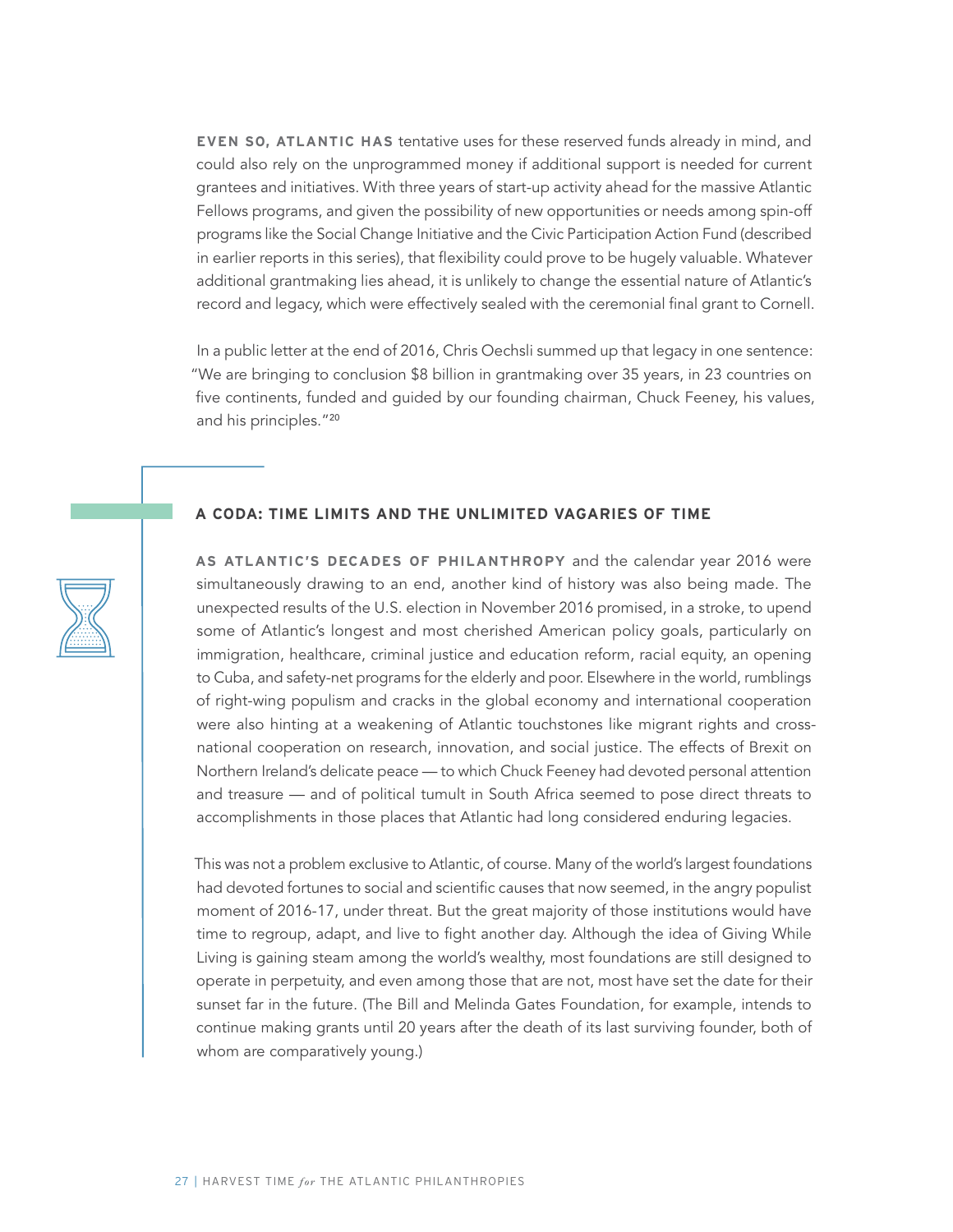**EVEN SO, ATLANTIC HAS** tentative uses for these reserved funds already in mind, and could also rely on the unprogrammed money if additional support is needed for current grantees and initiatives. With three years of start-up activity ahead for the massive Atlantic Fellows programs, and given the possibility of new opportunities or needs among spin-off programs like the Social Change Initiative and the Civic Participation Action Fund (described in earlier reports in this series), that flexibility could prove to be hugely valuable. Whatever additional grantmaking lies ahead, it is unlikely to change the essential nature of Atlantic's record and legacy, which were effectively sealed with the ceremonial final grant to Cornell.

In a public letter at the end of 2016, Chris Oechsli summed up that legacy in one sentence: "We are bringing to conclusion \$8 billion in grantmaking over 35 years, in 23 countries on five continents, funded and guided by our founding chairman, Chuck Feeney, his values, and his principles."<sup>20</sup>

#### **A CODA: TIME LIMITS AND THE UNLIMITED VAGARIES OF TIME**

**AS ATLANTIC'S DECADES OF PHILANTHROPY** and the calendar year 2016 were simultaneously drawing to an end, another kind of history was also being made. The unexpected results of the U.S. election in November 2016 promised, in a stroke, to upend some of Atlantic's longest and most cherished American policy goals, particularly on immigration, healthcare, criminal justice and education reform, racial equity, an opening to Cuba, and safety-net programs for the elderly and poor. Elsewhere in the world, rumblings of right-wing populism and cracks in the global economy and international cooperation were also hinting at a weakening of Atlantic touchstones like migrant rights and crossnational cooperation on research, innovation, and social justice. The effects of Brexit on Northern Ireland's delicate peace — to which Chuck Feeney had devoted personal attention and treasure — and of political tumult in South Africa seemed to pose direct threats to accomplishments in those places that Atlantic had long considered enduring legacies.

This was not a problem exclusive to Atlantic, of course. Many of the world's largest foundations had devoted fortunes to social and scientific causes that now seemed, in the angry populist moment of 2016-17, under threat. But the great majority of those institutions would have time to regroup, adapt, and live to fight another day. Although the idea of Giving While Living is gaining steam among the world's wealthy, most foundations are still designed to operate in perpetuity, and even among those that are not, most have set the date for their sunset far in the future. (The Bill and Melinda Gates Foundation, for example, intends to continue making grants until 20 years after the death of its last surviving founder, both of whom are comparatively young.)

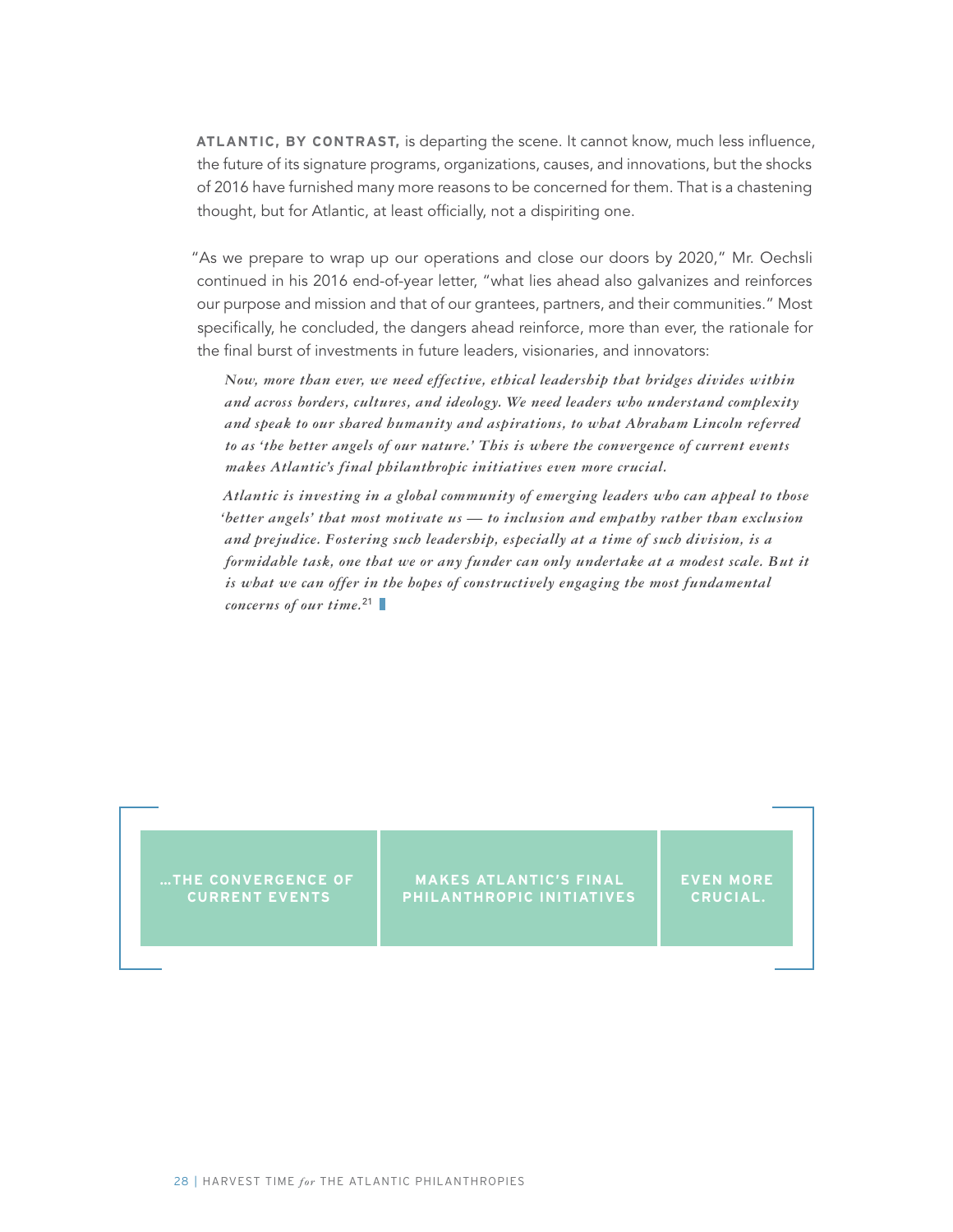**ATLANTIC, BY CONTRAST,** is departing the scene. It cannot know, much less influence, the future of its signature programs, organizations, causes, and innovations, but the shocks of 2016 have furnished many more reasons to be concerned for them. That is a chastening thought, but for Atlantic, at least officially, not a dispiriting one.

"As we prepare to wrap up our operations and close our doors by 2020," Mr. Oechsli continued in his 2016 end-of-year letter, "what lies ahead also galvanizes and reinforces our purpose and mission and that of our grantees, partners, and their communities." Most specifically, he concluded, the dangers ahead reinforce, more than ever, the rationale for the final burst of investments in future leaders, visionaries, and innovators:

*Now, more than ever, we need effective, ethical leadership that bridges divides within and across borders, cultures, and ideology. We need leaders who understand complexity and speak to our shared humanity and aspirations, to what Abraham Lincoln referred to as 'the better angels of our nature.' This is where the convergence of current events makes Atlantic's final philanthropic initiatives even more crucial.*

*Atlantic is investing in a global community of emerging leaders who can appeal to those 'better angels' that most motivate us — to inclusion and empathy rather than exclusion and prejudice. Fostering such leadership, especially at a time of such division, is a formidable task, one that we or any funder can only undertake at a modest scale. But it is what we can offer in the hopes of constructively engaging the most fundamental concerns of our time.*<sup>21</sup>

**…THE CONVERGENCE OF CURRENT EVENTS**

**MAKES ATLANTIC'S FINAL PHILANTHROPIC INITIATIVES**

**EVEN MORE CRUCIAL.**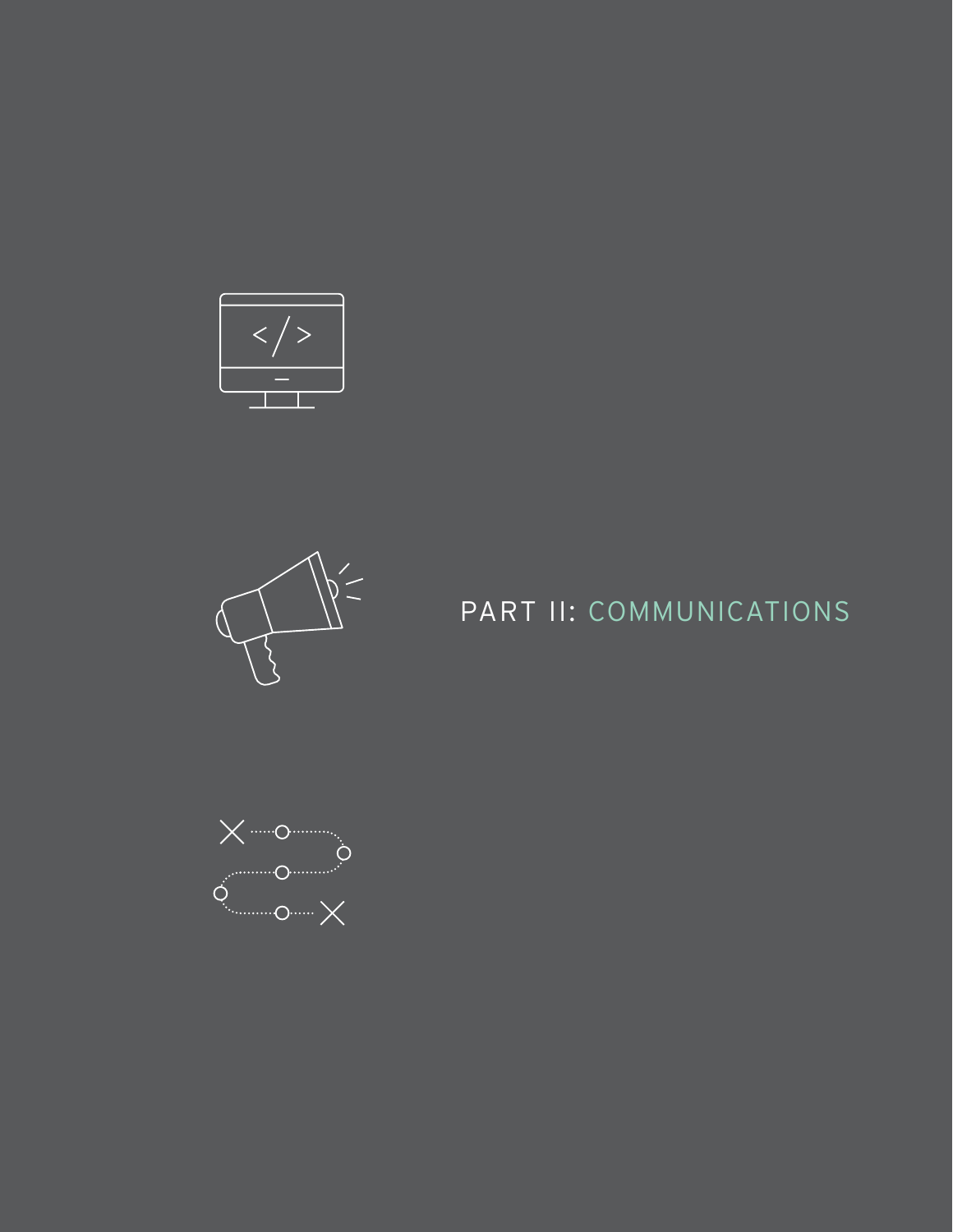



# PART II: COMMUNICATIONS

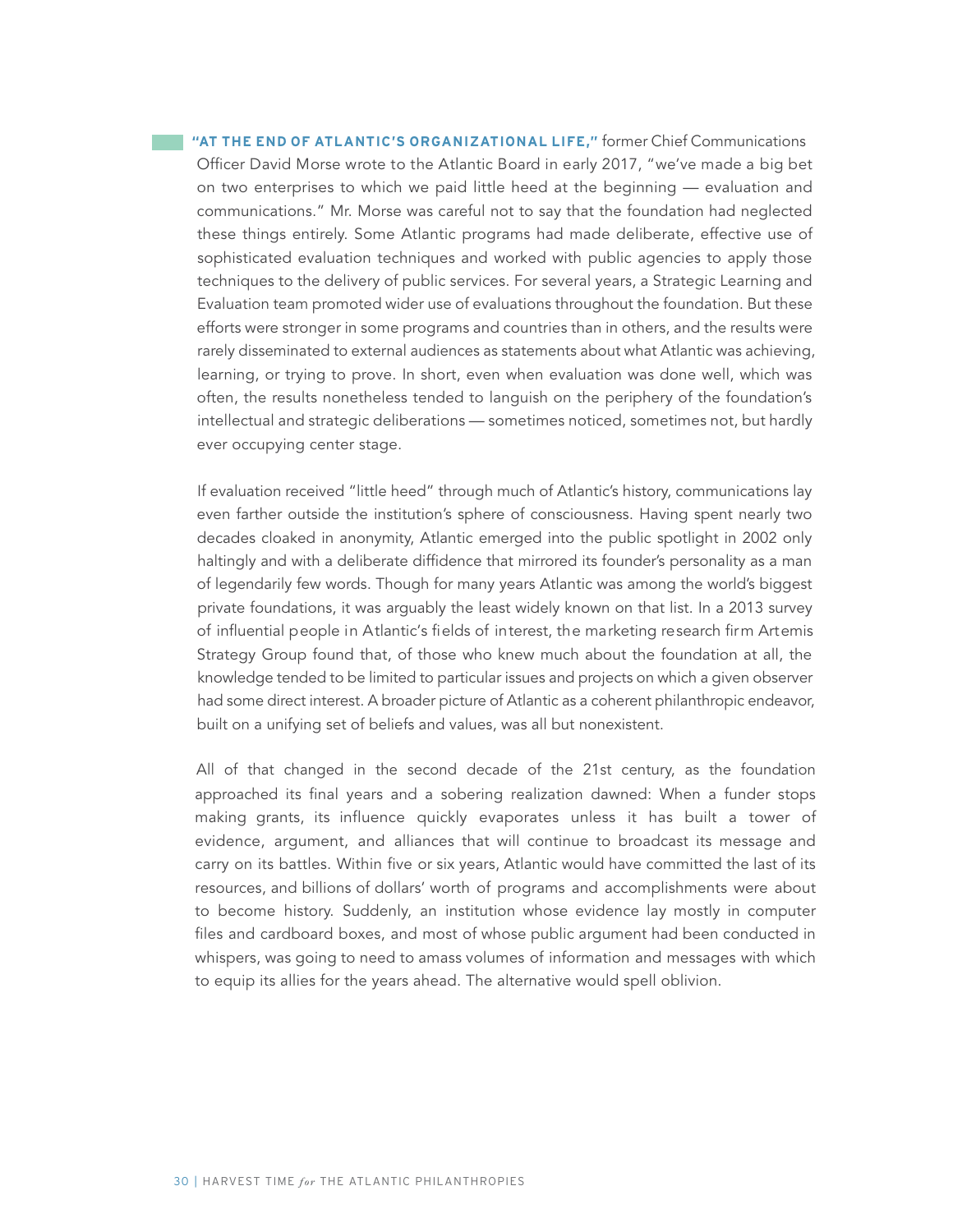**"AT THE END OF ATLANTIC'S ORGANIZATIONAL LIFE,"** former Chief Communications Officer David Morse wrote to the Atlantic Board in early 2017, "we've made a big bet on two enterprises to which we paid little heed at the beginning — evaluation and communications." Mr. Morse was careful not to say that the foundation had neglected these things entirely. Some Atlantic programs had made deliberate, effective use of sophisticated evaluation techniques and worked with public agencies to apply those techniques to the delivery of public services. For several years, a Strategic Learning and Evaluation team promoted wider use of evaluations throughout the foundation. But these efforts were stronger in some programs and countries than in others, and the results were rarely disseminated to external audiences as statements about what Atlantic was achieving, learning, or trying to prove. In short, even when evaluation was done well, which was often, the results nonetheless tended to languish on the periphery of the foundation's intellectual and strategic deliberations — sometimes noticed, sometimes not, but hardly ever occupying center stage.

If evaluation received "little heed" through much of Atlantic's history, communications lay even farther outside the institution's sphere of consciousness. Having spent nearly two decades cloaked in anonymity, Atlantic emerged into the public spotlight in 2002 only haltingly and with a deliberate diffidence that mirrored its founder's personality as a man of legendarily few words. Though for many years Atlantic was among the world's biggest private foundations, it was arguably the least widely known on that list. In a 2013 survey of influential people in Atlantic's fields of interest, the marketing research firm Artemis Strategy Group found that, of those who knew much about the foundation at all, the knowledge tended to be limited to particular issues and projects on which a given observer had some direct interest. A broader picture of Atlantic as a coherent philanthropic endeavor, built on a unifying set of beliefs and values, was all but nonexistent.

All of that changed in the second decade of the 21st century, as the foundation approached its final years and a sobering realization dawned: When a funder stops making grants, its influence quickly evaporates unless it has built a tower of evidence, argument, and alliances that will continue to broadcast its message and carry on its battles. Within five or six years, Atlantic would have committed the last of its resources, and billions of dollars' worth of programs and accomplishments were about to become history. Suddenly, an institution whose evidence lay mostly in computer files and cardboard boxes, and most of whose public argument had been conducted in whispers, was going to need to amass volumes of information and messages with which to equip its allies for the years ahead. The alternative would spell oblivion.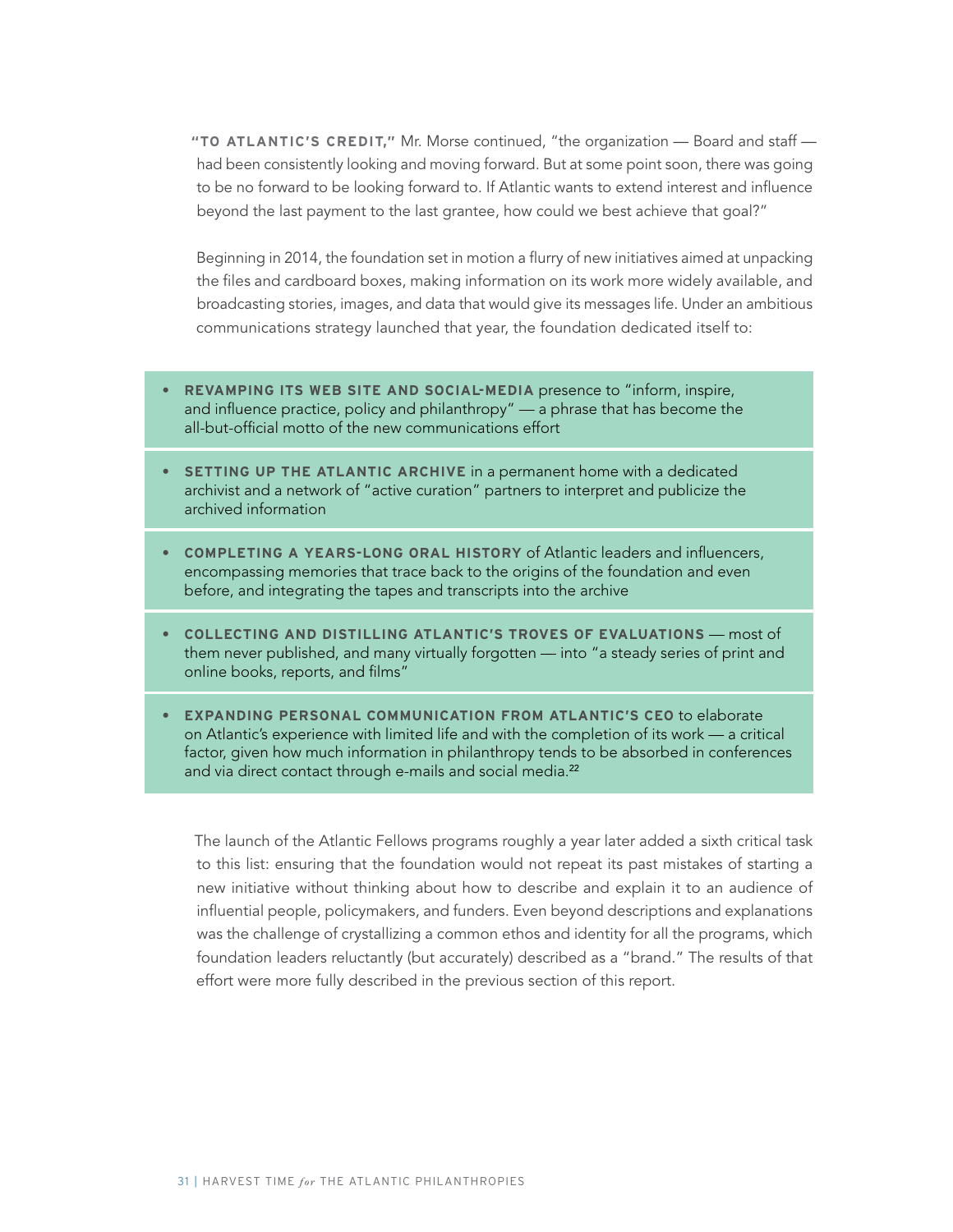**"TO ATLANTIC'S CREDIT,"** Mr. Morse continued, "the organization — Board and staff had been consistently looking and moving forward. But at some point soon, there was going to be no forward to be looking forward to. If Atlantic wants to extend interest and influence beyond the last payment to the last grantee, how could we best achieve that goal?"

Beginning in 2014, the foundation set in motion a flurry of new initiatives aimed at unpacking the files and cardboard boxes, making information on its work more widely available, and broadcasting stories, images, and data that would give its messages life. Under an ambitious communications strategy launched that year, the foundation dedicated itself to:

- **• REVAMPING ITS WEB SITE AND SOCIAL-MEDIA** presence to "inform, inspire, and influence practice, policy and philanthropy" — a phrase that has become the all-but-official motto of the new communications effort
- **• SETTING UP THE ATLANTIC ARCHIVE** in a permanent home with a dedicated archivist and a network of "active curation" partners to interpret and publicize the archived information
- **• COMPLETING A YEARS-LONG ORAL HISTORY** of Atlantic leaders and influencers, encompassing memories that trace back to the origins of the foundation and even before, and integrating the tapes and transcripts into the archive
- **• COLLECTING AND DISTILLING ATLANTIC'S TROVES OF EVALUATIONS** most of them never published, and many virtually forgotten — into "a steady series of print and online books, reports, and films"
- **• EXPANDING PERSONAL COMMUNICATION FROM ATLANTIC'S CEO** to elaborate on Atlantic's experience with limited life and with the completion of its work — a critical factor, given how much information in philanthropy tends to be absorbed in conferences and via direct contact through e-mails and social media.<sup>22</sup>

The launch of the Atlantic Fellows programs roughly a year later added a sixth critical task to this list: ensuring that the foundation would not repeat its past mistakes of starting a new initiative without thinking about how to describe and explain it to an audience of influential people, policymakers, and funders. Even beyond descriptions and explanations was the challenge of crystallizing a common ethos and identity for all the programs, which foundation leaders reluctantly (but accurately) described as a "brand." The results of that effort were more fully described in the previous section of this report.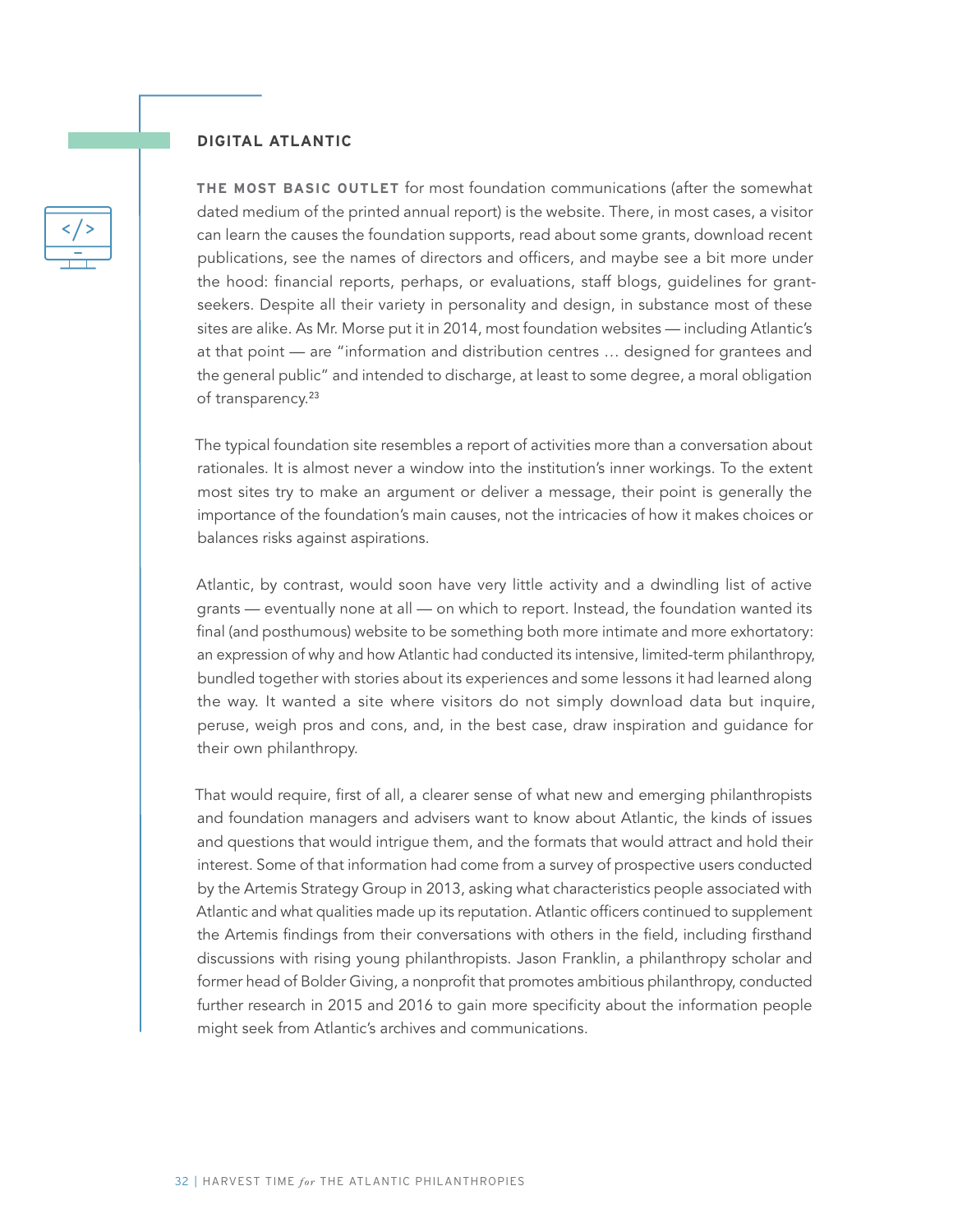#### **DIGITAL ATLANTIC**

**THE MOST BASIC OUTLET** for most foundation communications (after the somewhat dated medium of the printed annual report) is the website. There, in most cases, a visitor can learn the causes the foundation supports, read about some grants, download recent publications, see the names of directors and officers, and maybe see a bit more under the hood: financial reports, perhaps, or evaluations, staff blogs, guidelines for grantseekers. Despite all their variety in personality and design, in substance most of these sites are alike. As Mr. Morse put it in 2014, most foundation websites — including Atlantic's at that point — are "information and distribution centres … designed for grantees and the general public" and intended to discharge, at least to some degree, a moral obligation of transparency.<sup>23</sup>

The typical foundation site resembles a report of activities more than a conversation about rationales. It is almost never a window into the institution's inner workings. To the extent most sites try to make an argument or deliver a message, their point is generally the importance of the foundation's main causes, not the intricacies of how it makes choices or balances risks against aspirations.

Atlantic, by contrast, would soon have very little activity and a dwindling list of active grants — eventually none at all — on which to report. Instead, the foundation wanted its final (and posthumous) website to be something both more intimate and more exhortatory: an expression of why and how Atlantic had conducted its intensive, limited-term philanthropy, bundled together with stories about its experiences and some lessons it had learned along the way. It wanted a site where visitors do not simply download data but inquire, peruse, weigh pros and cons, and, in the best case, draw inspiration and guidance for their own philanthropy.

That would require, first of all, a clearer sense of what new and emerging philanthropists and foundation managers and advisers want to know about Atlantic, the kinds of issues and questions that would intrigue them, and the formats that would attract and hold their interest. Some of that information had come from a survey of prospective users conducted by the Artemis Strategy Group in 2013, asking what characteristics people associated with Atlantic and what qualities made up its reputation. Atlantic officers continued to supplement the Artemis findings from their conversations with others in the field, including firsthand discussions with rising young philanthropists. Jason Franklin, a philanthropy scholar and former head of Bolder Giving, a nonprofit that promotes ambitious philanthropy, conducted further research in 2015 and 2016 to gain more specificity about the information people might seek from Atlantic's archives and communications.

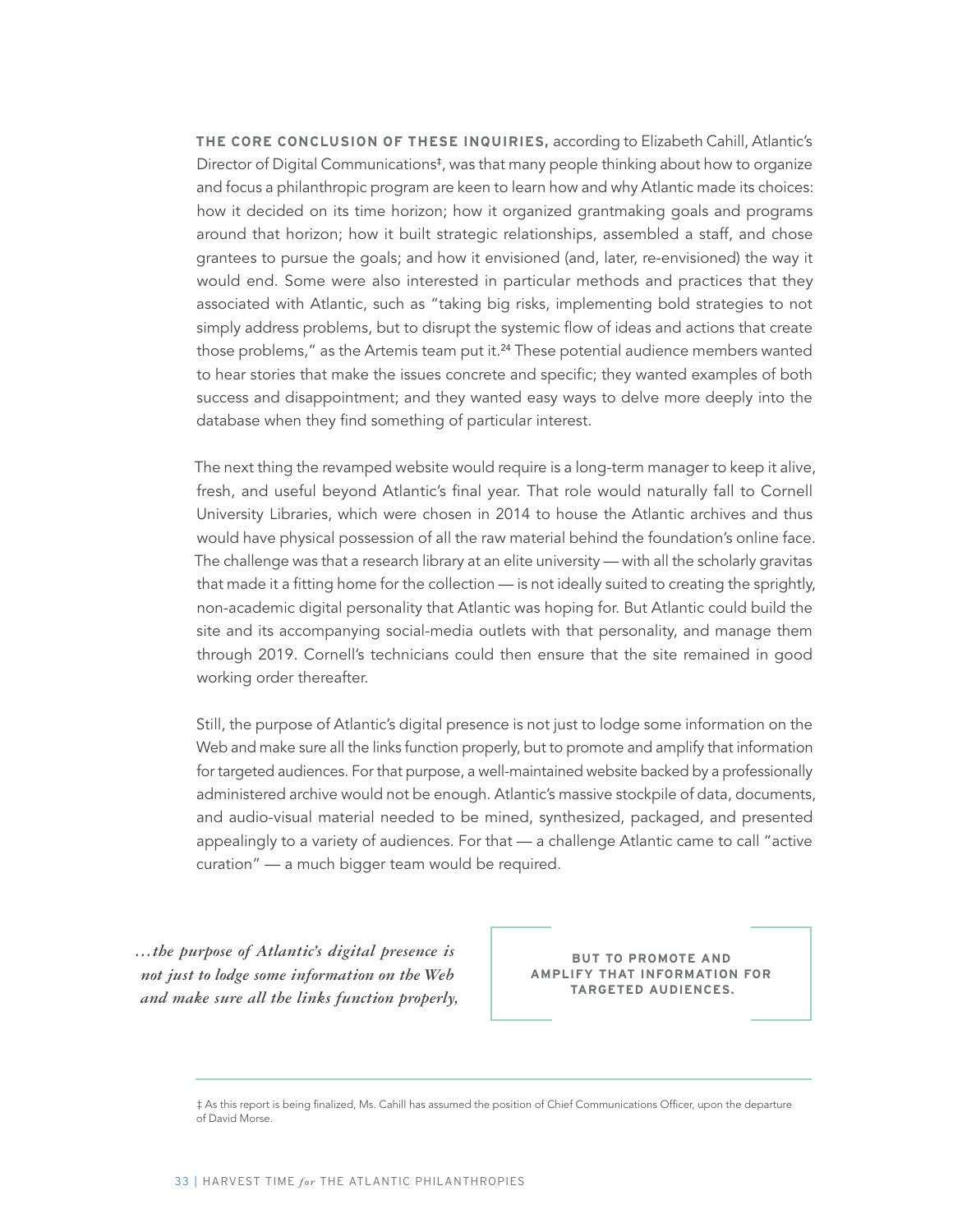**THE CORE CONCLUSION OF THESE INQUIRIES,** according to Elizabeth Cahill, Atlantic's Director of Digital Communications<sup>‡</sup>, was that many people thinking about how to organize and focus a philanthropic program are keen to learn how and why Atlantic made its choices: how it decided on its time horizon; how it organized grantmaking goals and programs around that horizon; how it built strategic relationships, assembled a staff, and chose grantees to pursue the goals; and how it envisioned (and, later, re-envisioned) the way it would end. Some were also interested in particular methods and practices that they associated with Atlantic, such as "taking big risks, implementing bold strategies to not simply address problems, but to disrupt the systemic flow of ideas and actions that create those problems," as the Artemis team put it.<sup>24</sup> These potential audience members wanted to hear stories that make the issues concrete and specific; they wanted examples of both success and disappointment; and they wanted easy ways to delve more deeply into the database when they find something of particular interest.

The next thing the revamped website would require is a long-term manager to keep it alive, fresh, and useful beyond Atlantic's final year. That role would naturally fall to Cornell University Libraries, which were chosen in 2014 to house the Atlantic archives and thus would have physical possession of all the raw material behind the foundation's online face. The challenge was that a research library at an elite university — with all the scholarly gravitas that made it a fitting home for the collection — is not ideally suited to creating the sprightly, non-academic digital personality that Atlantic was hoping for. But Atlantic could build the site and its accompanying social-media outlets with that personality, and manage them through 2019. Cornell's technicians could then ensure that the site remained in good working order thereafter.

Still, the purpose of Atlantic's digital presence is not just to lodge some information on the Web and make sure all the links function properly, but to promote and amplify that information for targeted audiences. For that purpose, a well-maintained website backed by a professionally administered archive would not be enough. Atlantic's massive stockpile of data, documents, and audio-visual material needed to be mined, synthesized, packaged, and presented appealingly to a variety of audiences. For that — a challenge Atlantic came to call "active curation" — a much bigger team would be required.

*…the purpose of Atlantic's digital presence is not just to lodge some information on the Web and make sure all the links function properly,* 

**BUT TO PROMOTE AND AMPLIFY THAT INFORMATION FOR TARGETED AUDIENCES.**

<sup>‡</sup> As this report is being finalized, Ms. Cahill has assumed the position of Chief Communications Officer, upon the departure of David Morse.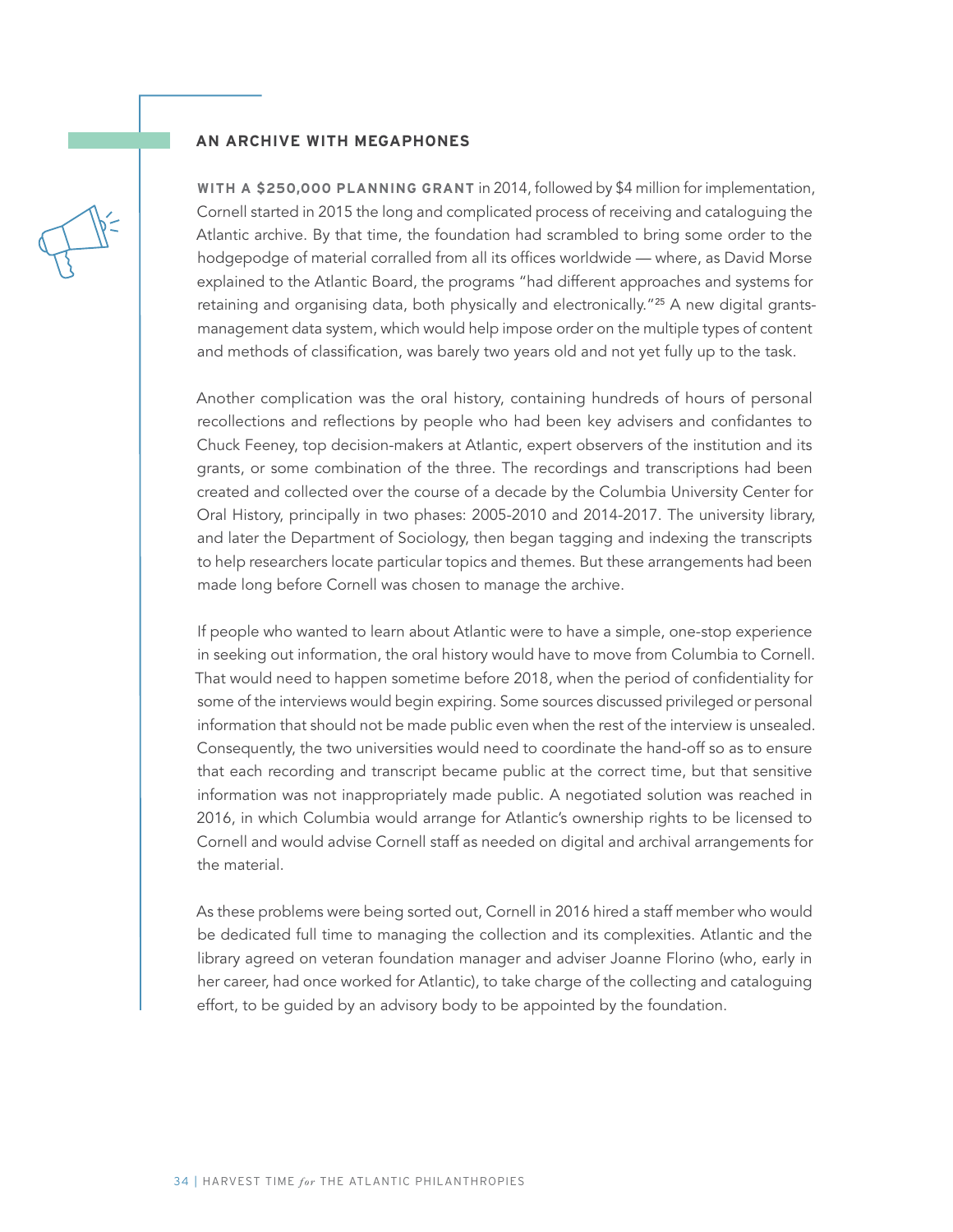#### **AN ARCHIVE WITH MEGAPHONES**

**WITH A \$250,000 PLANNING GRANT** in 2014, followed by \$4 million for implementation, Cornell started in 2015 the long and complicated process of receiving and cataloguing the Atlantic archive. By that time, the foundation had scrambled to bring some order to the hodgepodge of material corralled from all its offices worldwide — where, as David Morse explained to the Atlantic Board, the programs "had different approaches and systems for retaining and organising data, both physically and electronically."25 A new digital grantsmanagement data system, which would help impose order on the multiple types of content and methods of classification, was barely two years old and not yet fully up to the task.

Another complication was the oral history, containing hundreds of hours of personal recollections and reflections by people who had been key advisers and confidantes to Chuck Feeney, top decision-makers at Atlantic, expert observers of the institution and its grants, or some combination of the three. The recordings and transcriptions had been created and collected over the course of a decade by the Columbia University Center for Oral History, principally in two phases: 2005-2010 and 2014-2017. The university library, and later the Department of Sociology, then began tagging and indexing the transcripts to help researchers locate particular topics and themes. But these arrangements had been made long before Cornell was chosen to manage the archive.

If people who wanted to learn about Atlantic were to have a simple, one-stop experience in seeking out information, the oral history would have to move from Columbia to Cornell. That would need to happen sometime before 2018, when the period of confidentiality for some of the interviews would begin expiring. Some sources discussed privileged or personal information that should not be made public even when the rest of the interview is unsealed. Consequently, the two universities would need to coordinate the hand-off so as to ensure that each recording and transcript became public at the correct time, but that sensitive information was not inappropriately made public. A negotiated solution was reached in 2016, in which Columbia would arrange for Atlantic's ownership rights to be licensed to Cornell and would advise Cornell staff as needed on digital and archival arrangements for the material.

As these problems were being sorted out, Cornell in 2016 hired a staff member who would be dedicated full time to managing the collection and its complexities. Atlantic and the library agreed on veteran foundation manager and adviser Joanne Florino (who, early in her career, had once worked for Atlantic), to take charge of the collecting and cataloguing effort, to be guided by an advisory body to be appointed by the foundation.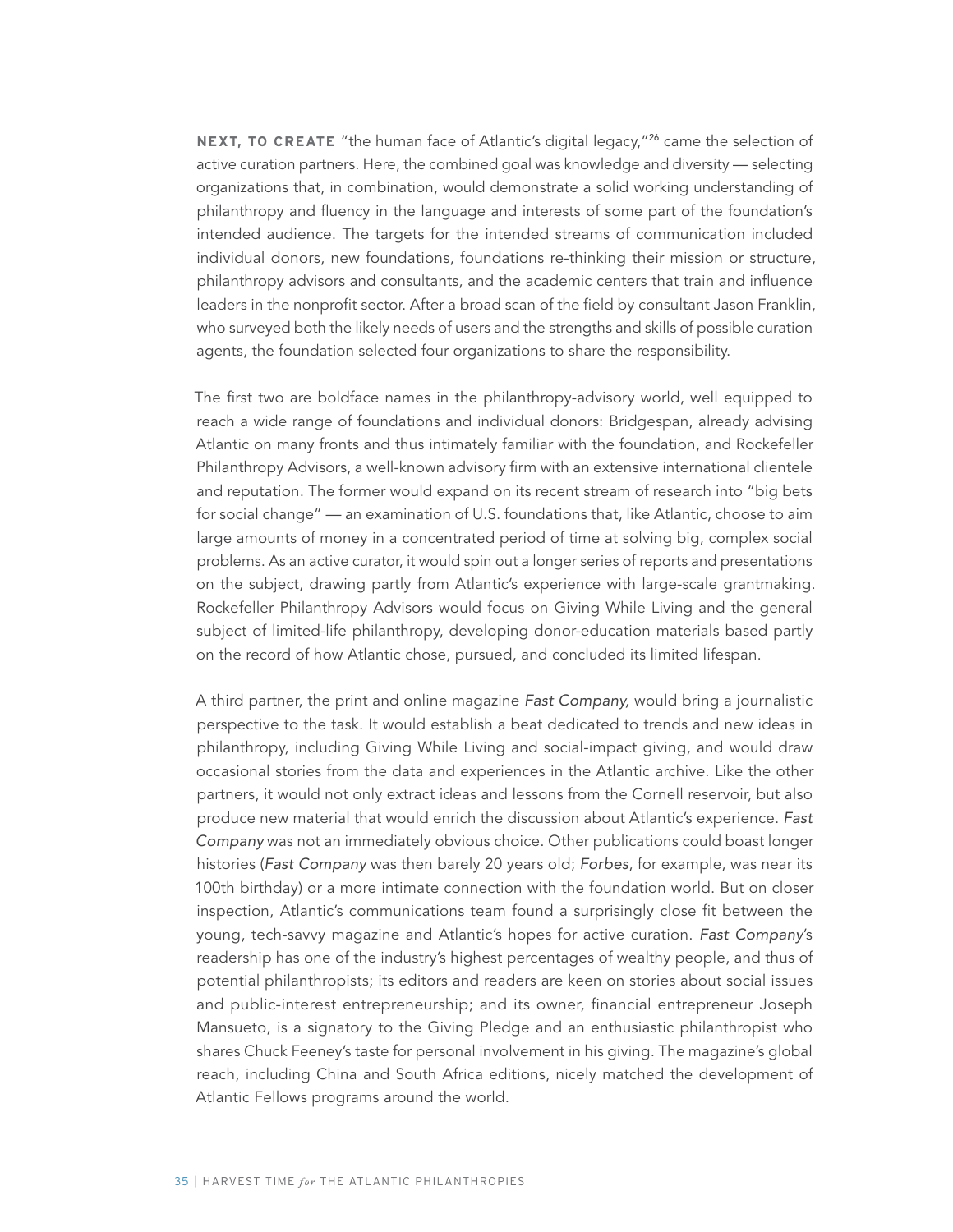**NEXT, TO CREATE** "the human face of Atlantic's digital legacy,"<sup>26</sup> came the selection of active curation partners. Here, the combined goal was knowledge and diversity — selecting organizations that, in combination, would demonstrate a solid working understanding of philanthropy and fluency in the language and interests of some part of the foundation's intended audience. The targets for the intended streams of communication included individual donors, new foundations, foundations re-thinking their mission or structure, philanthropy advisors and consultants, and the academic centers that train and influence leaders in the nonprofit sector. After a broad scan of the field by consultant Jason Franklin, who surveyed both the likely needs of users and the strengths and skills of possible curation agents, the foundation selected four organizations to share the responsibility.

The first two are boldface names in the philanthropy-advisory world, well equipped to reach a wide range of foundations and individual donors: Bridgespan, already advising Atlantic on many fronts and thus intimately familiar with the foundation, and Rockefeller Philanthropy Advisors, a well-known advisory firm with an extensive international clientele and reputation. The former would expand on its recent stream of research into "big bets for social change" — an examination of U.S. foundations that, like Atlantic, choose to aim large amounts of money in a concentrated period of time at solving big, complex social problems. As an active curator, it would spin out a longer series of reports and presentations on the subject, drawing partly from Atlantic's experience with large-scale grantmaking. Rockefeller Philanthropy Advisors would focus on Giving While Living and the general subject of limited-life philanthropy, developing donor-education materials based partly on the record of how Atlantic chose, pursued, and concluded its limited lifespan.

A third partner, the print and online magazine Fast Company, would bring a journalistic perspective to the task. It would establish a beat dedicated to trends and new ideas in philanthropy, including Giving While Living and social-impact giving, and would draw occasional stories from the data and experiences in the Atlantic archive. Like the other partners, it would not only extract ideas and lessons from the Cornell reservoir, but also produce new material that would enrich the discussion about Atlantic's experience. Fast Company was not an immediately obvious choice. Other publications could boast longer histories (Fast Company was then barely 20 years old; Forbes, for example, was near its 100th birthday) or a more intimate connection with the foundation world. But on closer inspection, Atlantic's communications team found a surprisingly close fit between the young, tech-savvy magazine and Atlantic's hopes for active curation. Fast Company's readership has one of the industry's highest percentages of wealthy people, and thus of potential philanthropists; its editors and readers are keen on stories about social issues and public-interest entrepreneurship; and its owner, financial entrepreneur Joseph Mansueto, is a signatory to the Giving Pledge and an enthusiastic philanthropist who shares Chuck Feeney's taste for personal involvement in his giving. The magazine's global reach, including China and South Africa editions, nicely matched the development of Atlantic Fellows programs around the world.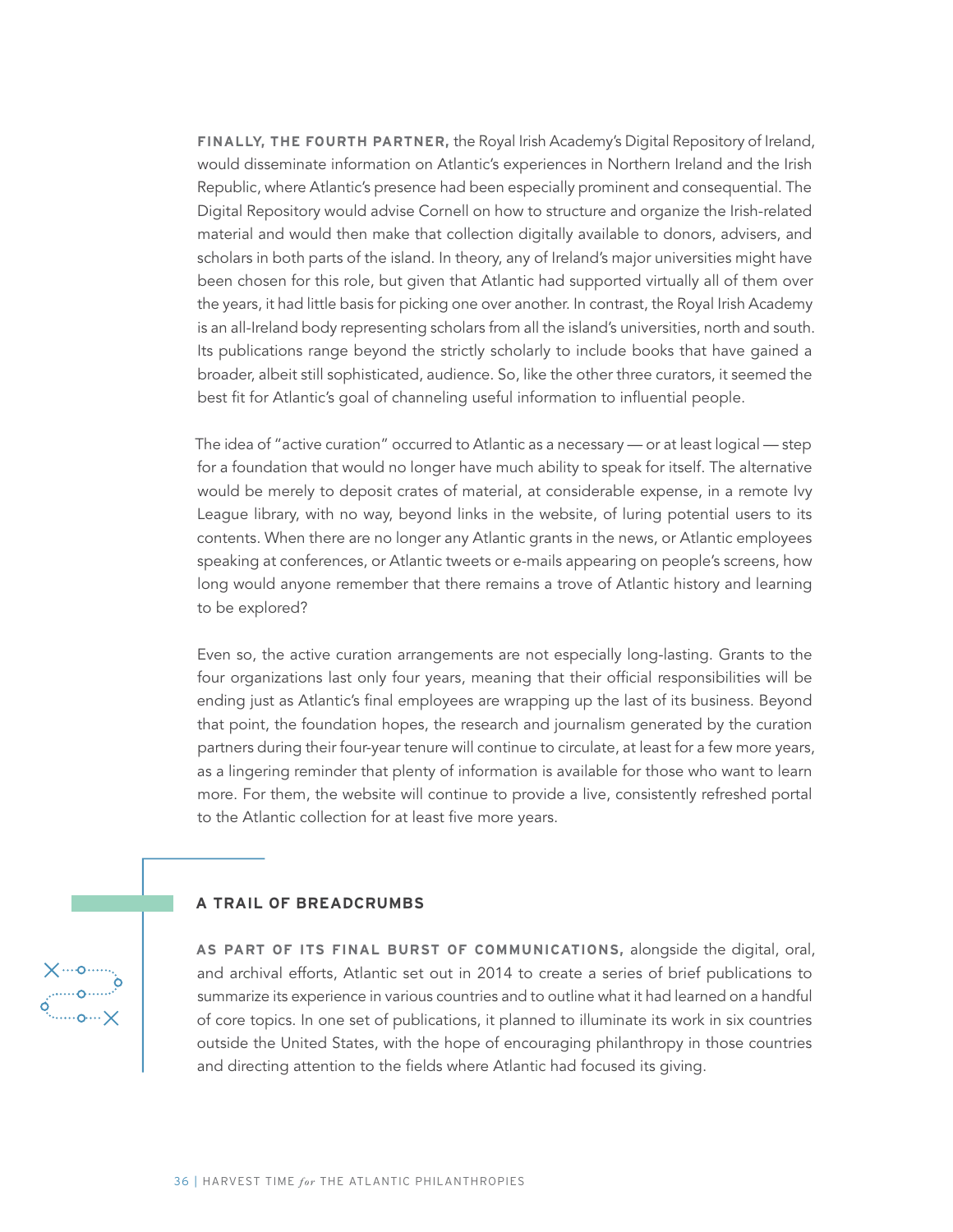**FINALLY, THE FOURTH PARTNER,** the Royal Irish Academy's Digital Repository of Ireland, would disseminate information on Atlantic's experiences in Northern Ireland and the Irish Republic, where Atlantic's presence had been especially prominent and consequential. The Digital Repository would advise Cornell on how to structure and organize the Irish-related material and would then make that collection digitally available to donors, advisers, and scholars in both parts of the island. In theory, any of Ireland's major universities might have been chosen for this role, but given that Atlantic had supported virtually all of them over the years, it had little basis for picking one over another. In contrast, the Royal Irish Academy is an all-Ireland body representing scholars from all the island's universities, north and south. Its publications range beyond the strictly scholarly to include books that have gained a broader, albeit still sophisticated, audience. So, like the other three curators, it seemed the best fit for Atlantic's goal of channeling useful information to influential people.

The idea of "active curation" occurred to Atlantic as a necessary — or at least logical — step for a foundation that would no longer have much ability to speak for itself. The alternative would be merely to deposit crates of material, at considerable expense, in a remote Ivy League library, with no way, beyond links in the website, of luring potential users to its contents. When there are no longer any Atlantic grants in the news, or Atlantic employees speaking at conferences, or Atlantic tweets or e-mails appearing on people's screens, how long would anyone remember that there remains a trove of Atlantic history and learning to be explored?

Even so, the active curation arrangements are not especially long-lasting. Grants to the four organizations last only four years, meaning that their official responsibilities will be ending just as Atlantic's final employees are wrapping up the last of its business. Beyond that point, the foundation hopes, the research and journalism generated by the curation partners during their four-year tenure will continue to circulate, at least for a few more years, as a lingering reminder that plenty of information is available for those who want to learn more. For them, the website will continue to provide a live, consistently refreshed portal to the Atlantic collection for at least five more years.

#### **A TRAIL OF BREADCRUMBS**

**AS PART OF ITS FINAL BURST OF COMMUNICATIONS,** alongside the digital, oral, and archival efforts, Atlantic set out in 2014 to create a series of brief publications to summarize its experience in various countries and to outline what it had learned on a handful of core topics. In one set of publications, it planned to illuminate its work in six countries outside the United States, with the hope of encouraging philanthropy in those countries and directing attention to the fields where Atlantic had focused its giving.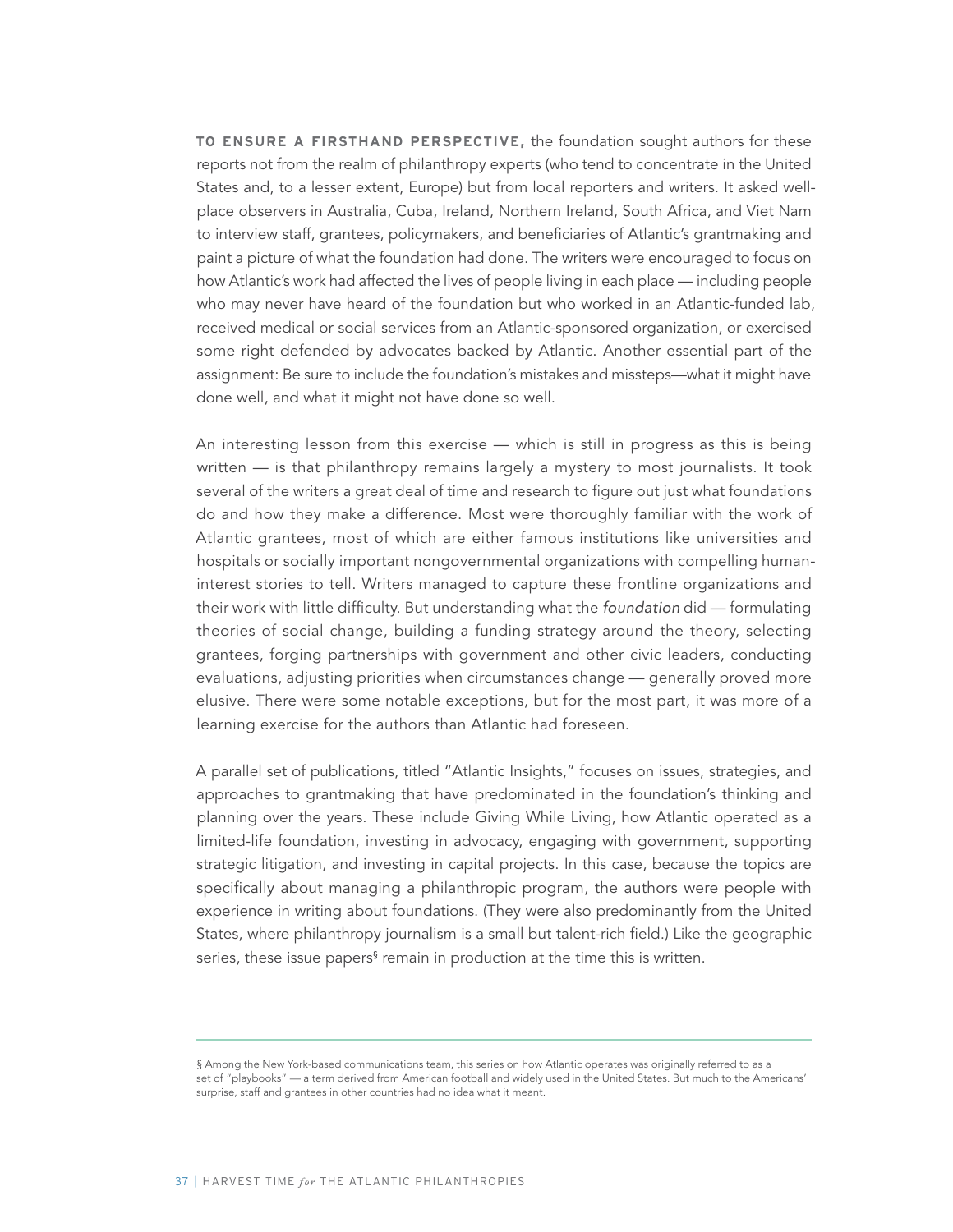**TO ENSURE A FIRSTHAND PERSPECTIVE,** the foundation sought authors for these reports not from the realm of philanthropy experts (who tend to concentrate in the United States and, to a lesser extent, Europe) but from local reporters and writers. It asked wellplace observers in Australia, Cuba, Ireland, Northern Ireland, South Africa, and Viet Nam to interview staff, grantees, policymakers, and beneficiaries of Atlantic's grantmaking and paint a picture of what the foundation had done. The writers were encouraged to focus on how Atlantic's work had affected the lives of people living in each place — including people who may never have heard of the foundation but who worked in an Atlantic-funded lab, received medical or social services from an Atlantic-sponsored organization, or exercised some right defended by advocates backed by Atlantic. Another essential part of the assignment: Be sure to include the foundation's mistakes and missteps—what it might have done well, and what it might not have done so well.

An interesting lesson from this exercise — which is still in progress as this is being written — is that philanthropy remains largely a mystery to most journalists. It took several of the writers a great deal of time and research to figure out just what foundations do and how they make a difference. Most were thoroughly familiar with the work of Atlantic grantees, most of which are either famous institutions like universities and hospitals or socially important nongovernmental organizations with compelling humaninterest stories to tell. Writers managed to capture these frontline organizations and their work with little difficulty. But understanding what the foundation did — formulating theories of social change, building a funding strategy around the theory, selecting grantees, forging partnerships with government and other civic leaders, conducting evaluations, adjusting priorities when circumstances change — generally proved more elusive. There were some notable exceptions, but for the most part, it was more of a learning exercise for the authors than Atlantic had foreseen.

A parallel set of publications, titled "Atlantic Insights," focuses on issues, strategies, and approaches to grantmaking that have predominated in the foundation's thinking and planning over the years. These include Giving While Living, how Atlantic operated as a limited-life foundation, investing in advocacy, engaging with government, supporting strategic litigation, and investing in capital projects. In this case, because the topics are specifically about managing a philanthropic program, the authors were people with experience in writing about foundations. (They were also predominantly from the United States, where philanthropy journalism is a small but talent-rich field.) Like the geographic series, these issue papers<sup>§</sup> remain in production at the time this is written.

<sup>§</sup> Among the New York-based communications team, this series on how Atlantic operates was originally referred to as a set of "playbooks" — a term derived from American football and widely used in the United States. But much to the Americans' surprise, staff and grantees in other countries had no idea what it meant.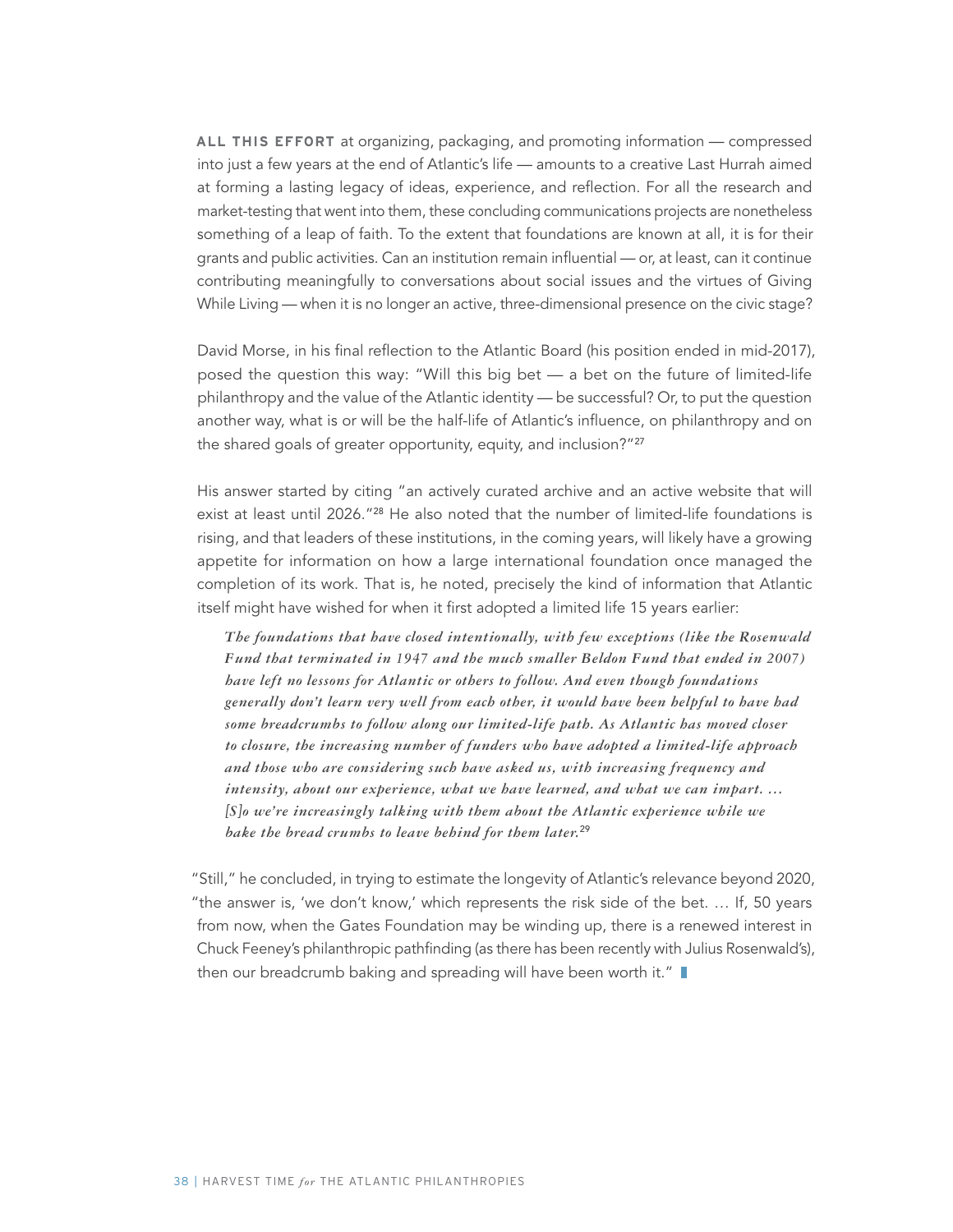**ALL THIS EFFORT** at organizing, packaging, and promoting information — compressed into just a few years at the end of Atlantic's life — amounts to a creative Last Hurrah aimed at forming a lasting legacy of ideas, experience, and reflection. For all the research and market-testing that went into them, these concluding communications projects are nonetheless something of a leap of faith. To the extent that foundations are known at all, it is for their grants and public activities. Can an institution remain influential — or, at least, can it continue contributing meaningfully to conversations about social issues and the virtues of Giving While Living — when it is no longer an active, three-dimensional presence on the civic stage?

David Morse, in his final reflection to the Atlantic Board (his position ended in mid-2017), posed the question this way: "Will this big bet — a bet on the future of limited-life philanthropy and the value of the Atlantic identity — be successful? Or, to put the question another way, what is or will be the half-life of Atlantic's influence, on philanthropy and on the shared goals of greater opportunity, equity, and inclusion?"<sup>27</sup>

His answer started by citing "an actively curated archive and an active website that will exist at least until 2026."<sup>28</sup> He also noted that the number of limited-life foundations is rising, and that leaders of these institutions, in the coming years, will likely have a growing appetite for information on how a large international foundation once managed the completion of its work. That is, he noted, precisely the kind of information that Atlantic itself might have wished for when it first adopted a limited life 15 years earlier:

*The foundations that have closed intentionally, with few exceptions (like the Rosenwald Fund that terminated in 1947 and the much smaller Beldon Fund that ended in 2007) have left no lessons for Atlantic or others to follow. And even though foundations generally don't learn very well from each other, it would have been helpful to have had some breadcrumbs to follow along our limited-life path. As Atlantic has moved closer to closure, the increasing number of funders who have adopted a limited-life approach and those who are considering such have asked us, with increasing frequency and intensity, about our experience, what we have learned, and what we can impart. … [S]o we're increasingly talking with them about the Atlantic experience while we bake the bread crumbs to leave behind for them later.*<sup>29</sup>

"Still," he concluded, in trying to estimate the longevity of Atlantic's relevance beyond 2020, "the answer is, 'we don't know,' which represents the risk side of the bet. … If, 50 years from now, when the Gates Foundation may be winding up, there is a renewed interest in Chuck Feeney's philanthropic pathfinding (as there has been recently with Julius Rosenwald's), then our breadcrumb baking and spreading will have been worth it."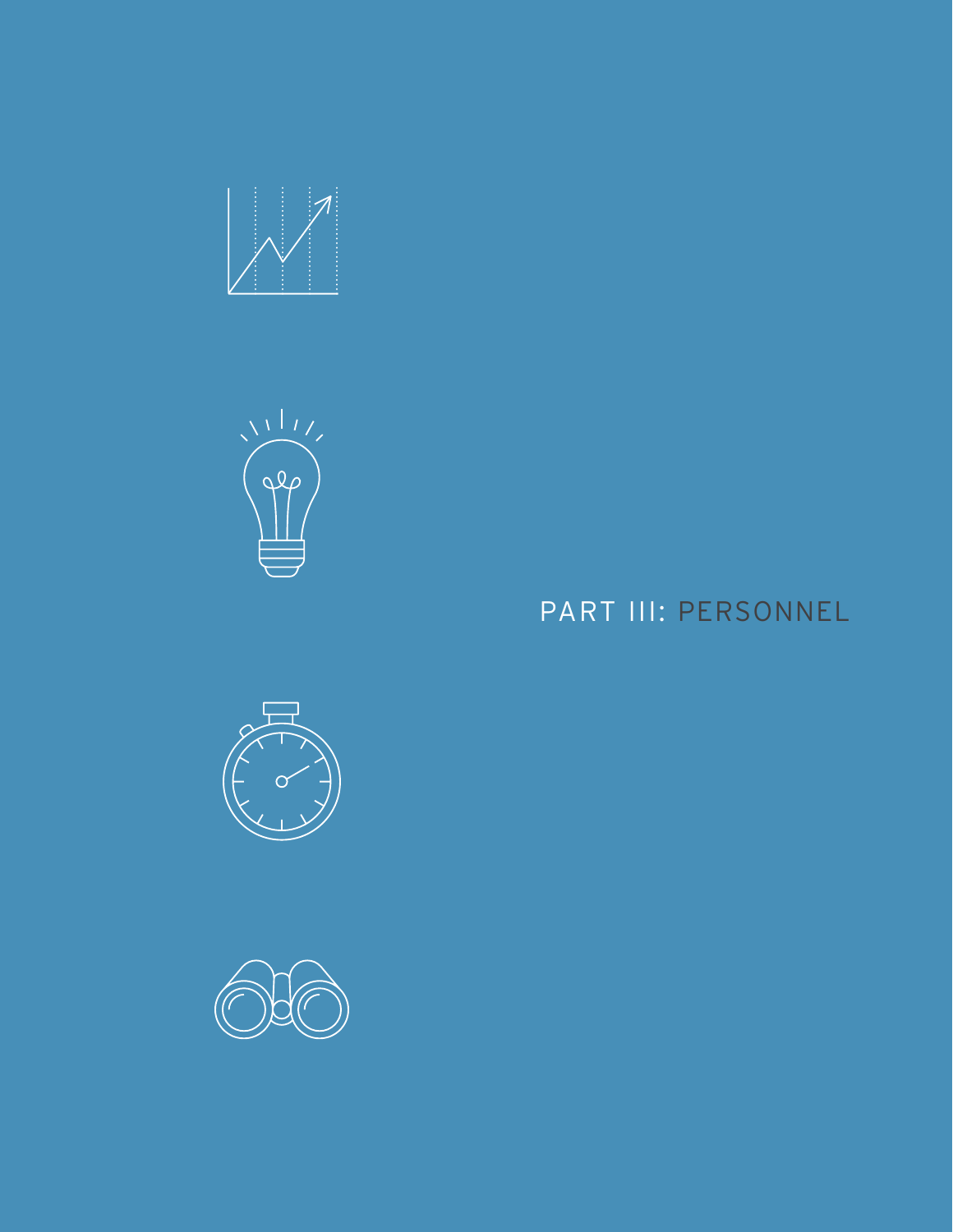



# $\circ$



## PART III: PERSONNEL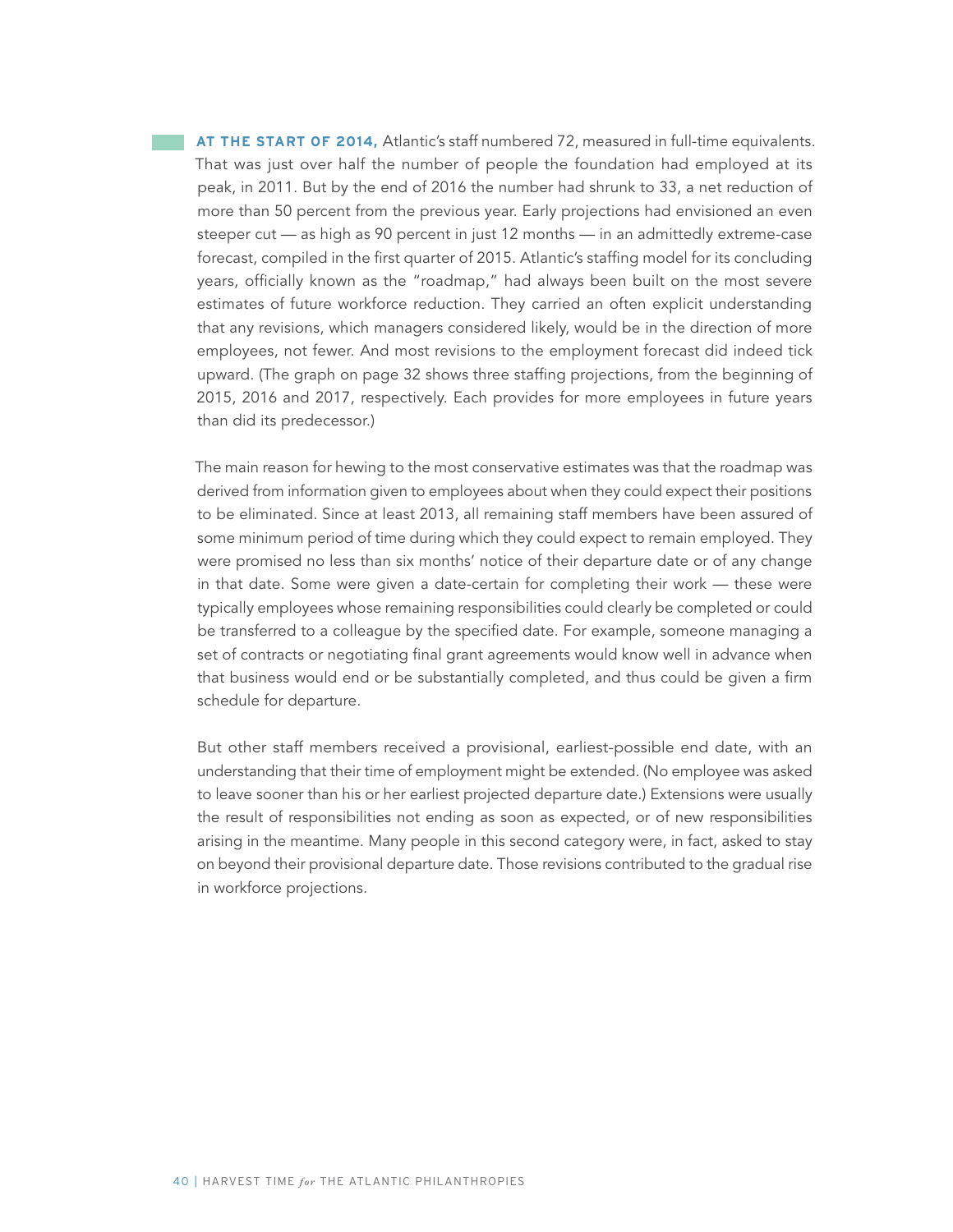**AT THE START OF 2014, Atlantic's staff numbered 72, measured in full-time equivalents.** That was just over half the number of people the foundation had employed at its peak, in 2011. But by the end of 2016 the number had shrunk to 33, a net reduction of more than 50 percent from the previous year. Early projections had envisioned an even steeper cut — as high as 90 percent in just 12 months — in an admittedly extreme-case forecast, compiled in the first quarter of 2015. Atlantic's staffing model for its concluding years, officially known as the "roadmap," had always been built on the most severe estimates of future workforce reduction. They carried an often explicit understanding that any revisions, which managers considered likely, would be in the direction of more employees, not fewer. And most revisions to the employment forecast did indeed tick upward. (The graph on page 32 shows three staffing projections, from the beginning of 2015, 2016 and 2017, respectively. Each provides for more employees in future years than did its predecessor.)

The main reason for hewing to the most conservative estimates was that the roadmap was derived from information given to employees about when they could expect their positions to be eliminated. Since at least 2013, all remaining staff members have been assured of some minimum period of time during which they could expect to remain employed. They were promised no less than six months' notice of their departure date or of any change in that date. Some were given a date-certain for completing their work — these were typically employees whose remaining responsibilities could clearly be completed or could be transferred to a colleague by the specified date. For example, someone managing a set of contracts or negotiating final grant agreements would know well in advance when that business would end or be substantially completed, and thus could be given a firm schedule for departure.

But other staff members received a provisional, earliest-possible end date, with an understanding that their time of employment might be extended. (No employee was asked to leave sooner than his or her earliest projected departure date.) Extensions were usually the result of responsibilities not ending as soon as expected, or of new responsibilities arising in the meantime. Many people in this second category were, in fact, asked to stay on beyond their provisional departure date. Those revisions contributed to the gradual rise in workforce projections.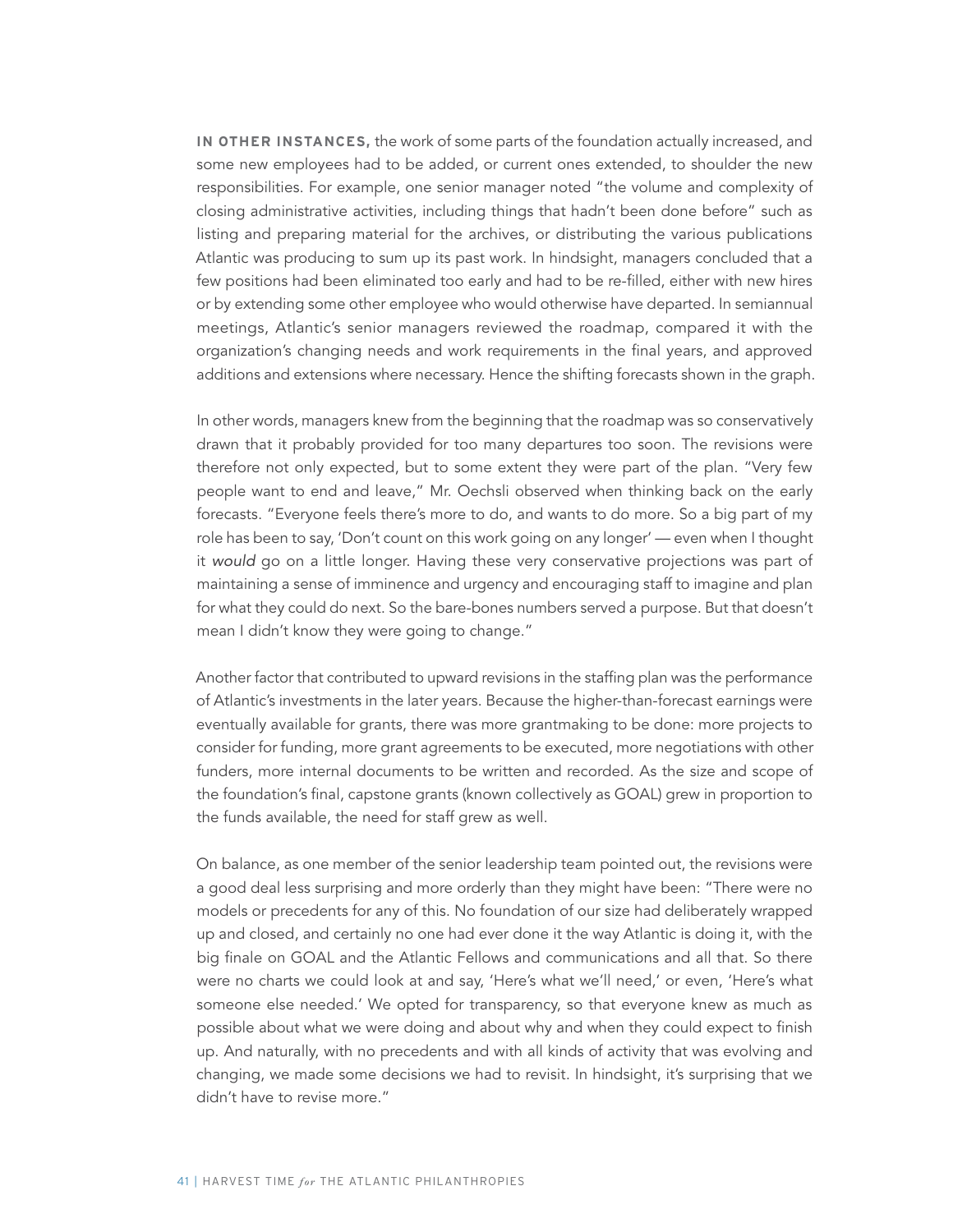**IN OTHER INSTANCES,** the work of some parts of the foundation actually increased, and some new employees had to be added, or current ones extended, to shoulder the new responsibilities. For example, one senior manager noted "the volume and complexity of closing administrative activities, including things that hadn't been done before" such as listing and preparing material for the archives, or distributing the various publications Atlantic was producing to sum up its past work. In hindsight, managers concluded that a few positions had been eliminated too early and had to be re-filled, either with new hires or by extending some other employee who would otherwise have departed. In semiannual meetings, Atlantic's senior managers reviewed the roadmap, compared it with the organization's changing needs and work requirements in the final years, and approved additions and extensions where necessary. Hence the shifting forecasts shown in the graph.

In other words, managers knew from the beginning that the roadmap was so conservatively drawn that it probably provided for too many departures too soon. The revisions were therefore not only expected, but to some extent they were part of the plan. "Very few people want to end and leave," Mr. Oechsli observed when thinking back on the early forecasts. "Everyone feels there's more to do, and wants to do more. So a big part of my role has been to say, 'Don't count on this work going on any longer' — even when I thought it would go on a little longer. Having these very conservative projections was part of maintaining a sense of imminence and urgency and encouraging staff to imagine and plan for what they could do next. So the bare-bones numbers served a purpose. But that doesn't mean I didn't know they were going to change."

Another factor that contributed to upward revisions in the staffing plan was the performance of Atlantic's investments in the later years. Because the higher-than-forecast earnings were eventually available for grants, there was more grantmaking to be done: more projects to consider for funding, more grant agreements to be executed, more negotiations with other funders, more internal documents to be written and recorded. As the size and scope of the foundation's final, capstone grants (known collectively as GOAL) grew in proportion to the funds available, the need for staff grew as well.

On balance, as one member of the senior leadership team pointed out, the revisions were a good deal less surprising and more orderly than they might have been: "There were no models or precedents for any of this. No foundation of our size had deliberately wrapped up and closed, and certainly no one had ever done it the way Atlantic is doing it, with the big finale on GOAL and the Atlantic Fellows and communications and all that. So there were no charts we could look at and say, 'Here's what we'll need,' or even, 'Here's what someone else needed.' We opted for transparency, so that everyone knew as much as possible about what we were doing and about why and when they could expect to finish up. And naturally, with no precedents and with all kinds of activity that was evolving and changing, we made some decisions we had to revisit. In hindsight, it's surprising that we didn't have to revise more."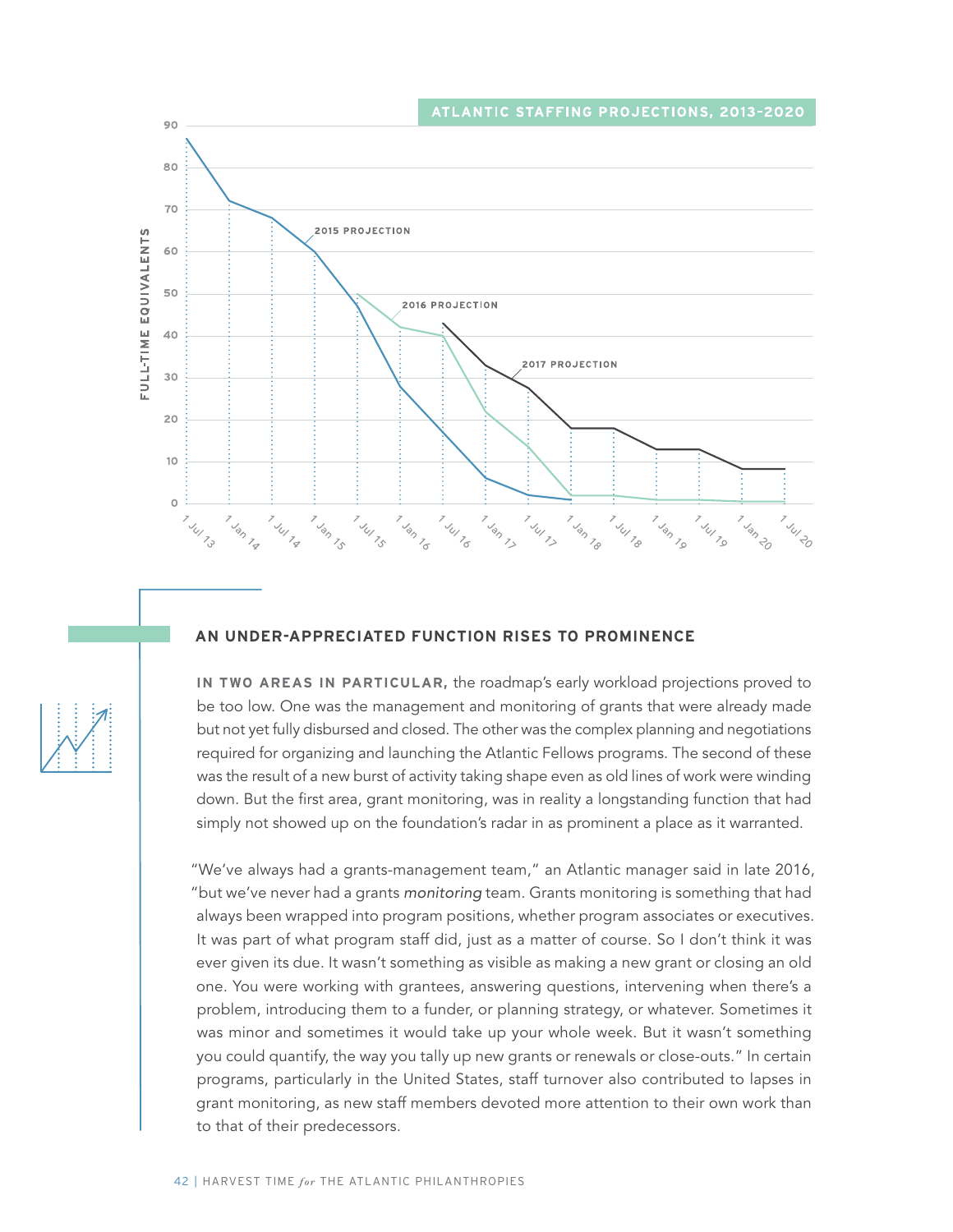

#### **AN UNDER-APPRECIATED FUNCTION RISES TO PROMINENCE**

**IN TWO AREAS IN PARTICULAR,** the roadmap's early workload projections proved to be too low. One was the management and monitoring of grants that were already made but not yet fully disbursed and closed. The other was the complex planning and negotiations required for organizing and launching the Atlantic Fellows programs. The second of these was the result of a new burst of activity taking shape even as old lines of work were winding down. But the first area, grant monitoring, was in reality a longstanding function that had simply not showed up on the foundation's radar in as prominent a place as it warranted.

"We've always had a grants-management team," an Atlantic manager said in late 2016, "but we've never had a grants monitoring team. Grants monitoring is something that had always been wrapped into program positions, whether program associates or executives. It was part of what program staff did, just as a matter of course. So I don't think it was ever given its due. It wasn't something as visible as making a new grant or closing an old one. You were working with grantees, answering questions, intervening when there's a problem, introducing them to a funder, or planning strategy, or whatever. Sometimes it was minor and sometimes it would take up your whole week. But it wasn't something you could quantify, the way you tally up new grants or renewals or close-outs." In certain programs, particularly in the United States, staff turnover also contributed to lapses in grant monitoring, as new staff members devoted more attention to their own work than to that of their predecessors.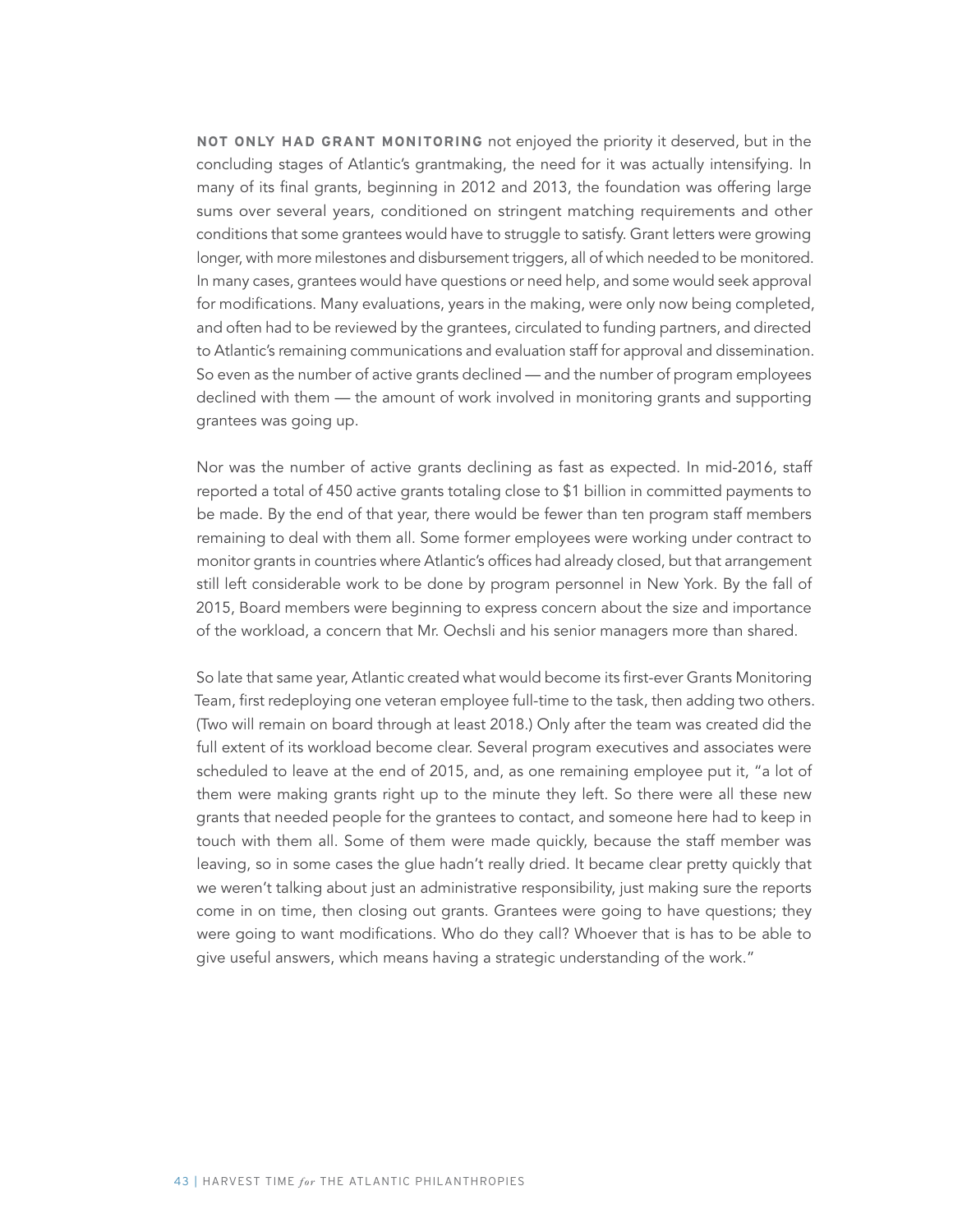**NOT ONLY HAD GRANT MONITORING** not enjoyed the priority it deserved, but in the concluding stages of Atlantic's grantmaking, the need for it was actually intensifying. In many of its final grants, beginning in 2012 and 2013, the foundation was offering large sums over several years, conditioned on stringent matching requirements and other conditions that some grantees would have to struggle to satisfy. Grant letters were growing longer, with more milestones and disbursement triggers, all of which needed to be monitored. In many cases, grantees would have questions or need help, and some would seek approval for modifications. Many evaluations, years in the making, were only now being completed, and often had to be reviewed by the grantees, circulated to funding partners, and directed to Atlantic's remaining communications and evaluation staff for approval and dissemination. So even as the number of active grants declined — and the number of program employees declined with them — the amount of work involved in monitoring grants and supporting grantees was going up.

Nor was the number of active grants declining as fast as expected. In mid-2016, staff reported a total of 450 active grants totaling close to \$1 billion in committed payments to be made. By the end of that year, there would be fewer than ten program staff members remaining to deal with them all. Some former employees were working under contract to monitor grants in countries where Atlantic's offices had already closed, but that arrangement still left considerable work to be done by program personnel in New York. By the fall of 2015, Board members were beginning to express concern about the size and importance of the workload, a concern that Mr. Oechsli and his senior managers more than shared.

So late that same year, Atlantic created what would become its first-ever Grants Monitoring Team, first redeploying one veteran employee full-time to the task, then adding two others. (Two will remain on board through at least 2018.) Only after the team was created did the full extent of its workload become clear. Several program executives and associates were scheduled to leave at the end of 2015, and, as one remaining employee put it, "a lot of them were making grants right up to the minute they left. So there were all these new grants that needed people for the grantees to contact, and someone here had to keep in touch with them all. Some of them were made quickly, because the staff member was leaving, so in some cases the glue hadn't really dried. It became clear pretty quickly that we weren't talking about just an administrative responsibility, just making sure the reports come in on time, then closing out grants. Grantees were going to have questions; they were going to want modifications. Who do they call? Whoever that is has to be able to give useful answers, which means having a strategic understanding of the work."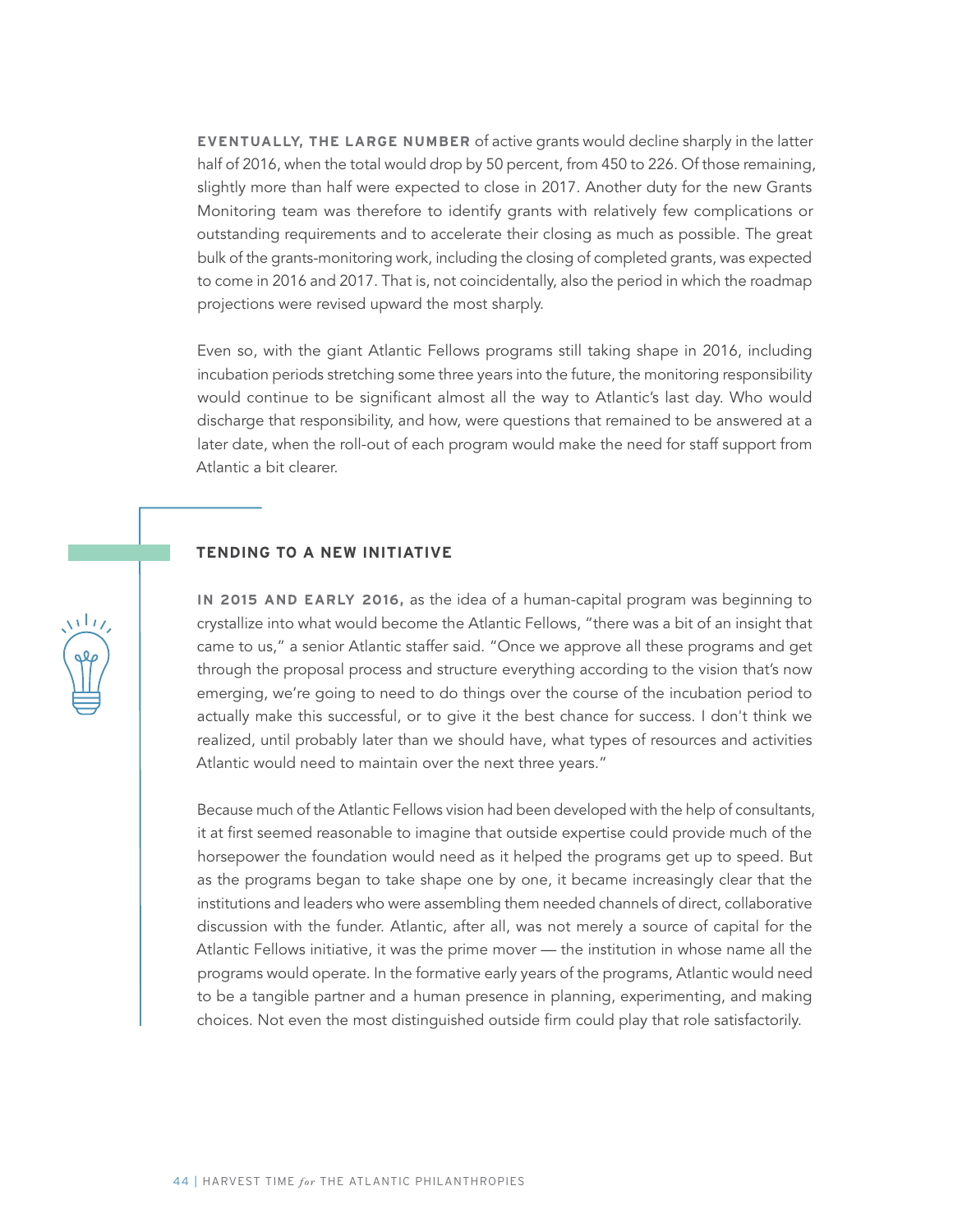**EVENTUALLY, THE LARGE NUMBER** of active grants would decline sharply in the latter half of 2016, when the total would drop by 50 percent, from 450 to 226. Of those remaining, slightly more than half were expected to close in 2017. Another duty for the new Grants Monitoring team was therefore to identify grants with relatively few complications or outstanding requirements and to accelerate their closing as much as possible. The great bulk of the grants-monitoring work, including the closing of completed grants, was expected to come in 2016 and 2017. That is, not coincidentally, also the period in which the roadmap projections were revised upward the most sharply.

Even so, with the giant Atlantic Fellows programs still taking shape in 2016, including incubation periods stretching some three years into the future, the monitoring responsibility would continue to be significant almost all the way to Atlantic's last day. Who would discharge that responsibility, and how, were questions that remained to be answered at a later date, when the roll-out of each program would make the need for staff support from Atlantic a bit clearer.

#### **TENDING TO A NEW INITIATIVE**

**IN 2015 AND EARLY 2016,** as the idea of a human-capital program was beginning to crystallize into what would become the Atlantic Fellows, "there was a bit of an insight that came to us," a senior Atlantic staffer said. "Once we approve all these programs and get through the proposal process and structure everything according to the vision that's now emerging, we're going to need to do things over the course of the incubation period to actually make this successful, or to give it the best chance for success. I don't think we realized, until probably later than we should have, what types of resources and activities Atlantic would need to maintain over the next three years."

Because much of the Atlantic Fellows vision had been developed with the help of consultants, it at first seemed reasonable to imagine that outside expertise could provide much of the horsepower the foundation would need as it helped the programs get up to speed. But as the programs began to take shape one by one, it became increasingly clear that the institutions and leaders who were assembling them needed channels of direct, collaborative discussion with the funder. Atlantic, after all, was not merely a source of capital for the Atlantic Fellows initiative, it was the prime mover — the institution in whose name all the programs would operate. In the formative early years of the programs, Atlantic would need to be a tangible partner and a human presence in planning, experimenting, and making choices. Not even the most distinguished outside firm could play that role satisfactorily.

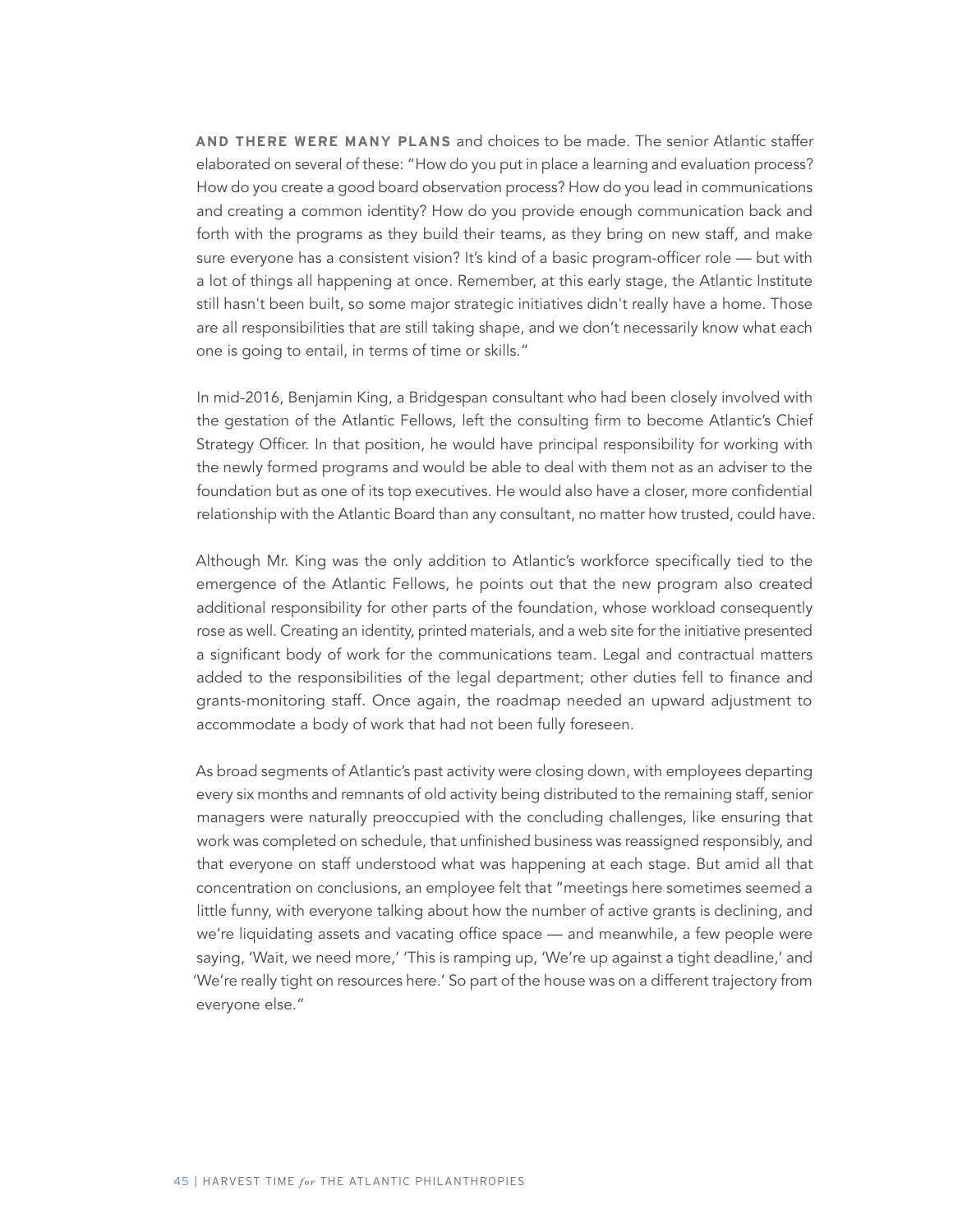**AND THERE WERE MANY PLANS** and choices to be made. The senior Atlantic staffer elaborated on several of these: "How do you put in place a learning and evaluation process? How do you create a good board observation process? How do you lead in communications and creating a common identity? How do you provide enough communication back and forth with the programs as they build their teams, as they bring on new staff, and make sure everyone has a consistent vision? It's kind of a basic program-officer role — but with a lot of things all happening at once. Remember, at this early stage, the Atlantic Institute still hasn't been built, so some major strategic initiatives didn't really have a home. Those are all responsibilities that are still taking shape, and we don't necessarily know what each one is going to entail, in terms of time or skills."

In mid-2016, Benjamin King, a Bridgespan consultant who had been closely involved with the gestation of the Atlantic Fellows, left the consulting firm to become Atlantic's Chief Strategy Officer. In that position, he would have principal responsibility for working with the newly formed programs and would be able to deal with them not as an adviser to the foundation but as one of its top executives. He would also have a closer, more confidential relationship with the Atlantic Board than any consultant, no matter how trusted, could have.

Although Mr. King was the only addition to Atlantic's workforce specifically tied to the emergence of the Atlantic Fellows, he points out that the new program also created additional responsibility for other parts of the foundation, whose workload consequently rose as well. Creating an identity, printed materials, and a web site for the initiative presented a significant body of work for the communications team. Legal and contractual matters added to the responsibilities of the legal department; other duties fell to finance and grants-monitoring staff. Once again, the roadmap needed an upward adjustment to accommodate a body of work that had not been fully foreseen.

As broad segments of Atlantic's past activity were closing down, with employees departing every six months and remnants of old activity being distributed to the remaining staff, senior managers were naturally preoccupied with the concluding challenges, like ensuring that work was completed on schedule, that unfinished business was reassigned responsibly, and that everyone on staff understood what was happening at each stage. But amid all that concentration on conclusions, an employee felt that "meetings here sometimes seemed a little funny, with everyone talking about how the number of active grants is declining, and we're liquidating assets and vacating office space — and meanwhile, a few people were saying, 'Wait, we need more,' 'This is ramping up, 'We're up against a tight deadline,' and 'We're really tight on resources here.' So part of the house was on a different trajectory from everyone else."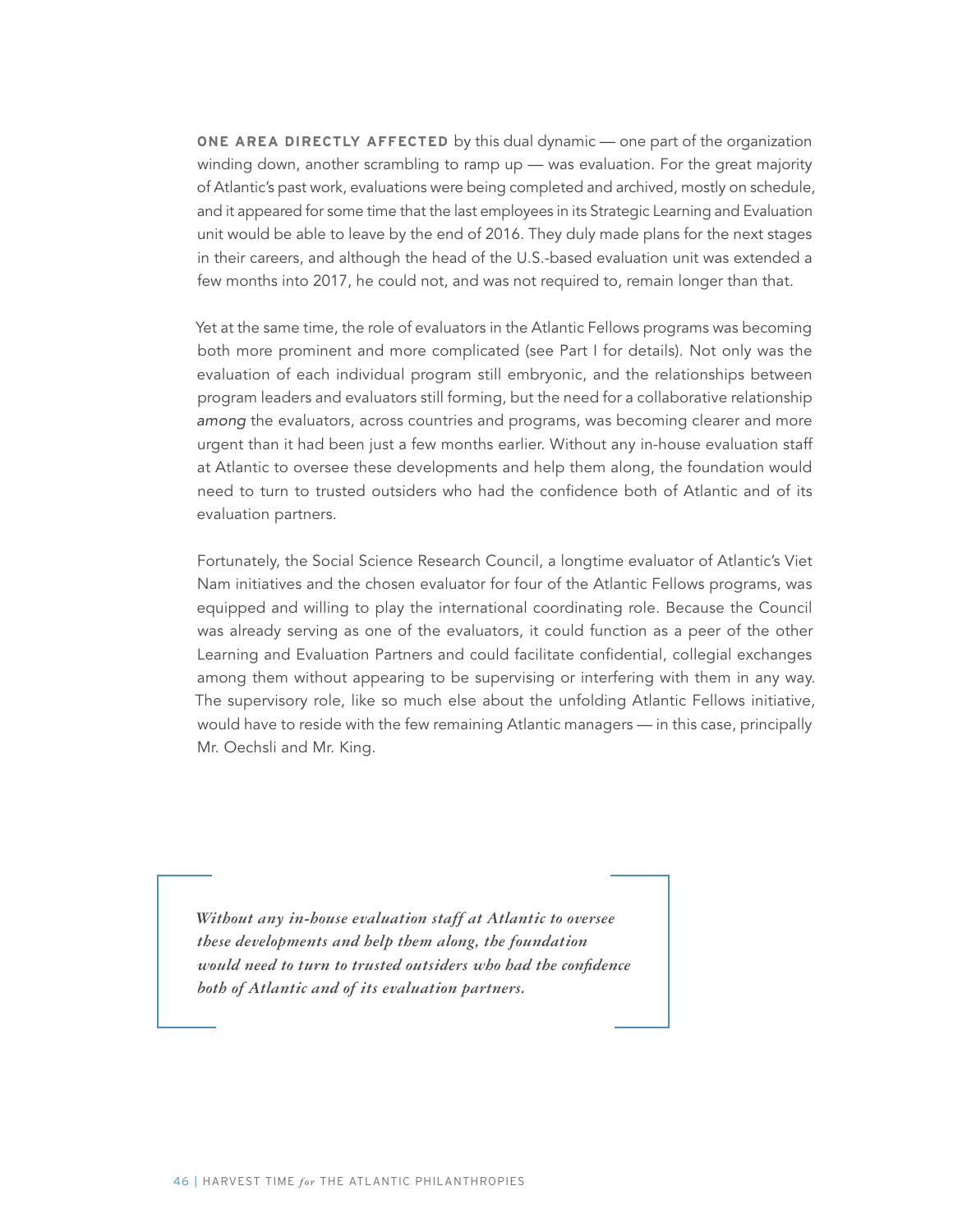**ONE AREA DIRECTLY AFFECTED** by this dual dynamic — one part of the organization winding down, another scrambling to ramp up — was evaluation. For the great majority of Atlantic's past work, evaluations were being completed and archived, mostly on schedule, and it appeared for some time that the last employees in its Strategic Learning and Evaluation unit would be able to leave by the end of 2016. They duly made plans for the next stages in their careers, and although the head of the U.S.-based evaluation unit was extended a few months into 2017, he could not, and was not required to, remain longer than that.

Yet at the same time, the role of evaluators in the Atlantic Fellows programs was becoming both more prominent and more complicated (see Part I for details). Not only was the evaluation of each individual program still embryonic, and the relationships between program leaders and evaluators still forming, but the need for a collaborative relationship among the evaluators, across countries and programs, was becoming clearer and more urgent than it had been just a few months earlier. Without any in-house evaluation staff at Atlantic to oversee these developments and help them along, the foundation would need to turn to trusted outsiders who had the confidence both of Atlantic and of its evaluation partners.

Fortunately, the Social Science Research Council, a longtime evaluator of Atlantic's Viet Nam initiatives and the chosen evaluator for four of the Atlantic Fellows programs, was equipped and willing to play the international coordinating role. Because the Council was already serving as one of the evaluators, it could function as a peer of the other Learning and Evaluation Partners and could facilitate confidential, collegial exchanges among them without appearing to be supervising or interfering with them in any way. The supervisory role, like so much else about the unfolding Atlantic Fellows initiative, would have to reside with the few remaining Atlantic managers — in this case, principally Mr. Oechsli and Mr. King.

*Without any in-house evaluation staff at Atlantic to oversee these developments and help them along, the foundation would need to turn to trusted outsiders who had the confidence both of Atlantic and of its evaluation partners.*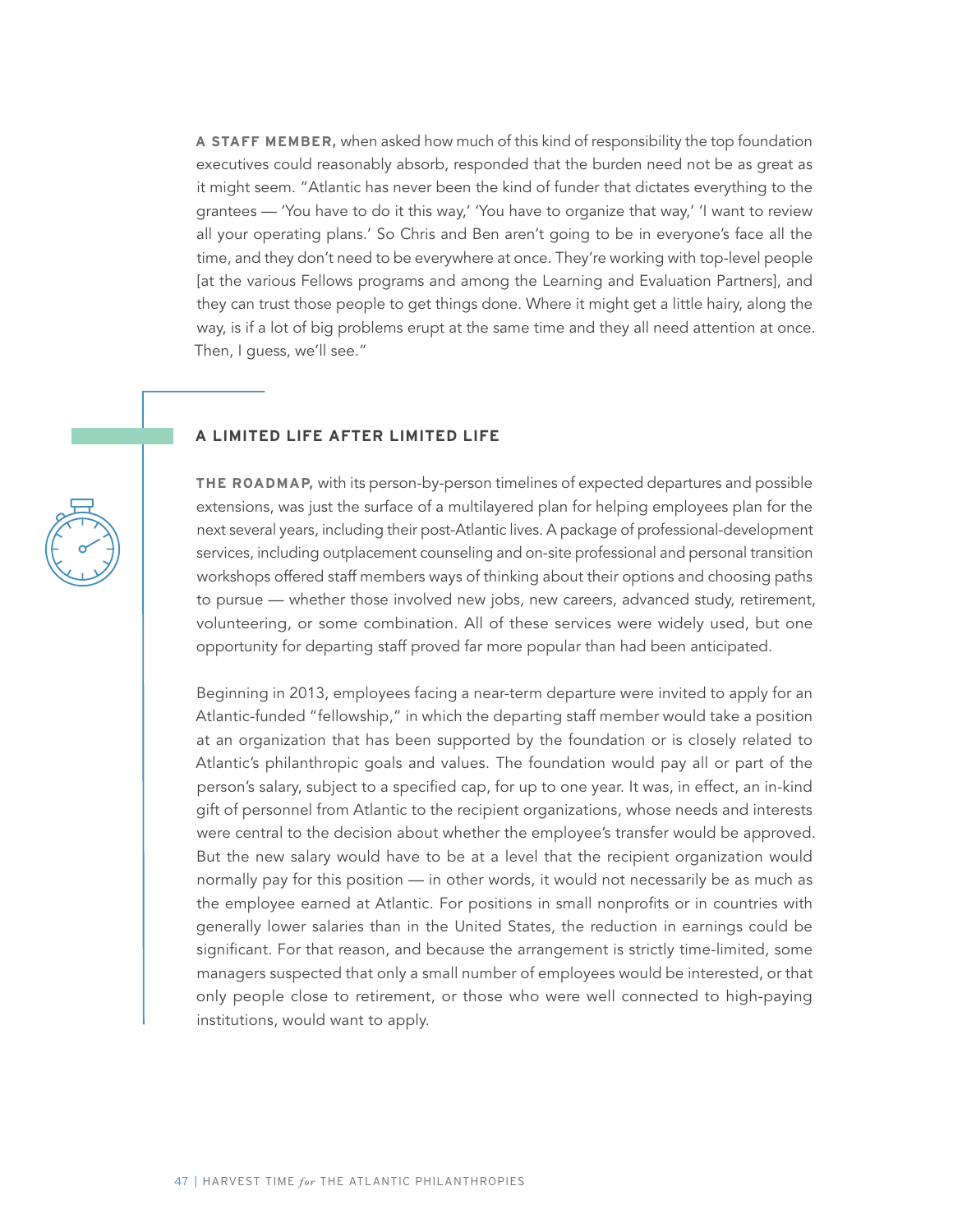**A STAFF MEMBER,** when asked how much of this kind of responsibility the top foundation executives could reasonably absorb, responded that the burden need not be as great as it might seem. "Atlantic has never been the kind of funder that dictates everything to the grantees — 'You have to do it this way,' 'You have to organize that way,' 'I want to review all your operating plans.' So Chris and Ben aren't going to be in everyone's face all the time, and they don't need to be everywhere at once. They're working with top-level people [at the various Fellows programs and among the Learning and Evaluation Partners], and they can trust those people to get things done. Where it might get a little hairy, along the way, is if a lot of big problems erupt at the same time and they all need attention at once. Then, I guess, we'll see."

#### **A LIMITED LIFE AFTER LIMITED LIFE**

**THE ROADMAP,** with its person-by-person timelines of expected departures and possible extensions, was just the surface of a multilayered plan for helping employees plan for the next several years, including their post-Atlantic lives. A package of professional-development services, including outplacement counseling and on-site professional and personal transition workshops offered staff members ways of thinking about their options and choosing paths to pursue — whether those involved new jobs, new careers, advanced study, retirement, volunteering, or some combination. All of these services were widely used, but one opportunity for departing staff proved far more popular than had been anticipated.

Beginning in 2013, employees facing a near-term departure were invited to apply for an Atlantic-funded "fellowship," in which the departing staff member would take a position at an organization that has been supported by the foundation or is closely related to Atlantic's philanthropic goals and values. The foundation would pay all or part of the person's salary, subject to a specified cap, for up to one year. It was, in effect, an in-kind gift of personnel from Atlantic to the recipient organizations, whose needs and interests were central to the decision about whether the employee's transfer would be approved. But the new salary would have to be at a level that the recipient organization would normally pay for this position — in other words, it would not necessarily be as much as the employee earned at Atlantic. For positions in small nonprofits or in countries with generally lower salaries than in the United States, the reduction in earnings could be significant. For that reason, and because the arrangement is strictly time-limited, some managers suspected that only a small number of employees would be interested, or that only people close to retirement, or those who were well connected to high-paying institutions, would want to apply.

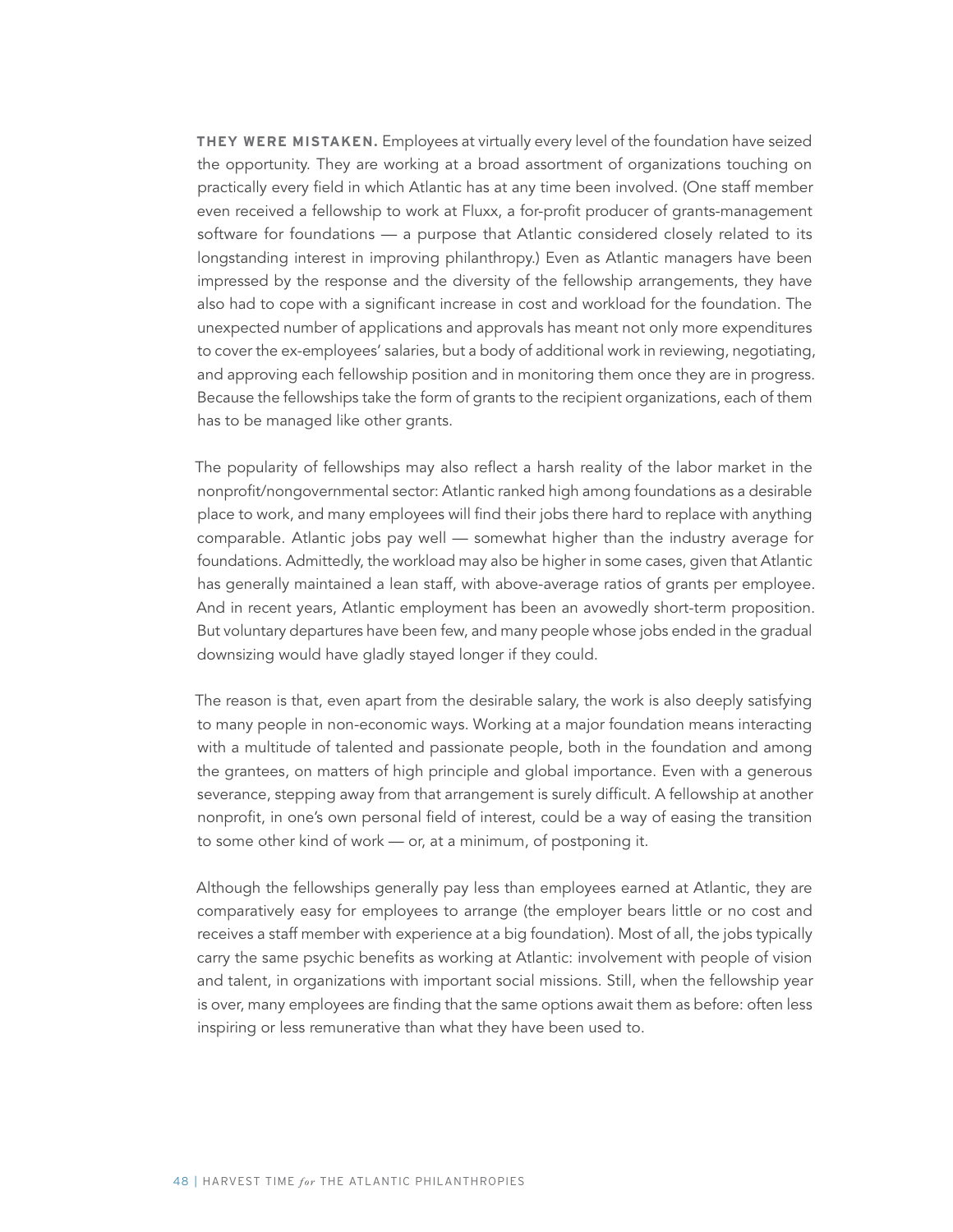**THEY WERE MISTAKEN.** Employees at virtually every level of the foundation have seized the opportunity. They are working at a broad assortment of organizations touching on practically every field in which Atlantic has at any time been involved. (One staff member even received a fellowship to work at Fluxx, a for-profit producer of grants-management software for foundations — a purpose that Atlantic considered closely related to its longstanding interest in improving philanthropy.) Even as Atlantic managers have been impressed by the response and the diversity of the fellowship arrangements, they have also had to cope with a significant increase in cost and workload for the foundation. The unexpected number of applications and approvals has meant not only more expenditures to cover the ex-employees' salaries, but a body of additional work in reviewing, negotiating, and approving each fellowship position and in monitoring them once they are in progress. Because the fellowships take the form of grants to the recipient organizations, each of them has to be managed like other grants.

The popularity of fellowships may also reflect a harsh reality of the labor market in the nonprofit/nongovernmental sector: Atlantic ranked high among foundations as a desirable place to work, and many employees will find their jobs there hard to replace with anything comparable. Atlantic jobs pay well — somewhat higher than the industry average for foundations. Admittedly, the workload may also be higher in some cases, given that Atlantic has generally maintained a lean staff, with above-average ratios of grants per employee. And in recent years, Atlantic employment has been an avowedly short-term proposition. But voluntary departures have been few, and many people whose jobs ended in the gradual downsizing would have gladly stayed longer if they could.

The reason is that, even apart from the desirable salary, the work is also deeply satisfying to many people in non-economic ways. Working at a major foundation means interacting with a multitude of talented and passionate people, both in the foundation and among the grantees, on matters of high principle and global importance. Even with a generous severance, stepping away from that arrangement is surely difficult. A fellowship at another nonprofit, in one's own personal field of interest, could be a way of easing the transition to some other kind of work — or, at a minimum, of postponing it.

Although the fellowships generally pay less than employees earned at Atlantic, they are comparatively easy for employees to arrange (the employer bears little or no cost and receives a staff member with experience at a big foundation). Most of all, the jobs typically carry the same psychic benefits as working at Atlantic: involvement with people of vision and talent, in organizations with important social missions. Still, when the fellowship year is over, many employees are finding that the same options await them as before: often less inspiring or less remunerative than what they have been used to.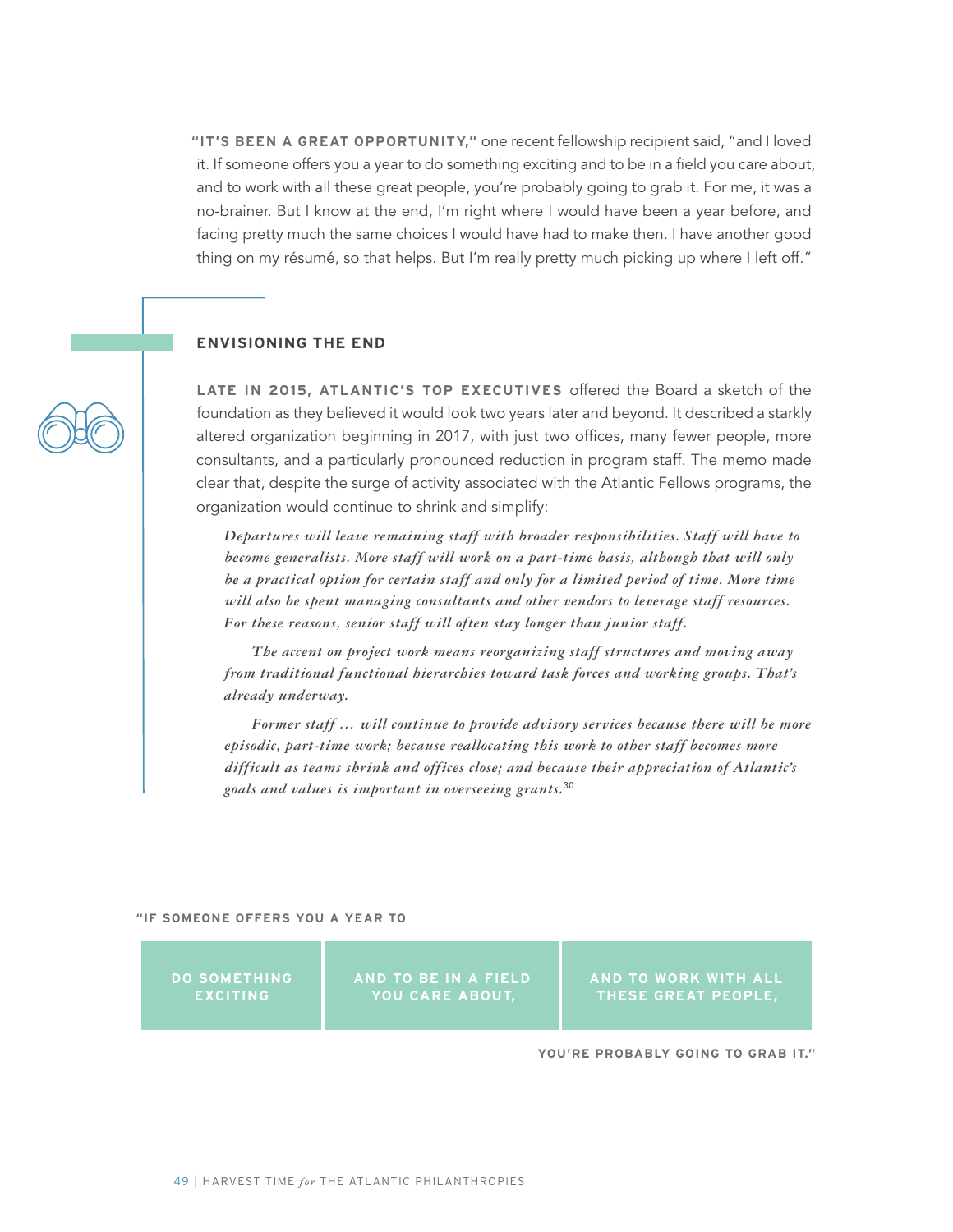**"IT'S BEEN A GREAT OPPORTUNITY,"** one recent fellowship recipient said, "and I loved it. If someone offers you a year to do something exciting and to be in a field you care about, and to work with all these great people, you're probably going to grab it. For me, it was a no-brainer. But I know at the end, I'm right where I would have been a year before, and facing pretty much the same choices I would have had to make then. I have another good thing on my résumé, so that helps. But I'm really pretty much picking up where I left off."

#### **ENVISIONING THE END**

**LATE IN 2015, ATLANTIC'S TOP EXECUTIVES** offered the Board a sketch of the foundation as they believed it would look two years later and beyond. It described a starkly altered organization beginning in 2017, with just two offices, many fewer people, more consultants, and a particularly pronounced reduction in program staff. The memo made clear that, despite the surge of activity associated with the Atlantic Fellows programs, the organization would continue to shrink and simplify:

*Departures will leave remaining staff with broader responsibilities. Staff will have to become generalists. More staff will work on a part-time basis, although that will only be a practical option for certain staff and only for a limited period of time. More time will also be spent managing consultants and other vendors to leverage staff resources. For these reasons, senior staff will often stay longer than junior staff.*

*The accent on project work means reorganizing staff structures and moving away from traditional functional hierarchies toward task forces and working groups. That's already underway.*

*Former staff … will continue to provide advisory services because there will be more episodic, part-time work; because reallocating this work to other staff becomes more difficult as teams shrink and offices close; and because their appreciation of Atlantic's goals and values is important in overseeing grants.*<sup>30</sup>

**"IF SOMEONE OFFERS YOU A YEAR TO** 

**DO SOMETHING EXCITING**

**AND TO BE IN A FIELD YOU CARE ABOUT,** 

**AND TO WORK WITH ALL THESE GREAT PEOPLE,** 

**YOU'RE PROBABLY GOING TO GRAB IT."**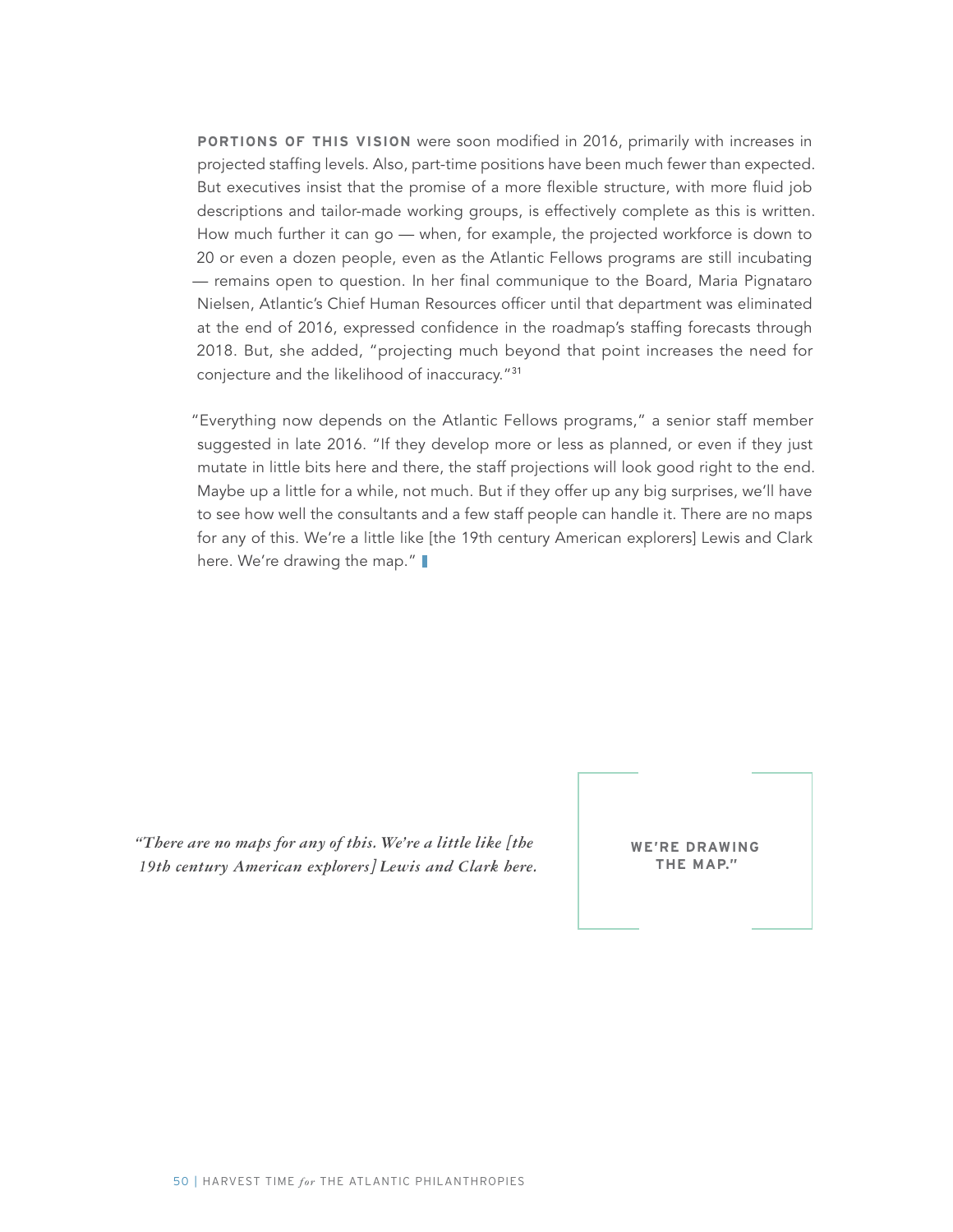**PORTIONS OF THIS VISION** were soon modified in 2016, primarily with increases in projected staffing levels. Also, part-time positions have been much fewer than expected. But executives insist that the promise of a more flexible structure, with more fluid job descriptions and tailor-made working groups, is effectively complete as this is written. How much further it can go — when, for example, the projected workforce is down to 20 or even a dozen people, even as the Atlantic Fellows programs are still incubating — remains open to question. In her final communique to the Board, Maria Pignataro Nielsen, Atlantic's Chief Human Resources officer until that department was eliminated at the end of 2016, expressed confidence in the roadmap's staffing forecasts through 2018. But, she added, "projecting much beyond that point increases the need for conjecture and the likelihood of inaccuracy."<sup>31</sup>

"Everything now depends on the Atlantic Fellows programs," a senior staff member suggested in late 2016. "If they develop more or less as planned, or even if they just mutate in little bits here and there, the staff projections will look good right to the end. Maybe up a little for a while, not much. But if they offer up any big surprises, we'll have to see how well the consultants and a few staff people can handle it. There are no maps for any of this. We're a little like [the 19th century American explorers] Lewis and Clark here. We're drawing the map."

*"There are no maps for any of this. We're a little like [the 19th century American explorers] Lewis and Clark here.* 

**WE'RE DRAWING THE MAP."**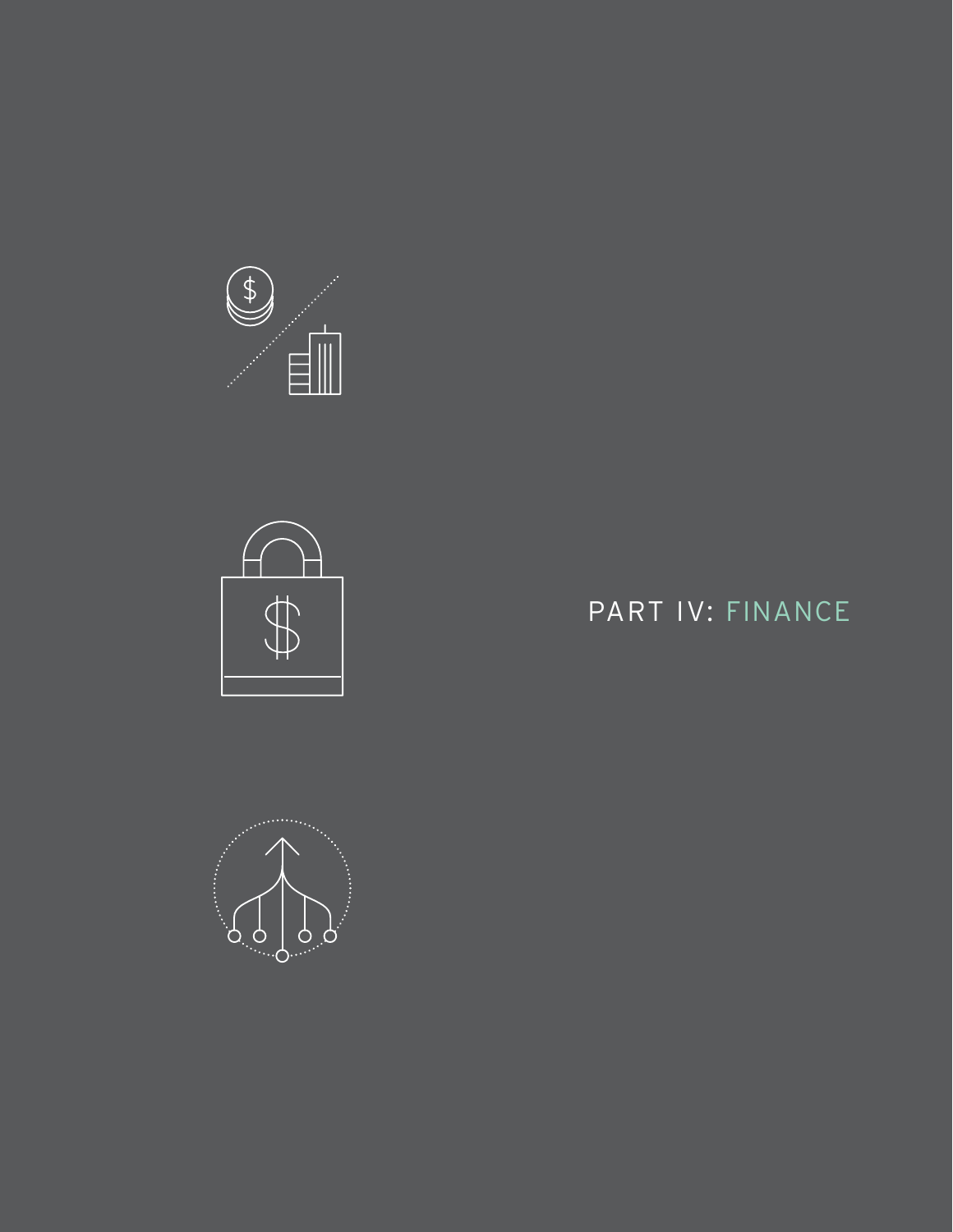



# PART IV: FINANCE

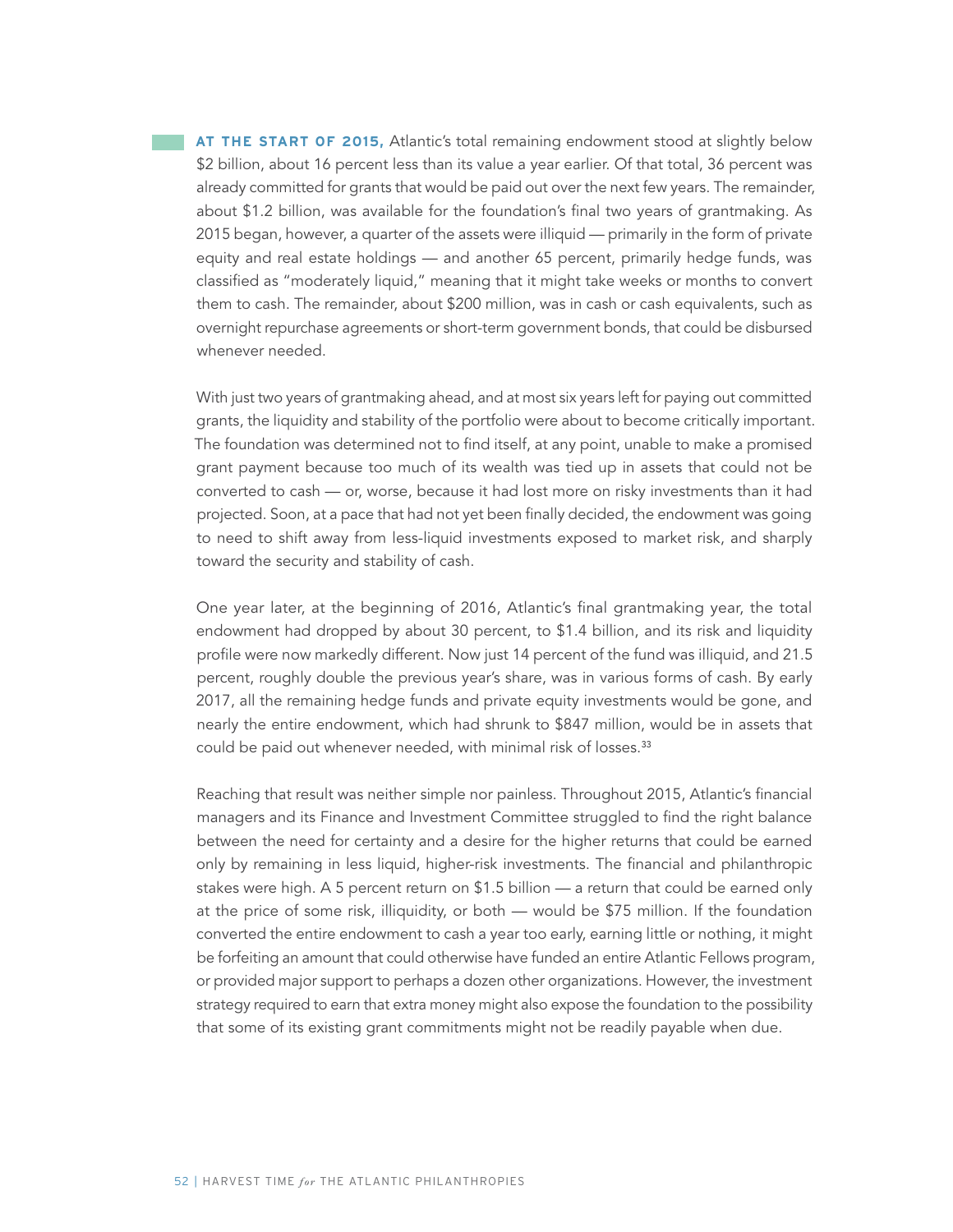**AT THE START OF 2015, Atlantic's total remaining endowment stood at slightly below** \$2 billion, about 16 percent less than its value a year earlier. Of that total, 36 percent was already committed for grants that would be paid out over the next few years. The remainder, about \$1.2 billion, was available for the foundation's final two years of grantmaking. As 2015 began, however, a quarter of the assets were illiquid — primarily in the form of private equity and real estate holdings — and another 65 percent, primarily hedge funds, was classified as "moderately liquid," meaning that it might take weeks or months to convert them to cash. The remainder, about \$200 million, was in cash or cash equivalents, such as overnight repurchase agreements or short-term government bonds, that could be disbursed whenever needed.

With just two years of grantmaking ahead, and at most six years left for paying out committed grants, the liquidity and stability of the portfolio were about to become critically important. The foundation was determined not to find itself, at any point, unable to make a promised grant payment because too much of its wealth was tied up in assets that could not be converted to cash — or, worse, because it had lost more on risky investments than it had projected. Soon, at a pace that had not yet been finally decided, the endowment was going to need to shift away from less-liquid investments exposed to market risk, and sharply toward the security and stability of cash.

One year later, at the beginning of 2016, Atlantic's final grantmaking year, the total endowment had dropped by about 30 percent, to \$1.4 billion, and its risk and liquidity profile were now markedly different. Now just 14 percent of the fund was illiquid, and 21.5 percent, roughly double the previous year's share, was in various forms of cash. By early 2017, all the remaining hedge funds and private equity investments would be gone, and nearly the entire endowment, which had shrunk to \$847 million, would be in assets that could be paid out whenever needed, with minimal risk of losses.<sup>33</sup>

Reaching that result was neither simple nor painless. Throughout 2015, Atlantic's financial managers and its Finance and Investment Committee struggled to find the right balance between the need for certainty and a desire for the higher returns that could be earned only by remaining in less liquid, higher-risk investments. The financial and philanthropic stakes were high. A 5 percent return on \$1.5 billion — a return that could be earned only at the price of some risk, illiquidity, or both — would be \$75 million. If the foundation converted the entire endowment to cash a year too early, earning little or nothing, it might be forfeiting an amount that could otherwise have funded an entire Atlantic Fellows program, or provided major support to perhaps a dozen other organizations. However, the investment strategy required to earn that extra money might also expose the foundation to the possibility that some of its existing grant commitments might not be readily payable when due.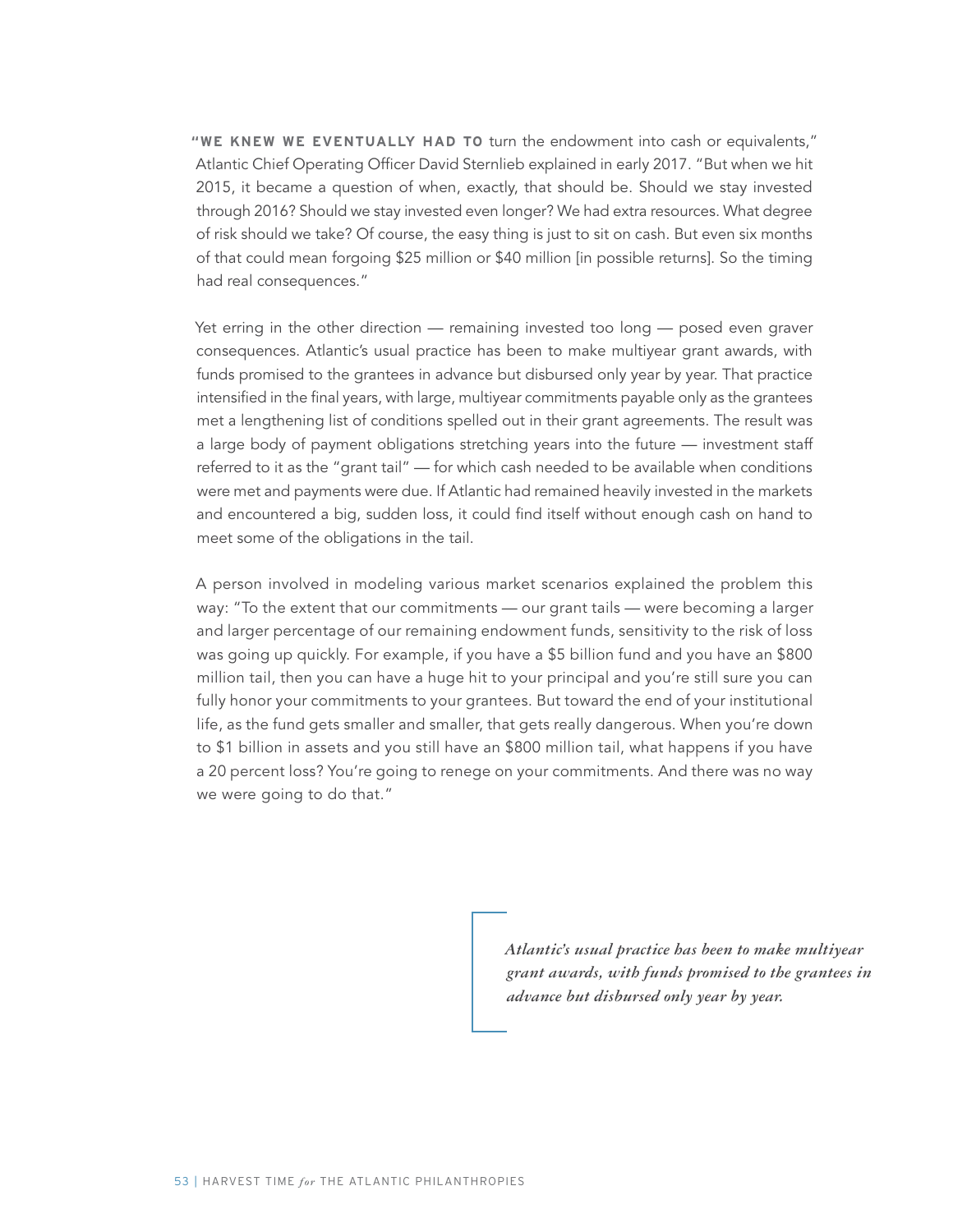**"WE KNEW WE EVENTUALLY HAD TO** turn the endowment into cash or equivalents," Atlantic Chief Operating Officer David Sternlieb explained in early 2017. "But when we hit 2015, it became a question of when, exactly, that should be. Should we stay invested through 2016? Should we stay invested even longer? We had extra resources. What degree of risk should we take? Of course, the easy thing is just to sit on cash. But even six months of that could mean forgoing \$25 million or \$40 million [in possible returns]. So the timing had real consequences."

Yet erring in the other direction — remaining invested too long — posed even graver consequences. Atlantic's usual practice has been to make multiyear grant awards, with funds promised to the grantees in advance but disbursed only year by year. That practice intensified in the final years, with large, multiyear commitments payable only as the grantees met a lengthening list of conditions spelled out in their grant agreements. The result was a large body of payment obligations stretching years into the future — investment staff referred to it as the "grant tail" — for which cash needed to be available when conditions were met and payments were due. If Atlantic had remained heavily invested in the markets and encountered a big, sudden loss, it could find itself without enough cash on hand to meet some of the obligations in the tail.

A person involved in modeling various market scenarios explained the problem this way: "To the extent that our commitments — our grant tails — were becoming a larger and larger percentage of our remaining endowment funds, sensitivity to the risk of loss was going up quickly. For example, if you have a \$5 billion fund and you have an \$800 million tail, then you can have a huge hit to your principal and you're still sure you can fully honor your commitments to your grantees. But toward the end of your institutional life, as the fund gets smaller and smaller, that gets really dangerous. When you're down to \$1 billion in assets and you still have an \$800 million tail, what happens if you have a 20 percent loss? You're going to renege on your commitments. And there was no way we were going to do that."

> *Atlantic's usual practice has been to make multiyear grant awards, with funds promised to the grantees in advance but disbursed only year by year.*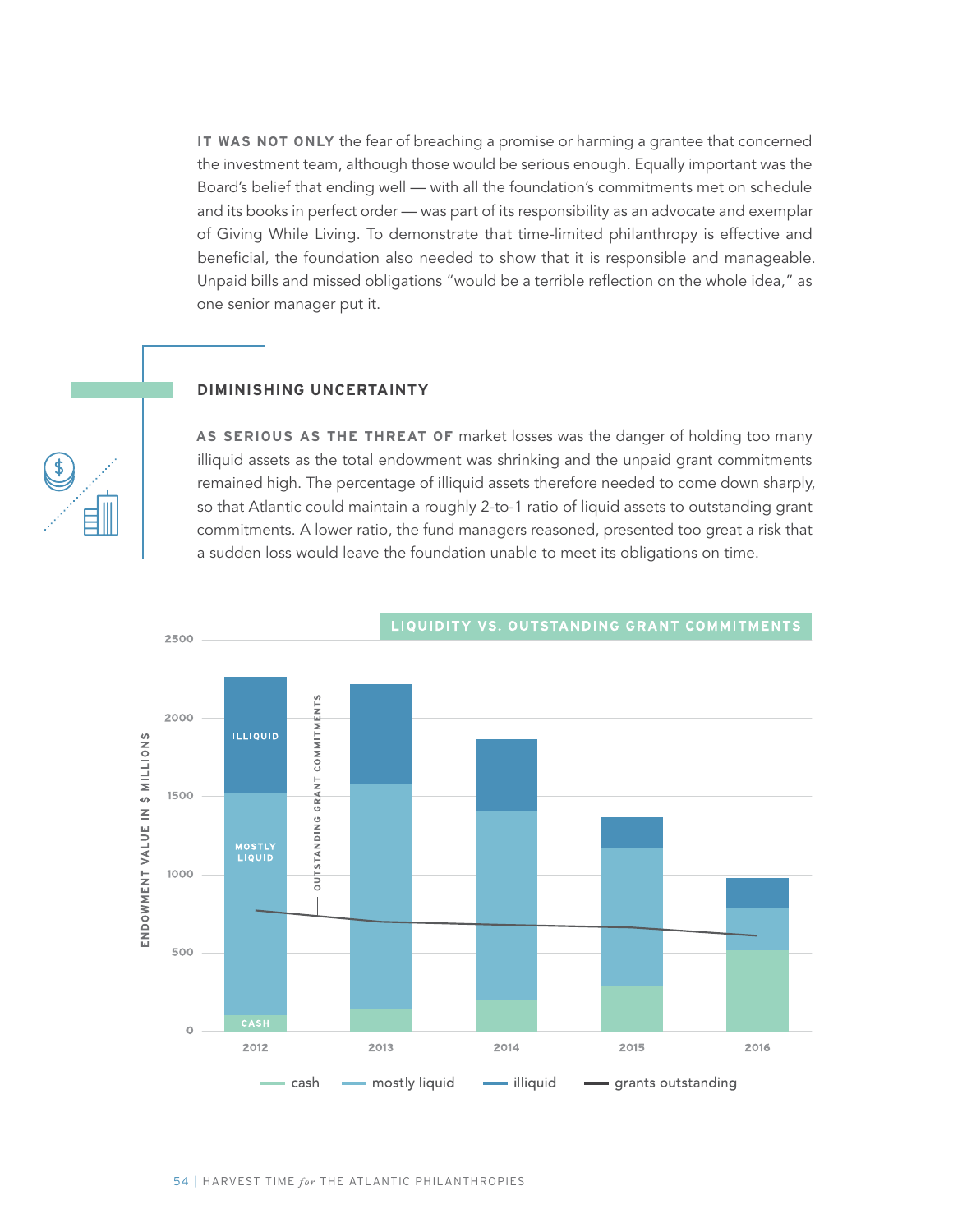**IT WAS NOT ONLY** the fear of breaching a promise or harming a grantee that concerned the investment team, although those would be serious enough. Equally important was the Board's belief that ending well — with all the foundation's commitments met on schedule and its books in perfect order — was part of its responsibility as an advocate and exemplar of Giving While Living. To demonstrate that time-limited philanthropy is effective and beneficial, the foundation also needed to show that it is responsible and manageable. Unpaid bills and missed obligations "would be a terrible reflection on the whole idea," as one senior manager put it.

#### **DIMINISHING UNCERTAINTY**

**AS SERIOUS AS THE THREAT OF** market losses was the danger of holding too many illiquid assets as the total endowment was shrinking and the unpaid grant commitments remained high. The percentage of illiquid assets therefore needed to come down sharply, so that Atlantic could maintain a roughly 2-to-1 ratio of liquid assets to outstanding grant commitments. A lower ratio, the fund managers reasoned, presented too great a risk that a sudden loss would leave the foundation unable to meet its obligations on time.

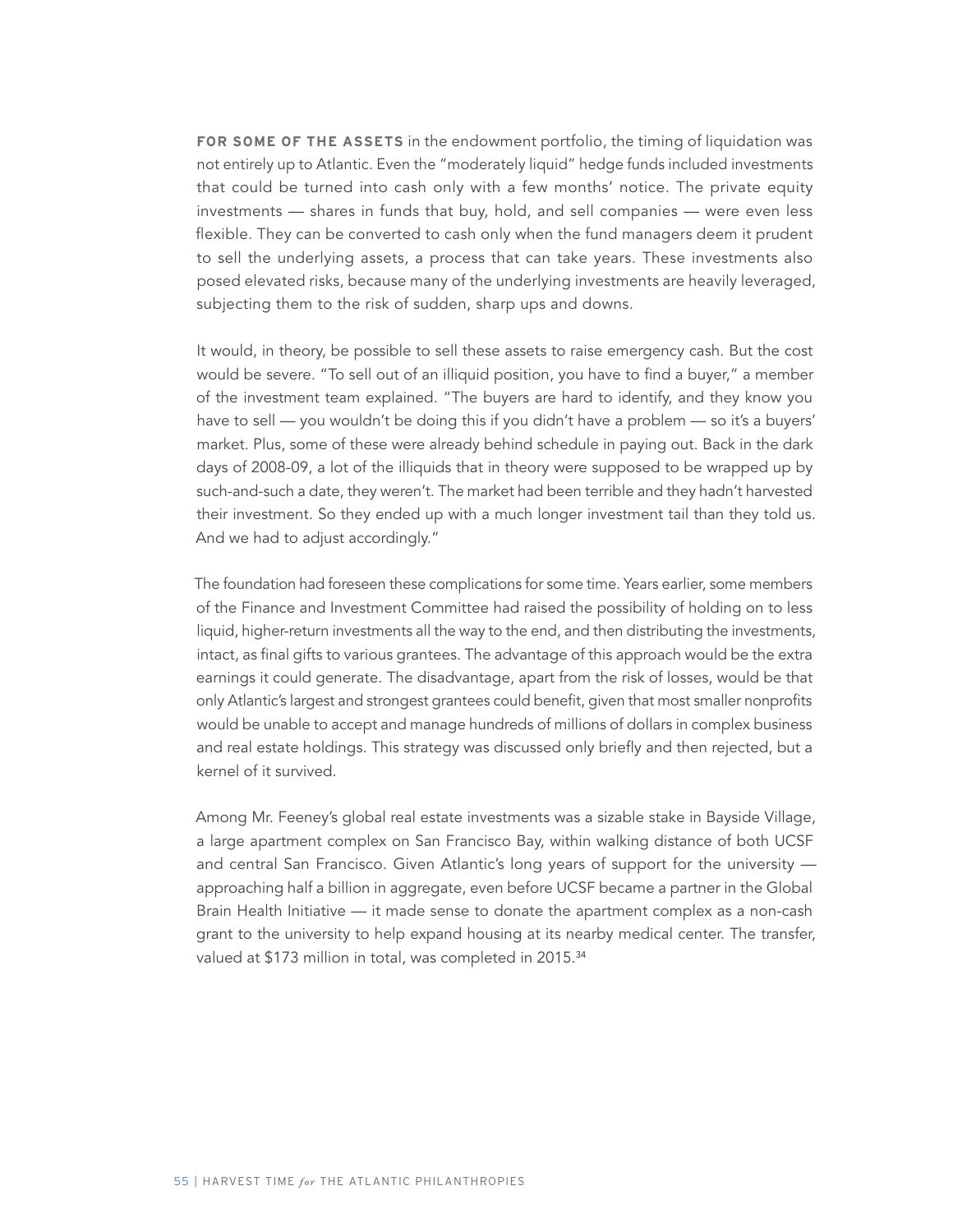**FOR SOME OF THE ASSETS** in the endowment portfolio, the timing of liquidation was not entirely up to Atlantic. Even the "moderately liquid" hedge funds included investments that could be turned into cash only with a few months' notice. The private equity investments — shares in funds that buy, hold, and sell companies — were even less flexible. They can be converted to cash only when the fund managers deem it prudent to sell the underlying assets, a process that can take years. These investments also posed elevated risks, because many of the underlying investments are heavily leveraged, subjecting them to the risk of sudden, sharp ups and downs.

It would, in theory, be possible to sell these assets to raise emergency cash. But the cost would be severe. "To sell out of an illiquid position, you have to find a buyer," a member of the investment team explained. "The buyers are hard to identify, and they know you have to sell — you wouldn't be doing this if you didn't have a problem — so it's a buyers' market. Plus, some of these were already behind schedule in paying out. Back in the dark days of 2008-09, a lot of the illiquids that in theory were supposed to be wrapped up by such-and-such a date, they weren't. The market had been terrible and they hadn't harvested their investment. So they ended up with a much longer investment tail than they told us. And we had to adjust accordingly."

The foundation had foreseen these complications for some time. Years earlier, some members of the Finance and Investment Committee had raised the possibility of holding on to less liquid, higher-return investments all the way to the end, and then distributing the investments, intact, as final gifts to various grantees. The advantage of this approach would be the extra earnings it could generate. The disadvantage, apart from the risk of losses, would be that only Atlantic's largest and strongest grantees could benefit, given that most smaller nonprofits would be unable to accept and manage hundreds of millions of dollars in complex business and real estate holdings. This strategy was discussed only briefly and then rejected, but a kernel of it survived.

Among Mr. Feeney's global real estate investments was a sizable stake in Bayside Village, a large apartment complex on San Francisco Bay, within walking distance of both UCSF and central San Francisco. Given Atlantic's long years of support for the university approaching half a billion in aggregate, even before UCSF became a partner in the Global Brain Health Initiative — it made sense to donate the apartment complex as a non-cash grant to the university to help expand housing at its nearby medical center. The transfer, valued at \$173 million in total, was completed in 2015.<sup>34</sup>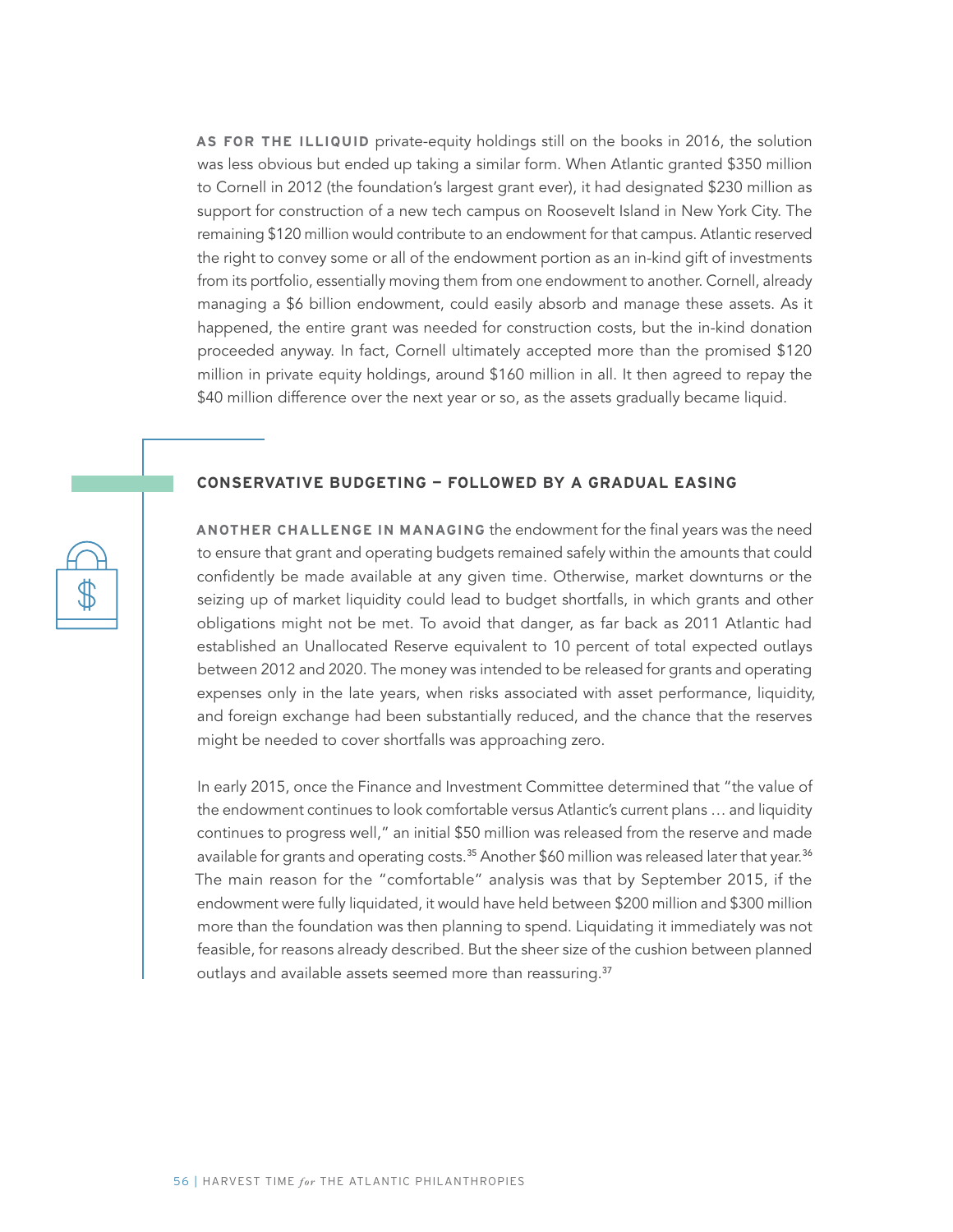**AS FOR THE ILLIQUID** private-equity holdings still on the books in 2016, the solution was less obvious but ended up taking a similar form. When Atlantic granted \$350 million to Cornell in 2012 (the foundation's largest grant ever), it had designated \$230 million as support for construction of a new tech campus on Roosevelt Island in New York City. The remaining \$120 million would contribute to an endowment for that campus. Atlantic reserved the right to convey some or all of the endowment portion as an in-kind gift of investments from its portfolio, essentially moving them from one endowment to another. Cornell, already managing a \$6 billion endowment, could easily absorb and manage these assets. As it happened, the entire grant was needed for construction costs, but the in-kind donation proceeded anyway. In fact, Cornell ultimately accepted more than the promised \$120 million in private equity holdings, around \$160 million in all. It then agreed to repay the \$40 million difference over the next year or so, as the assets gradually became liquid.

#### **CONSERVATIVE BUDGETING — FOLLOWED BY A GRADUAL EASING**

**ANOTHER CHALLENGE IN MANAGING** the endowment for the final years was the need to ensure that grant and operating budgets remained safely within the amounts that could confidently be made available at any given time. Otherwise, market downturns or the seizing up of market liquidity could lead to budget shortfalls, in which grants and other obligations might not be met. To avoid that danger, as far back as 2011 Atlantic had established an Unallocated Reserve equivalent to 10 percent of total expected outlays between 2012 and 2020. The money was intended to be released for grants and operating expenses only in the late years, when risks associated with asset performance, liquidity, and foreign exchange had been substantially reduced, and the chance that the reserves might be needed to cover shortfalls was approaching zero.

In early 2015, once the Finance and Investment Committee determined that "the value of the endowment continues to look comfortable versus Atlantic's current plans … and liquidity continues to progress well," an initial \$50 million was released from the reserve and made available for grants and operating costs.<sup>35</sup> Another \$60 million was released later that year.<sup>36</sup> The main reason for the "comfortable" analysis was that by September 2015, if the endowment were fully liquidated, it would have held between \$200 million and \$300 million more than the foundation was then planning to spend. Liquidating it immediately was not feasible, for reasons already described. But the sheer size of the cushion between planned outlays and available assets seemed more than reassuring.<sup>37</sup>

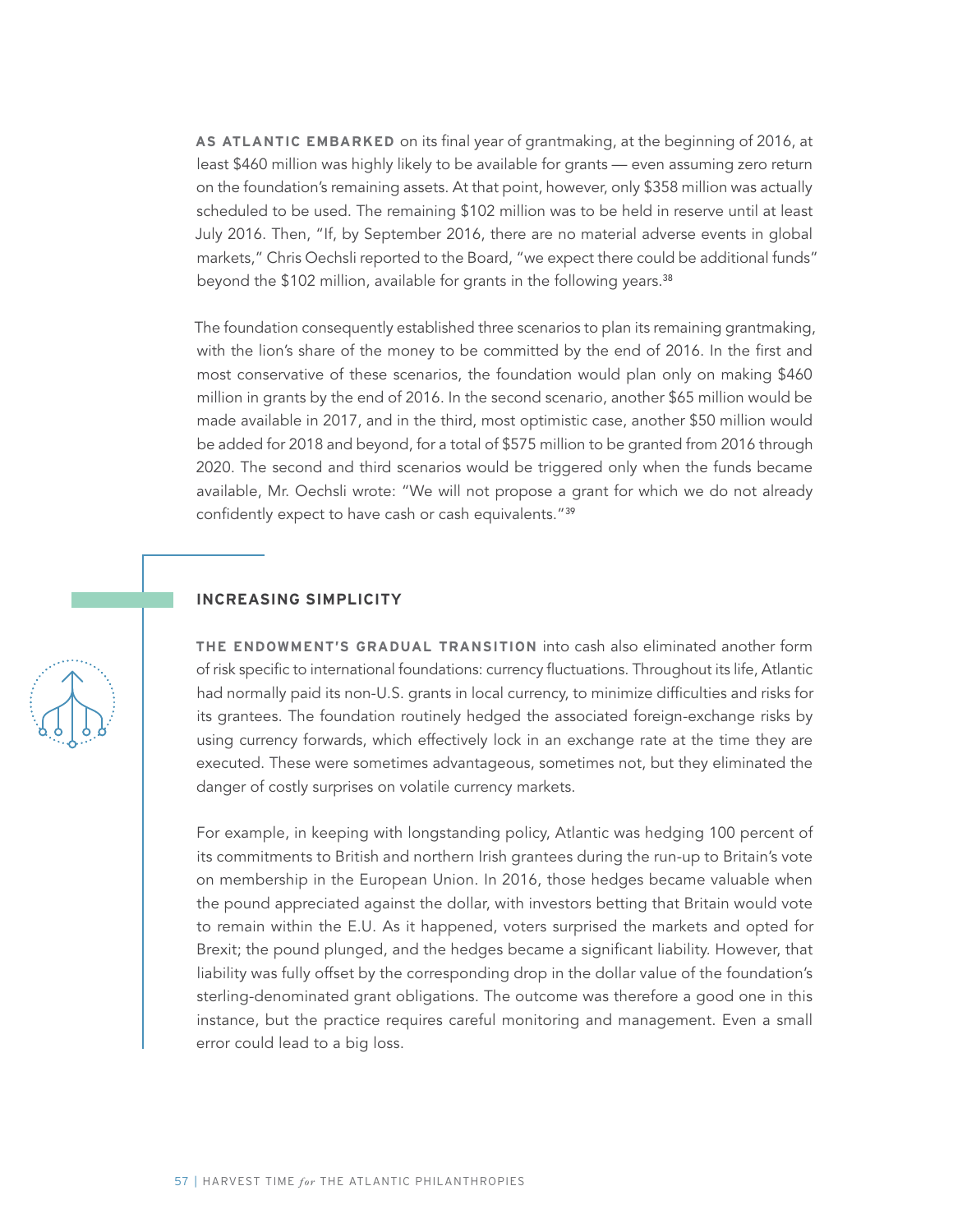**AS ATLANTIC EMBARKED** on its final year of grantmaking, at the beginning of 2016, at least \$460 million was highly likely to be available for grants — even assuming zero return on the foundation's remaining assets. At that point, however, only \$358 million was actually scheduled to be used. The remaining \$102 million was to be held in reserve until at least July 2016. Then, "If, by September 2016, there are no material adverse events in global markets," Chris Oechsli reported to the Board, "we expect there could be additional funds" beyond the \$102 million, available for grants in the following years.<sup>38</sup>

The foundation consequently established three scenarios to plan its remaining grantmaking, with the lion's share of the money to be committed by the end of 2016. In the first and most conservative of these scenarios, the foundation would plan only on making \$460 million in grants by the end of 2016. In the second scenario, another \$65 million would be made available in 2017, and in the third, most optimistic case, another \$50 million would be added for 2018 and beyond, for a total of \$575 million to be granted from 2016 through 2020. The second and third scenarios would be triggered only when the funds became available, Mr. Oechsli wrote: "We will not propose a grant for which we do not already confidently expect to have cash or cash equivalents."<sup>39</sup>

#### **INCREASING SIMPLICITY**

**THE ENDOWMENT'S GRADUAL TRANSITION** into cash also eliminated another form of risk specific to international foundations: currency fluctuations. Throughout its life, Atlantic had normally paid its non-U.S. grants in local currency, to minimize difficulties and risks for its grantees. The foundation routinely hedged the associated foreign-exchange risks by using currency forwards, which effectively lock in an exchange rate at the time they are executed. These were sometimes advantageous, sometimes not, but they eliminated the danger of costly surprises on volatile currency markets.

For example, in keeping with longstanding policy, Atlantic was hedging 100 percent of its commitments to British and northern Irish grantees during the run-up to Britain's vote on membership in the European Union. In 2016, those hedges became valuable when the pound appreciated against the dollar, with investors betting that Britain would vote to remain within the E.U. As it happened, voters surprised the markets and opted for Brexit; the pound plunged, and the hedges became a significant liability. However, that liability was fully offset by the corresponding drop in the dollar value of the foundation's sterling-denominated grant obligations. The outcome was therefore a good one in this instance, but the practice requires careful monitoring and management. Even a small error could lead to a big loss.

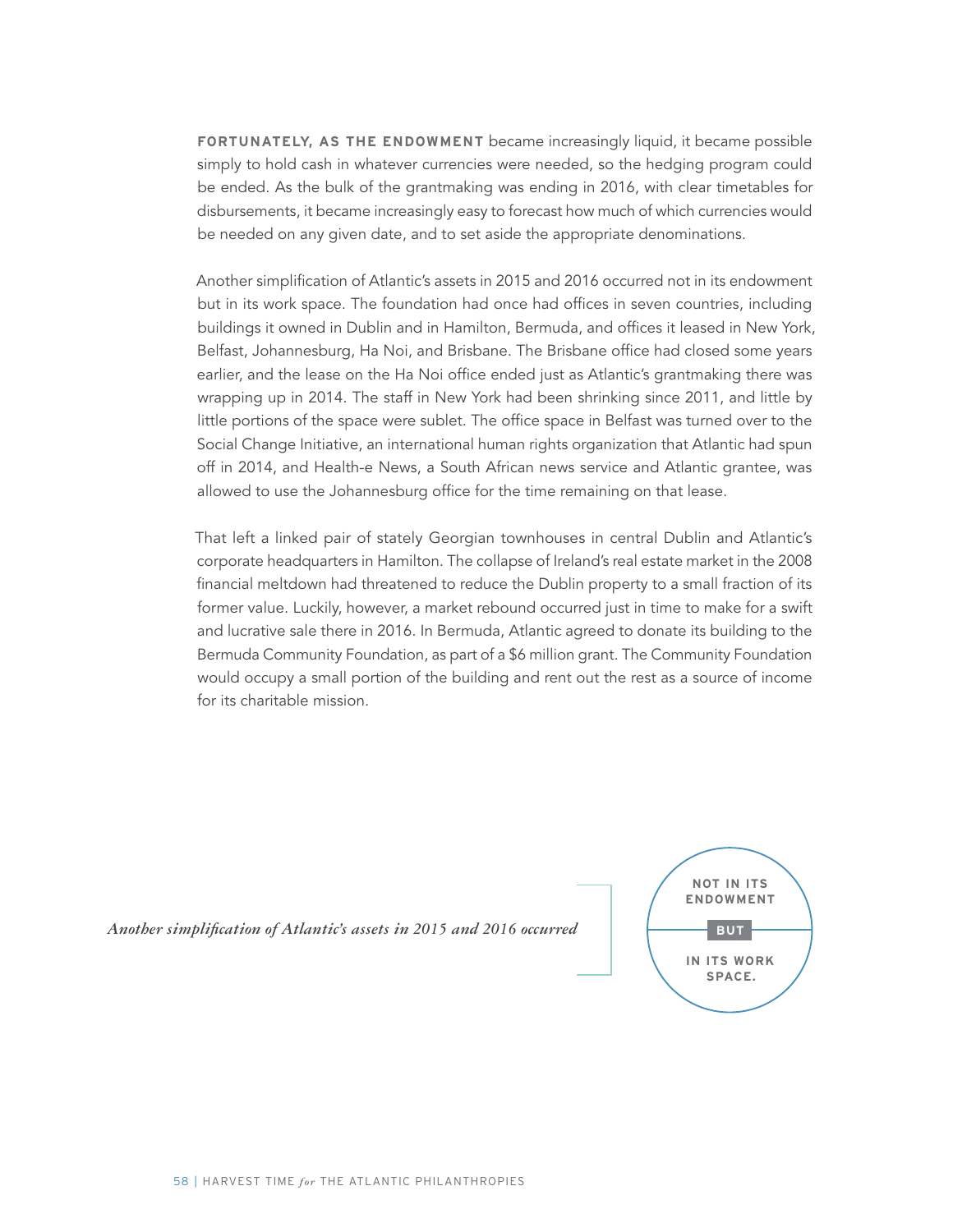**FORTUNATELY, AS THE ENDOWMENT** became increasingly liquid, it became possible simply to hold cash in whatever currencies were needed, so the hedging program could be ended. As the bulk of the grantmaking was ending in 2016, with clear timetables for disbursements, it became increasingly easy to forecast how much of which currencies would be needed on any given date, and to set aside the appropriate denominations.

Another simplification of Atlantic's assets in 2015 and 2016 occurred not in its endowment but in its work space. The foundation had once had offices in seven countries, including buildings it owned in Dublin and in Hamilton, Bermuda, and offices it leased in New York, Belfast, Johannesburg, Ha Noi, and Brisbane. The Brisbane office had closed some years earlier, and the lease on the Ha Noi office ended just as Atlantic's grantmaking there was wrapping up in 2014. The staff in New York had been shrinking since 2011, and little by little portions of the space were sublet. The office space in Belfast was turned over to the Social Change Initiative, an international human rights organization that Atlantic had spun off in 2014, and Health-e News, a South African news service and Atlantic grantee, was allowed to use the Johannesburg office for the time remaining on that lease.

That left a linked pair of stately Georgian townhouses in central Dublin and Atlantic's corporate headquarters in Hamilton. The collapse of Ireland's real estate market in the 2008 financial meltdown had threatened to reduce the Dublin property to a small fraction of its former value. Luckily, however, a market rebound occurred just in time to make for a swift and lucrative sale there in 2016. In Bermuda, Atlantic agreed to donate its building to the Bermuda Community Foundation, as part of a \$6 million grant. The Community Foundation would occupy a small portion of the building and rent out the rest as a source of income for its charitable mission.

*Another simplification of Atlantic's assets in 2015 and 2016 occurred*

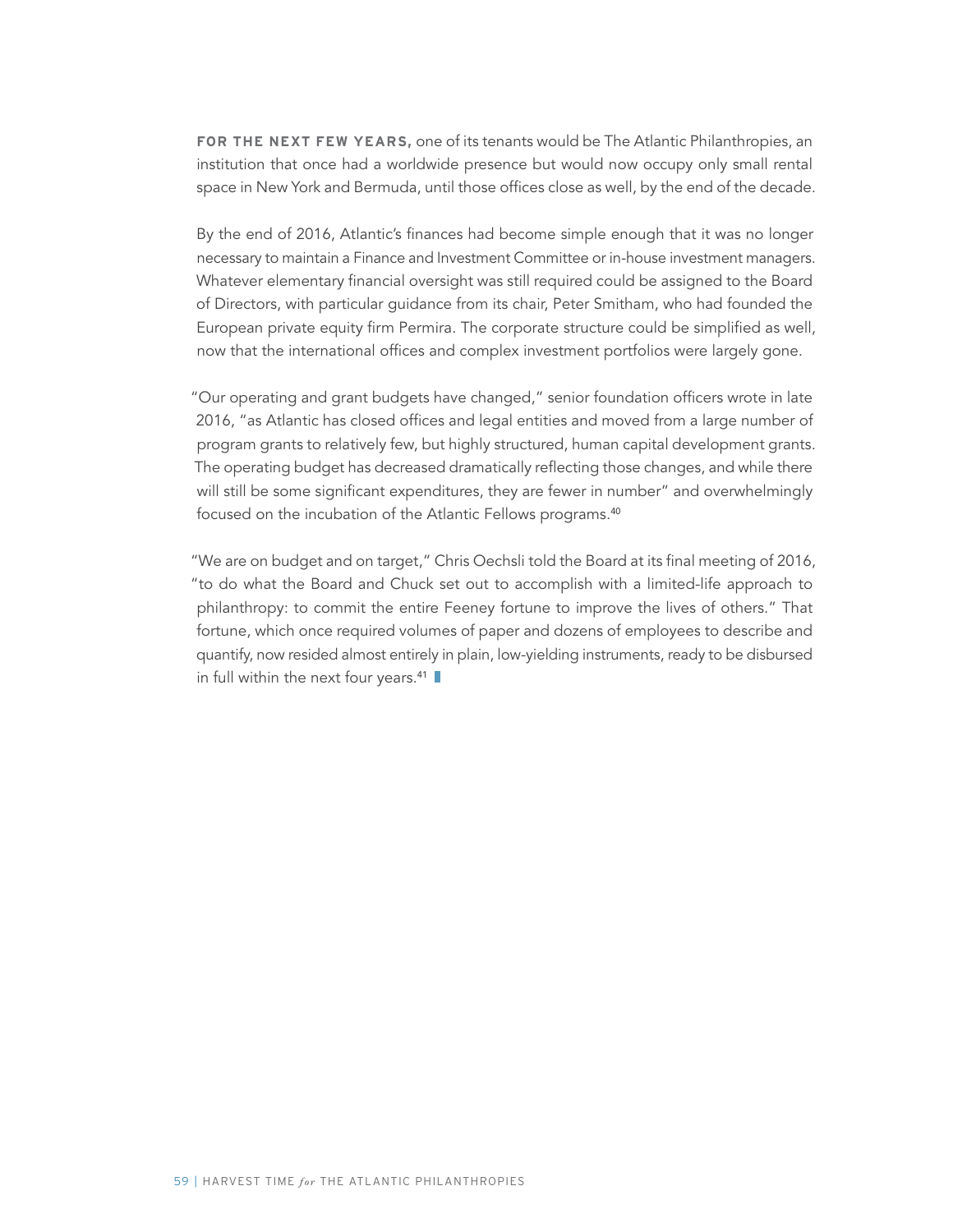**FOR THE NEXT FEW YEARS,** one of its tenants would be The Atlantic Philanthropies, an institution that once had a worldwide presence but would now occupy only small rental space in New York and Bermuda, until those offices close as well, by the end of the decade.

By the end of 2016, Atlantic's finances had become simple enough that it was no longer necessary to maintain a Finance and Investment Committee or in-house investment managers. Whatever elementary financial oversight was still required could be assigned to the Board of Directors, with particular guidance from its chair, Peter Smitham, who had founded the European private equity firm Permira. The corporate structure could be simplified as well, now that the international offices and complex investment portfolios were largely gone.

"Our operating and grant budgets have changed," senior foundation officers wrote in late 2016, "as Atlantic has closed offices and legal entities and moved from a large number of program grants to relatively few, but highly structured, human capital development grants. The operating budget has decreased dramatically reflecting those changes, and while there will still be some significant expenditures, they are fewer in number" and overwhelmingly focused on the incubation of the Atlantic Fellows programs.<sup>40</sup>

"We are on budget and on target," Chris Oechsli told the Board at its final meeting of 2016, "to do what the Board and Chuck set out to accomplish with a limited-life approach to philanthropy: to commit the entire Feeney fortune to improve the lives of others." That fortune, which once required volumes of paper and dozens of employees to describe and quantify, now resided almost entirely in plain, low-yielding instruments, ready to be disbursed in full within the next four years.<sup>41</sup>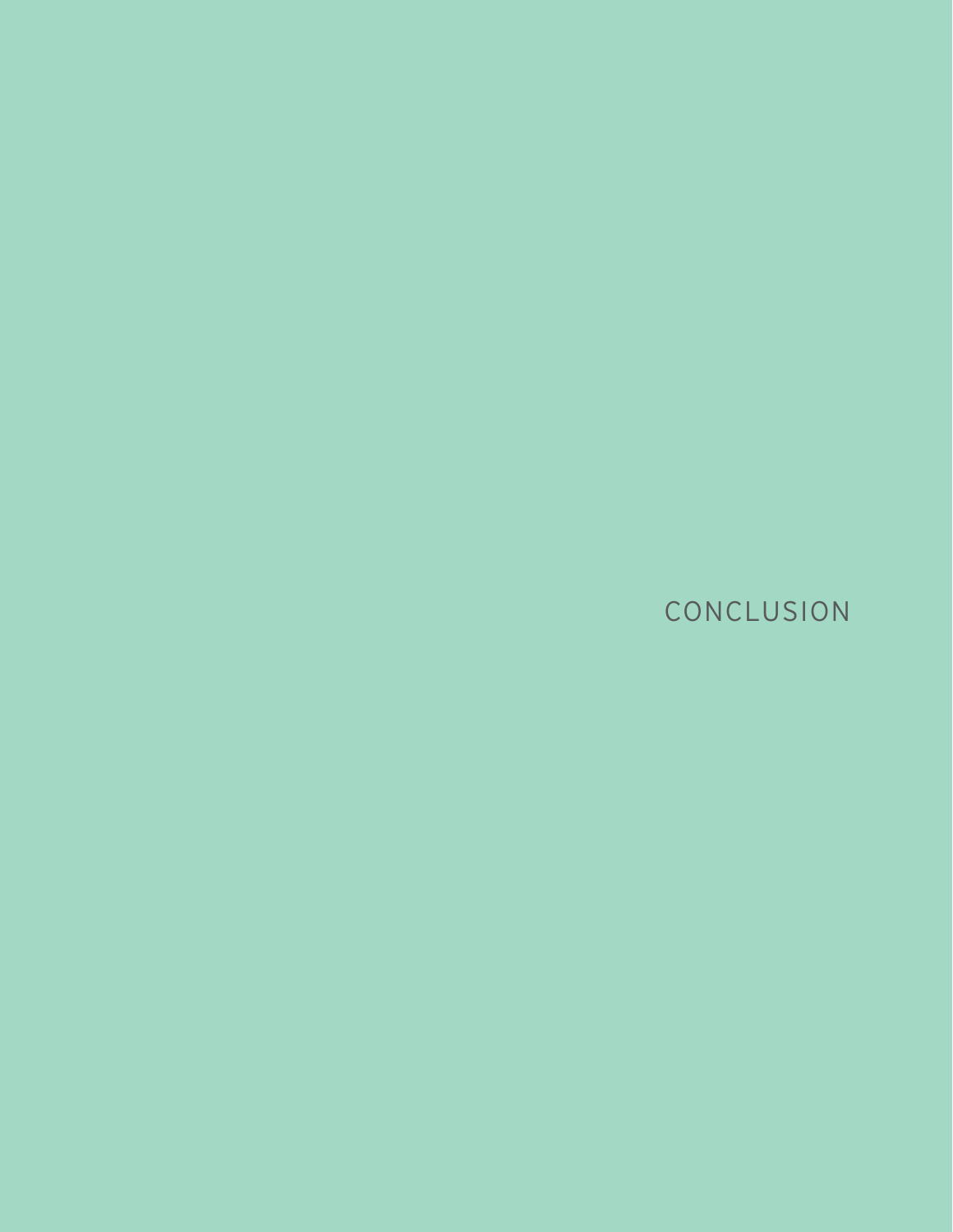CONCLUSION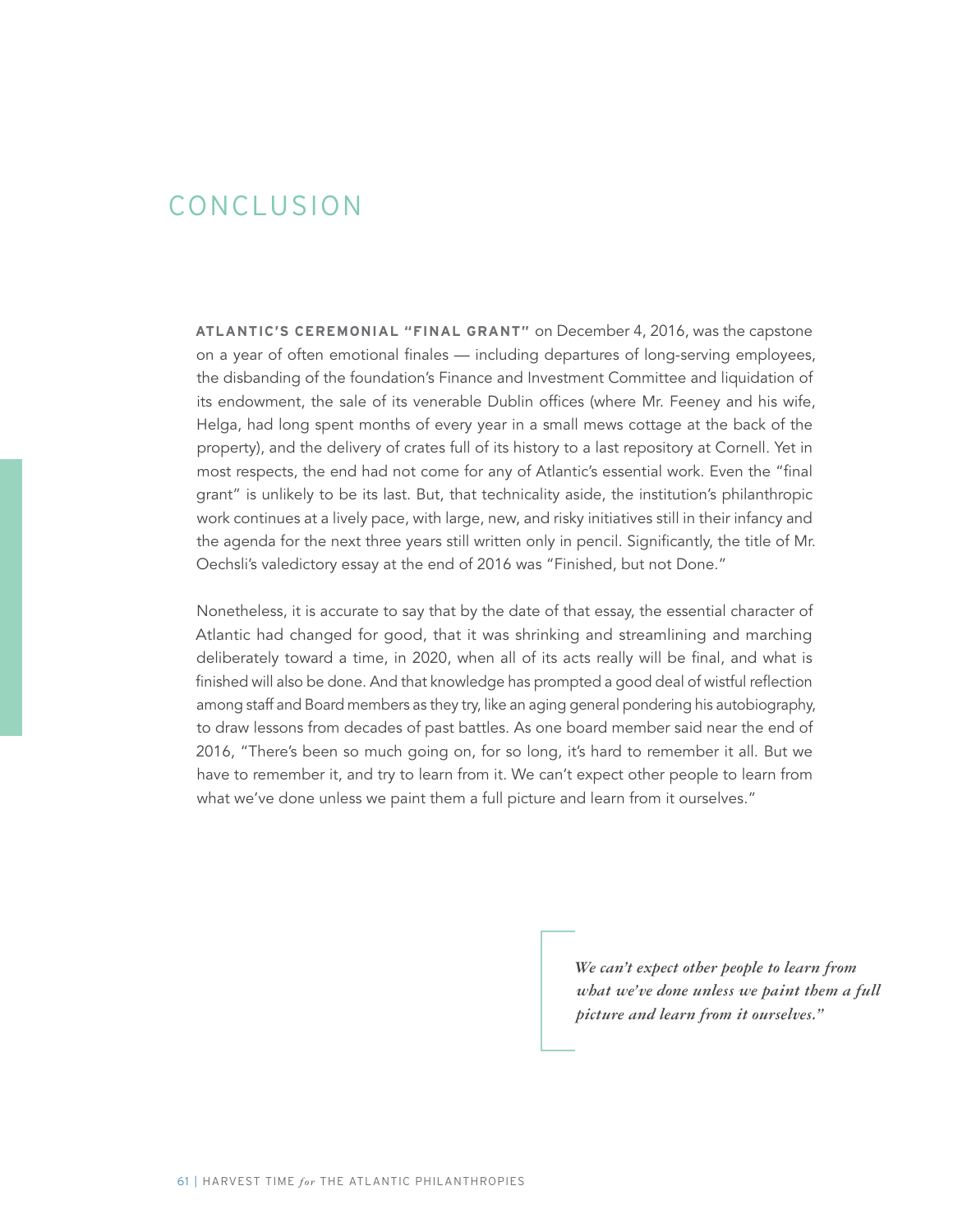### CONCLUSION

**ATLANTIC'S CEREMONIAL "FINAL GRANT"** on December 4, 2016, was the capstone on a year of often emotional finales — including departures of long-serving employees, the disbanding of the foundation's Finance and Investment Committee and liquidation of its endowment, the sale of its venerable Dublin offices (where Mr. Feeney and his wife, Helga, had long spent months of every year in a small mews cottage at the back of the property), and the delivery of crates full of its history to a last repository at Cornell. Yet in most respects, the end had not come for any of Atlantic's essential work. Even the "final grant" is unlikely to be its last. But, that technicality aside, the institution's philanthropic work continues at a lively pace, with large, new, and risky initiatives still in their infancy and the agenda for the next three years still written only in pencil. Significantly, the title of Mr. Oechsli's valedictory essay at the end of 2016 was "Finished, but not Done."

Nonetheless, it is accurate to say that by the date of that essay, the essential character of Atlantic had changed for good, that it was shrinking and streamlining and marching deliberately toward a time, in 2020, when all of its acts really will be final, and what is finished will also be done. And that knowledge has prompted a good deal of wistful reflection among staff and Board members as they try, like an aging general pondering his autobiography, to draw lessons from decades of past battles. As one board member said near the end of 2016, "There's been so much going on, for so long, it's hard to remember it all. But we have to remember it, and try to learn from it. We can't expect other people to learn from what we've done unless we paint them a full picture and learn from it ourselves."

> *We can't expect other people to learn from what we've done unless we paint them a full picture and learn from it ourselves."*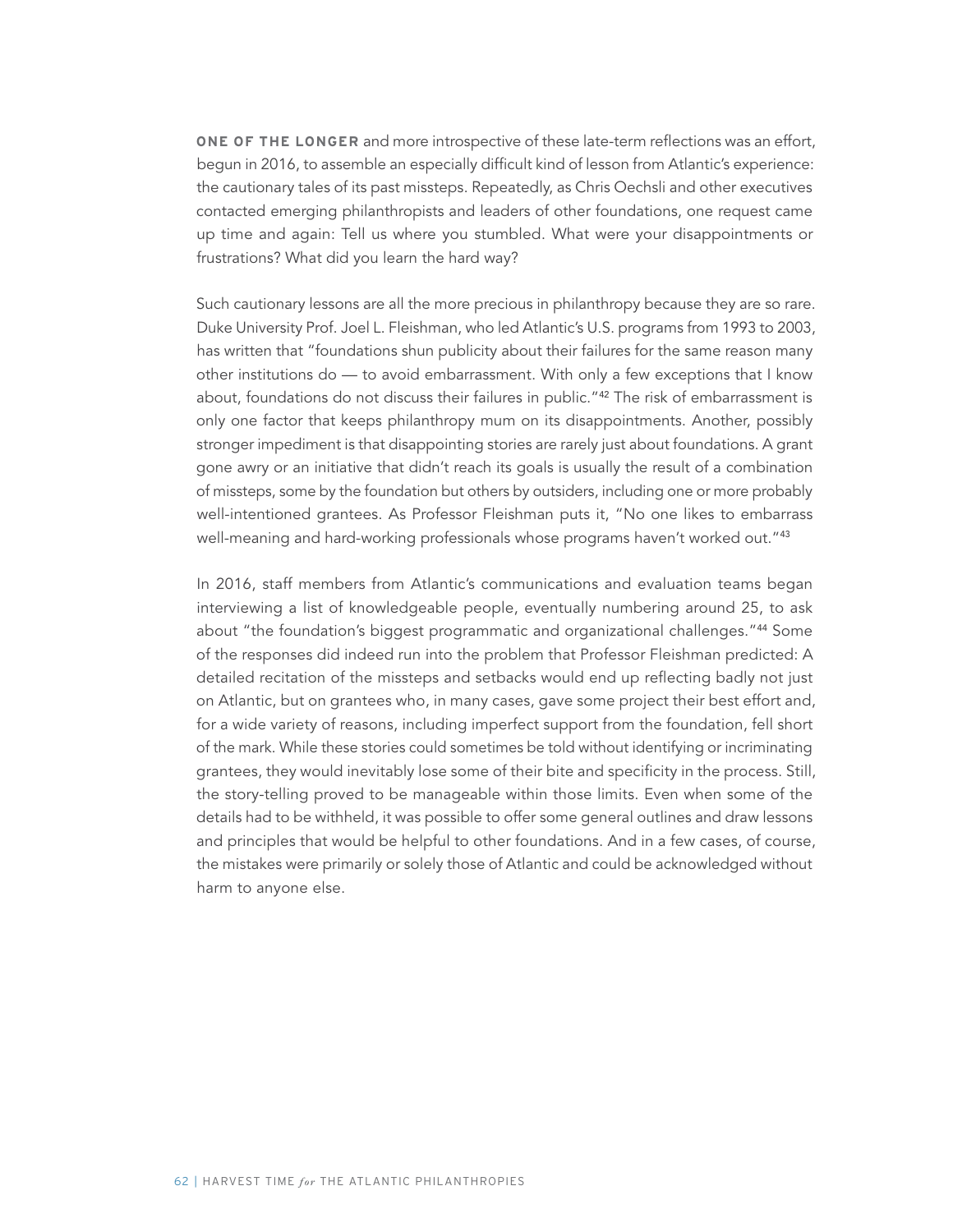**ONE OF THE LONGER** and more introspective of these late-term reflections was an effort, begun in 2016, to assemble an especially difficult kind of lesson from Atlantic's experience: the cautionary tales of its past missteps. Repeatedly, as Chris Oechsli and other executives contacted emerging philanthropists and leaders of other foundations, one request came up time and again: Tell us where you stumbled. What were your disappointments or frustrations? What did you learn the hard way?

Such cautionary lessons are all the more precious in philanthropy because they are so rare. Duke University Prof. Joel L. Fleishman, who led Atlantic's U.S. programs from 1993 to 2003, has written that "foundations shun publicity about their failures for the same reason many other institutions do — to avoid embarrassment. With only a few exceptions that I know about, foundations do not discuss their failures in public."<sup>42</sup> The risk of embarrassment is only one factor that keeps philanthropy mum on its disappointments. Another, possibly stronger impediment is that disappointing stories are rarely just about foundations. A grant gone awry or an initiative that didn't reach its goals is usually the result of a combination of missteps, some by the foundation but others by outsiders, including one or more probably well-intentioned grantees. As Professor Fleishman puts it, "No one likes to embarrass well-meaning and hard-working professionals whose programs haven't worked out."<sup>43</sup>

In 2016, staff members from Atlantic's communications and evaluation teams began interviewing a list of knowledgeable people, eventually numbering around 25, to ask about "the foundation's biggest programmatic and organizational challenges."<sup>44</sup> Some of the responses did indeed run into the problem that Professor Fleishman predicted: A detailed recitation of the missteps and setbacks would end up reflecting badly not just on Atlantic, but on grantees who, in many cases, gave some project their best effort and, for a wide variety of reasons, including imperfect support from the foundation, fell short of the mark. While these stories could sometimes be told without identifying or incriminating grantees, they would inevitably lose some of their bite and specificity in the process. Still, the story-telling proved to be manageable within those limits. Even when some of the details had to be withheld, it was possible to offer some general outlines and draw lessons and principles that would be helpful to other foundations. And in a few cases, of course, the mistakes were primarily or solely those of Atlantic and could be acknowledged without harm to anyone else.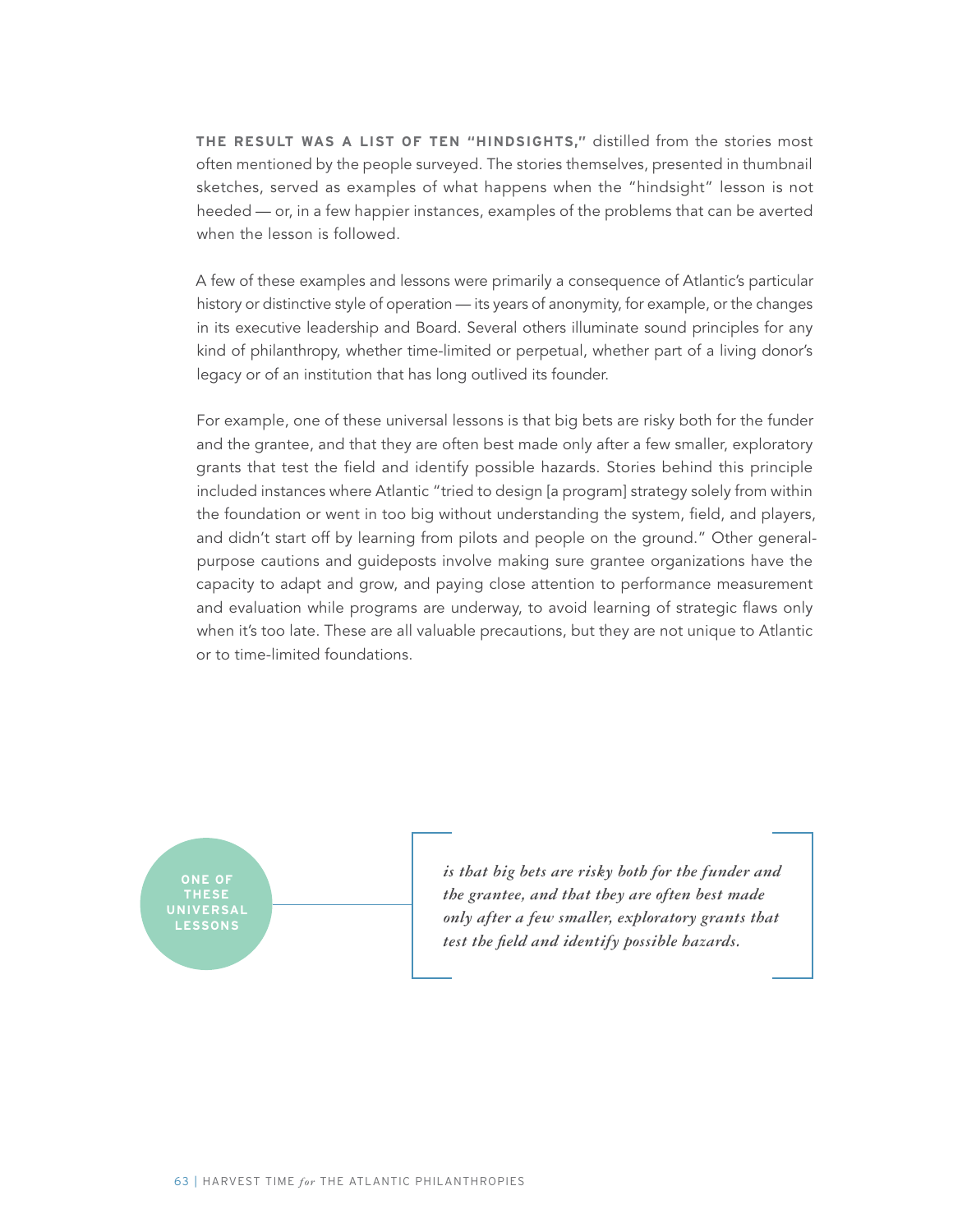**THE RESULT WAS A LIST OF TEN "HINDSIGHTS,"** distilled from the stories most often mentioned by the people surveyed. The stories themselves, presented in thumbnail sketches, served as examples of what happens when the "hindsight" lesson is not heeded — or, in a few happier instances, examples of the problems that can be averted when the lesson is followed.

A few of these examples and lessons were primarily a consequence of Atlantic's particular history or distinctive style of operation — its years of anonymity, for example, or the changes in its executive leadership and Board. Several others illuminate sound principles for any kind of philanthropy, whether time-limited or perpetual, whether part of a living donor's legacy or of an institution that has long outlived its founder.

For example, one of these universal lessons is that big bets are risky both for the funder and the grantee, and that they are often best made only after a few smaller, exploratory grants that test the field and identify possible hazards. Stories behind this principle included instances where Atlantic "tried to design [a program] strategy solely from within the foundation or went in too big without understanding the system, field, and players, and didn't start off by learning from pilots and people on the ground." Other generalpurpose cautions and guideposts involve making sure grantee organizations have the capacity to adapt and grow, and paying close attention to performance measurement and evaluation while programs are underway, to avoid learning of strategic flaws only when it's too late. These are all valuable precautions, but they are not unique to Atlantic or to time-limited foundations.



*is that big bets are risky both for the funder and the grantee, and that they are often best made only after a few smaller, exploratory grants that test the field and identify possible hazards.*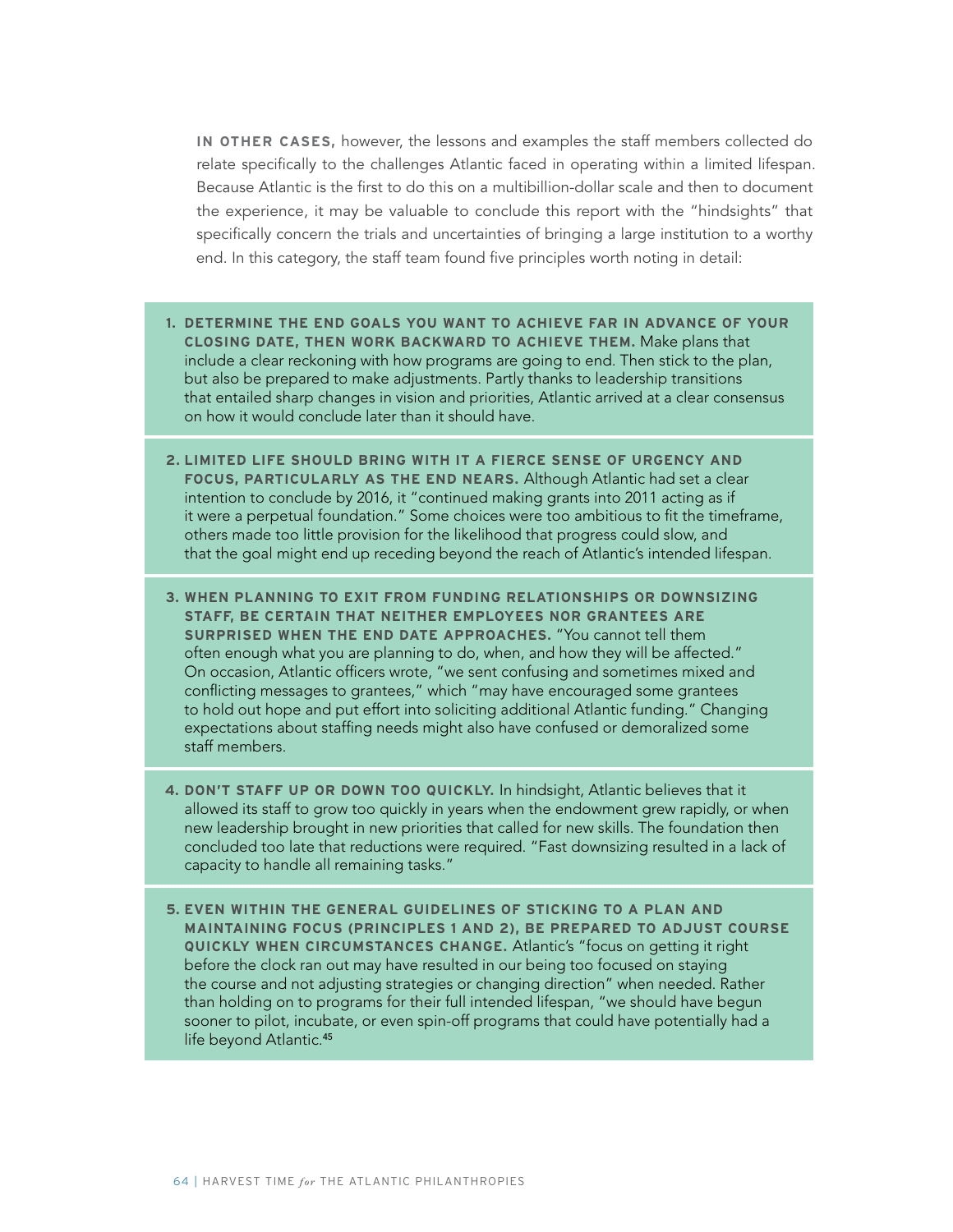**IN OTHER CASES,** however, the lessons and examples the staff members collected do relate specifically to the challenges Atlantic faced in operating within a limited lifespan. Because Atlantic is the first to do this on a multibillion-dollar scale and then to document the experience, it may be valuable to conclude this report with the "hindsights" that specifically concern the trials and uncertainties of bringing a large institution to a worthy end. In this category, the staff team found five principles worth noting in detail:

- **1. DETERMINE THE END GOALS YOU WANT TO ACHIEVE FAR IN ADVANCE OF YOUR CLOSING DATE, THEN WORK BACKWARD TO ACHIEVE THEM.** Make plans that include a clear reckoning with how programs are going to end. Then stick to the plan, but also be prepared to make adjustments. Partly thanks to leadership transitions that entailed sharp changes in vision and priorities, Atlantic arrived at a clear consensus on how it would conclude later than it should have.
- **2. LIMITED LIFE SHOULD BRING WITH IT A FIERCE SENSE OF URGENCY AND FOCUS, PARTICULARLY AS THE END NEARS.** Although Atlantic had set a clear intention to conclude by 2016, it "continued making grants into 2011 acting as if it were a perpetual foundation." Some choices were too ambitious to fit the timeframe, others made too little provision for the likelihood that progress could slow, and that the goal might end up receding beyond the reach of Atlantic's intended lifespan.
- **3. WHEN PLANNING TO EXIT FROM FUNDING RELATIONSHIPS OR DOWNSIZING STAFF, BE CERTAIN THAT NEITHER EMPLOYEES NOR GRANTEES ARE SURPRISED WHEN THE END DATE APPROACHES.** "You cannot tell them often enough what you are planning to do, when, and how they will be affected." On occasion, Atlantic officers wrote, "we sent confusing and sometimes mixed and conflicting messages to grantees," which "may have encouraged some grantees to hold out hope and put effort into soliciting additional Atlantic funding." Changing expectations about staffing needs might also have confused or demoralized some staff members.
- **4. DON'T STAFF UP OR DOWN TOO QUICKLY.** In hindsight, Atlantic believes that it allowed its staff to grow too quickly in years when the endowment grew rapidly, or when new leadership brought in new priorities that called for new skills. The foundation then concluded too late that reductions were required. "Fast downsizing resulted in a lack of capacity to handle all remaining tasks."
- **5. EVEN WITHIN THE GENERAL GUIDELINES OF STICKING TO A PLAN AND MAINTAINING FOCUS (PRINCIPLES 1 AND 2), BE PREPARED TO ADJUST COURSE QUICKLY WHEN CIRCUMSTANCES CHANGE.** Atlantic's "focus on getting it right before the clock ran out may have resulted in our being too focused on staying the course and not adjusting strategies or changing direction" when needed. Rather than holding on to programs for their full intended lifespan, "we should have begun sooner to pilot, incubate, or even spin-off programs that could have potentially had a life beyond Atlantic.<sup>45</sup>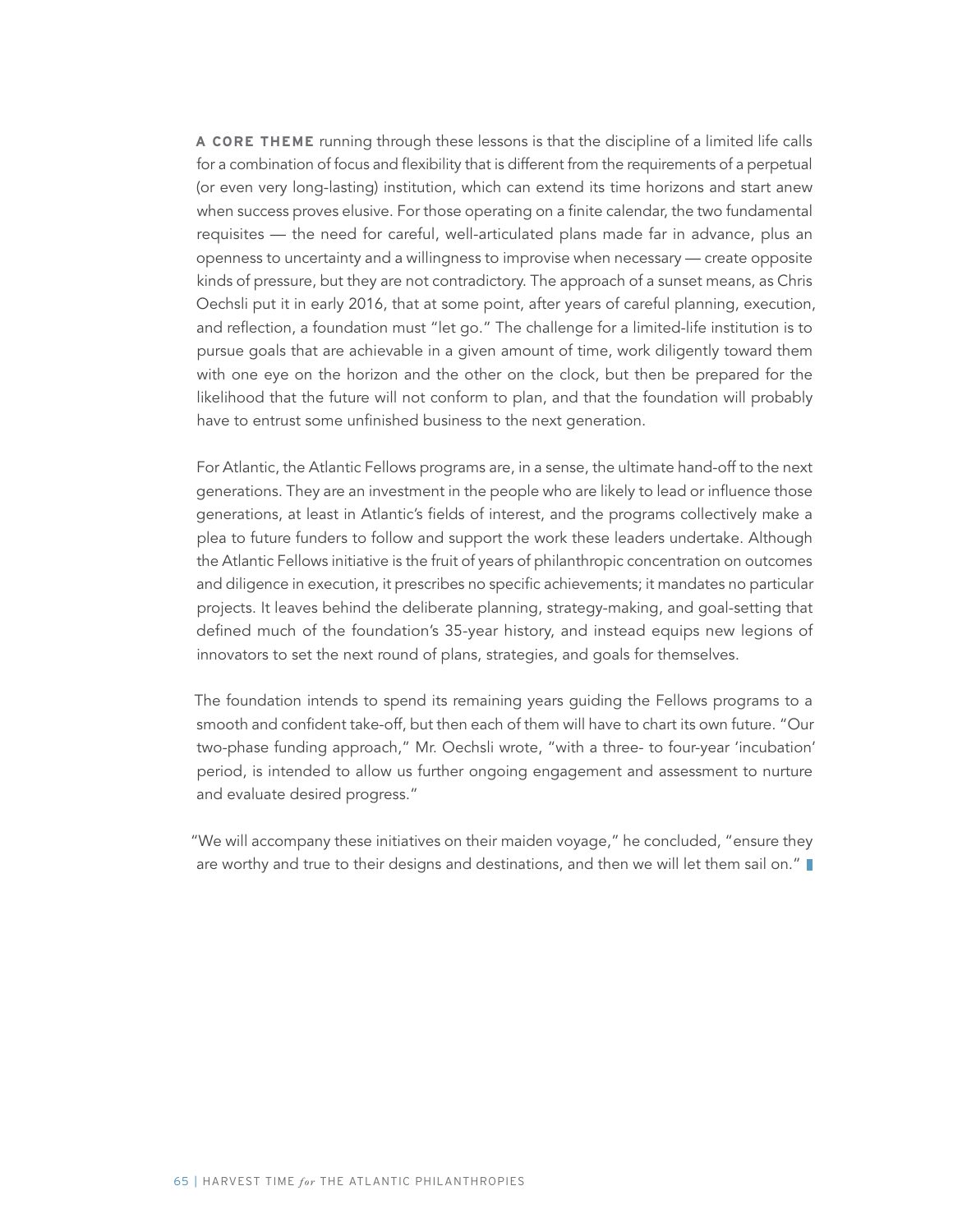**A CORE THEME** running through these lessons is that the discipline of a limited life calls for a combination of focus and flexibility that is different from the requirements of a perpetual (or even very long-lasting) institution, which can extend its time horizons and start anew when success proves elusive. For those operating on a finite calendar, the two fundamental requisites — the need for careful, well-articulated plans made far in advance, plus an openness to uncertainty and a willingness to improvise when necessary — create opposite kinds of pressure, but they are not contradictory. The approach of a sunset means, as Chris Oechsli put it in early 2016, that at some point, after years of careful planning, execution, and reflection, a foundation must "let go." The challenge for a limited-life institution is to pursue goals that are achievable in a given amount of time, work diligently toward them with one eye on the horizon and the other on the clock, but then be prepared for the likelihood that the future will not conform to plan, and that the foundation will probably have to entrust some unfinished business to the next generation.

For Atlantic, the Atlantic Fellows programs are, in a sense, the ultimate hand-off to the next generations. They are an investment in the people who are likely to lead or influence those generations, at least in Atlantic's fields of interest, and the programs collectively make a plea to future funders to follow and support the work these leaders undertake. Although the Atlantic Fellows initiative is the fruit of years of philanthropic concentration on outcomes and diligence in execution, it prescribes no specific achievements; it mandates no particular projects. It leaves behind the deliberate planning, strategy-making, and goal-setting that defined much of the foundation's 35-year history, and instead equips new legions of innovators to set the next round of plans, strategies, and goals for themselves.

The foundation intends to spend its remaining years guiding the Fellows programs to a smooth and confident take-off, but then each of them will have to chart its own future. "Our two-phase funding approach," Mr. Oechsli wrote, "with a three- to four-year 'incubation' period, is intended to allow us further ongoing engagement and assessment to nurture and evaluate desired progress."

"We will accompany these initiatives on their maiden voyage," he concluded, "ensure they are worthy and true to their designs and destinations, and then we will let them sail on."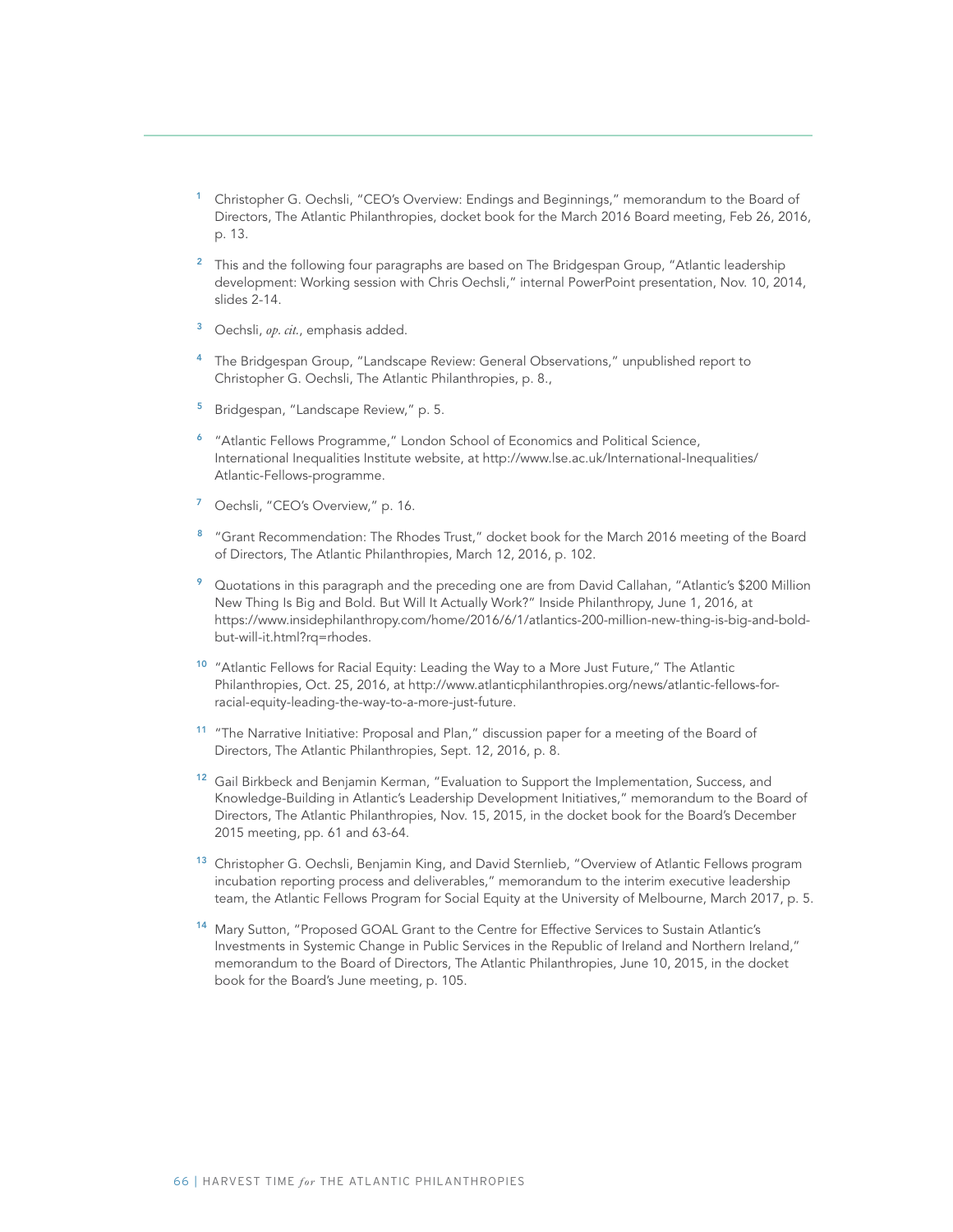- <sup>1</sup> Christopher G. Oechsli, "CEO's Overview: Endings and Beginnings," memorandum to the Board of Directors, The Atlantic Philanthropies, docket book for the March 2016 Board meeting, Feb 26, 2016, p. 13.
- <sup>2</sup> This and the following four paragraphs are based on The Bridgespan Group, "Atlantic leadership development: Working session with Chris Oechsli," internal PowerPoint presentation, Nov. 10, 2014, slides 2-14.
- <sup>3</sup> Oechsli, *op. cit.*, emphasis added.
- <sup>4</sup> The Bridgespan Group, "Landscape Review: General Observations," unpublished report to Christopher G. Oechsli, The Atlantic Philanthropies, p. 8.,
- <sup>5</sup> Bridgespan, "Landscape Review," p. 5.
- <sup>6</sup> "Atlantic Fellows Programme," London School of Economics and Political Science, International Inequalities Institute website, at http://www.lse.ac.uk/International-Inequalities/ Atlantic-Fellows-programme.
- <sup>7</sup> Oechsli, "CEO's Overview," p. 16.
- <sup>8</sup> "Grant Recommendation: The Rhodes Trust," docket book for the March 2016 meeting of the Board of Directors, The Atlantic Philanthropies, March 12, 2016, p. 102.
- <sup>9</sup> Quotations in this paragraph and the preceding one are from David Callahan, "Atlantic's \$200 Million New Thing Is Big and Bold. But Will It Actually Work?" Inside Philanthropy, June 1, 2016, at https://www.insidephilanthropy.com/home/2016/6/1/atlantics-200-million-new-thing-is-big-and-boldbut-will-it.html?rq=rhodes.
- <sup>10</sup> "Atlantic Fellows for Racial Equity: Leading the Way to a More Just Future," The Atlantic Philanthropies, Oct. 25, 2016, at http://www.atlanticphilanthropies.org/news/atlantic-fellows-forracial-equity-leading-the-way-to-a-more-just-future.
- <sup>11</sup> "The Narrative Initiative: Proposal and Plan," discussion paper for a meeting of the Board of Directors, The Atlantic Philanthropies, Sept. 12, 2016, p. 8.
- <sup>12</sup> Gail Birkbeck and Benjamin Kerman, "Evaluation to Support the Implementation, Success, and Knowledge-Building in Atlantic's Leadership Development Initiatives," memorandum to the Board of Directors, The Atlantic Philanthropies, Nov. 15, 2015, in the docket book for the Board's December 2015 meeting, pp. 61 and 63-64.
- <sup>13</sup> Christopher G. Oechsli, Benjamin King, and David Sternlieb, "Overview of Atlantic Fellows program incubation reporting process and deliverables," memorandum to the interim executive leadership team, the Atlantic Fellows Program for Social Equity at the University of Melbourne, March 2017, p. 5.
- <sup>14</sup> Mary Sutton, "Proposed GOAL Grant to the Centre for Effective Services to Sustain Atlantic's Investments in Systemic Change in Public Services in the Republic of Ireland and Northern Ireland," memorandum to the Board of Directors, The Atlantic Philanthropies, June 10, 2015, in the docket book for the Board's June meeting, p. 105.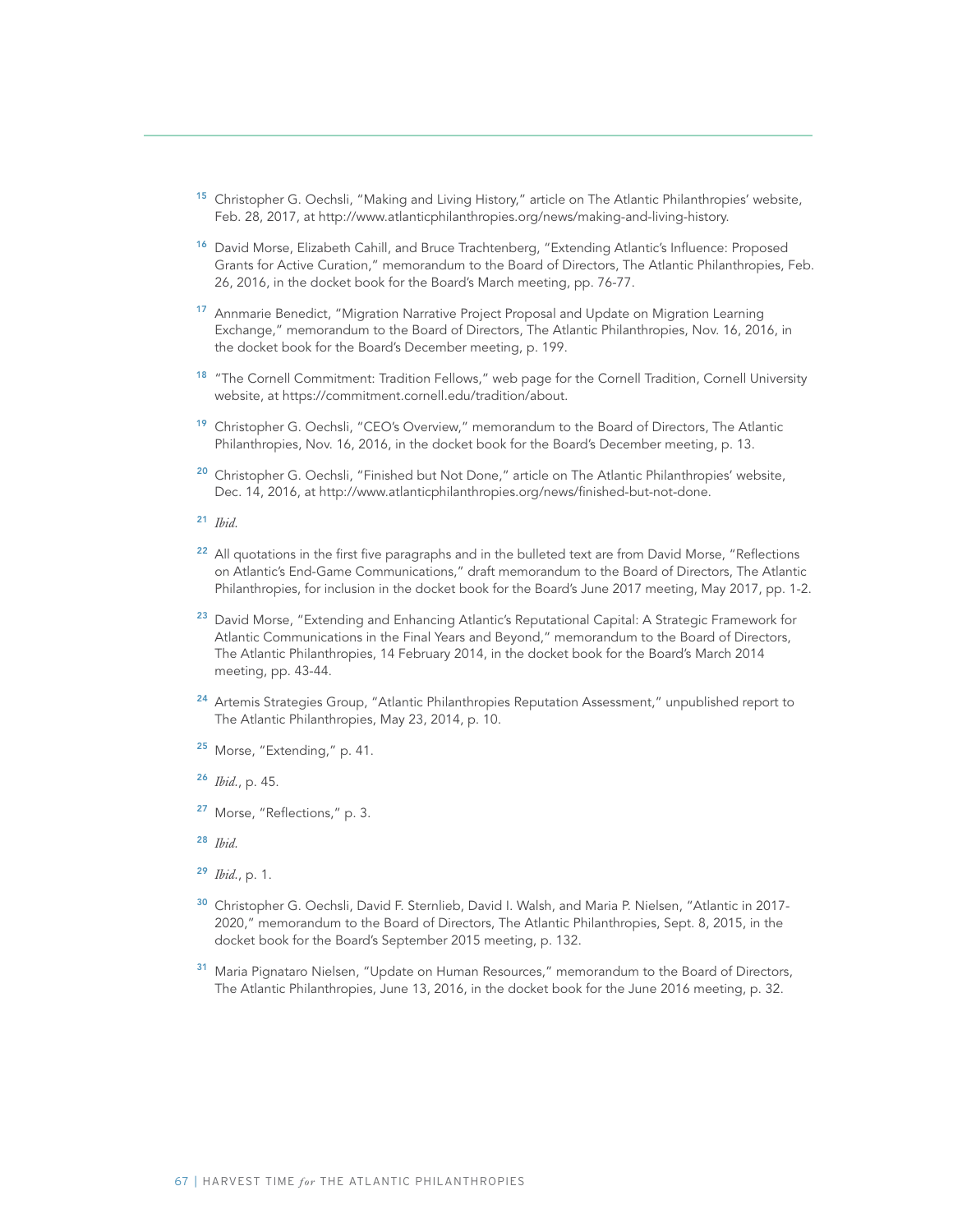- <sup>15</sup> Christopher G. Oechsli, "Making and Living History," article on The Atlantic Philanthropies' website, Feb. 28, 2017, at http://www.atlanticphilanthropies.org/news/making-and-living-history.
- <sup>16</sup> David Morse, Elizabeth Cahill, and Bruce Trachtenberg, "Extending Atlantic's Influence: Proposed Grants for Active Curation," memorandum to the Board of Directors, The Atlantic Philanthropies, Feb. 26, 2016, in the docket book for the Board's March meeting, pp. 76-77.
- <sup>17</sup> Annmarie Benedict, "Migration Narrative Project Proposal and Update on Migration Learning Exchange," memorandum to the Board of Directors, The Atlantic Philanthropies, Nov. 16, 2016, in the docket book for the Board's December meeting, p. 199.
- <sup>18</sup> "The Cornell Commitment: Tradition Fellows," web page for the Cornell Tradition, Cornell University website, at https://commitment.cornell.edu/tradition/about.
- <sup>19</sup> Christopher G. Oechsli, "CEO's Overview," memorandum to the Board of Directors, The Atlantic Philanthropies, Nov. 16, 2016, in the docket book for the Board's December meeting, p. 13.
- <sup>20</sup> Christopher G. Oechsli, "Finished but Not Done," article on The Atlantic Philanthropies' website, Dec. 14, 2016, at http://www.atlanticphilanthropies.org/news/finished-but-not-done.
- <sup>21</sup> *Ibid.*
- <sup>22</sup> All quotations in the first five paragraphs and in the bulleted text are from David Morse, "Reflections on Atlantic's End-Game Communications," draft memorandum to the Board of Directors, The Atlantic Philanthropies, for inclusion in the docket book for the Board's June 2017 meeting, May 2017, pp. 1-2.
- <sup>23</sup> David Morse, "Extending and Enhancing Atlantic's Reputational Capital: A Strategic Framework for Atlantic Communications in the Final Years and Beyond," memorandum to the Board of Directors, The Atlantic Philanthropies, 14 February 2014, in the docket book for the Board's March 2014 meeting, pp. 43-44.
- <sup>24</sup> Artemis Strategies Group, "Atlantic Philanthropies Reputation Assessment," unpublished report to The Atlantic Philanthropies, May 23, 2014, p. 10.
- <sup>25</sup> Morse, "Extending," p. 41.
- <sup>26</sup> *Ibid.*, p. 45.
- <sup>27</sup> Morse, "Reflections," p. 3.
- <sup>28</sup> *Ibid.*
- <sup>29</sup> *Ibid.*, p. 1.
- <sup>30</sup> Christopher G. Oechsli, David F. Sternlieb, David I. Walsh, and Maria P. Nielsen, "Atlantic in 2017-2020," memorandum to the Board of Directors, The Atlantic Philanthropies, Sept. 8, 2015, in the docket book for the Board's September 2015 meeting, p. 132.
- Maria Pignataro Nielsen, "Update on Human Resources," memorandum to the Board of Directors, The Atlantic Philanthropies, June 13, 2016, in the docket book for the June 2016 meeting, p. 32.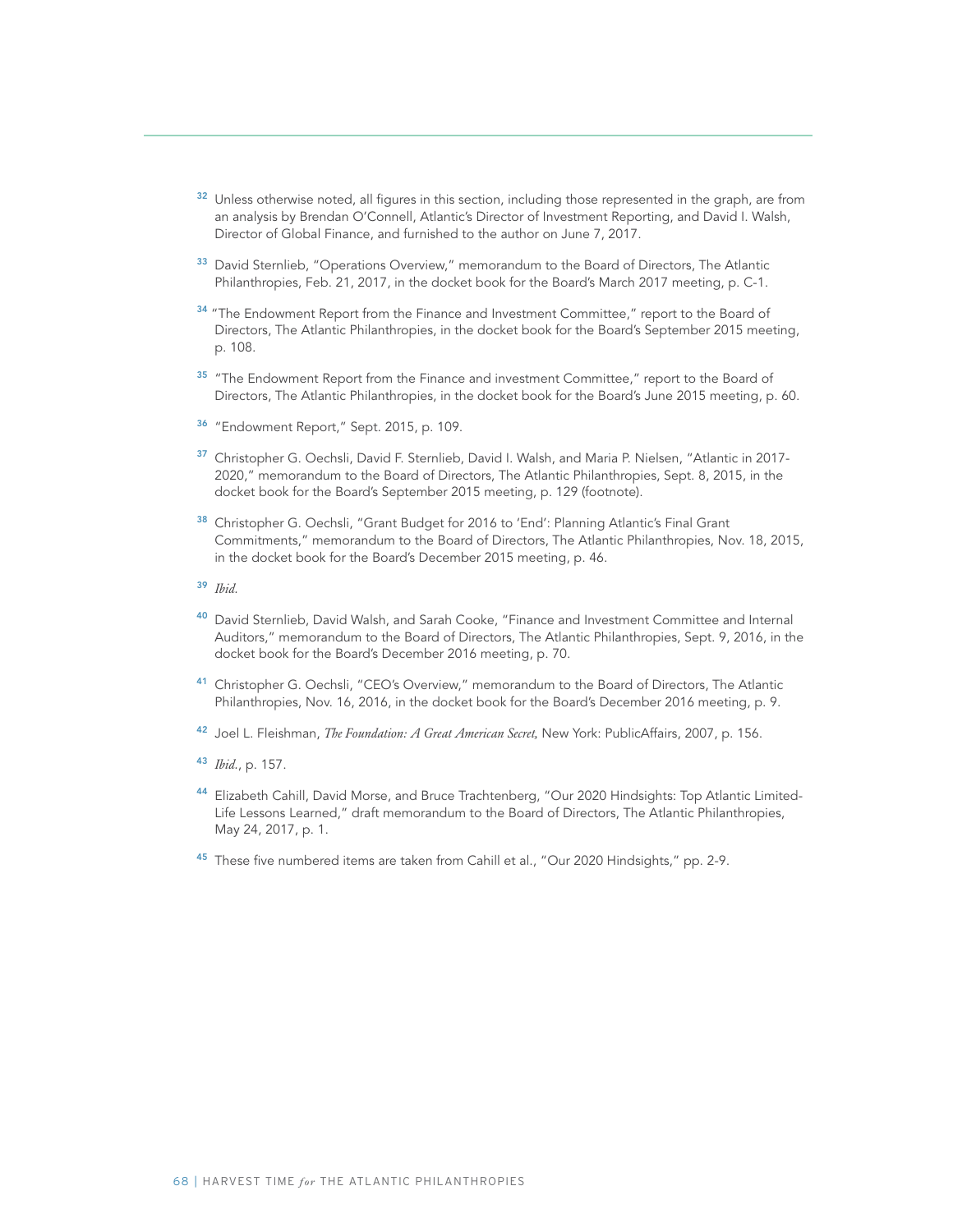- <sup>32</sup> Unless otherwise noted, all figures in this section, including those represented in the graph, are from an analysis by Brendan O'Connell, Atlantic's Director of Investment Reporting, and David I. Walsh, Director of Global Finance, and furnished to the author on June 7, 2017.
- <sup>33</sup> David Sternlieb, "Operations Overview," memorandum to the Board of Directors, The Atlantic Philanthropies, Feb. 21, 2017, in the docket book for the Board's March 2017 meeting, p. C-1.
- <sup>34</sup> "The Endowment Report from the Finance and Investment Committee," report to the Board of Directors, The Atlantic Philanthropies, in the docket book for the Board's September 2015 meeting, p. 108.
- <sup>35</sup> "The Endowment Report from the Finance and investment Committee," report to the Board of Directors, The Atlantic Philanthropies, in the docket book for the Board's June 2015 meeting, p. 60.
- <sup>36</sup> "Endowment Report," Sept. 2015, p. 109.
- <sup>37</sup> Christopher G. Oechsli, David F. Sternlieb, David I. Walsh, and Maria P. Nielsen, "Atlantic in 2017-2020," memorandum to the Board of Directors, The Atlantic Philanthropies, Sept. 8, 2015, in the docket book for the Board's September 2015 meeting, p. 129 (footnote).
- <sup>38</sup> Christopher G. Oechsli, "Grant Budget for 2016 to 'End': Planning Atlantic's Final Grant Commitments," memorandum to the Board of Directors, The Atlantic Philanthropies, Nov. 18, 2015, in the docket book for the Board's December 2015 meeting, p. 46.
- <sup>39</sup> *Ibid.*
- 40 David Sternlieb, David Walsh, and Sarah Cooke, "Finance and Investment Committee and Internal Auditors," memorandum to the Board of Directors, The Atlantic Philanthropies, Sept. 9, 2016, in the docket book for the Board's December 2016 meeting, p. 70.
- <sup>41</sup> Christopher G. Oechsli, "CEO's Overview," memorandum to the Board of Directors, The Atlantic Philanthropies, Nov. 16, 2016, in the docket book for the Board's December 2016 meeting, p. 9.
- <sup>42</sup> Joel L. Fleishman, *The Foundation: A Great American Secret,* New York: PublicAffairs, 2007, p. 156.
- <sup>43</sup> *Ibid.*, p. 157.
- 44 Elizabeth Cahill, David Morse, and Bruce Trachtenberg, "Our 2020 Hindsights: Top Atlantic Limited-Life Lessons Learned," draft memorandum to the Board of Directors, The Atlantic Philanthropies, May 24, 2017, p. 1.
- 45 These five numbered items are taken from Cahill et al., "Our 2020 Hindsights," pp. 2-9.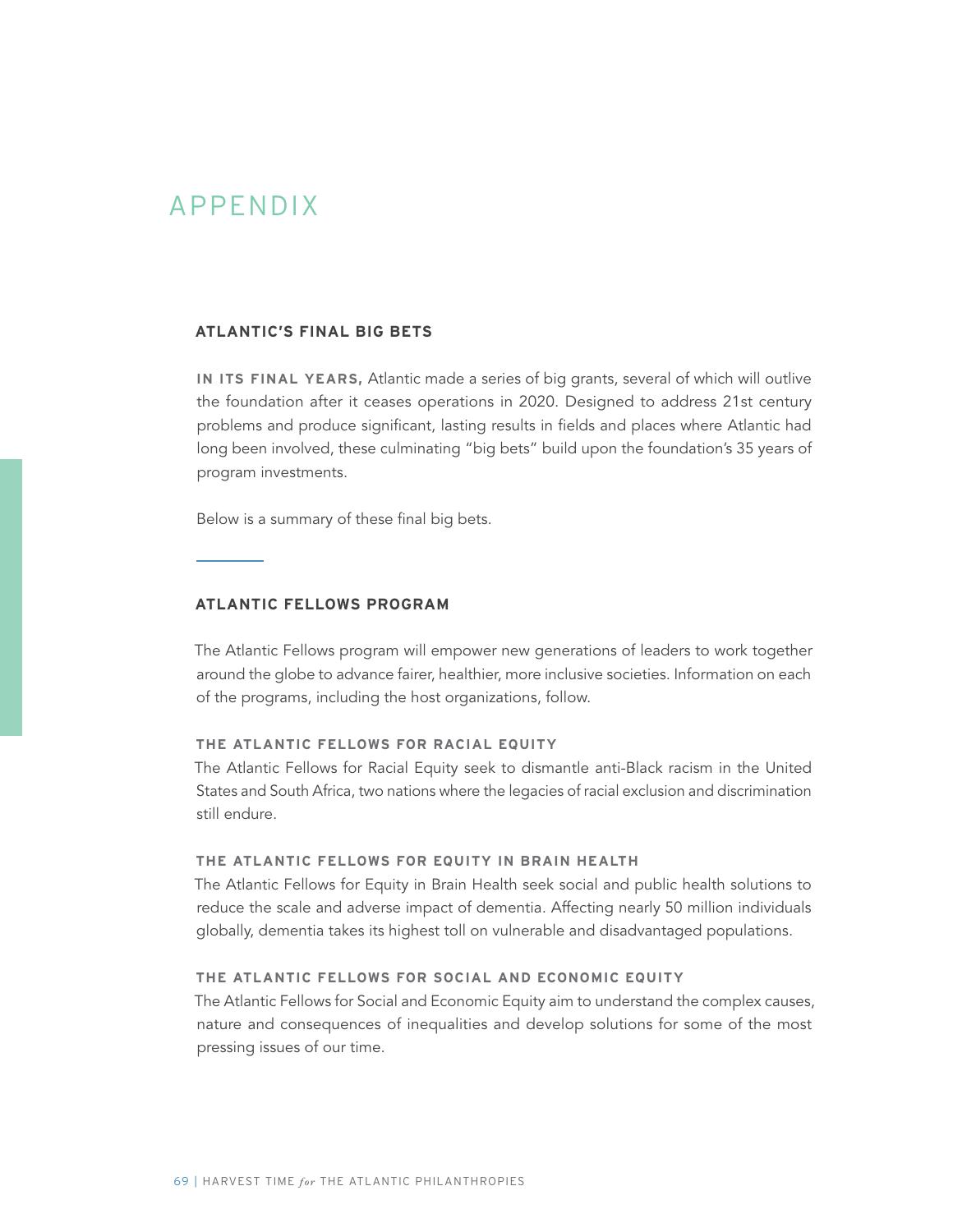# APPENDIX

## **ATLANTIC'S FINAL BIG BETS**

**IN ITS FINAL YEARS,** Atlantic made a series of big grants, several of which will outlive the foundation after it ceases operations in 2020. Designed to address 21st century problems and produce significant, lasting results in fields and places where Atlantic had long been involved, these culminating "big bets" build upon the foundation's 35 years of program investments.

Below is a summary of these final big bets.

#### **ATLANTIC FELLOWS PROGRAM**

The Atlantic Fellows program will empower new generations of leaders to work together around the globe to advance fairer, healthier, more inclusive societies. Information on each of the programs, including the host organizations, follow.

# **THE ATLANTIC FELLOWS FOR RACIAL EQUITY**

The Atlantic Fellows for Racial Equity seek to dismantle anti-Black racism in the United States and South Africa, two nations where the legacies of racial exclusion and discrimination still endure.

## **THE ATLANTIC FELLOWS FOR EQUITY IN BRAIN HEALTH**

The Atlantic Fellows for Equity in Brain Health seek social and public health solutions to reduce the scale and adverse impact of dementia. Affecting nearly 50 million individuals globally, dementia takes its highest toll on vulnerable and disadvantaged populations.

# **THE ATLANTIC FELLOWS FOR SOCIAL AND ECONOMIC EQUITY**

The Atlantic Fellows for Social and Economic Equity aim to understand the complex causes, nature and consequences of inequalities and develop solutions for some of the most pressing issues of our time.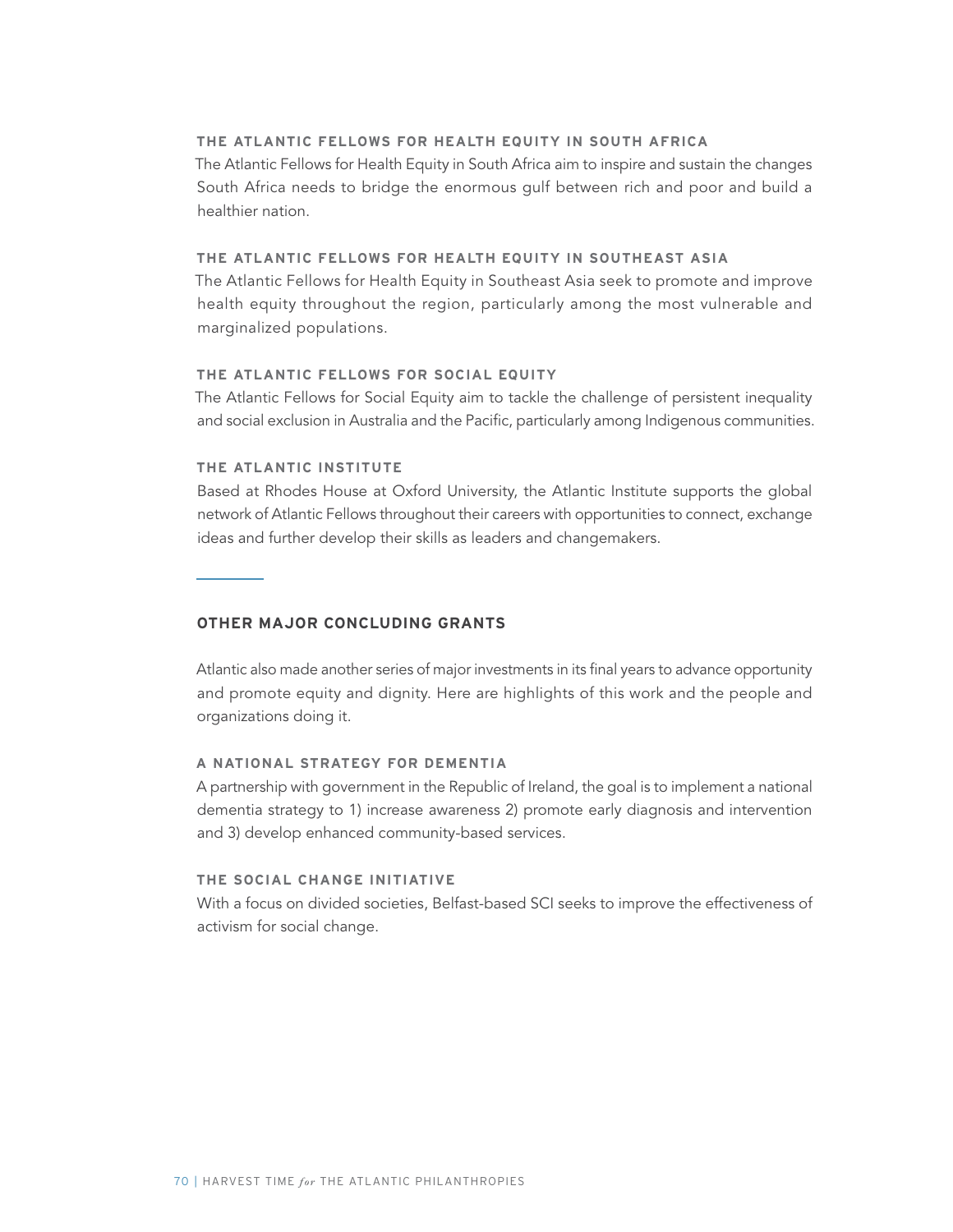## **THE ATLANTIC FELLOWS FOR HEALTH EQUITY IN SOUTH AFRICA**

The Atlantic Fellows for Health Equity in South Africa aim to inspire and sustain the changes South Africa needs to bridge the enormous gulf between rich and poor and build a healthier nation.

# **THE ATLANTIC FELLOWS FOR HEALTH EQUITY IN SOUTHEAST ASIA**

The Atlantic Fellows for Health Equity in Southeast Asia seek to promote and improve health equity throughout the region, particularly among the most vulnerable and marginalized populations.

#### **THE ATLANTIC FELLOWS FOR SOCIAL EQUITY**

The Atlantic Fellows for Social Equity aim to tackle the challenge of persistent inequality and social exclusion in Australia and the Pacific, particularly among Indigenous communities.

# **THE ATLANTIC INSTITUTE**

Based at Rhodes House at Oxford University, the Atlantic Institute supports the global network of Atlantic Fellows throughout their careers with opportunities to connect, exchange ideas and further develop their skills as leaders and changemakers.

# **OTHER MAJOR CONCLUDING GRANTS**

Atlantic also made another series of major investments in its final years to advance opportunity and promote equity and dignity. Here are highlights of this work and the people and organizations doing it.

## **A NATIONAL STRATEGY FOR DEMENTIA**

A partnership with government in the Republic of Ireland, the goal is to implement a national dementia strategy to 1) increase awareness 2) promote early diagnosis and intervention and 3) develop enhanced community-based services.

## **THE SOCIAL CHANGE INITIATIVE**

With a focus on divided societies, Belfast-based SCI seeks to improve the effectiveness of activism for social change.